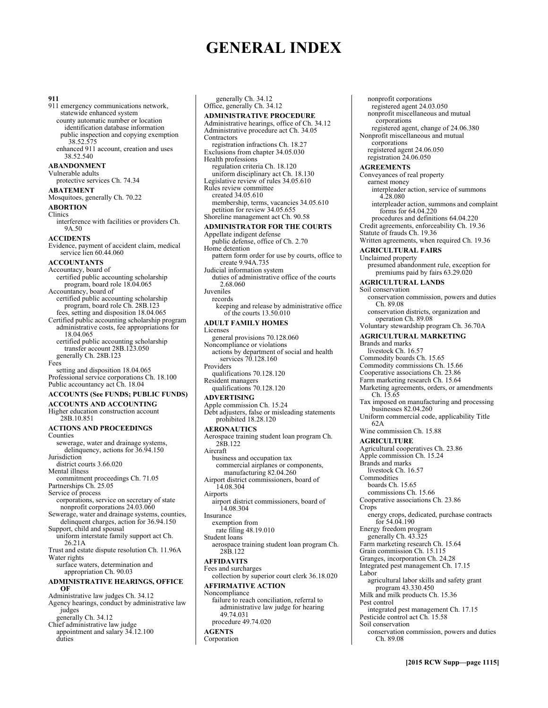# **GENERAL INDEX**

**911**  911 emergency communications network, statewide enhanced system county automatic number or location identification database information public inspection and copying exemption 38.52.575 enhanced 911 account, creation and uses 38.52.540 **ABANDONMENT**  Vulnerable adults protective services Ch. 74.34 **ABATEMENT**  Mosquitoes, generally Ch. 70.22 **ABORTION**  Clinics interference with facilities or providers Ch. 9A.50 **ACCIDENTS**  Evidence, payment of accident claim, medical service lien 60.44.060 **ACCOUNTANTS**  Accountacy, board of certified public accounting scholarship program, board role 18.04.065 Accountancy, board of certified public accounting scholarship program, board role Ch. 28B.123 fees, setting and disposition 18.04.065 Certified public accounting scholarship program administrative costs, fee appropriations for 18.04.065 certified public accounting scholarship transfer account 28B.123.050 generally Ch. 28B.123 Fees setting and disposition 18.04.065 Professional service corporations Ch. 18.100 Public accountancy act Ch. 18.04 **ACCOUNTS (See FUNDS; PUBLIC FUNDS) ACCOUNTS AND ACCOUNTING**  Higher education construction account 28B.10.851 **ACTIONS AND PROCEEDINGS**  Counties sewerage, water and drainage systems, delinquency, actions for 36.94.150 **Jurisdiction** district courts 3.66.020 Mental illness commitment proceedings Ch. 71.05 Partnerships Ch. 25.05 Service of process corporations, service on secretary of state nonprofit corporations 24.03.060 Sewerage, water and drainage systems, counties, delinquent charges, action for 36.94.150 Support, child and spousal uniform interstate family support act Ch. 26.21A Trust and estate dispute resolution Ch. 11.96A Water rights surface waters, determination and appropriation Ch. 90.03 **ADMINISTRATIVE HEARINGS, OFFICE OF**  Administrative law judges Ch. 34.12 Agency hearings, conduct by administrative law judges generally Ch. 34.12 Chief administrative law judge appointment and salary 34.12.100 duties

generally Ch. 34.12 Office, generally Ch. 34.12 **ADMINISTRATIVE PROCEDURE**  Administrative hearings, office of Ch. 34.12 Administrative procedure act Ch. 34.05 Contractors registration infractions Ch. 18.27 Exclusions from chapter 34.05.030 Health professions regulation criteria Ch. 18.120 uniform disciplinary act Ch. 18.130 Legislative review of rules 34.05.610 Rules review committee created 34.05.610 membership, terms, vacancies 34.05.610 petition for review 34.05.655 Shoreline management act Ch. 90.58 **ADMINISTRATOR FOR THE COURTS**  Appellate indigent defense public defense, office of Ch. 2.70 Home detention pattern form order for use by courts, office to create 9.94A.735 Judicial information system duties of administrative office of the courts 2.68.060 Juveniles records keeping and release by administrative office of the courts 13.50.010 **ADULT FAMILY HOMES**  Licenses general provisions 70.128.060 Noncompliance or violations actions by department of social and health services 70.128.160 Providers qualifications 70.128.120 Resident managers qualifications 70.128.120 **ADVERTISING**  Apple commission Ch. 15.24 Debt adjusters, false or misleading statements prohibited 18.28.120 **AERONAUTICS**  Aerospace training student loan program Ch. 28B.122 Aircraft business and occupation tax commercial airplanes or components, manufacturing 82.04.260 Airport district commissioners, board of 14.08.304 Airports airport district commissioners, board of 14.08.304 Insurance exemption from rate filing 48.19.010 Student loans aerospace training student loan program Ch. 28B.122 **AFFIDAVITS**  Fees and surcharges collection by superior court clerk 36.18.020 **AFFIRMATIVE ACTION**  Noncompliance failure to reach conciliation, referral to administrative law judge for hearing 49.74.031 procedure 49.74.020 **AGENTS**  Corporation

nonprofit corporations registered agent 24.03.050 nonprofit miscellaneous and mutual corporations registered agent, change of 24.06.380 Nonprofit miscellaneous and mutual corporations registered agent 24.06.050 registration 24.06.050 **AGREEMENTS**  Conveyances of real property earnest money interpleader action, service of summons 4.28.080 interpleader action, summons and complaint forms for 64.04.220 procedures and definitions 64.04.220 Credit agreements, enforceability Ch. 19.36 Statute of frauds Ch. 19.36 Written agreements, when required Ch. 19.36 **AGRICULTURAL FAIRS**  Unclaimed property presumed abandonment rule, exception for premiums paid by fairs 63.29.020 **AGRICULTURAL LANDS**  Soil conservation conservation commission, powers and duties Ch. 89.08 conservation districts, organization and operation Ch. 89.08 Voluntary stewardship program Ch. 36.70A **AGRICULTURAL MARKETING**  Brands and marks livestock Ch. 16.57 Commodity boards Ch. 15.65 Commodity commissions Ch. 15.66 Cooperative associations Ch. 23.86 Farm marketing research Ch. 15.64 Marketing agreements, orders, or amendments Ch. 15.65 Tax imposed on manufacturing and processing businesses 82.04.260 Uniform commercial code, applicability Title 62A Wine commission Ch. 15.88 **AGRICULTURE**  Agricultural cooperatives Ch. 23.86 Apple commission Ch. 15.24 Brands and marks livestock Ch. 16.57 Commodities boards Ch. 15.65 commissions Ch. 15.66 Cooperative associations Ch. 23.86 Crops energy crops, dedicated, purchase contracts for 54.04.190 Energy freedom program generally Ch. 43.325 Farm marketing research Ch. 15.64 Grain commission Ch. 15.115 Granges, incorporation Ch. 24.28 Integrated pest management Ch. 17.15 Labor agricultural labor skills and safety grant program 43.330.450 Milk and milk products Ch. 15.36 Pest control integrated pest management Ch. 17.15 Pesticide control act Ch. 15.58 Soil conservation conservation commission, powers and duties Ch. 89.08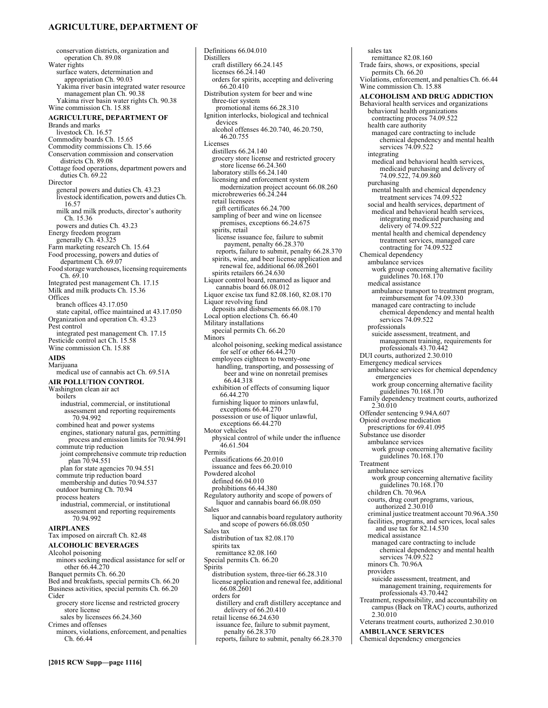#### **AGRICULTURE, DEPARTMENT OF**

conservation districts, organization and operation Ch. 89.08 Water rights surface waters, determination and appropriation Ch. 90.03 Yakima river basin integrated water resource management plan Ch. 90.38 Yakima river basin water rights Ch. 90.38 Wine commission Ch. 15.88 **AGRICULTURE, DEPARTMENT OF**  Brands and marks livestock Ch. 16.57 Commodity boards Ch. 15.65 Commodity commissions Ch. 15.66 Conservation commission and conservation districts Ch. 89.08 Cottage food operations, department powers and duties Ch. 69.22 Director general powers and duties Ch. 43.23 livestock identification, powers and duties Ch. 16.57 milk and milk products, director's authority Ch. 15.36 powers and duties Ch. 43.23 Energy freedom program generally Ch. 43.325 Farm marketing research Ch. 15.64 Food processing, powers and duties of department Ch. 69.07 Food storage warehouses, licensing requirements Ch. 69.10 Integrated pest management Ch. 17.15 Milk and milk products Ch. 15.36 **Offices** branch offices 43.17.050 state capital, office maintained at 43.17.050 Organization and operation Ch. 43.23 Pest control integrated pest management Ch. 17.15 Pesticide control act Ch. 15.58 Wine commission Ch. 15.88 **AIDS**  Marijuana medical use of cannabis act Ch. 69.51A **AIR POLLUTION CONTROL**  Washington clean air act boilers industrial, commercial, or institutional assessment and reporting requirements 70.94.992 combined heat and power systems engines, stationary natural gas, permitting process and emission limits for 70.94.991 commute trip reduction joint comprehensive commute trip reduction plan 70.94.551 plan for state agencies 70.94.551 commute trip reduction board membership and duties 70.94.537 outdoor burning Ch. 70.94 process heaters industrial, commercial, or institutional assessment and reporting requirements 70.94.992 **AIRPLANES**  Tax imposed on aircraft Ch. 82.48 **ALCOHOLIC BEVERAGES**  Alcohol poisoning minors seeking medical assistance for self or other 66.44.270 Banquet permits Ch. 66.20 Bed and breakfasts, special permits Ch. 66.20 Business activities, special permits Ch. 66.20 Cider grocery store license and restricted grocery store license sales by licensees 66.24.360 Crimes and offenses minors, violations, enforcement, and penalties Ch. 66.44

Definitions 66.04.010 Distillers craft distillery 66.24.145 licenses 66.24.140 orders for spirits, accepting and delivering 66.20.410 Distribution system for beer and wine three-tier system promotional items 66.28.310 Ignition interlocks, biological and technical devices alcohol offenses 46.20.740, 46.20.750, 46.20.755 Licenses distillers 66.24.140 grocery store license and restricted grocery store license 66.24.360 laboratory stills 66.24.140 licensing and enforcement system modernization project account 66.08.260 microbreweries 66.24.244 retail licensees gift certificates 66.24.700 sampling of beer and wine on licensee premises, exceptions 66.24.675 spirits, retail license issuance fee, failure to submit payment, penalty 66.28.370 reports, failure to submit, penalty 66.28.370 spirits, wine, and beer license application and renewal fee, additional 66.08.2601 spirits retailers 66.24.630 Liquor control board, renamed as liquor and cannabis board 66.08.012 Liquor excise tax fund 82.08.160, 82.08.170 Liquor revolving fund deposits and disbursements 66.08.170 Local option elections Ch. 66.40 Military installations special permits Ch. 66.20 Minors alcohol poisoning, seeking medical assistance for self or other 66.44.270 employees eighteen to twenty-one handling, transporting, and possessing of beer and wine on nonretail premises 66.44.318 exhibition of effects of consuming liquor 66.44.270 furnishing liquor to minors unlawful, exceptions 66.44.270 possession or use of liquor unlawful, exceptions 66.44.270 Motor vehicles physical control of while under the influence 46.61.504 Permits classifications 66.20.010 issuance and fees 66.20.010 Powdered alcohol defined 66.04.010 prohibitions 66.44.380 Regulatory authority and scope of powers of liquor and cannabis board 66.08.050 Sales liquor and cannabis board regulatory authority and scope of powers 66.08.050 Sales tax distribution of tax 82.08.170 spirits tax remittance 82.08.160 Special permits Ch. 66.20 Spirits distribution system, three-tier 66.28.310 license application and renewal fee, additional 66.08.2601 orders for distillery and craft distillery acceptance and delivery of 66.20.410 retail license 66.24.630 issuance fee, failure to submit payment, penalty 66.28.370 reports, failure to submit, penalty 66.28.370

sales tax remittance 82.08.160 Trade fairs, shows, or expositions, special permits Ch. 66.20 Violations, enforcement, and penalties Ch. 66.44 Wine commission Ch. 15.88 **ALCOHOLISM AND DRUG ADDICTION**  Behavioral health services and organizations behavioral health organizations contracting process 74.09.522 health care authority managed care contracting to include chemical dependency and mental health services 74.09.522 integrating medical and behavioral health services, medicaid purchasing and delivery of 74.09.522, 74.09.860 purchasing mental health and chemical dependency treatment services 74.09.522 social and health services, department of medical and behavioral health services, integrating medicaid purchasing and delivery of 74.09.522 mental health and chemical dependency treatment services, managed care contracting for 74.09.522 Chemical dependency ambulance services work group concerning alternative facility guidelines 70.168.170 medical assistance ambulance transport to treatment program, reimbursement for 74.09.330 managed care contracting to include chemical dependency and mental health services 74.09.522 professionals suicide assessment, treatment, and management training, requirements for professionals 43.70.442 DUI courts, authorized 2.30.010 Emergency medical services ambulance services for chemical dependency emergencies work group concerning alternative facility guidelines 70.168.170 Family dependency treatment courts, authorized 2.30.010 Offender sentencing 9.94A.607 Opioid overdose medication prescriptions for 69.41.095 Substance use disorder ambulance services work group concerning alternative facility guidelines 70.168.170 Treatment ambulance services work group concerning alternative facility guidelines 70.168.170 children Ch. 70.96A courts, drug court programs, various, authorized 2.30.010 criminal justice treatment account 70.96A.350 facilities, programs, and services, local sales and use tax for 82.14.530 medical assistance managed care contracting to include chemical dependency and mental health services 74.09.522 minors Ch. 70.96A providers suicide assessment, treatment, and management training, requirements for professionals 43.70.442 Treatment, responsibility, and accountability on campus (Back on TRAC) courts, authorized 2.30.010 Veterans treatment courts, authorized 2.30.010 **AMBULANCE SERVICES**  Chemical dependency emergencies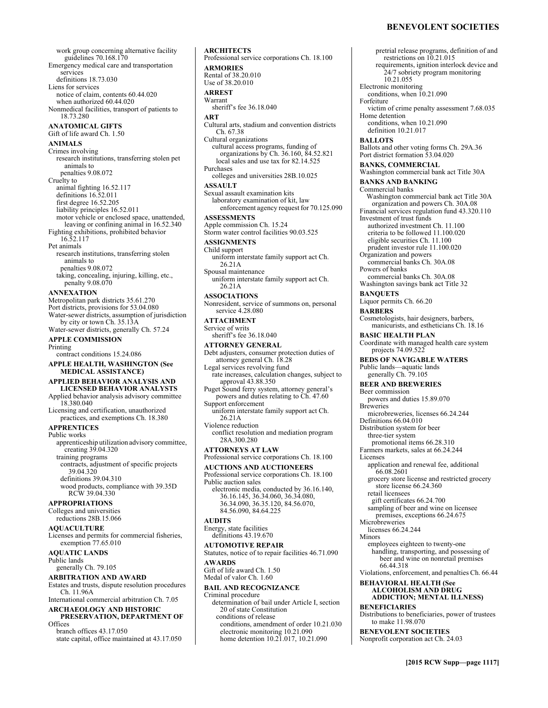#### **BENEVOLENT SOCIETIES**

work group concerning alternative facility guidelines 70.168.170 Emergency medical care and transportation services definitions 18.73.030 Liens for services notice of claim, contents 60.44.020 when authorized 60.44.020 Nonmedical facilities, transport of patients to 18.73.280 **ANATOMICAL GIFTS**  Gift of life award Ch. 1.50 **ANIMALS**  Crimes involving research institutions, transferring stolen pet animals to penalties 9.08.072 Cruelty to animal fighting 16.52.117 definitions 16.52.011 first degree 16.52.205 liability principles 16.52.011 motor vehicle or enclosed space, unattended, leaving or confining animal in 16.52.340 Fighting exhibitions, prohibited behavior 16.52.117 Pet animals research institutions, transferring stolen animals to penalties 9.08.072 taking, concealing, injuring, killing, etc., penalty 9.08.070 **ANNEXATION**  Metropolitan park districts 35.61.270 Port districts, provisions for 53.04.080 Water-sewer districts, assumption of jurisdiction by city or town Ch. 35.13A Water-sewer districts, generally Ch. 57.24 **APPLE COMMISSION**  Printing contract conditions 15.24.086 **APPLE HEALTH, WASHINGTON (See MEDICAL ASSISTANCE) APPLIED BEHAVIOR ANALYSIS AND LICENSED BEHAVIOR ANALYSTS**  Applied behavior analysis advisory committee 18.380.040 Licensing and certification, unauthorized practices, and exemptions Ch. 18.380 **APPRENTICES**  Public works apprenticeship utilization advisory committee, creating 39.04.320 training programs contracts, adjustment of specific projects 39.04.320 definitions 39.04.310 wood products, compliance with 39.35D RCW 39.04.330 **APPROPRIATIONS**  Colleges and universities reductions 28B.15.066 **AQUACULTURE**  Licenses and permits for commercial fisheries, exemption 77.65.010 **AQUATIC LANDS**  Public lands generally Ch. 79.105

#### **ARBITRATION AND AWARD**

Estates and trusts, dispute resolution procedures Ch. 11.96A International commercial arbitration Ch. 7.05

#### **ARCHAEOLOGY AND HISTORIC PRESERVATION, DEPARTMENT OF**

**Offices** 

branch offices 43.17.050 state capital, office maintained at 43.17.050

Professional service corporations Ch. 18.100 **ARMORIES**  Rental of 38.20.010 Use of 38.20.010 **ARREST**  Warrant sheriff's fee 36.18.040 **ART**  Cultural arts, stadium and convention districts Ch. 67.38 Cultural organizations cultural access programs, funding of organizations by Ch. 36.160, 84.52.821 local sales and use tax for 82.14.525 Purchases colleges and universities 28B.10.025 **ASSAULT**  Sexual assault examination kits laboratory examination of kit, law enforcement agency request for 70.125.090 **ASSESSMENTS**  Apple commission Ch. 15.24 Storm water control facilities 90.03.525 **ASSIGNMENTS**  Child support uniform interstate family support act Ch. 26.21A Spousal maintenance uniform interstate family support act Ch. 26.21A **ASSOCIATIONS**  Nonresident, service of summons on, personal service 4.28.080 **ATTACHMENT**  Service of writs sheriff's fee 36.18.040 **ATTORNEY GENERAL**  Debt adjusters, consumer protection duties of attorney general Ch. 18.28 Legal services revolving fund rate increases, calculation changes, subject to approval 43.88.350 Puget Sound ferry system, attorney general's powers and duties relating to Ch. 47.60 Support enforcement uniform interstate family support act Ch. 26.21A Violence reduction conflict resolution and mediation program 28A.300.280 **ATTORNEYS AT LAW**  Professional service corporations Ch. 18.100 **AUCTIONS AND AUCTIONEERS**  Professional service corporations Ch. 18.100 Public auction sales electronic media, conducted by 36.16.140, 36.16.145, 36.34.060, 36.34.080, 36.34.090, 36.35.120, 84.56.070, 84.56.090, 84.64.225 **AUDITS**  Energy, state facilities definitions 43.19.670 **AUTOMOTIVE REPAIR**  Statutes, notice of to repair facilities 46.71.090 **AWARDS**  Gift of life award Ch. 1.50 Medal of valor Ch. 1.60 **BAIL AND RECOGNIZANCE**  Criminal procedure determination of bail under Article I, section 20 of state Constitution conditions of release conditions, amendment of order 10.21.030 electronic monitoring 10.21.090 home detention 10.21.017, 10.21.090

**ARCHITECTS** 

pretrial release programs, definition of and restrictions on 10.21.015 requirements, ignition interlock device and 24/7 sobriety program monitoring 10.21.055 Electronic monitoring conditions, when  $10.21.090$ Forfeiture victim of crime penalty assessment 7.68.035 Home detention conditions, when 10.21.090 definition 10.21.017 **BALLOTS**  Ballots and other voting forms Ch. 29A.36 Port district formation 53.04.020 **BANKS, COMMERCIAL** Washington commercial bank act Title 30A **BANKS AND BANKING**  Commercial banks Washington commercial bank act Title 30A organization and powers Ch. 30A.08 Financial services regulation fund 43.320.110 Investment of trust funds authorized investment Ch. 11.100 criteria to be followed 11.100.020 eligible securities Ch. 11.100 prudent investor rule 11.100.020 Organization and powers commercial banks Ch. 30A.08 Powers of banks commercial banks Ch. 30A.08 Washington savings bank act Title 32 **BANQUETS**  Liquor permits Ch. 66.20 **BARBERS**  Cosmetologists, hair designers, barbers, manicurists, and estheticians Ch. 18.16 **BASIC HEALTH PLAN**  Coordinate with managed health care system projects 74.09.522 **BEDS OF NAVIGABLE WATERS**  Public lands—aquatic lands generally Ch. 79.105 **BEER AND BREWERIES**  Beer commission powers and duties 15.89.070 **Breweries** microbreweries, licenses 66.24.244 Definitions  $66.04.010$ Distribution system for beer three-tier system promotional items 66.28.310 Farmers markets, sales at 66.24.244 Licenses application and renewal fee, additional 66.08.2601 grocery store license and restricted grocery store license 66.24.360 retail licensees gift certificates 66.24.700 sampling of beer and wine on licensee premises, exceptions 66.24.675 Microbreweries licenses 66.24.244 Minors employees eighteen to twenty-one handling, transporting, and possessing of beer and wine on nonretail premises 66.44.318 Violations, enforcement, and penalties Ch. 66.44 **BEHAVIORAL HEALTH (See ALCOHOLISM AND DRUG ADDICTION; MENTAL ILLNESS) BENEFICIARIES**  Distributions to beneficiaries, power of trustees to make 11.98.070 **BENEVOLENT SOCIETIES**  Nonprofit corporation act Ch. 24.03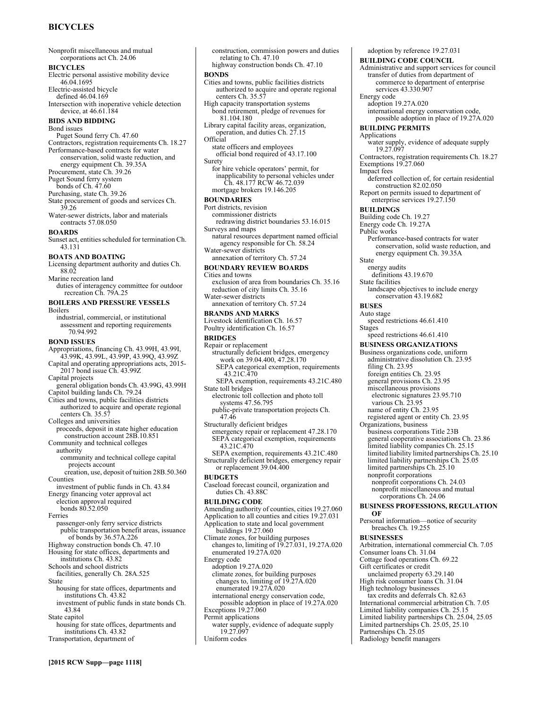## **BICYCLES**

Nonprofit miscellaneous and mutual corporations act Ch. 24.06 **BICYCLES**  Electric personal assistive mobility device 46.04.1695 Electric-assisted bicycle defined 46.04.169 Intersection with inoperative vehicle detection device, at 46.61.184 **BIDS AND BIDDING**  Bond issues Puget Sound ferry Ch. 47.60 Contractors, registration requirements Ch. 18.27 Performance-based contracts for water conservation, solid waste reduction, and energy equipment Ch. 39.35A Procurement, state Ch. 39.26 Puget Sound ferry system bonds of Ch.  $47.60$ Purchasing, state Ch. 39.26 State procurement of goods and services Ch. 39.26 Water-sewer districts, labor and materials contracts 57.08.050 **BOARDS**  Sunset act, entities scheduled for termination Ch. 43.131 **BOATS AND BOATING**  Licensing department authority and duties Ch. 88.02 Marine recreation land duties of interagency committee for outdoor recreation Ch. 79A.25 **BOILERS AND PRESSURE VESSELS**  Boilers industrial, commercial, or institutional assessment and reporting requirements 70.94.992 **BOND ISSUES**  Appropriations, financing Ch. 43.99H, 43.99I, 43.99K, 43.99L, 43.99P, 43.99Q, 43.99Z Capital and operating appropriations acts, 2015- 2017 bond issue Ch. 43.99Z Capital projects general obligation bonds Ch. 43.99G, 43.99H Capitol building lands Ch. 79.24 Cities and towns, public facilities districts authorized to acquire and operate regional centers Ch. 35.57 Colleges and universities proceeds, deposit in state higher education construction account 28B.10.851 Community and technical colleges authority community and technical college capital projects account creation, use, deposit of tuition 28B.50.360 Counties investment of public funds in Ch. 43.84 Energy financing voter approval act election approval required bonds 80.52.050 Ferries passenger-only ferry service districts public transportation benefit areas, issuance of bonds by 36.57A.226 Highway construction bonds Ch. 47.10 Housing for state offices, departments and institutions Ch. 43.82 Schools and school districts facilities, generally Ch. 28A.525 State housing for state offices, departments and institutions Ch. 43.82 investment of public funds in state bonds Ch. 43.84

State capitol

housing for state offices, departments and institutions Ch. 43.82 Transportation, department of

construction, commission powers and duties relating to Ch. 47.10 highway construction bonds Ch. 47.10 **BONDS**  Cities and towns, public facilities districts authorized to acquire and operate regional centers Ch. 35.57 High capacity transportation systems bond retirement, pledge of revenues for 81.104.180 Library capital facility areas, organization, operation, and duties Ch. 27.15 Official state officers and employees official bond required of 43.17.100 Surety for hire vehicle operators' permit, for inapplicability to personal vehicles under Ch. 48.177 RCW 46.72.039 mortgage brokers 19.146.205 **BOUNDARIES**  Port districts, revision commissioner districts redrawing district boundaries 53.16.015 Surveys and maps natural resources department named official agency responsible for Ch. 58.24 Water-sewer districts annexation of territory Ch. 57.24 **BOUNDARY REVIEW BOARDS**  Cities and towns exclusion of area from boundaries Ch. 35.16 reduction of city limits Ch. 35.16 Water-sewer districts annexation of territory Ch. 57.24 **BRANDS AND MARKS**  Livestock identification Ch. 16.57 Poultry identification Ch. 16.57 **BRIDGES**  Repair or replacement structurally deficient bridges, emergency work on 39.04.400, 47.28.170 SEPA categorical exemption, requirements 43.21C.470 SEPA exemption, requirements 43.21C.480 State toll bridges electronic toll collection and photo toll systems 47.56.795 public-private transportation projects Ch. 47.46 Structurally deficient bridges emergency repair or replacement 47.28.170 SEPA categorical exemption, requirements 43.21C.470 SEPA exemption, requirements 43.21C.480 Structurally deficient bridges, emergency repair or replacement 39.04.400 **BUDGETS**  Caseload forecast council, organization and duties Ch. 43.88C **BUILDING CODE**  Amending authority of counties, cities 19.27.060 Application to all counties and cities 19.27.031 Application to state and local government buildings 19.27.060 Climate zones, for building purposes changes to, limiting of 19.27.031, 19.27A.020 enumerated 19.27A.020 Energy code adoption 19.27A.020 climate zones, for building purposes changes to, limiting of 19.27A.020 enumerated 19.27A.020 international energy conservation code, possible adoption in place of 19.27A.020 Exceptions 19.27.060 Permit applications State Stages

water supply, evidence of adequate supply 19.27.097 Uniform codes

adoption by reference 19.27.031 **BUILDING CODE COUNCIL**  Administrative and support services for council transfer of duties from department of commerce to department of enterprise services 43.330.907 Energy code adoption 19.27A.020 international energy conservation code, possible adoption in place of 19.27A.020 **BUILDING PERMITS**  Applications water supply, evidence of adequate supply 19.27.097 Contractors, registration requirements Ch. 18.27 Exemptions 19.27.060 Impact fees deferred collection of, for certain residential construction 82.02.050 Report on permits issued to department of enterprise services 19.27.150 **BUILDINGS**  Building code Ch. 19.27 Energy code Ch. 19.27A Public works Performance-based contracts for water conservation, solid waste reduction, and energy equipment Ch. 39.35A energy audits definitions 43.19.670 State facilities landscape objectives to include energy conservation 43.19.682 **BUSES**  Auto stage speed restrictions 46.61.410 speed restrictions 46.61.410 **BUSINESS ORGANIZATIONS**  Business organizations code, uniform administrative dissolution Ch. 23.95 filing Ch. 23.95 foreign entities Ch. 23.95 general provisions Ch. 23.95 miscellaneous provisions electronic signatures 23.95.710 various Ch. 23.95 name of entity Ch. 23.95 registered agent or entity Ch. 23.95 Organizations, business business corporations Title 23B general cooperative associations Ch. 23.86 limited liability companies Ch. 25.15 limited liability limited partnerships Ch. 25.10 limited liability partnerships Ch. 25.05 limited partnerships Ch. 25.10 nonprofit corporations nonprofit corporations Ch. 24.03 nonprofit miscellaneous and mutual corporations Ch. 24.06 **BUSINESS PROFESSIONS, REGULATION OF**  Personal information—notice of security breaches Ch. 19.255 **BUSINESSES**  Arbitration, international commercial Ch. 7.05 Consumer loans Ch. 31.04 Cottage food operations Ch. 69.22 Gift certificates or credit unclaimed property 63.29.140 High risk consumer loans Ch. 31.04 High technology businesses tax credits and deferrals Ch. 82.63 International commercial arbitration Ch. 7.05 Limited liability companies Ch. 25.15 Limited liability partnerships Ch. 25.04, 25.05 Limited partnerships Ch. 25.05, 25.10 Partnerships Ch. 25.05 Radiology benefit managers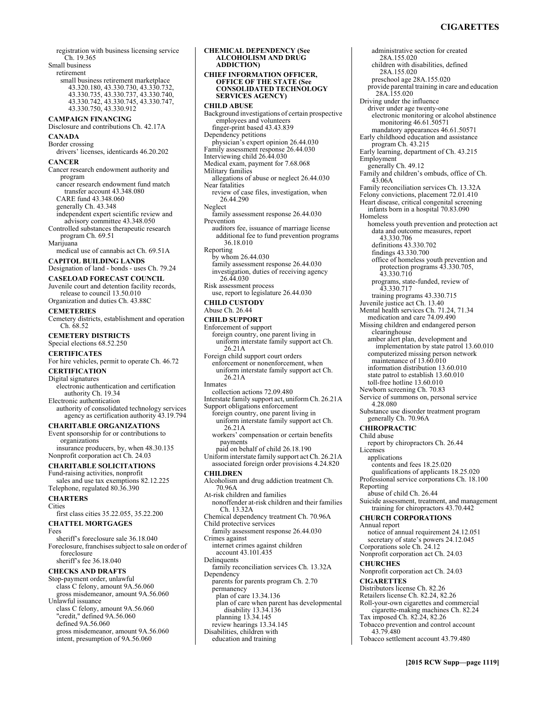#### **CIGARETTES**

registration with business licensing service Ch. 19.365 Small business retirement small business retirement marketplace 43.320.180, 43.330.730, 43.330.732, 43.330.735, 43.330.737, 43.330.740, 43.330.742, 43.330.745, 43.330.747, 43.330.750, 43.330.912 **CAMPAIGN FINANCING**  Disclosure and contributions Ch. 42.17A **CANADA**  Border crossing drivers' licenses, identicards 46.20.202 **CANCER**  Cancer research endowment authority and program cancer research endowment fund match transfer account 43.348.080 CARE fund 43.348.060 generally Ch. 43.348 independent expert scientific review and advisory committee 43.348.050 Controlled substances therapeutic research program Ch. 69.51 Marijuana medical use of cannabis act Ch. 69.51A **CAPITOL BUILDING LANDS**  Designation of land - bonds - uses Ch. 79.24 **CASELOAD FORECAST COUNCIL**  Juvenile court and detention facility records, release to council 13.50.010 Organization and duties Ch. 43.88C **CEMETERIES**  Cemetery districts, establishment and operation Ch. 68.52 **CEMETERY DISTRICTS**  Special elections 68.52.250 **CERTIFICATES**  For hire vehicles, permit to operate Ch. 46.72 **CERTIFICATION**  Digital signatures electronic authentication and certification authority Ch. 19.34 Electronic authentication authority of consolidated technology services agency as certification authority 43.19.794 **CHARITABLE ORGANIZATIONS**  Event sponsorship for or contributions to organizations insurance producers, by, when 48.30.135 Nonprofit corporation act Ch. 24.03 **CHARITABLE SOLICITATIONS**  Fund-raising activities, nonprofit sales and use tax exemptions 82.12.225 Telephone, regulated 80.36.390 **CHARTERS Cities** first class cities 35.22.055, 35.22.200 **CHATTEL MORTGAGES**  Fees sheriff's foreclosure sale 36.18.040 Foreclosure, franchises subject to sale on order of foreclosure sheriff's fee 36.18.040 **CHECKS AND DRAFTS**  Stop-payment order, unlawful class C felony, amount 9A.56.060 gross misdemeanor, amount 9A.56.060 Unlawful issuance class C felony, amount 9A.56.060 "credit," defined 9A.56.060 defined 9A.56.060 gross misdemeanor, amount 9A.56.060

intent, presumption of 9A.56.060

**CHEMICAL DEPENDENCY (See ALCOHOLISM AND DRUG ADDICTION) CHIEF INFORMATION OFFICER, OFFICE OF THE STATE (See CONSOLIDATED TECHNOLOGY SERVICES AGENCY) CHILD ABUSE**  Background investigations of certain prospective employees and volunteers finger-print based 43.43.839 Dependency petitions physician's expert opinion 26.44.030 Family assessment response 26.44.030 Interviewing child 26.44.030 Medical exam, payment for 7.68.068 Military families allegations of abuse or neglect 26.44.030 Near fatalities review of case files, investigation, when 26.44.290 Neglect family assessment response 26.44.030 Prevention auditors fee, issuance of marriage license additional fee to fund prevention programs 36.18.010 Reporting by whom 26.44.030 family assessment response 26.44.030 investigation, duties of receiving agency 26.44.030 Risk assessment process use, report to legislature 26.44.030 **CHILD CUSTODY**  Abuse Ch. 26.44 **CHILD SUPPORT**  Enforcement of support foreign country, one parent living in uniform interstate family support act Ch. 26.21A Foreign child support court orders enforcement or nonenforcement, when uniform interstate family support act Ch. 26.21A Inmates collection actions 72.09.480 Interstate family support act, uniform Ch. 26.21A Support obligations enforcement foreign country, one parent living in uniform interstate family support act Ch. 26.21A workers' compensation or certain benefits payments paid on behalf of child 26.18.190 Uniform interstate family support act Ch. 26.21A associated foreign order provisions 4.24.820 **CHILDREN**  Alcoholism and drug addiction treatment Ch. 70.96A At-risk children and families nonoffender at-risk children and their families Ch. 13.32A Chemical dependency treatment Ch. 70.96A Child protective services family assessment response 26.44.030 Crimes against internet crimes against children account 43.101.435 **Delinquents** family reconciliation services Ch. 13.32A Dependency parents for parents program Ch. 2.70 permanency plan of care 13.34.136 plan of care when parent has developmental disability 13.34.136 planning 13.34.145 review hearings 13.34.145 Disabilities, children with education and training

administrative section for created 28A.155.020 children with disabilities, defined 28A.155.020 preschool age 28A.155.020 provide parental training in care and education 28A.155.020 Driving under the influence driver under age twenty-one electronic monitoring or alcohol abstinence monitoring 46.61.50571 mandatory appearances 46.61.50571 Early childhood education and assistance program Ch. 43.215 Early learning, department of Ch. 43.215 Employment generally Ch. 49.12 Family and children's ombuds, office of Ch. 43.06A Family reconciliation services Ch. 13.32A Felony convictions, placement 72.01.410 Heart disease, critical congenital screening infants born in a hospital 70.83.090 Homeless homeless youth prevention and protection act data and outcome measures, report 43.330.706 definitions 43.330.702 findings 43.330.700 office of homeless youth prevention and protection programs 43.330.705, 43.330.710 programs, state-funded, review of 43.330.717 training programs 43.330.715 Juvenile justice act Ch. 13.40 Mental health services Ch. 71.24, 71.34 medication and care 74.09.490 Missing children and endangered person clearinghouse amber alert plan, development and implementation by state patrol 13.60.010 computerized missing person network maintenance of 13.60.010 information distribution 13.60.010 state patrol to establish 13.60.010 toll-free hotline 13.60.010 Newborn screening Ch. 70.83 Service of summons on, personal service 4.28.080 Substance use disorder treatment program generally Ch. 70.96A **CHIROPRACTIC**  Child abuse report by chiropractors Ch. 26.44 Licenses applications contents and fees 18.25.020 qualifications of applicants 18.25.020 Professional service corporations Ch. 18.100 Reporting abuse of child Ch. 26.44 Suicide assessment, treatment, and management training for chiropractors 43.70.442 **CHURCH CORPORATIONS**  Annual report notice of annual requirement 24.12.051 secretary of state's powers 24.12.045 Corporations sole Ch. 24.12 Nonprofit corporation act Ch. 24.03 **CHURCHES**  Nonprofit corporation act Ch. 24.03 **CIGARETTES**  Distributors license Ch. 82.26 Retailers license Ch. 82.24, 82.26 Roll-your-own cigarettes and commercial cigarette-making machines Ch. 82.24 Tax imposed Ch. 82.24, 82.26 Tobacco prevention and control account 43.79.480 Tobacco settlement account 43.79.480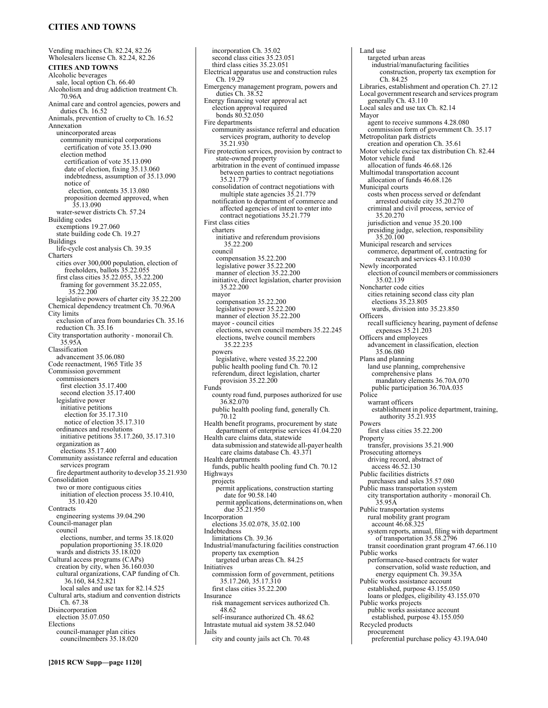## **CITIES AND TOWNS**

Vending machines Ch. 82.24, 82.26 Wholesalers license Ch. 82.24, 82.26 **CITIES AND TOWNS**  Alcoholic beverages sale, local option Ch. 66.40 Alcoholism and drug addiction treatment Ch. 70.96A Animal care and control agencies, powers and duties Ch. 16.52 Animals, prevention of cruelty to Ch. 16.52 Annexation unincorporated areas community municipal corporations certification of vote 35.13.090 election method certification of vote 35.13.090 date of election, fixing 35.13.060 indebtedness, assumption of 35.13.090 notice of election, contents 35.13.080 proposition deemed approved, when 35.13.090 water-sewer districts Ch. 57.24 Building codes exemptions 19.27.060 state building code Ch. 19.27 Buildings life-cycle cost analysis Ch. 39.35 Charters cities over 300,000 population, election of freeholders, ballots 35.22.055 first class cities 35.22.055, 35.22.200 framing for government 35.22.055, 35.22.200 legislative powers of charter city 35.22.200 Chemical dependency treatment Ch. 70.96A City limits exclusion of area from boundaries Ch. 35.16 reduction Ch. 35.16 City transportation authority - monorail Ch. 35.95A Classification advancement 35.06.080 Code reenactment, 1965 Title 35 Commission government commissioners first election 35.17.400 second election 35.17.400 legislative power initiative petitions election for 35.17.310 notice of election 35.17.310 ordinances and resolutions initiative petitions 35.17.260, 35.17.310 organization as elections 35.17.400 Community assistance referral and education services program fire department authority to develop 35.21.930 Consolidation two or more contiguous cities initiation of election process 35.10.410, 35.10.420 **Contracts** engineering systems 39.04.290 Council-manager plan council elections, number, and terms 35.18.020 population proportioning 35.18.020 wards and districts 35.18.020 Cultural access programs (CAPs) creation by city, when 36.160.030 cultural organizations, CAP funding of Ch. 36.160, 84.52.821 local sales and use tax for 82.14.525 Cultural arts, stadium and convention districts Ch. 67.38 Disincorporation election 35.07.050 Elections council-manager plan cities councilmembers 35.18.020

incorporation Ch. 35.02 second class cities 35.23.051 third class cities 35.23.051 Electrical apparatus use and construction rules Ch. 19.29 Emergency management program, powers and duties Ch. 38.52 Energy financing voter approval act election approval required bonds 80.52.050 Fire departments community assistance referral and education services program, authority to develop 35.21.930 Fire protection services, provision by contract to state-owned property arbitration in the event of continued impasse between parties to contract negotiations 35.21.779 consolidation of contract negotiations with multiple state agencies 35.21.779 notification to department of commerce and affected agencies of intent to enter into contract negotiations 35.21.779 First class cities charters initiative and referendum provisions 35.22.200 council compensation 35.22.200 legislative power 35.22.200 manner of election 35.22.200 initiative, direct legislation, charter provision 35.22.200 mayor compensation 35.22.200 legislative power 35.22.200 manner of election 35.22.200 mayor - council cities elections, seven council members 35.22.245 elections, twelve council members 35.22.235 powers legislative, where vested 35.22.200 public health pooling fund Ch. 70.12 referendum, direct legislation, charter provision 35.22.200 Funds county road fund, purposes authorized for use 36.82.070 public health pooling fund, generally Ch. 70.12 Health benefit programs, procurement by state department of enterprise services 41.04.220 Health care claims data, statewide data submission and statewide all-payer health care claims database Ch. 43.371 Health departments funds, public health pooling fund Ch. 70.12 Highways projects permit applications, construction starting date for 90.58.140 permit applications, determinations on, when due 35.21.950 Incorporation elections 35.02.078, 35.02.100 Indebtedness limitations Ch. 39.36 Industrial/manufacturing facilities construction property tax exemption targeted urban areas Ch. 84.25 **Initiatives** commission form of government, petitions 35.17.260, 35.17.310 first class cities 35.22.200 Insurance risk management services authorized Ch. 48.62 self-insurance authorized Ch. 48.62 Intrastate mutual aid system 38.52.040 Jails city and county jails act Ch. 70.48

Land use targeted urban areas industrial/manufacturing facilities construction, property tax exemption for Ch. 84.25 Libraries, establishment and operation Ch. 27.12 Local government research and services program generally Ch. 43.110 Local sales and use tax Ch. 82.14 Mayor agent to receive summons 4.28.080 commission form of government Ch. 35.17 Metropolitan park districts creation and operation Ch. 35.61 Motor vehicle excise tax distribution Ch. 82.44 Motor vehicle fund allocation of funds 46.68.126 Multimodal transportation account allocation of funds 46.68.126 Municipal courts costs when process served or defendant arrested outside city 35.20.270 criminal and civil process, service of 35.20.270 jurisdiction and venue 35.20.100 presiding judge, selection, responsibility 35.20.100 Municipal research and services commerce, department of, contracting for research and services 43.110.030 Newly incorporated election of council members or commissioners 35.02.139 Noncharter code cities cities retaining second class city plan elections 35.23.805 wards, division into 35.23.850 **Officers** recall sufficiency hearing, payment of defense expenses 35.21.203 Officers and employees advancement in classification, election 35.06.080 Plans and planning land use planning, comprehensive comprehensive plans mandatory elements 36.70A.070 public participation 36.70A.035 Police warrant officers establishment in police department, training, authority 35.21.935 Powers first class cities 35.22.200 Property transfer, provisions 35.21.900 Prosecuting attorneys driving record, abstract of access 46.52.130 Public facilities districts purchases and sales 35.57.080 Public mass transportation system city transportation authority - monorail Ch. 35.95A Public transportation systems rural mobility grant program account 46.68.325 system reports, annual, filing with department of transportation 35.58.2796 transit coordination grant program 47.66.110 Public works performance-based contracts for water conservation, solid waste reduction, and energy equipment Ch. 39.35A Public works assistance account established, purpose 43.155.050 loans or pledges, eligibility 43.155.070 Public works projects public works assistance account established, purpose 43.155.050 Recycled products procurement preferential purchase policy 43.19A.040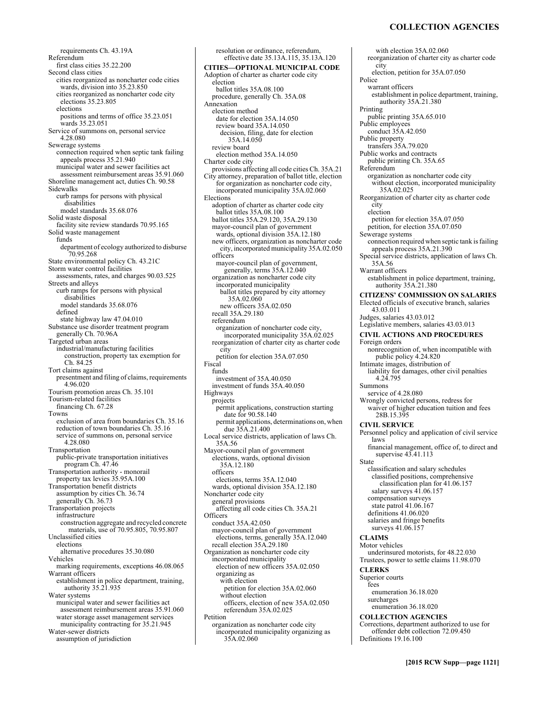requirements Ch. 43.19A Referendum first class cities 35.22.200 Second class cities cities reorganized as noncharter code cities wards, division into 35.23.850 cities reorganized as noncharter code city elections 35.23.805 elections positions and terms of office 35.23.051 wards 35.23.051 Service of summons on, personal service 4.28.080 Sewerage systems connection required when septic tank failing appeals process 35.21.940 municipal water and sewer facilities act assessment reimbursement areas 35.91.060 Shoreline management act, duties Ch. 90.58 Sidewalks curb ramps for persons with physical disabilities model standards 35.68.076 Solid waste disposal facility site review standards 70.95.165 Solid waste management funds department of ecology authorized to disburse 70.95.268 State environmental policy Ch. 43.21C Storm water control facilities assessments, rates, and charges 90.03.525 Streets and alleys curb ramps for persons with physical disabilities model standards 35.68.076 defined state highway law 47.04.010 Substance use disorder treatment program generally Ch. 70.96A Targeted urban areas industrial/manufacturing facilities construction, property tax exemption for Ch. 84.25 Tort claims against presentment and filing of claims, requirements 4.96.020 Tourism promotion areas Ch. 35.101 Tourism-related facilities financing Ch. 67.28 Towns exclusion of area from boundaries Ch. 35.16 reduction of town boundaries Ch. 35.16 service of summons on, personal service 4.28.080 Transportation public-private transportation initiatives program Ch. 47.46 Transportation authority - monorail property tax levies 35.95A.100 Transportation benefit districts assumption by cities Ch. 36.74 generally Ch. 36.73 Transportation projects infrastructure construction aggregate and recycled concrete materials, use of 70.95.805, 70.95.807 Unclassified cities elections alternative procedures 35.30.080 Vehicles marking requirements, exceptions 46.08.065 Warrant officers establishment in police department, training, authority 35.21.935 Water systems municipal water and sewer facilities act assessment reimbursement areas 35.91.060 water storage asset management services municipality contracting for 35.21.945 Water-sewer districts assumption of jurisdiction

resolution or ordinance, referendum, effective date 35.13A.115, 35.13A.120 **CITIES—OPTIONAL MUNICIPAL CODE**  Adoption of charter as charter code city election ballot titles 35A.08.100 procedure, generally Ch. 35A.08 Annexation election method date for election 35A.14.050 review board 35A.14.050 decision, filing, date for election 35A.14.050 review board election method 35A.14.050 Charter code city provisions affecting all code cities Ch. 35A.21 City attorney, preparation of ballot title, election for organization as noncharter code city, incorporated municipality 35A.02.060 Elections adoption of charter as charter code city ballot titles 35A.08.100 ballot titles 35A.29.120, 35A.29.130 mayor-council plan of government wards, optional division 35A.12.180 new officers, organization as noncharter code city, incorporated municipality 35A.02.050 officers mayor-council plan of government, generally, terms 35A.12.040 organization as noncharter code city incorporated municipality ballot titles prepared by city attorney 35A.02.060 new officers 35A.02.050 recall 35A.29.180 referendum organization of noncharter code city, incorporated municipality 35A.02.025 reorganization of charter city as charter code city petition for election 35A.07.050 Fiscal funds investment of 35A.40.050 investment of funds 35A.40.050 Highways projects permit applications, construction starting date for 90.58.140 permit applications, determinations on, when due 35A.21.400 Local service districts, application of laws Ch. 35A.56 Mayor-council plan of government elections, wards, optional division 35A.12.180 officers elections, terms 35A.12.040 wards, optional division 35A.12.180 Noncharter code city general provisions affecting all code cities Ch. 35A.21 **Officers** conduct 35A.42.050 mayor-council plan of government elections, terms, generally 35A.12.040 recall election 35A.29.180 Organization as noncharter code city incorporated municipality election of new officers 35A.02.050 organizing as with election petition for election 35A.02.060 without election officers, election of new 35A.02.050 referendum 35A.02.025 Petition organization as noncharter code city incorporated municipality organizing as 35A.02.060

with election 35A.02.060 reorganization of charter city as charter code city election, petition for 35A.07.050 Police warrant officers establishment in police department, training, authority 35A.21.380 Printing public printing 35A.65.010 Public employees conduct 35A.42.050 Public property transfers 35A.79.020 Public works and contracts public printing Ch. 35A.65 Referendum organization as noncharter code city without election, incorporated municipality 35A.02.025 Reorganization of charter city as charter code city election petition for election 35A.07.050 petition, for election 35A.07.050 Sewerage systems connection required when septic tank is failing appeals process 35A.21.390 Special service districts, application of laws Ch. 35A.56 Warrant officers establishment in police department, training, authority 35A.21.380 **CITIZENS' COMMISSION ON SALARIES**  Elected officials of executive branch, salaries 43.03.011 Judges, salaries 43.03.012 Legislative members, salaries 43.03.013 **CIVIL ACTIONS AND PROCEDURES**  Foreign orders nonrecognition of, when incompatible with public policy 4.24.820 Intimate images, distribution of liability for damages, other civil penalties 4.24.795 Summons service of 4.28.080 Wrongly convicted persons, redress for waiver of higher education tuition and fees 28B.15.395 **CIVIL SERVICE**  Personnel policy and application of civil service laws financial management, office of, to direct and supervise  $43.41.113$ State classification and salary schedules classified positions, comprehensive classification plan for 41.06.157 salary surveys  $41.06.157$ compensation surveys state patrol 41.06.167 definitions 41.06.020 salaries and fringe benefits surveys 41.06.157 **CLAIMS**  Motor vehicles underinsured motorists, for 48.22.030 Trustees, power to settle claims 11.98.070 **CLERKS**  Superior courts fees enumeration 36.18.020 surcharges enumeration 36.18.020 **COLLECTION AGENCIES**  Corrections, department authorized to use for offender debt collection 72.09.450 Definitions 19.16.100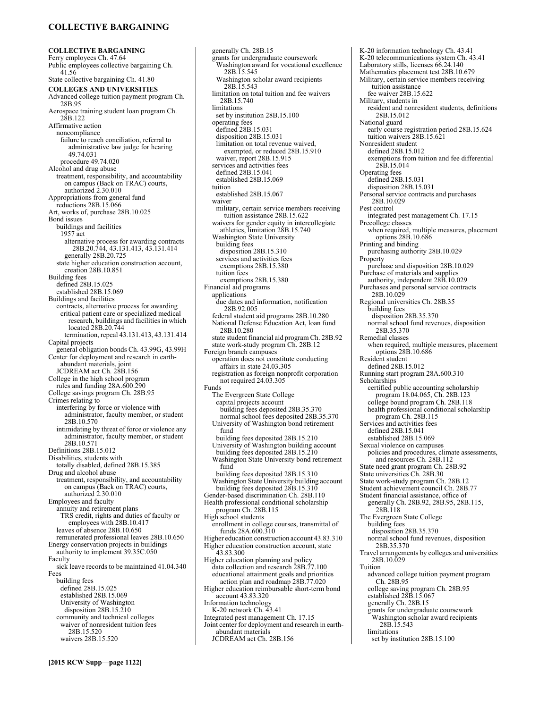#### **COLLECTIVE BARGAINING**

**COLLECTIVE BARGAINING**  Ferry employees Ch. 47.64 Public employees collective bargaining Ch. 41.56 State collective bargaining Ch. 41.80 **COLLEGES AND UNIVERSITIES**  Advanced college tuition payment program Ch. 28B.95 Aerospace training student loan program Ch. 28B.122 Affirmative action noncompliance failure to reach conciliation, referral to administrative law judge for hearing 49.74.031 procedure 49.74.020 Alcohol and drug abuse treatment, responsibility, and accountability on campus (Back on TRAC) courts, authorized 2.30.010 Appropriations from general fund reductions 28B.15.066 Art, works of, purchase 28B.10.025 Bond issues buildings and facilities 1957 act alternative process for awarding contracts 28B.20.744, 43.131.413, 43.131.414 generally 28B.20.725 state higher education construction account, creation 28B.10.851 Building fees defined 28B.15.025 established 28B.15.069 Buildings and facilities contracts, alternative process for awarding critical patient care or specialized medical research, buildings and facilities in which located 28B.20.744 termination, repeal 43.131.413, 43.131.414 Capital projects general obligation bonds Ch. 43.99G, 43.99H Center for deployment and research in earthabundant materials, joint JCDREAM act Ch. 28B.156 College in the high school program rules and funding 28A.600.290 College savings program Ch. 28B.95 Crimes relating to interfering by force or violence with administrator, faculty member, or student 28B.10.570 intimidating by threat of force or violence any administrator, faculty member, or student 28B.10.571 Definitions 28B.15.012 Disabilities, students with totally disabled, defined 28B.15.385 Drug and alcohol abuse treatment, responsibility, and accountability on campus (Back on TRAC) courts, authorized 2.30.010 Employees and faculty annuity and retirement plans TRS credit, rights and duties of faculty or employees with 28B.10.417 leaves of absence 28B.10.650 remunerated professional leaves 28B.10.650 Energy conservation projects in buildings authority to implement 39.35C.050 Faculty sick leave records to be maintained 41.04.340 Fees building fees defined 28B.15.025 established 28B.15.069 University of Washington disposition 28B.15.210 community and technical colleges waiver of nonresident tuition fees 28B.15.520 waivers 28B.15.520

generally Ch. 28B.15 grants for undergraduate coursework Washington award for vocational excellence 28B.15.545 Washington scholar award recipients 28B.15.543 limitation on total tuition and fee waivers 28B.15.740 limitations set by institution 28B.15.100 operating fees defined 28B.15.031 disposition 28B.15.031 limitation on total revenue waived, exempted, or reduced 28B.15.910 waiver, report 28B.15.915 services and activities fees defined 28B.15.041 established 28B.15.069 tuition established 28B.15.067 waiver military, certain service members receiving tuition assistance 28B.15.622 waivers for gender equity in intercollegiate athletics, limitation 28B.15.740 Washington State University building fees disposition 28B.15.310 services and activities fees exemptions 28B.15.380 tuition fees exemptions 28B.15.380 Financial aid programs applications due dates and information, notification 28B.92.005 federal student aid programs 28B.10.280 National Defense Education Act, loan fund 28B.10.280 state student financial aid program Ch. 28B.92 state work-study program Ch. 28B.12 Foreign branch campuses operation does not constitute conducting affairs in state 24.03.305 registration as foreign nonprofit corporation not required 24.03.305 Funds The Evergreen State College capital projects account building fees deposited 28B.35.370 normal school fees deposited 28B.35.370 University of Washington bond retirement fund building fees deposited 28B.15.210 University of Washington building account building fees deposited 28B.15.210 Washington State University bond retirement fund building fees deposited 28B.15.310 Washington State University building account building fees deposited  $28B.15.310$ Gender-based discrimination Ch. 28B.110 Health professional conditional scholarship program Ch. 28B.115 High school students enrollment in college courses, transmittal of funds 28A.600.310 Higher education construction account 43.83.310 Higher education construction account, state 43.83.300 Higher education planning and policy data collection and research 28B.77.100 educational attainment goals and priorities action plan and roadmap 28B.77.020 Higher education reimbursable short-term bond account 43.83.320 Information technology K-20 network Ch. 43.41 Integrated pest management Ch. 17.15 Joint center for deployment and research in earthabundant materials

JCDREAM act Ch. 28B.156

K-20 information technology Ch. 43.41 K-20 telecommunications system Ch. 43.41 Laboratory stills, licenses 66.24.140 Mathematics placement test 28B.10.679 Military, certain service members receiving tuition assistance fee waiver 28B.15.622 Military, students in resident and nonresident students, definitions 28B.15.012 National guard early course registration period 28B.15.624 tuition waivers 28B.15.621 Nonresident student defined 28B.15.012 exemptions from tuition and fee differential 28B.15.014 Operating fees defined 28B.15.031 disposition 28B.15.031 Personal service contracts and purchases 28B.10.029 Pest control integrated pest management Ch. 17.15 Precollege classes when required, multiple measures, placement options 28B.10.686 Printing and binding purchasing authority 28B.10.029 Property purchase and disposition 28B.10.029 Purchase of materials and supplies authority, independent 28B.10.029 Purchases and personal service contracts 28B.10.029 Regional universities Ch. 28B.35 building fees disposition 28B.35.370 normal school fund revenues, disposition 28B.35.370 Remedial classes when required, multiple measures, placement options 28B.10.686 Resident student defined 28B.15.012 Running start program 28A.600.310 Scholarships certified public accounting scholarship program 18.04.065, Ch. 28B.123 college bound program Ch. 28B.118 health professional conditional scholarship program Ch. 28B.115 Services and activities fees defined 28B.15.041 established 28B.15.069 Sexual violence on campuses policies and procedures, climate assessments, and resources Ch. 28B.112 State need grant program Ch. 28B.92 State universities Ch. 28B.30 State work-study program Ch. 28B.12 Student achievement council Ch. 28B.77 Student financial assistance, office of generally Ch. 28B.92, 28B.95, 28B.115, 28B.118 The Evergreen State College building fees disposition 28B.35.370 normal school fund revenues, disposition 28B.35.370 Travel arrangements by colleges and universities 28B.10.029 Tuition advanced college tuition payment program Ch. 28B.95 college saving program Ch. 28B.95 established 28B.15.067 generally Ch. 28B.15 grants for undergraduate coursework Washington scholar award recipients 28B.15.543 limitations set by institution 28B.15.100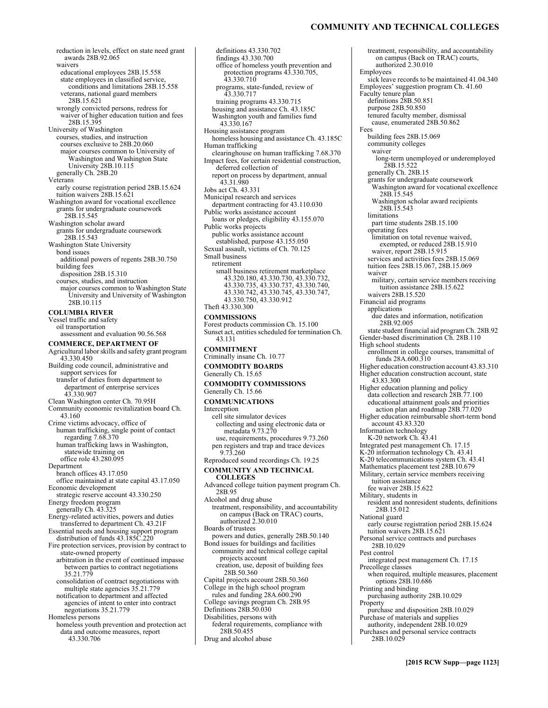#### **COMMUNITY AND TECHNICAL COLLEGES**

reduction in levels, effect on state need grant awards 28B.92.065 waivers educational employees 28B.15.558 state employees in classified service, conditions and limitations 28B.15.558 veterans, national guard members 28B.15.621 wrongly convicted persons, redress for waiver of higher education tuition and fees 28B.15.395 University of Washington courses, studies, and instruction courses exclusive to 28B.20.060 major courses common to University of Washington and Washington State University 28B.10.115 generally Ch. 28B.20 Veterans early course registration period 28B.15.624 tuition waivers 28B.15.621 Washington award for vocational excellence grants for undergraduate coursework 28B.15.545 Washington scholar award grants for undergraduate coursework 28B.15.543 Washington State University bond issues additional powers of regents 28B.30.750 building fees disposition 28B.15.310 courses, studies, and instruction major courses common to Washington State University and University of Washington 28B.10.115 **COLUMBIA RIVER**  Vessel traffic and safety oil transportation assessment and evaluation 90.56.568 **COMMERCE, DEPARTMENT OF**  Agricultural labor skills and safety grant program 43.330.450 Building code council, administrative and support services for transfer of duties from department to department of enterprise services 43.330.907 Clean Washington center Ch. 70.95H Community economic revitalization board Ch. 43.160 Crime victims advocacy, office of human trafficking, single point of contact regarding 7.68.370 human trafficking laws in Washington, statewide training on office role 43.280.095 Department branch offices 43.17.050 office maintained at state capital 43.17.050 Economic development strategic reserve account 43.330.250 Energy freedom program generally Ch. 43.325 Energy-related activities, powers and duties transferred to department Ch. 43.21F Essential needs and housing support program distribution of funds 43.185C.220 Fire protection services, provision by contract to state-owned property arbitration in the event of continued impasse between parties to contract negotiations 35.21.779 consolidation of contract negotiations with multiple state agencies 35.21.779 notification to department and affected agencies of intent to enter into contract negotiations 35.21.779 Homeless persons homeless youth prevention and protection act data and outcome measures, report 43.330.706

findings 43.330.700 office of homeless youth prevention and protection programs 43.330.705, 43.330.710 programs, state-funded, review of 43.330.717 training programs 43.330.715 housing and assistance Ch. 43.185C Washington youth and families fund 43.330.167 Housing assistance program homeless housing and assistance Ch. 43.185C Human trafficking clearinghouse on human trafficking 7.68.370 Impact fees, for certain residential construction, deferred collection of report on process by department, annual 43.31.980 Jobs act Ch. 43.331 Municipal research and services department contracting for 43.110.030 Public works assistance account loans or pledges, eligibility 43.155.070 Public works projects public works assistance account established, purpose 43.155.050 Sexual assault, victims of Ch. 70.125 Small business retirement small business retirement marketplace 43.320.180, 43.330.730, 43.330.732, 43.330.735, 43.330.737, 43.330.740, 43.330.742, 43.330.745, 43.330.747, 43.330.750, 43.330.912 Theft 43.330.300 **COMMISSIONS**  Forest products commission Ch. 15.100 Sunset act, entities scheduled for termination Ch. 43.131 **COMMITMENT**  Criminally insane Ch. 10.77 **COMMODITY BOARDS**  Generally Ch. 15.65 **COMMODITY COMMISSIONS**  Generally Ch. 15.66 **COMMUNICATIONS**  Interception cell site simulator devices collecting and using electronic data or metadata 9.73.270 use, requirements, procedures 9.73.260 pen registers and trap and trace devices 9.73.260 Reproduced sound recordings Ch. 19.25 **COMMUNITY AND TECHNICAL COLLEGES**  Advanced college tuition payment program Ch. 28B.95 Alcohol and drug abuse treatment, responsibility, and accountability on campus (Back on TRAC) courts, authorized 2.30.010 Boards of trustees powers and duties, generally 28B.50.140 Bond issues for buildings and facilities community and technical college capital projects account creation, use, deposit of building fees 28B.50.360 Capital projects account 28B.50.360 College in the high school program rules and funding 28A.600.290 College savings program Ch. 28B.95 Definitions 28B.50.030 Disabilities, persons with federal requirements, compliance with 28B.50.455

definitions 43.330.702

Drug and alcohol abuse

treatment, responsibility, and accountability on campus (Back on TRAC) courts, authorized 2.30.010 Employees sick leave records to be maintained 41.04.340 Employees' suggestion program Ch. 41.60 Faculty tenure plan definitions 28B.50.851 purpose 28B.50.850 tenured faculty member, dismissal cause, enumerated 28B.50.862 Fees building fees 28B.15.069 community colleges waiver long-term unemployed or underemployed 28B.15.5 generally Ch. 28B.15 grants for undergraduate coursework Washington award for vocational excellence 28B.15.545 Washington scholar award recipients 28B.15.543 limitations part time students 28B.15.100 operating fees limitation on total revenue waived, exempted, or reduced 28B.15.910 waiver, report 28B.15.915 services and activities fees 28B.15.069 tuition fees 28B.15.067, 28B.15.069 waiver military, certain service members receiving tuition assistance 28B.15.622 waivers 28B.15.520 Financial aid programs applications due dates and information, notification 28B.92.005 state student financial aid program Ch. 28B.92 Gender-based discrimination Ch. 28B.110 High school students enrollment in college courses, transmittal of funds 28A.600.310 Higher education construction account 43.83.310 Higher education construction account, state 43.83.300 Higher education planning and policy data collection and research 28B.77.100 educational attainment goals and priorities action plan and roadmap 28B.77.020 Higher education reimbursable short-term bond account 43.83.320 Information technology K-20 network Ch. 43.41 Integrated pest management Ch. 17.15 K-20 information technology Ch. 43.41 K-20 telecommunications system Ch. 43.41 Mathematics placement test 28B.10.679 Military, certain service members receiving tuition assistance fee waiver 28B.15.622 Military, students in resident and nonresident students, definitions 28B.15.012 National guard early course registration period 28B.15.624 tuition waivers 28B.15.621 Personal service contracts and purchases 28B.10.029 Pest control integrated pest management Ch. 17.15 Precollege classes when required, multiple measures, placement options 28B.10.686 Printing and binding purchasing authority 28B.10.029 Property purchase and disposition 28B.10.029 Purchase of materials and supplies authority, independent 28B.10.029 Purchases and personal service contracts

**[2015 RCW Supp—page 1123]**

28B.10.029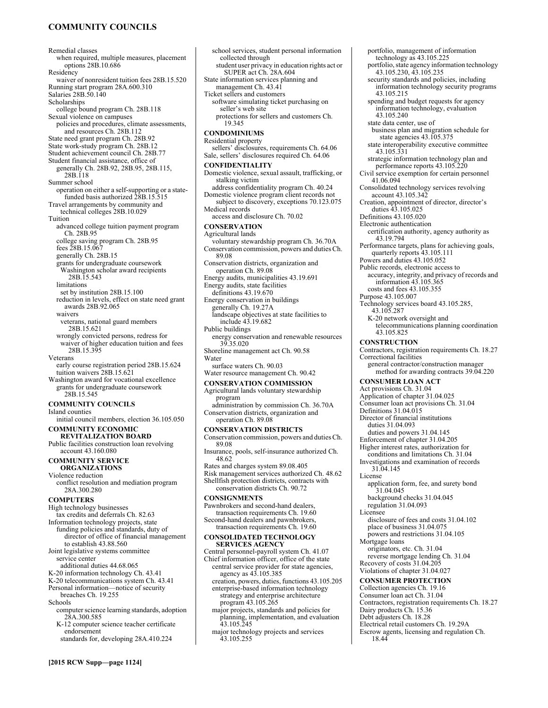## **COMMUNITY COUNCILS**

Remedial classes when required, multiple measures, placement options 28B.10.686 Residency waiver of nonresident tuition fees 28B.15.520 Running start program 28A.600.310 Salaries 28B.50.140 Scholarships college bound program Ch. 28B.118 Sexual violence on campuses policies and procedures, climate assessments, and resources Ch. 28B.112 State need grant program Ch. 28B.92 State work-study program Ch. 28B.12 Student achievement council Ch. 28B.77 Student financial assistance, office of generally Ch. 28B.92, 28B.95, 28B.115, 28B.118 Summer school operation on either a self-supporting or a statefunded basis authorized 28B.15.515 Travel arrangements by community and technical colleges 28B.10.029 Tuition advanced college tuition payment program Ch. 28B.95 college saving program Ch. 28B.95 fees 28B.15.067 generally Ch. 28B.15 grants for undergraduate coursework Washington scholar award recipients 28B.15.543 limitations set by institution 28B.15.100 reduction in levels, effect on state need grant awards 28B.92.065 waivers veterans, national guard members 28B.15.621 wrongly convicted persons, redress for waiver of higher education tuition and fees 28B.15.395 Veterans early course registration period 28B.15.624 tuition waivers 28B.15.621 Washington award for vocational excellence grants for undergraduate coursework 28B.15.545 **COMMUNITY COUNCILS**  Island counties initial council members, election 36.105.050 **COMMUNITY ECONOMIC REVITALIZATION BOARD**  Public facilities construction loan revolving account 43.160.080 **COMMUNITY SERVICE ORGANIZATIONS**  Violence reduction conflict resolution and mediation program 28A.300.280 **COMPUTERS**  High technology businesses tax credits and deferrals Ch. 82.63 Information technology projects, state funding policies and standards, duty of director of office of financial management to establish 43.88.560 Joint legislative systems committee service center additional duties 44.68.065 K-20 information technology Ch. 43.41 K-20 telecommunications system Ch. 43.41 Personal information—notice of security breaches Ch. 19.255 Schools computer science learning standards, adoption 28A.300.585 K-12 computer science teacher certificate endorsement standards for, developing 28A.410.224

student user privacy in education rights act or SUPER act Ch. 28A.604 State information services planning and management Ch. 43.41 Ticket sellers and customers software simulating ticket purchasing on seller's web site protections for sellers and customers Ch. 19.345 **CONDOMINIUMS**  Residential property sellers' disclosures, requirements Ch. 64.06 Sale, sellers' disclosures required Ch. 64.06 **CONFIDENTIALITY**  Domestic violence, sexual assault, trafficking, or stalking victim address confidentiality program Ch. 40.24 Domestic violence program client records not subject to discovery, exceptions 70.123.075 Medical records access and disclosure Ch. 70.02 **CONSERVATION**  Agricultural lands voluntary stewardship program Ch. 36.70A Conservation commission, powers and duties Ch. 89.08 Conservation districts, organization and operation Ch. 89.08 Energy audits, municipalities 43.19.691 Energy audits, state facilities definitions 43.19.670 Energy conservation in buildings generally Ch. 19.27A landscape objectives at state facilities to include 43.19.682 Public buildings energy conservation and renewable resources 39.35.020 Shoreline management act Ch. 90.58 Water surface waters Ch. 90.03 Water resource management Ch. 90.42 **CONSERVATION COMMISSION**  Agricultural lands voluntary stewardship program administration by commission Ch. 36.70A Conservation districts, organization and operation Ch. 89.08 **CONSERVATION DISTRICTS**  Conservation commission, powers and duties Ch. 89.08 Insurance, pools, self-insurance authorized Ch. 48.62 Rates and charges system 89.08.405 Risk management services authorized Ch. 48.62 Shellfish protection districts, contracts with conservation districts Ch. 90.72 **CONSIGNMENTS**  Pawnbrokers and second-hand dealers, transaction requirements Ch. 19.60 Second-hand dealers and pawnbrokers, transaction requirements Ch. 19.60 **CONSOLIDATED TECHNOLOGY SERVICES AGENCY**  Central personnel-payroll system Ch. 41.07 Chief information officer, office of the state central service provider for state agencies, agency as 43.105.385 creation, powers, duties, functions 43.105.205 enterprise-based information technology strategy and enterprise architecture program 43.105.265 major projects, standards and policies for planning, implementation, and evaluation 43.105.245 major technology projects and services 43.105.255

collected through

school services, student personal information portfolio, management of information technology as 43.105.225 portfolio, state agency information technology 43.105.230, 43.105.235 security standards and policies, including information technology security programs 43.105.215 spending and budget requests for agency information technology, evaluation 43.105.240 state data center, use of business plan and migration schedule for state agencies 43.105.375 state interoperability executive committee 43.105.331 strategic information technology plan and performance reports 43.105.220 Civil service exemption for certain personnel 41.06.094 Consolidated technology services revolving account 43.105.342 Creation, appointment of director, director's duties 43.105.025 Definitions 43.105.020 Electronic authentication certification authority, agency authority as 43.19.794 Performance targets, plans for achieving goals, quarterly reports 43.105.111 Powers and duties 43.105.052 Public records, electronic access to accuracy, integrity, and privacy of records and information 43.105.365 costs and fees 43.105.355 Purpose 43.105.007 Technology services board 43.105.285, 43.105.287 K-20 network oversight and telecommunications planning coordination 43.105.825 **CONSTRUCTION**  Contractors, registration requirements Ch. 18.27 Correctional facilities general contractor/construction manager method for awarding contracts 39.04.220 **CONSUMER LOAN ACT**  Act provisions Ch. 31.04 Application of chapter 31.04.025 Consumer loan act provisions Ch. 31.04 Definitions 31.04.015 Director of financial institutions duties 31.04.093 duties and powers 31.04.145 Enforcement of chapter 31.04.205 Higher interest rates, authorization for conditions and limitations Ch. 31.04 Investigations and examination of records 31.04.145 License application form, fee, and surety bond 31.04.045 background checks 31.04.045 regulation 31.04.093 Licensee disclosure of fees and costs 31.04.102 place of business 31.04.075 powers and restrictions 31.04.105 Mortgage loans originators, etc. Ch. 31.04 reverse mortgage lending Ch. 31.04 Recovery of costs 31.04.205 Violations of chapter 31.04.027 **CONSUMER PROTECTION**  Collection agencies Ch. 19.16 Consumer loan act Ch. 31.04 Contractors, registration requirements Ch. 18.27 Dairy products Ch. 15.36 Debt adjusters Ch. 18.28 Electrical retail customers Ch. 19.29A Escrow agents, licensing and regulation Ch. 18.44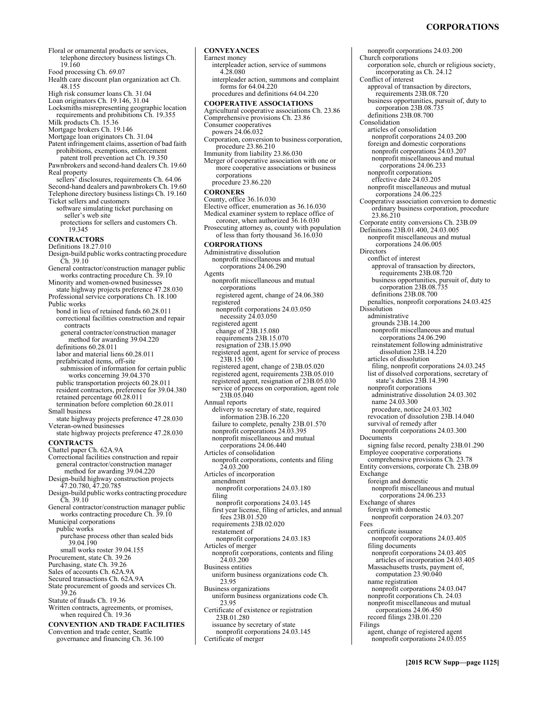#### **CORPORATIONS**

nonprofit corporations 24.03.200

incorporating as Ch. 24.12

approval of transaction by directors, requirements 23B.08.720

nonprofit corporations 24.03.200 foreign and domestic corporations nonprofit corporations 24.03.207 nonprofit miscellaneous and mutual corporations 24.06.233 nonprofit corporations effective date 24.03.205 nonprofit miscellaneous and mutual corporations 24.06.225

business opportunities, pursuit of, duty to corporation 23B.08.735

Cooperative association conversion to domestic ordinary business corporation, procedure

corporation sole, church or religious society,

Church corporations

Conflict of interest

Consolidation

definitions 23B.08.700

articles of consolidation

Floral or ornamental products or services, telephone directory business listings Ch. 19.160

Food processing Ch. 69.07

Health care discount plan organization act Ch. 48.155

High risk consumer loans Ch. 31.04

- Loan originators Ch. 19.146, 31.04
- Locksmiths misrepresenting geographic location requirements and prohibitions Ch. 19.355
- Milk products Ch. 15.36
- Mortgage brokers Ch. 19.146
- Mortgage loan originators Ch. 31.04 Patent infringement claims, assertion of bad faith
- prohibitions, exemptions, enforcement patent troll prevention act Ch. 19.350

Pawnbrokers and second-hand dealers Ch. 19.60 Real property

- sellers' disclosures, requirements Ch. 64.06 Second-hand dealers and pawnbrokers Ch. 19.60 Telephone directory business listings Ch. 19.160
- Ticket sellers and customers software simulating ticket purchasing on seller's web site
	-

protections for sellers and customers Ch. 19.345

#### **CONTRACTORS**

#### Definitions 18.27.010

- Design-build public works contracting procedure Ch. 39.10
- General contractor/construction manager public works contracting procedure Ch. 39.10
- Minority and women-owned businesses state highway projects preference 47.28.030
- Professional service corporations Ch. 18.100 Public works
- bond in lieu of retained funds 60.28.011 correctional facilities construction and repair contracts
- general contractor/construction manager method for awarding 39.04.220
- definitions 60.28.011
- labor and material liens 60.28.011
- prefabricated items, off-site
- submission of information for certain public works concerning 39.04.370
- public transportation projects 60.28.011 resident contractors, preference for 39.04.380 retained percentage 60.28.011
- termination before completion 60.28.011 Small business
- state highway projects preference 47.28.030 Veteran-owned businesses state highway projects preference 47.28.030

**CONTRACTS** 

Chattel paper Ch. 62A.9A Correctional facilities construction and repair

- general contractor/construction manager method for awarding 39.04.220 Design-build highway construction projects 47.20.780, 47.20.785
- Design-build public works contracting procedure Ch. 39.10
- General contractor/construction manager public works contracting procedure Ch. 39.10

Municipal corporations

- public works
- purchase process other than sealed bids 39.04.190
- small works roster 39.04.155
- Procurement, state Ch. 39.26
- Purchasing, state Ch. 39.26
- Sales of accounts Ch. 62A.9A
- Secured transactions Ch. 62A.9A
- State procurement of goods and services Ch. 39.26
- 
- Statute of frauds Ch. 19.36
- Written contracts, agreements, or promises, when required Ch. 19.36
- **CONVENTION AND TRADE FACILITIES**  Convention and trade center, Seattle
- governance and financing Ch. 36.100

## **CONVEYANCES**

- Earnest money interpleader action, service of summons 4.28.080
	- interpleader action, summons and complaint forms for 64.04.220 procedures and definitions 64.04.220
- **COOPERATIVE ASSOCIATIONS**
- Agricultural cooperative associations Ch. 23.86
- Comprehensive provisions Ch. 23.86 Consumer cooperatives
- powers 24.06.032
- Corporation, conversion to business corporation, procedure 23.86.210
- Immunity from liability 23.86.030 Merger of cooperative association with one or more cooperative associations or business corporations
	- procedure 23.86.220

#### **CORONERS**

County, office 36.16.030 Elective officer, enumeration as 36.16.030 Medical examiner system to replace office of coroner, when authorized 36.16.030 Prosecuting attorney as, county with population of less than forty thousand 36.16.030 **CORPORATIONS**  Administrative dissolution nonprofit miscellaneous and mutual corporations 24.06.290 Agents nonprofit miscellaneous and mutual corporations registered agent, change of 24.06.380 registered nonprofit corporations 24.03.050 necessity 24.03.050 registered agent change of 23B.15.080 requirements 23B.15.070 resignation of 23B.15.090 registered agent, agent for service of process 23B.15.100 registered agent, change of 23B.05.020 registered agent, requirements 23B.05.010 registered agent, resignation of 23B.05.030 service of process on corporation, agent role 23B.05.040 Annual reports delivery to secretary of state, required information 23B.16.220 failure to complete, penalty 23B.01.570 nonprofit corporations 24.03.395 nonprofit miscellaneous and mutual corporations 24.06.440 Articles of consolidation nonprofit corporations, contents and filing 24.03.200 Articles of incorporation amendment nonprofit corporations 24.03.180 filing nonprofit corporations 24.03.145 first year license, filing of articles, and annual fees 23B.01.520 requirements 23B.02.020 restatement of nonprofit corporations 24.03.183 Articles of merger nonprofit corporations, contents and filing 24.03.200 Business entities uniform business organizations code Ch. 23.95 Business organizations uniform business organizations code Ch. 23.95 Certificate of existence or registration 23B.01.280 issuance by secretary of state nonprofit corporations 24.03.145

Certificate of merger

23.86.210 Corporate entity conversions Ch. 23B.09 Definitions 23B.01.400, 24.03.005 nonprofit miscellaneous and mutual corporations 24.06.005 **Directors** conflict of interest approval of transaction by directors, requirements 23B.08.720 business opportunities, pursuit of, duty to corporation 23B.08.735 definitions 23B.08.700 penalties, nonprofit corporations 24.03.425 **Dissolution** administrative grounds 23B.14.200 nonprofit miscellaneous and mutual corporations 24.06.290 reinstatement following administrative dissolution 23B.14.220 articles of dissolution filing, nonprofit corporations 24.03.245 list of dissolved corporations, secretary of state's duties 23B.14.390 nonprofit corporations administrative dissolution 24.03.302 name 24.03.300 procedure, notice 24.03.302 revocation of dissolution 23B.14.040 survival of remedy after nonprofit corporations 24.03.300 Documents signing false record, penalty 23B.01.290 Employee cooperative corporations comprehensive provisions Ch. 23.78 Entity conversions, corporate Ch. 23B.09 Exchange foreign and domestic nonprofit miscellaneous and mutual corporations 24.06.233 Exchange of shares foreign with domestic nonprofit corporation 24.03.207 Fees certificate issuance nonprofit corporations 24.03.405 filing documents nonprofit corporations 24.03.405 articles of incorporation 24.03.405 Massachusetts trusts, payment of, computation 23.90.040 name registration nonprofit corporations 24.03.047 nonprofit corporations Ch. 24.03 nonprofit miscellaneous and mutual corporations 24.06.450 record filings 23B.01.220 Filings agent, change of registered agent nonprofit corporations 24.03.055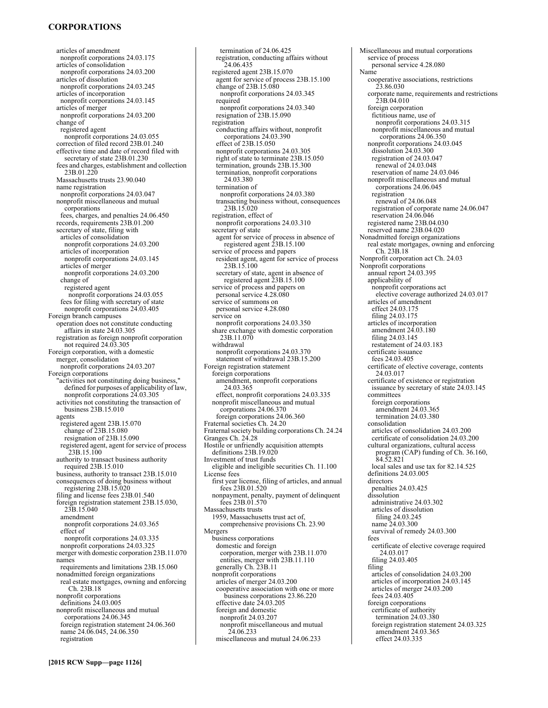#### **CORPORATIONS**

articles of amendment nonprofit corporations 24.03.175 articles of consolidation nonprofit corporations 24.03.200 articles of dissolution nonprofit corporations 24.03.245 articles of incorporation nonprofit corporations 24.03.145 articles of merger nonprofit corporations 24.03.200 change of registered agent nonprofit corporations 24.03.055 correction of filed record 23B.01.240 effective time and date of record filed with secretary of state 23B.01.230 fees and charges, establishment and collection 23B.01.220 Massachusetts trusts 23.90.040 name registration nonprofit corporations 24.03.047 nonprofit miscellaneous and mutual corporations fees, charges, and penalties 24.06.450 records, requirements 23B.01.200 secretary of state, filing with articles of consolidation nonprofit corporations 24.03.200 articles of incorporation nonprofit corporations 24.03.145 articles of merger nonprofit corporations 24.03.200 change of registered agent nonprofit corporations 24.03.055 fees for filing with secretary of state nonprofit corporations 24.03.405 Foreign branch campuses operation does not constitute conducting affairs in state 24.03.305 registration as foreign nonprofit corporation not required 24.03.305 Foreign corporation, with a domestic merger, consolidation nonprofit corporations 24.03.207 Foreign corporations "activities not constituting doing business," defined for purposes of applicability of law, nonprofit corporations 24.03.305 activities not constituting the transaction of business 23B.15.010 agents registered agent 23B.15.070 change of 23B.15.080 resignation of 23B.15.090 registered agent, agent for service of process 23B.15.100 authority to transact business authority required 23B.15.010 business, authority to transact 23B.15.010 consequences of doing business without registering 23B.15.020 filing and license fees 23B.01.540 foreign registration statement 23B.15.030, 23B.15.040 amendment nonprofit corporations 24.03.365 effect of nonprofit corporations 24.03.335 nonprofit corporations 24.03.325 merger with domestic corporation 23B.11.070 names requirements and limitations 23B.15.060 nonadmitted foreign organizations real estate mortgages, owning and enforcing Ch. 23B.18 nonprofit corporations definitions 24.03.005 nonprofit miscellaneous and mutual corporations 24.06.345 foreign registration statement 24.06.360 name 24.06.045, 24.06.350 registration

termination of 24.06.425 registration, conducting affairs without 24.06.435 registered agent 23B.15.070 agent for service of process 23B.15.100 change of 23B.15.080 nonprofit corporations 24.03.345 required nonprofit corporations 24.03.340 resignation of 23B.15.090 registration conducting affairs without, nonprofit corporations 24.03.390 effect of 23B.15.050 nonprofit corporations 24.03.305 right of state to terminate 23B.15.050 termination, grounds 23B.15.300 termination, nonprofit corporations 24.03.380 termination of nonprofit corporations 24.03.380 transacting business without, consequences 23B.15.020 registration, effect of nonprofit corporations 24.03.310 secretary of state agent for service of process in absence of registered agent 23B.15.100 service of process and papers resident agent, agent for service of process 23B.15.100 secretary of state, agent in absence of registered agent 23B.15.100 service of process and papers on personal service 4.28.080 service of summons on personal service 4.28.080 service on nonprofit corporations 24.03.350 share exchange with domestic corporation 23B.11.070 withdrawal nonprofit corporations 24.03.370 statement of withdrawal 23B.15.200 Foreign registration statement foreign corporations amendment, nonprofit corporations 24.03.365 effect, nonprofit corporations 24.03.335 nonprofit miscellaneous and mutual corporations 24.06.370 foreign corporations 24.06.360 Fraternal societies Ch. 24.20 Fraternal society building corporations Ch. 24.24 Granges Ch. 24.28 Hostile or unfriendly acquisition attempts definitions 23B.19.020 Investment of trust funds eligible and ineligible securities Ch. 11.100 License fees first year license, filing of articles, and annual fees 23B.01.520 nonpayment, penalty, payment of delinquent fees 23B.01.570 Massachusetts trusts 1959, Massachusetts trust act of, comprehensive provisions Ch. 23.90 Mergers business corporations domestic and foreign corporation, merger with 23B.11.070 entities, merger with 23B.11.110 generally Ch. 23B.11 nonprofit corporations articles of merger 24.03.200 cooperative association with one or more business corporations 23.86.220 effective date 24.03.205 foreign and domestic nonprofit 24.03.207 nonprofit miscellaneous and mutual 24.06.233 miscellaneous and mutual 24.06.233

Miscellaneous and mutual corporations service of process personal service 4.28.080 Name cooperative associations, restrictions 23.86.030 corporate name, requirements and restrictions 23B.04.010 foreign corporation fictitious name, use of nonprofit corporations 24.03.315 nonprofit miscellaneous and mutual corporations 24.06.350 nonprofit corporations 24.03.045 dissolution 24.03.300 registration of 24.03.047 renewal of 24.03.048 reservation of name 24.03.046 nonprofit miscellaneous and mutual corporations 24.06.045 registration renewal of 24.06.048 registration of corporate name 24.06.047 reservation 24.06.046 registered name 23B.04.030 reserved name 23B.04.020 Nonadmitted foreign organizations real estate mortgages, owning and enforcing Ch. 23B.18 Nonprofit corporation act Ch. 24.03 Nonprofit corporations annual report 24.03.395 applicability of nonprofit corporations act elective coverage authorized 24.03.017 articles of amendment effect 24.03.175 filing 24.03.175 articles of incorporation amendment 24.03.180 filing 24.03.145 restatement of 24.03.183 certificate issuance fees 24.03.405 certificate of elective coverage, contents 24.03.017 certificate of existence or registration issuance by secretary of state 24.03.145 committees foreign corporations amendment 24.03.365 termination 24.03.380 consolidation articles of consolidation 24.03.200 certificate of consolidation 24.03.200 cultural organizations, cultural access program (CAP) funding of Ch. 36.160, 84.52.821 local sales and use tax for 82.14.525 definitions 24.03.005 directors penalties 24.03.425 dissolution administrative 24.03.302 articles of dissolution filing 24.03.245 name 24.03.300 survival of remedy 24.03.300 fees certificate of elective coverage required 24.03.017 filing 24.03.405 filing articles of consolidation 24.03.200 articles of incorporation 24.03.145 articles of merger 24.03.200 fees 24.03.405 foreign corporations certificate of authority termination 24.03.380 foreign registration statement 24.03.325 amendment 24.03.365

effect 24.03.335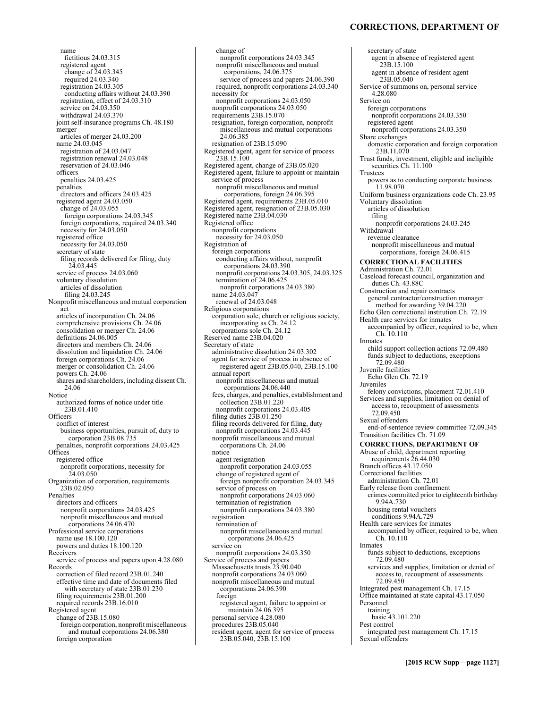#### **CORRECTIONS, DEPARTMENT OF**

secretary of state

name fictitious 24.03.315 registered agent change of 24.03.345 required 24.03.340 registration 24.03.305 conducting affairs without 24.03.390 registration, effect of 24.03.310 service on 24.03.350 withdrawal 24.03.370 joint self-insurance programs Ch. 48.180 merger articles of merger 24.03.200 name 24.03.045 registration of 24.03.047 registration renewal 24.03.048 reservation of 24.03.046 officers penalties 24.03.425 penalties directors and officers 24.03.425 registered agent 24.03.050 change of 24.03.055 foreign corporations 24.03.345 foreign corporations, required 24.03.340 necessity for 24.03.050 registered office necessity for 24.03.050 secretary of state filing records delivered for filing, duty 24.03.445 service of process 24.03.060 voluntary dissolution articles of dissolution filing 24.03.245 Nonprofit miscellaneous and mutual corporation act articles of incorporation Ch. 24.06 comprehensive provisions Ch. 24.06 consolidation or merger Ch. 24.06 definitions 24.06.005 directors and members Ch. 24.06 dissolution and liquidation Ch. 24.06 foreign corporations Ch. 24.06 merger or consolidation Ch. 24.06 powers Ch. 24.06 shares and shareholders, including dissent Ch. 24.06 Notice authorized forms of notice under title 23B.01.410 **Officers** conflict of interest business opportunities, pursuit of, duty to corporation 23B.08.735 penalties, nonprofit corporations 24.03.425 **Offices** registered office nonprofit corporations, necessity for 24.03.050 Organization of corporation, requirements 23B.02.050 Penalties directors and officers nonprofit corporations 24.03.425 nonprofit miscellaneous and mutual corporations 24.06.470 Professional service corporations name use 18.100.120 powers and duties 18.100.120 Receivers service of process and papers upon 4.28.080 Records correction of filed record 23B.01.240 effective time and date of documents filed with secretary of state 23B.01.230<br>filing requirements 23B.01.200 required records 23B.16.010 Registered agent change of 23B.15.080 foreign corporation, nonprofit miscellaneous and mutual corporations 24.06.380 foreign corporation

change of nonprofit corporations 24.03.345 nonprofit miscellaneous and mutual corporations, 24.06.375 service of process and papers 24.06.390 required, nonprofit corporations 24.03.340 necessity for nonprofit corporations 24.03.050 nonprofit corporations 24.03.050 requirements 23B.15.070 resignation, foreign corporation, nonprofit miscellaneous and mutual corporations 24.06.385 resignation of 23B.15.090 Registered agent, agent for service of process 23B.15.100 Registered agent, change of 23B.05.020 Registered agent, failure to appoint or maintain service of process nonprofit miscellaneous and mutual corporations, foreign 24.06.395 Registered agent, requirements 23B.05.010 Registered agent, resignation of 23B.05.030 Registered name 23B.04.030 Registered office nonprofit corporations necessity for 24.03.050 Registration of foreign corporations conducting affairs without, nonprofit corporations 24.03.390 nonprofit corporations 24.03.305, 24.03.325 termination of 24.06.425 nonprofit corporations 24.03.380 name 24.03.047 renewal of 24.03.048 Religious corporations corporation sole, church or religious society, incorporating as Ch. 24.12 corporations sole Ch. 24.12 Reserved name 23B.04.020 Secretary of state administrative dissolution 24.03.302 agent for service of process in absence of registered agent 23B.05.040, 23B.15.100 annual report nonprofit miscellaneous and mutual corporations 24.06.440 fees, charges, and penalties, establishment and collection 23B.01.220 nonprofit corporations 24.03.405 filing duties 23B.01.250 filing records delivered for filing, duty nonprofit corporations 24.03.445 nonprofit miscellaneous and mutual corporations Ch. 24.06 notice agent resignation nonprofit corporation 24.03.055 change of registered agent of foreign nonprofit corporation 24.03.345 service of process on nonprofit corporations 24.03.060 termination of registration nonprofit corporations 24.03.380 registration termination of nonprofit miscellaneous and mutual corporations 24.06.425 service on nonprofit corporations 24.03.350 Service of process and papers Massachusetts trusts 23.90.040 nonprofit corporations 24.03.060 nonprofit miscellaneous and mutual corporations 24.06.390 foreign registered agent, failure to appoint or maintain 24.06.395 personal service 4.28.080 procedures 23B.05.040 resident agent, agent for service of process 23B.05.040, 23B.15.100

agent in absence of registered agent 23B.15.100 agent in absence of resident agent 23B.05.040 Service of summons on, personal service 4.28.080 Service on foreign corporations nonprofit corporations 24.03.350 registered agent nonprofit corporations 24.03.350 Share exchanges domestic corporation and foreign corporation 23B.11.070 Trust funds, investment, eligible and ineligible securities Ch. 11.100 Trustees powers as to conducting corporate business 11.98.070 Uniform business organizations code Ch. 23.95 Voluntary dissolution articles of dissolution filing nonprofit corporations 24.03.245 Withdrawal revenue clearance nonprofit miscellaneous and mutual corporations, foreign 24.06.415 **CORRECTIONAL FACILITIES**  Administration Ch. 72.01 Caseload forecast council, organization and duties Ch. 43.88C Construction and repair contracts general contractor/construction manager method for awarding 39.04.220 Echo Glen correctional institution Ch. 72.19 Health care services for inmates accompanied by officer, required to be, when Ch. 10.110 Inmates child support collection actions 72.09.480 funds subject to deductions, exceptions 72.09.480 Juvenile facilities Echo Glen Ch. 72.19 Juveniles felony convictions, placement 72.01.410 Services and supplies, limitation on denial of access to, recoupment of assessments 72.09.450 Sexual offenders end-of-sentence review committee 72.09.345 Transition facilities Ch. 71.09 **CORRECTIONS, DEPARTMENT OF**  Abuse of child, department reporting requirements 26.44.030 Branch offices 43.17.050 Correctional facilities administration Ch. 72.01 Early release from confinement crimes committed prior to eighteenth birthday 9.94A.730 housing rental vouchers conditions 9.94A.729 Health care services for inmates accompanied by officer, required to be, when Ch. 10.110 Inmates funds subject to deductions, exceptions 72.09.480 services and supplies, limitation or denial of access to, recoupment of assessments 72.09.450 Integrated pest management Ch. 17.15 Office maintained at state capital 43.17.050 Personnel training basic 43.101.220 Pest control integrated pest management Ch. 17.15 Sexual offenders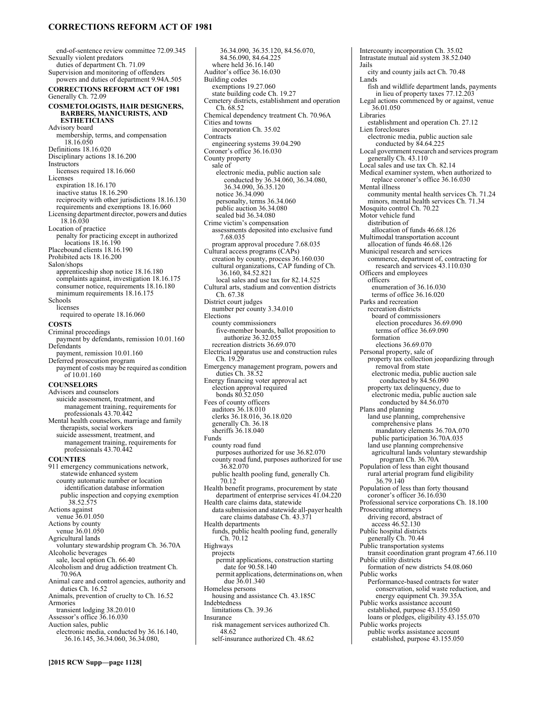#### **CORRECTIONS REFORM ACT OF 1981**

end-of-sentence review committee 72.09.345 Sexually violent predators duties of department Ch. 71.09 Supervision and monitoring of offenders powers and duties of department 9.94A.505 **CORRECTIONS REFORM ACT OF 1981**  Generally Ch. 72.09 **COSMETOLOGISTS, HAIR DESIGNERS, BARBERS, MANICURISTS, AND ESTHETICIANS**  Advisory board membership, terms, and compensation 18.16.050 Definitions 18.16.020 Disciplinary actions 18.16.200 **Instructors** licenses required 18.16.060 Licenses expiration 18.16.170 inactive status 18.16.290 reciprocity with other jurisdictions 18.16.130 requirements and exemptions 18.16.060 Licensing department director, powers and duties 18.16.030 Location of practice penalty for practicing except in authorized locations 18.16.190 Placebound clients 18.16.190 Prohibited acts 18.16.200 Salon/shops apprenticeship shop notice 18.16.180 complaints against, investigation 18.16.175 consumer notice, requirements 18.16.180 minimum requirements 18.16.175 Schools licenses required to operate 18.16.060 **COSTS**  Criminal proceedings payment by defendants, remission 10.01.160 Defendants payment, remission 10.01.160 Deferred prosecution program payment of costs may be required as condition of 10.01.160 **COUNSELORS**  Advisors and counselors suicide assessment, treatment, and management training, requirements for professionals 43.70.442 Mental health counselors, marriage and family therapists, social workers suicide assessment, treatment, and management training, requirements for professionals 43.70.442 **COUNTIES**  911 emergency communications network, statewide enhanced system county automatic number or location identification database information public inspection and copying exemption 38.52.575 Actions against venue 36.01.050 Actions by county venue 36.01.050 Agricultural lands voluntary stewardship program Ch. 36.70A Alcoholic beverages sale, local option Ch. 66.40 Alcoholism and drug addiction treatment Ch. 70.96A Animal care and control agencies, authority and duties Ch. 16.52 Animals, prevention of cruelty to Ch. 16.52 Armories transient lodging 38.20.010 Assessor's office 36.16.030 Auction sales, public electronic media, conducted by 36.16.140, 36.16.145, 36.34.060, 36.34.080,

36.34.090, 36.35.120, 84.56.070, 84.56.090, 84.64.225 where held 36.16.140 Auditor's office 36.16.030 Building codes exemptions 19.27.060 state building code Ch. 19.27 Cemetery districts, establishment and operation Ch. 68.52 Chemical dependency treatment Ch. 70.96A Cities and towns incorporation Ch. 35.02 Contracts engineering systems 39.04.290 Coroner's office 36.16.030 County property sale of electronic media, public auction sale conducted by 36.34.060, 36.34.080, 36.34.090, 36.35.120 notice 36.34.090 personalty, terms 36.34.060 public auction 36.34.080 sealed bid 36.34.080 Crime victim's compensation assessments deposited into exclusive fund 7.68.035 program approval procedure 7.68.035 Cultural access programs (CAPs) creation by county, process 36.160.030 cultural organizations, CAP funding of Ch. 36.160, 84.52.821 local sales and use tax for 82.14.525 Cultural arts, stadium and convention districts Ch. 67.38 District court judges number per county 3.34.010 Elections county commissioners five-member boards, ballot proposition to authorize 36.32.055 recreation districts 36.69.070 Electrical apparatus use and construction rules Ch. 19.29 Emergency management program, powers and duties Ch. 38.52 Energy financing voter approval act election approval required bonds 80.52.050 Fees of county officers auditors 36.18.010 clerks 36.18.016, 36.18.020 generally Ch. 36.18 sheriffs 36.18.040 Funds county road fund purposes authorized for use 36.82.070 county road fund, purposes authorized for use 36.82.070 public health pooling fund, generally Ch. 70.12 Health benefit programs, procurement by state department of enterprise services 41.04.220 Health care claims data, statewide data submission and statewide all-payer health care claims database Ch. 43.371 Health departments funds, public health pooling fund, generally Ch. 70.12 Highways projects permit applications, construction starting date for 90.58.140 permit applications, determinations on, when due 36.01.340 Homeless persons housing and assistance Ch. 43.185C Indebtedness limitations Ch. 39.36 Insurance risk management services authorized Ch. 48.62 self-insurance authorized Ch. 48.62

Intercounty incorporation Ch. 35.02 Intrastate mutual aid system 38.52.040 Jails city and county jails act Ch. 70.48 Lands fish and wildlife department lands, payments in lieu of property taxes 77.12.203 Legal actions commenced by or against, venue 36.01.050 Libraries establishment and operation Ch. 27.12 Lien foreclosures electronic media, public auction sale conducted by 84.64.225 Local government research and services program generally Ch. 43.110 Local sales and use tax Ch. 82.14 Medical examiner system, when authorized to replace coroner's office 36.16.030 Mental illness community mental health services Ch. 71.24 minors, mental health services Ch. 71.34 Mosquito control Ch. 70.22 Motor vehicle fund distribution of allocation of funds 46.68.126 Multimodal transportation account allocation of funds 46.68.126 Municipal research and services commerce, department of, contracting for research and services 43.110.030 Officers and employees officers enumeration of 36.16.030 terms of office 36.16.020 Parks and recreation recreation districts board of commissioners election procedures 36.69.090 terms of office 36.69.090 formation elections 36.69.070 Personal property, sale of property tax collection jeopardizing through removal from state electronic media, public auction sale conducted by 84.56.090 property tax delinquency, due to electronic media, public auction sale conducted by 84.56.070 Plans and planning land use planning, comprehensive comprehensive plans mandatory elements 36.70A.070 public participation 36.70A.035 land use planning comprehensive agricultural lands voluntary stewardship program Ch. 36.70A Population of less than eight thousand rural arterial program fund eligibility 36.79.140 Population of less than forty thousand coroner's officer 36.16.030 Professional service corporations Ch. 18.100 Prosecuting attorneys driving record, abstract of access 46.52.130 Public hospital districts generally Ch. 70.44 Public transportation systems transit coordination grant program 47.66.110 Public utility districts formation of new districts 54.08.060 Public works Performance-based contracts for water conservation, solid waste reduction, and energy equipment Ch. 39.35A Public works assistance account established, purpose 43.155.050 loans or pledges, eligibility 43.155.070 Public works projects public works assistance account established, purpose 43.155.050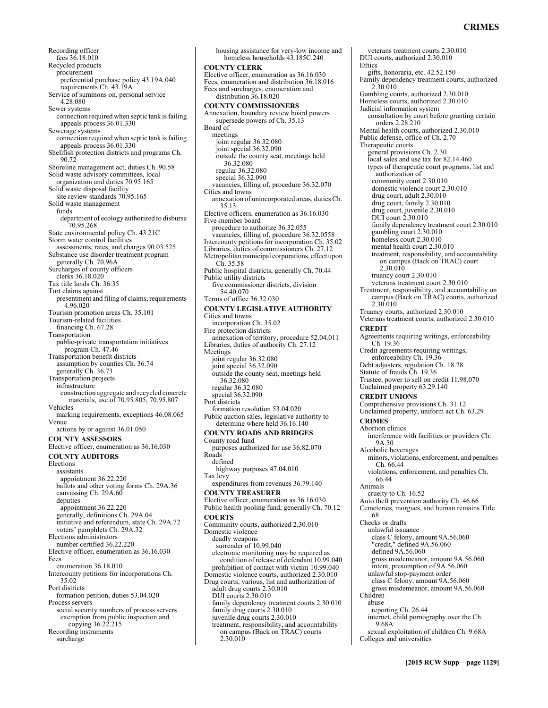#### **CRIMES**

Recording officer fees 36.18.010 Recycled products procurement preferential purchase policy 43.19A.040 requirements Ch. 43.19A Service of summons on, personal service 4.28.080 Sewer systems connection required when septic tank is failing appeals process 36.01.330 Sewerage systems connection required when septic tank is failing appeals process 36.01.330 Shellfish protection districts and programs Ch. 90.72 Shoreline management act, duties Ch. 90.58 Solid waste advisory committees, local organization and duties 70.95.165 Solid waste disposal facility site review standards 70.95.165 Solid waste management funds department of ecology authorized to disburse 70.95.268 State environmental policy Ch. 43.21C Storm water control facilities assessments, rates, and charges 90.03.525 Substance use disorder treatment program generally Ch. 70.96A Surcharges of county officers clerks 36.18.020 Tax title lands Ch. 36.35 Tort claims against presentment and filing of claims, requirements 4.96.020 Tourism promotion areas Ch. 35.101 Tourism-related facilities financing Ch. 67.28 Transportation public-private transportation initiatives program Ch. 47.46 Transportation benefit districts assumption by counties Ch. 36.74 generally Ch. 36.73 Transportation projects infrastructure construction aggregate and recycled concrete materials, use of 70.95.805, 70.95.807 Vehicles marking requirements, exceptions 46.08.065 Venue actions by or against 36.01.050 **COUNTY ASSESSORS**  Elective officer, enumeration as 36.16.030 **COUNTY AUDITORS**  Elections assistants appointment 36.22.220 ballots and other voting forms Ch. 29A.36 canvassing Ch. 29A.60 deputies appointment 36.22.220 generally, definitions Ch. 29A.04 initiative and referendum, state Ch. 29A.72 voters' pamphlets Ch. 29A.32 Elections administrators number certified 36.22.220 Elective officer, enumeration as 36.16.030 Fees enumeration 36.18.010 Intercounty petitions for incorporations Ch. 35.02 Port districts formation petition, duties 53.04.020 Process servers social security numbers of process servers exemption from public inspection and copying 36.22.215 Recording instruments surcharge

housing assistance for very-low income and homeless households 43.185C.240 **COUNTY CLERK**  Elective officer, enumeration as 36.16.030 Fees, enumeration and distribution 36.18.016 Fees and surcharges, enumeration and distribution 36.18.020 **COUNTY COMMISSIONERS**  Annexation, boundary review board powers supersede powers of Ch. 35.13 Board of meetings joint regular 36.32.080 joint special 36.32.090 outside the county seat, meetings held 36.32.080 regular 36.32.080 special 36.32.090 vacancies, filling of, procedure 36.32.070 Cities and towns annexation of unincorporated areas, duties Ch. 35.13 Elective officers, enumeration as 36.16.030 Five-member board procedure to authorize 36.32.055 vacancies, filling of, procedure 36.32.0558 Intercounty petitions for incorporation Ch. 35.02 Libraries, duties of commissioners Ch. 27.12 Metropolitan municipal corporations, effect upon Ch. 35.58 Public hospital districts, generally Ch. 70.44 Public utility districts five commissioner districts, division 54.40.070 Terms of office 36.32.030 **COUNTY LEGISLATIVE AUTHORITY**  Cities and towns incorporation Ch. 35.02 Fire protection districts annexation of territory, procedure 52.04.011 Libraries, duties of authority Ch. 27.12 **Meetings** joint regular 36.32.080 joint special 36.32.090 outside the county seat, meetings held 36.32.080 regular 36.32.080 special 36.32.090 Port districts formation resolution 53.04.020 Public auction sales, legislative authority to determine where held 36.16.140 **COUNTY ROADS AND BRIDGES**  County road fund purposes authorized for use 36.82.070 Roads defined highway purposes 47.04.010 Tax levy expenditures from revenues 36.79.140 **COUNTY TREASURER**  Elective officer, enumeration as 36.16.030 Public health pooling fund, generally Ch. 70.12 **COURTS**  Community courts, authorized 2.30.010 Domestic violence deadly weapons surrender of 10.99.040 electronic monitoring may be required as condition of release of defendant 10.99.040 prohibition of contact with victim 10.99.040 Domestic violence courts, authorized 2.30.010 Drug courts, various, list and authorization of adult drug courts 2.30.010 DUI courts 2.30.010 family dependency treatment courts 2.30.010 family drug courts 2.30.010 juvenile drug courts 2.30.010 treatment, responsibility, and accountability on campus (Back on TRAC) courts 2.30.010

veterans treatment courts 2.30.010 DUI courts, authorized 2.30.010 Ethics gifts, honoraria, etc. 42.52.150 Family dependency treatment courts, authorized 2.30.010 Gambling courts, authorized 2.30.010 Homeless courts, authorized 2.30.010 Judicial information system consultation by court before granting certain orders 2.28.210 Mental health courts, authorized 2.30.010 Public defense, office of Ch. 2.70 Therapeutic courts general provisions Ch. 2.30 local sales and use tax for 82.14.460 types of therapeutic court programs, list and authorization of community court 2.30.010 domestic violence court 2.30.010 drug court, adult 2.30.010 drug court, family 2.30.010 drug court, juvenile 2.30.010 DUI court 2.30.010 family dependency treatment court 2.30.010 gambling court 2.30.010 homeless court 2.30.010 mental health court 2.30.010 treatment, responsibility, and accountability on campus (Back on TRAC) court 2.30.010 truancy court 2.30.010 veterans treatment court 2.30.010 Treatment, responsibility, and accountability on campus (Back on TRAC) courts, authorized 2.30.010 Truancy courts, authorized 2.30.010 Veterans treatment courts, authorized 2.30.010 **CREDIT**  Agreements requiring writings, enforceability Ch. 19.36 Credit agreements requiring writings, enforceability Ch. 19.36 Debt adjusters, regulation Ch. 18.28 Statute of frauds Ch. 19.36 Trustee, power to sell on credit 11.98.070 Unclaimed property 63.29.140 **CREDIT UNIONS**  Comprehensive provisions Ch. 31.12 Unclaimed property, uniform act Ch. 63.29 **CRIMES**  Abortion clinics interference with facilities or providers Ch. 9A.50 Alcoholic beverages minors, violations, enforcement, and penalties Ch. 66.44 violations, enforcement, and penalties Ch. 66.44 Animals cruelty to Ch. 16.52 Auto theft prevention authority Ch. 46.66 Cemeteries, morgues, and human remains Title 68 Checks or drafts unlawful issuance class C felony, amount 9A.56.060 "credit," defined 9A.56.060 defined 9A.56.060 gross misdemeanor, amount 9A.56.060 intent, presumption of 9A.56.060 unlawful stop-payment order class C felony, amount 9A.56.060 gross misdemeanor, amount 9A.56.060 Children abuse reporting Ch. 26.44 internet, child pornography over the Ch. 9.68A sexual exploitation of children Ch. 9.68A Colleges and universities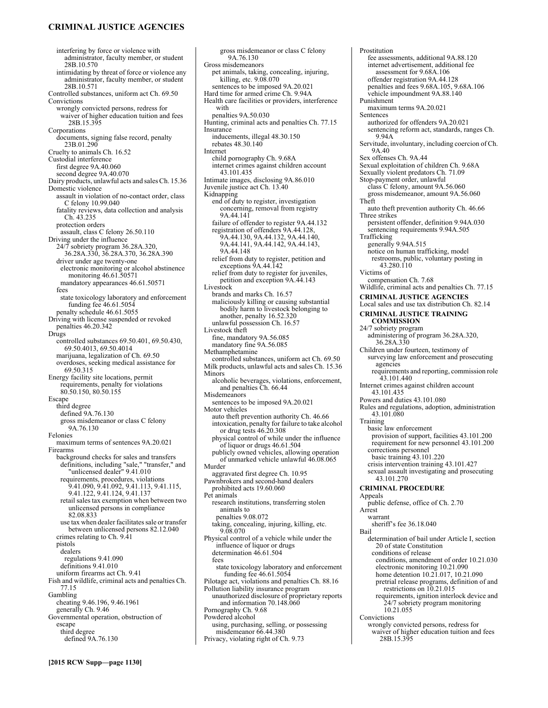#### **CRIMINAL JUSTICE AGENCIES**

interfering by force or violence with administrator, faculty member, or student 28B.10.570 intimidating by threat of force or violence any administrator, faculty member, or student 28B.10.571 Controlled substances, uniform act Ch. 69.50 Convictions wrongly convicted persons, redress for waiver of higher education tuition and fees 28B.15.395 Corporations documents, signing false record, penalty 23B.01.290 Cruelty to animals Ch. 16.52 Custodial interference first degree 9A.40.060 second degree 9A.40.070 Dairy products, unlawful acts and sales Ch. 15.36 Domestic violence assault in violation of no-contact order, class C felony 10.99.040 fatality reviews, data collection and analysis Ch. 43.235 protection orders assault, class C felony 26.50.110 Driving under the influence 24/7 sobriety program 36.28A.320, 36.28A.330, 36.28A.370, 36.28A.390 driver under age twenty-one electronic monitoring or alcohol abstinence monitoring 46.61.50571 mandatory appearances 46.61.50571 fees state toxicology laboratory and enforcement funding fee 46.61.5054 penalty schedule 46.61.5055 Driving with license suspended or revoked penalties 46.20.342 Drugs controlled substances 69.50.401, 69.50.430, 69.50.4013, 69.50.4014 marijuana, legalization of Ch. 69.50 overdoses, seeking medical assistance for 69.50.315 Energy facility site locations, permit requirements, penalty for violations 80.50.150, 80.50.155 Escape third degree defined 9A.76.130 gross misdemeanor or class C felony 9A.76.130 Felonies maximum terms of sentences 9A.20.021 Firearms background checks for sales and transfers definitions, including "sale," "transfer," and "unlicensed dealer" 9.41.010 requirements, procedures, violations 9.41.090, 9.41.092, 9.41.113, 9.41.115, 9.41.122, 9.41.124, 9.41.137 retail sales tax exemption when between two unlicensed persons in compliance 82.08.833 use tax when dealer facilitates sale or transfer between unlicensed persons 82.12.040 crimes relating to Ch. 9.41 pistols dealers regulations 9.41.090 definitions 9.41.010 uniform firearms act Ch. 9.41 Fish and wildlife, criminal acts and penalties Ch. 77.15 Gambling cheating 9.46.196, 9.46.1961 generally Ch. 9.46 Governmental operation, obstruction of escape third degree defined 9A.76.130

gross misdemeanor or class C felony 9A.76.130 Gross misdemeanors pet animals, taking, concealing, injuring, killing, etc. 9.08.070 sentences to be imposed 9A.20.021 Hard time for armed crime Ch. 9.94A Health care facilities or providers, interference with penalties 9A.50.030 Hunting, criminal acts and penalties Ch. 77.15 Insurance inducements, illegal 48.30.150 rebates 48.30.140 Internet child pornography Ch. 9.68A internet crimes against children account 43.101.435 Intimate images, disclosing 9A.86.010 Juvenile justice act Ch. 13.40 Kidnapping end of duty to register, investigation concerning, removal from registry 9A.44.141 failure of offender to register 9A.44.132 registration of offenders 9A.44.128, 9A.44.130, 9A.44.132, 9A.44.140, 9A.44.141, 9A.44.142, 9A.44.143, 9A.44.148 relief from duty to register, petition and exceptions 9A.44.142 relief from duty to register for juveniles, petition and exception 9A.44.143 Livestock brands and marks Ch. 16.57 maliciously killing or causing substantial bodily harm to livestock belonging to another, penalty 16.52.320 unlawful possession Ch. 16.57 Livestock theft fine, mandatory 9A.56.085 mandatory fine 9A.56.085 Methamphetamine controlled substances, uniform act Ch. 69.50 Milk products, unlawful acts and sales Ch. 15.36 Minors alcoholic beverages, violations, enforcement, and penalties Ch. 66.44 Misdemeanors sentences to be imposed 9A.20.021 Motor vehicles auto theft prevention authority Ch. 46.66 intoxication, penalty for failure to take alcohol or drug tests 46.20.308 physical control of while under the influence of liquor or drugs 46.61.504 publicly owned vehicles, allowing operation of unmarked vehicle unlawful 46.08.065 Murder aggravated first degree Ch. 10.95 Pawnbrokers and second-hand dealers prohibited acts 19.60.060 Pet animals research institutions, transferring stolen animals to penalties 9.08.072 taking, concealing, injuring, killing, etc. 9.08.070 Physical control of a vehicle while under the influence of liquor or drugs determination 46.61.504 fees state toxicology laboratory and enforcement funding fee 46.61.5054 Pilotage act, violations and penalties Ch. 88.16 Pollution liability insurance program unauthorized disclosure of proprietary reports and information 70.148.060 Pornography Ch. 9.68 Powdered alcohol

using, purchasing, selling, or possessing misdemeanor 66.44.380 Privacy, violating right of Ch. 9.73

Prostitution fee assessments, additional 9A.88.120 internet advertisement, additional fee assessment for 9.68A.106 offender registration 9A.44.128 penalties and fees 9.68A.105, 9.68A.106 vehicle impoundment 9A.88.140 Punishment maximum terms 9A.20.021 Sentences authorized for offenders 9A.20.021 sentencing reform act, standards, ranges Ch. 9.94A Servitude, involuntary, including coercion of Ch. 9A.40 Sex offenses Ch. 9A.44 Sexual exploitation of children Ch. 9.68A Sexually violent predators Ch. 71.09 Stop-payment order, unlawful class C felony, amount 9A.56.060 gross misdemeanor, amount 9A.56.060 Theft auto theft prevention authority Ch. 46.66 Three strikes persistent offender, definition 9.94A.030 sentencing requirements 9.94A.505 Trafficking generally 9.94A.515 notice on human trafficking, model restrooms, public, voluntary posting in 43.280.110 Victims of compensation Ch. 7.68 Wildlife, criminal acts and penalties Ch. 77.15 **CRIMINAL JUSTICE AGENCIES**  Local sales and use tax distribution Ch. 82.14 **CRIMINAL JUSTICE TRAINING COMMISSION**  24/7 sobriety program administering of program 36.28A.320, 36.28A.330 Children under fourteen, testimony of surveying law enforcement and prosecuting agencies requirements and reporting, commission role 43.101.440 Internet crimes against children account 43.101.435 Powers and duties 43.101.080 Rules and regulations, adoption, administration 43.101.080 Training basic law enforcement provision of support, facilities 43.101.200 requirement for new personnel 43.101.200 corrections personnel basic training 43.101.220 crisis intervention training 43.101.427 sexual assault investigating and prosecuting 43.101.270 **CRIMINAL PROCEDURE**  Appeals public defense, office of Ch. 2.70 Arrest warrant sheriff's fee 36.18.040 Bail determination of bail under Article I, section 20 of state Constitution conditions of release conditions, amendment of order 10.21.030 electronic monitoring 10.21.090 home detention 10.21.017, 10.21.090 pretrial release programs, definition of and restrictions on 10.21.015 requirements, ignition interlock device and 24/7 sobriety program monitoring 10.21.055 Convictions wrongly convicted persons, redress for waiver of higher education tuition and fees 28B.15.395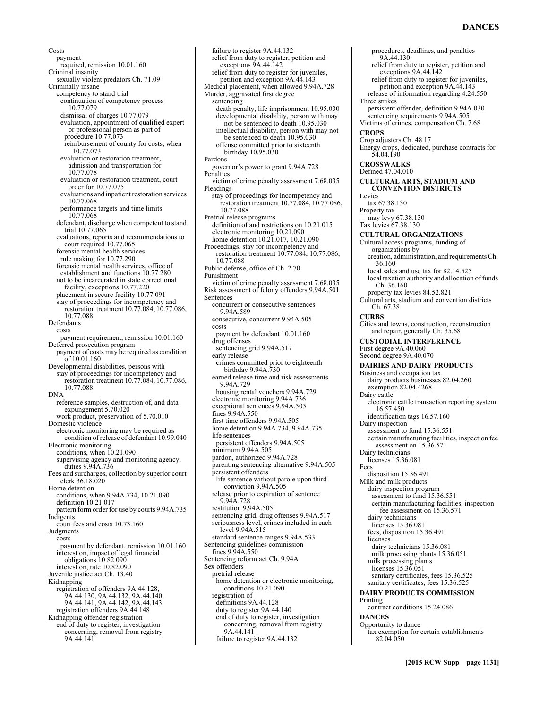Costs payment required, remission 10.01.160 Criminal insanity sexually violent predators Ch. 71.09 Criminally insane competency to stand trial continuation of competency process 10.77.079 dismissal of charges 10.77.079 evaluation, appointment of qualified expert or professional person as part of procedure 10.77.073 reimbursement of county for costs, when 10.77.073 evaluation or restoration treatment, admission and transportation for 10.77.078 evaluation or restoration treatment, court order for 10.77.075 evaluations and inpatient restoration services 10.77.068 performance targets and time limits 10.77.068 defendant, discharge when competent to stand trial 10.77.065 evaluations, reports and recommendations to court required 10.77.065 forensic mental health services rule making for 10.77.290 forensic mental health services, office of establishment and functions 10.77.280 not to be incarcerated in state correctional facility, exceptions 10.77.220 placement in secure facility 10.77.091 stay of proceedings for incompetency and restoration treatment 10.77.084, 10.77.086, 10.77.088 Defendants costs payment requirement, remission 10.01.160 Deferred prosecution program payment of costs may be required as condition of 10.01.160 Developmental disabilities, persons with stay of proceedings for incompetency and restoration treatment 10.77.084, 10.77.086, 10.77.088 DNA reference samples, destruction of, and data expungement 5.70.020 work product, preservation of 5.70.010 Domestic violence electronic monitoring may be required as condition of release of defendant 10.99.040 Electronic monitoring conditions, when 10.21.090 supervising agency and monitoring agency, duties 9.94A.736 Fees and surcharges, collection by superior court clerk 36.18.020 Home detention conditions, when 9.94A.734, 10.21.090 definition 10.21.017 pattern form order for use by courts 9.94A.735 Indigents court fees and costs 10.73.160 Judgments costs payment by defendant, remission 10.01.160 interest on, impact of legal financial obligations 10.82.090 interest on, rate 10.82.090 Juvenile justice act Ch. 13.40 Kidnapping registration of offenders 9A.44.128, 9A.44.130, 9A.44.132, 9A.44.140, 9A.44.141, 9A.44.142, 9A.44.143 registration offenders 9A.44.148 Kidnapping offender registration end of duty to register, investigation concerning, removal from registry 9A.44.141

failure to register 9A.44.132 relief from duty to register, petition and exceptions 9A.44.142 relief from duty to register for juveniles, petition and exception 9A.44.143 Medical placement, when allowed 9.94A.728 Murder, aggravated first degree sentencing death penalty, life imprisonment 10.95.030 developmental disability, person with may not be sentenced to death 10.95.030 intellectual disability, person with may not be sentenced to death 10.95.030 offense committed prior to sixteenth birthday 10.95.030 Pardons governor's power to grant 9.94A.728 Penalties victim of crime penalty assessment 7.68.035 Pleadings stay of proceedings for incompetency and restoration treatment 10.77.084, 10.77.086, 10.77.088 Pretrial release programs definition of and restrictions on 10.21.015 electronic monitoring 10.21.090 home detention 10.21.017, 10.21.090 Proceedings, stay for incompetency and restoration treatment 10.77.084, 10.77.086, 10.77.088 Public defense, office of Ch. 2.70 Punishment victim of crime penalty assessment 7.68.035 Risk assessment of felony offenders 9.94A.501 Sentences concurrent or consecutive sentences 9.94A.589 consecutive, concurrent 9.94A.505 costs payment by defendant 10.01.160 drug offenses sentencing grid 9.94A.517 early release crimes committed prior to eighteenth birthday 9.94A.730 earned release time and risk assessments 9.94A.729 housing rental vouchers 9.94A.729 electronic monitoring 9.94A.736 exceptional sentences 9.94A.505 fines 9.94A.550 first time offenders 9.94A.505 home detention 9.94A.734, 9.94A.735 life sentences persistent offenders 9.94A.505 minimum 9.94A.505 pardon, authorized 9.94A.728 parenting sentencing alternative 9.94A.505 persistent offenders life sentence without parole upon third conviction 9.94A.505 release prior to expiration of sentence 9.94A.728 restitution 9.94A.505 sentencing grid, drug offenses 9.94A.517 seriousness level, crimes included in each level 9.94A.515 standard sentence ranges 9.94A.533 Sentencing guidelines commission fines 9.94A.550 Sentencing reform act Ch. 9.94A Sex offenders pretrial release home detention or electronic monitoring, conditions 10.21.090 registration of definitions 9A.44.128 duty to register 9A.44.140 end of duty to register, investigation concerning, removal from registry 9A.44.141 failure to register 9A.44.132

procedures, deadlines, and penalties 9A.44.130 relief from duty to register, petition and exceptions 9A.44.142 relief from duty to register for juveniles, petition and exception 9A.44.143 release of information regarding 4.24.550 Three strikes persistent offender, definition 9.94A.030 sentencing requirements 9.94A.505 Victims of crimes, compensation Ch. 7.68 **CROPS**  Crop adjusters Ch. 48.17 Energy crops, dedicated, purchase contracts for 54.04.190 **CROSSWALKS**  Defined 47.04.010 **CULTURAL ARTS, STADIUM AND CONVENTION DISTRICTS**  Levies tax 67.38.130 Property tax may levy 67.38.130 Tax levies 67.38.130 **CULTURAL ORGANIZATIONS**  Cultural access programs, funding of organizations by creation, administration, and requirements Ch. 36.160 local sales and use tax for 82.14.525 local taxation authority and allocation of funds Ch. 36.160 property tax levies 84.52.821 Cultural arts, stadium and convention districts Ch. 67.38 **CURBS**  Cities and towns, construction, reconstruction and repair, generally Ch. 35.68 **CUSTODIAL INTERFERENCE**  First degree 9A.40.060 Second degree 9A.40.070 **DAIRIES AND DAIRY PRODUCTS**  Business and occupation tax dairy products businesses 82.04.260 exemption 82.04.4268 Dairy cattle electronic cattle transaction reporting system 16.57.450 identification tags 16.57.160 Dairy inspection assessment to fund 15.36.551 certain manufacturing facilities, inspection fee assessment on 15.36.571 Dairy technicians licenses 15.36.081 Fees disposition 15.36.491 Milk and milk products dairy inspection program assessment to fund 15.36.551 certain manufacturing facilities, inspection fee assessment on 15.36.571 dairy technicians licenses 15.36.081 fees, disposition 15.36.491 licenses dairy technicians 15.36.081 milk processing plants 15.36.051 milk processing plants licenses 15.36.051 sanitary certificates, fees 15.36.525 sanitary certificates, fees 15.36.525 **DAIRY PRODUCTS COMMISSION**  Printing contract conditions 15.24.086 **DANCES**  Opportunity to dance tax exemption for certain establishments 82.04.050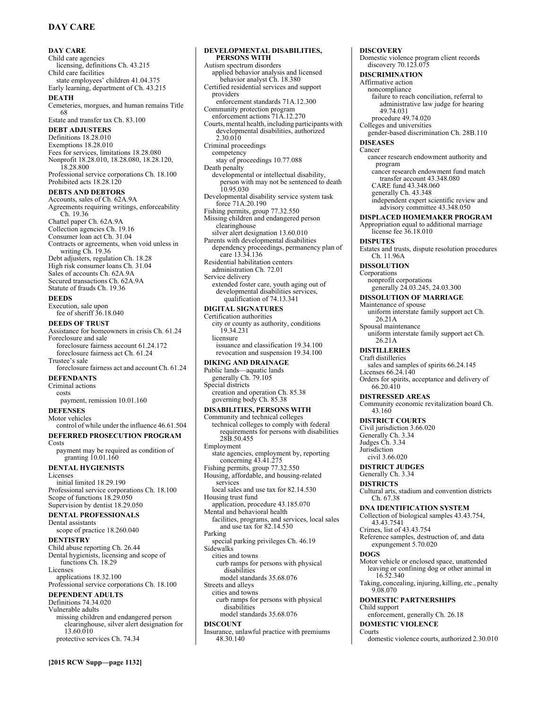## **DAY CARE**

**DAY CARE**  Child care agencies licensing, definitions Ch. 43.215 Child care facilities state employees' children 41.04.375 Early learning, department of Ch. 43.215 **DEATH**  Cemeteries, morgues, and human remains Title 68 Estate and transfer tax Ch. 83.100 **DEBT ADJUSTERS**  Definitions 18.28.010 Exemptions 18.28.010 Fees for services, limitations 18.28.080 Nonprofit 18.28.010, 18.28.080, 18.28.120, 18.28.800 Professional service corporations Ch. 18.100 Prohibited acts 18.28.120 **DEBTS AND DEBTORS**  Accounts, sales of Ch. 62A.9A Agreements requiring writings, enforceability Ch. 19.36 Chattel paper Ch. 62A.9A Collection agencies Ch. 19.16 Consumer loan act Ch. 31.04 Contracts or agreements, when void unless in writing Ch. 19.36 Debt adjusters, regulation Ch. 18.28 High risk consumer loans Ch. 31.04 Sales of accounts Ch. 62A.9A Secured transactions Ch. 62A.9A Statute of frauds Ch. 19.36 **DEEDS**  Execution, sale upon fee of sheriff 36.18.040 **DEEDS OF TRUST**  Assistance for homeowners in crisis Ch. 61.24 Foreclosure and sale foreclosure fairness account 61.24.172 foreclosure fairness act Ch. 61.24 Trustee's sale foreclosure fairness act and account Ch. 61.24 **DEFENDANTS**  Criminal actions costs payment, remission 10.01.160 **DEFENSES**  Motor vehicles control of while under the influence 46.61.504 **DEFERRED PROSECUTION PROGRAM**  Costs payment may be required as condition of granting  $10.01.160$ **DENTAL HYGIENISTS**  Licenses initial limited 18.29.190 Professional service corporations Ch. 18.100 Scope of functions 18.29.050 Supervision by dentist 18.29.050 **DENTAL PROFESSIONALS**  Dental assistants scope of practice 18.260.040 **DENTISTRY**  Child abuse reporting Ch. 26.44 Dental hygienists, licensing and scope of

functions Ch. 18.29 Licenses applications 18.32.100 Professional service corporations Ch. 18.100

#### **DEPENDENT ADULTS**

Definitions 74.34.020 Vulnerable adults missing children and endangered person clearinghouse, silver alert designation for 13.60.010 protective services Ch. 74.34

**DEVELOPMENTAL DISABILITIES, PERSONS WITH**  Autism spectrum disorders applied behavior analysis and licensed behavior analyst Ch. 18.380 Certified residential services and support providers enforcement standards 71A.12.300 Community protection program enforcement actions 71A.12.270 Courts, mental health, including participants with developmental disabilities, authorized 2.30.010 Criminal proceedings competency stay of proceedings 10.77.088 Death penalty developmental or intellectual disability, person with may not be sentenced to death 10.95.030 Developmental disability service system task force 71A.20.190 Fishing permits, group 77.32.550 Missing children and endangered person clearinghouse silver alert designation 13.60.010 Parents with developmental disabilities dependency proceedings, permanency plan of care 13.34.136 Residential habilitation centers administration Ch. 72.01 Service delivery extended foster care, youth aging out of developmental disabilities services, qualification of 74.13.341 **DIGITAL SIGNATURES**  Certification authorities city or county as authority, conditions 19.34.231 licensure issuance and classification 19.34.100 revocation and suspension 19.34.100 **DIKING AND DRAINAGE**  Public lands—aquatic lands generally Ch. 79.105 Special districts creation and operation Ch. 85.38 governing body Ch. 85.38 **DISABILITIES, PERSONS WITH**  Community and technical colleges technical colleges to comply with federal requirements for persons with disabilities 28B.50.455 Employment state agencies, employment by, reporting concerning 43.41.275 Fishing permits, group 77.32.550 Housing, affordable, and housing-related services local sales and use tax for 82.14.530 Housing trust fund application, procedure 43.185.070 Mental and behavioral health facilities, programs, and services, local sales and use tax for 82.14.530 Parking special parking privileges Ch. 46.19 Sidewalks cities and towns curb ramps for persons with physical disabilities model standards 35.68.076 Streets and alleys cities and towns curb ramps for persons with physical disabilities model standards 35.68.076 **DISCOUNT**  Insurance, unlawful practice with premiums 48.30.140

**DISCOVERY**  Domestic violence program client records discovery 70.123.075 **DISCRIMINATION**  Affirmative action noncompliance failure to reach conciliation, referral to administrative law judge for hearing 49.74.031 procedure 49.74.020 Colleges and universities gender-based discrimination Ch. 28B.110 **DISEASES**  Cancer cancer research endowment authority and program cancer research endowment fund match transfer account 43.348.080 CARE fund 43.348.060 generally Ch. 43.348 independent expert scientific review and advisory committee 43.348.050 **DISPLACED HOMEMAKER PROGRAM**  Appropriation equal to additional marriage license fee 36.18.010 **DISPUTES**  Estates and trusts, dispute resolution procedures Ch. 11.96A **DISSOLUTION**  Corporations nonprofit corporations generally 24.03.245, 24.03.300 **DISSOLUTION OF MARRIAGE**  Maintenance of spouse uniform interstate family support act Ch. 26.21A Spousal maintenance uniform interstate family support act Ch. 26.21A **DISTILLERIES**  Craft distilleries sales and samples of spirits 66.24.145 Licenses 66.24.140 Orders for spirits, acceptance and delivery of 66.20.410 **DISTRESSED AREAS**  Community economic revitalization board Ch. 43.160 **DISTRICT COURTS**  Civil jurisdiction 3.66.020 Generally Ch. 3.34 Judges Ch. 3.34 Jurisdiction civil 3.66.020 **DISTRICT JUDGES**  Generally Ch. 3.34 **DISTRICTS**  Cultural arts, stadium and convention districts Ch. 67.38 **DNA IDENTIFICATION SYSTEM**  Collection of biological samples 43.43.754, 43.43.7541 Crimes, list of 43.43.754 Reference samples, destruction of, and data expungement 5.70.020 **DOGS**  Motor vehicle or enclosed space, unattended leaving or confining dog or other animal in 16.52.340 Taking, concealing, injuring, killing, etc., penalty 9.08.070 **DOMESTIC PARTNERSHIPS**  Child support enforcement, generally Ch. 26.18 **DOMESTIC VIOLENCE**  Courts domestic violence courts, authorized 2.30.010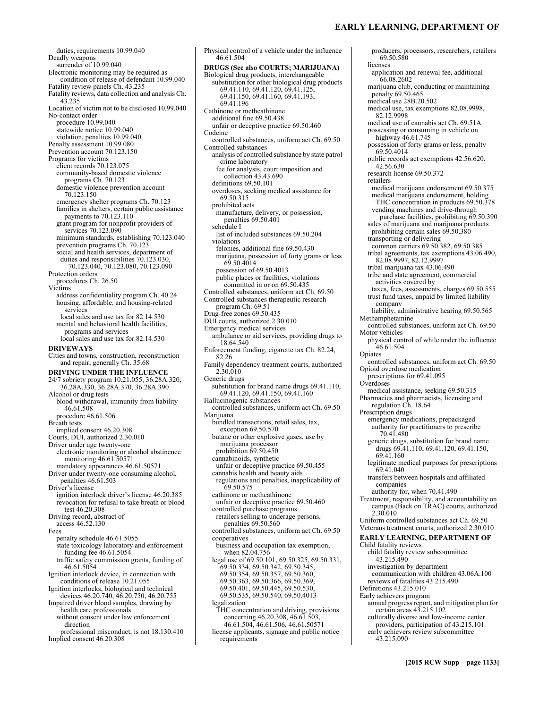#### **EARLY LEARNING, DEPARTMENT OF**

69.50.580 licenses

66.08.2602

producers, processors, researchers, retailers

application and renewal fee, additional

duties, requirements 10.99.040 Deadly weapons surrender of 10.99.040 Electronic monitoring may be required as condition of release of defendant 10.99.040 Fatality review panels Ch. 43.235 Fatality reviews, data collection and analysis Ch. 43.235 Location of victim not to be disclosed 10.99.040 No-contact order procedure 10.99.040 statewide notice 10.99.040 violation, penalties 10.99.040 Penalty assessment 10.99.080 Prevention account 70.123.150 Programs for victims client records 70.123.075 community-based domestic violence programs Ch. 70.123 domestic violence prevention account 70.123.150 emergency shelter programs Ch. 70.123 families in shelters, certain public assistance payments to 70.123.110 grant program for nonprofit providers of services 70.123.090 minimum standards, establishing 70.123.040 prevention programs Ch. 70.123 social and health services, department of duties and responsibilities 70.123.030, 70.123.040, 70.123.080, 70.123.090 Protection orders procedures Ch. 26.50 Victims address confidentiality program Ch. 40.24 housing, affordable, and housing-related services local sales and use tax for 82.14.530 mental and behavioral health facilities, programs and services local sales and use tax for 82.14.530 **DRIVEWAYS**  Cities and towns, construction, reconstruction and repair, generally Ch. 35.68 **DRIVING UNDER THE INFLUENCE**  24/7 sobriety program 10.21.055, 36.28A.320, 36.28A.330, 36.28A.370, 36.28A.390 Alcohol or drug tests blood withdrawal, immunity from liability 46.61.508 procedure 46.61.506 Breath tests implied consent 46.20.308 Courts, DUI, authorized 2.30.010 Driver under age twenty-one electronic monitoring or alcohol abstinence monitoring 46.61.50571 mandatory appearances 46.61.50571 Driver under twenty-one consuming alcohol, penalties 46.61.503 Driver's license ignition interlock driver's license 46.20.385 revocation for refusal to take breath or blood test 46.20.308 Driving record, abstract of access 46.52.130 Fees penalty schedule 46.61.5055 state toxicology laboratory and enforcement funding fee 46.61.5054 traffic safety commission grants, funding of 46.61.5054 Ignition interlock device, in connection with conditions of release 10.21.055 Ignition interlocks, biological and technical devices 46.20.740, 46.20.750, 46.20.755 Impaired driver blood samples, drawing by health care professionals without consent under law enforcement direction professional misconduct, is not 18.130.410 Implied consent 46.20.308

Physical control of a vehicle under the influence 46.61.504 **DRUGS (See also COURTS; MARIJUANA)** Biological drug products, interchangeable substitution for other biological drug products 69.41.110, 69.41.120, 69.41.125, 69.41.150, 69.41.160, 69.41.193, 69.41.196 Cathinone or methcathinone additional fine 69.50.438 unfair or deceptive practice 69.50.460 Codeine controlled substances, uniform act Ch. 69.50 Controlled substances analysis of controlled substance by state patrol crime laboratory fee for analysis, court imposition and collection 43.43.690 definitions 69.50.101 overdoses, seeking medical assistance for 69.50.315 prohibited acts manufacture, delivery, or possession, penalties 69.50.401 schedule I list of included substances 69.50.204 violations felonies, additional fine 69.50.430 marijuana, possession of forty grams or less 69.50.4014 possession of 69.50.4013 public places or facilities, violations committed in or on 69.50.435 Controlled substances, uniform act Ch. 69.50 Controlled substances therapeutic research program Ch. 69.51 Drug-free zones 69.50.435 DUI courts, authorized 2.30.010 Emergency medical services ambulance or aid services, providing drugs to 18.64.540 Enforcement funding, cigarette tax Ch. 82.24, 82.26 Family dependency treatment courts, authorized 2.30.010 Generic drugs substitution for brand name drugs 69.41.110, 69.41.120, 69.41.150, 69.41.160 Hallucinogenic substances controlled substances, uniform act Ch. 69.50 Marijuana bundled transactions, retail sales, tax, exception 69.50.570 butane or other explosive gases, use by marijuana processor prohibition 69.50.450 cannabinoids, synthetic unfair or deceptive practice 69.50.455 cannabis health and beauty aids regulations and penalties, inapplicability of 69.50.575 cathinone or methcathinone unfair or deceptive practice 69.50.460 controlled purchase programs retailers selling to underage persons, penalties 69.50.560 controlled substances, uniform act Ch. 69.50 cooperatives business and occupation tax exemption, when 82.04.756 legal use of 69.50.101, 69.50.325, 69.50.331, 69.50.334, 69.50.342, 69.50.345, 69.50.354, 69.50.357, 69.50.360, 69.50.363, 69.50.366, 69.50.369, 69.50.401, 69.50.445, 69.50.530, 69.50.535, 69.50.540, 69.50.4013 legalization THC concentration and driving, provisions concerning 46.20.308, 46.61.503, 46.61.504, 46.61.506, 46.61.50571 license applicants, signage and public notice requirements

marijuana club, conducting or maintaining penalty 69.50.465 medical use 28B.20.502 medical use, tax exemptions 82.08.9998, 82.12.9998 medical use of cannabis act Ch. 69.51A possessing or consuming in vehicle on highway 46.61.745 possession of forty grams or less, penalty 69.50.4014 public records act exemptions 42.56.620, 42.56.630 research license 69.50.372 retailers medical marijuana endorsement 69.50.375 medical marijuana endorsement, holding THC concentration in products 69.50.378 vending machines and drive-through purchase facilities, prohibiting 69.50.390 sales of marijuana and marijuana products prohibiting certain sales 69.50.380 transporting or delivering common carriers 69.50.382, 69.50.385 tribal agreements, tax exemptions 43.06.490, 82.08.9997, 82.12.9997 tribal marijuana tax 43.06.490 tribe and state agreement, commercial activities covered by taxes, fees, assessments, charges 69.50.555 trust fund taxes, unpaid by limited liability company liability, administrative hearing 69.50.565 Methamphetamine controlled substances, uniform act Ch. 69.50 Motor vehicles physical control of while under the influence 46.61.504 Opiates controlled substances, uniform act Ch. 69.50 Opioid overdose medication prescriptions for 69.41.095 Overdoses medical assistance, seeking 69.50.315 Pharmacies and pharmacists, licensing and regulation Ch. 18.64 Prescription drugs emergency medications, prepackaged authority for practitioners to prescribe 70.41.480 generic drugs, substitution for brand name drugs 69.41.110, 69.41.120, 69.41.150, 69.41.160 legitimate medical purposes for prescriptions 69.41.040 transfers between hospitals and affiliated companies authority for, when 70.41.490 Treatment, responsibility, and accountability on campus (Back on TRAC) courts, authorized 2.30.010 Uniform controlled substances act Ch. 69.50 Veterans treatment courts, authorized 2.30.010 **EARLY LEARNING, DEPARTMENT OF**  Child fatality reviews child fatality review subcommittee 43.215.490 investigation by department communication with children 43.06A.100 reviews of fatalities 43.215.490 Definitions 43.215.010 Early achievers program annual progress report, and mitigation plan for certain areas 43.215.102 culturally diverse and low-income center providers, participation of 43.215.101 early achievers review subcommittee 43.215.090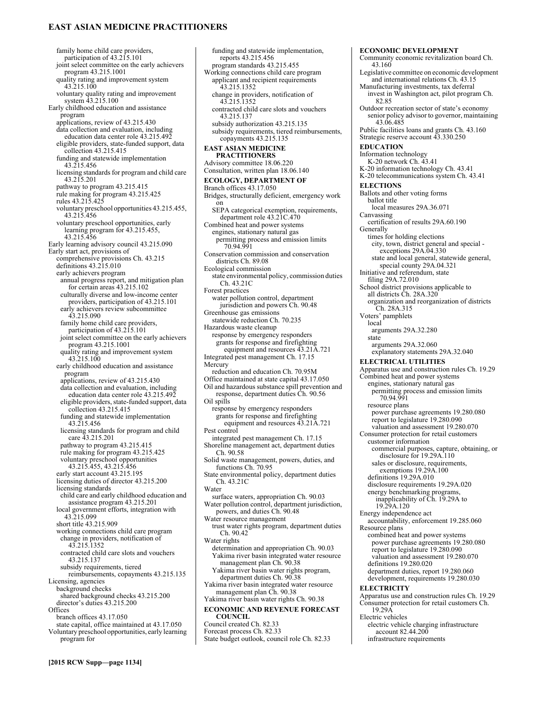## **EAST ASIAN MEDICINE PRACTITIONERS**

family home child care providers, participation of 43.215.101 joint select committee on the early achievers program 43.215.1001 quality rating and improvement system 43.215.100 voluntary quality rating and improvement system 43.215.100 Early childhood education and assistance program applications, review of 43.215.430 data collection and evaluation, including education data center role 43.215.492 eligible providers, state-funded support, data collection 43.215.415 funding and statewide implementation 43.215.456 licensing standards for program and child care 43.215.201 pathway to program 43.215.415 rule making for program 43.215.425 rules 43.215.425 voluntary preschool opportunities 43.215.455, 43.215.456 voluntary preschool opportunities, early learning program for 43.215.455, 43.215.456 Early learning advisory council 43.215.090 Early start act, provisions of comprehensive provisions Ch. 43.215 definitions 43.215.010 early achievers program annual progress report, and mitigation plan for certain areas 43.215.102 culturally diverse and low-income center providers, participation of 43.215.101 early achievers review subcommittee 43.215.090 family home child care providers, participation of 43.215.101 joint select committee on the early achievers program 43.215.1001 quality rating and improvement system 43.215.100 early childhood education and assistance program applications, review of 43.215.430 data collection and evaluation, including education data center role 43.215.492 eligible providers, state-funded support, data collection 43.215.415 funding and statewide implementation 43.215.456 licensing standards for program and child care 43.215.201 pathway to program 43.215.415 rule making for program 43.215.425 voluntary preschool opportunities 43.215.455, 43.215.456 early start account 43.215.195 licensing duties of director 43.215.200 licensing standards child care and early childhood education and assistance program 43.215.201 local government efforts, integration with 43.215.099 short title 43.215.909 working connections child care program change in providers, notification of 43.215.1352 contracted child care slots and vouchers 43.215.137 subsidy requirements, tiered reimbursements, copayments 43.215.135 Licensing, agencies background checks shared background checks 43.215.200 director's duties 43.215.200 **Offices** branch offices 43.17.050 state capital, office maintained at 43.17.050 Voluntary preschool opportunities, early learning program for

funding and statewide implementation, reports 43.215.456 program standards 43.215.455 Working connections child care program applicant and recipient requirements 43.215.1352 change in providers, notification of 43.215.1352 contracted child care slots and vouchers 43.215.137 subsidy authorization 43.215.135 subsidy requirements, tiered reimbursements, copayments 43.215.135 **EAST ASIAN MEDICINE PRACTITIONERS**  Advisory committee 18.06.220 Consultation, written plan 18.06.140 **ECOLOGY, DEPARTMENT OF**  Branch offices 43.17.050 Bridges, structurally deficient, emergency work on SEPA categorical exemption, requirements, department role 43.21C.470 Combined heat and power systems engines, stationary natural gas permitting process and emission limits 70.94.991 Conservation commission and conservation districts Ch. 89.08 Ecological commission state environmental policy, commission duties Ch. 43.21C Forest practices water pollution control, department jurisdiction and powers Ch. 90.48 Greenhouse gas emissions statewide reduction Ch. 70.235 Hazardous waste cleanup response by emergency responders grants for response and firefighting equipment and resources 43.21A.721 Integrated pest management Ch. 17.15 Mercury reduction and education Ch. 70.95M Office maintained at state capital 43.17.050 Oil and hazardous substance spill prevention and response, department duties Ch. 90.56 Oil spills response by emergency responders grants for response and firefighting equipment and resources 43.21A.721 Pest control integrated pest management Ch. 17.15 Shoreline management act, department duties Ch. 90.58 Solid waste management, powers, duties, and functions Ch. 70.95 State environmental policy, department duties Ch. 43.21C Water surface waters, appropriation Ch. 90.03 Water pollution control, department jurisdiction, powers, and duties Ch. 90.48 Water resource management trust water rights program, department duties Ch. 90.42 Water rights determination and appropriation Ch. 90.03 Yakima river basin integrated water resource management plan Ch. 90.38 Yakima river basin water rights program, department duties Ch. 90.38 Yakima river basin integrated water resource management plan Ch. 90.38 Yakima river basin water rights Ch. 90.38 **ECONOMIC AND REVENUE FORECAST COUNCIL**  Council created Ch. 82.33

Forecast process Ch. 82.33 State budget outlook, council role Ch. 82.33 **ECONOMIC DEVELOPMENT**  Community economic revitalization board Ch. 43.160 Legislative committee on economic development and international relations Ch. 43.15 Manufacturing investments, tax deferral invest in Washington act, pilot program Ch. 82.85 Outdoor recreation sector of state's economy senior policy advisor to governor, maintaining 43.06.485 Public facilities loans and grants Ch. 43.160 Strategic reserve account 43.330.250 **EDUCATION**  Information technology K-20 network Ch. 43.41 K-20 information technology Ch. 43.41 K-20 telecommunications system Ch. 43.41 **ELECTIONS**  Ballots and other voting forms ballot title local measures 29A.36.071 **Canvassing** certification of results 29A.60.190 **Generally** times for holding elections city, town, district general and special exceptions 29A.04.330 state and local general, statewide general, special county 29A.04.321 Initiative and referendum, state filing 29A.72.010 School district provisions applicable to all districts Ch. 28A.320 organization and reorganization of districts Ch. 28A.315 Voters' pamphlets local arguments 29A.32.280 state arguments 29A.32.060 explanatory statements 29A.32.040 **ELECTRICAL UTILITIES**  Apparatus use and construction rules Ch. 19.29 Combined heat and power systems engines, stationary natural gas permitting process and emission limits 70.94.991 resource plans power purchase agreements 19.280.080 report to legislature 19.280.090 valuation and assessment 19.280.070 Consumer protection for retail customers customer information commercial purposes, capture, obtaining, or disclosure for 19.29A.110 sales or disclosure, requirements, exemptions 19.29A.100 definitions 19.29A.010 disclosure requirements 19.29A.020 energy benchmarking programs, inapplicability of Ch. 19.29A to 19.29A.120 Energy independence act accountability, enforcement 19.285.060 Resource plans combined heat and power systems power purchase agreements 19.280.080 report to legislature 19.280.090 valuation and assessment 19.280.070 definitions 19.280.020 department duties, report 19.280.060 development, requirements 19.280.030 **ELECTRICITY**  Apparatus use and construction rules Ch. 19.29 Consumer protection for retail customers Ch. 19.29A Electric vehicles electric vehicle charging infrastructure account 82.44.200 infrastructure requirements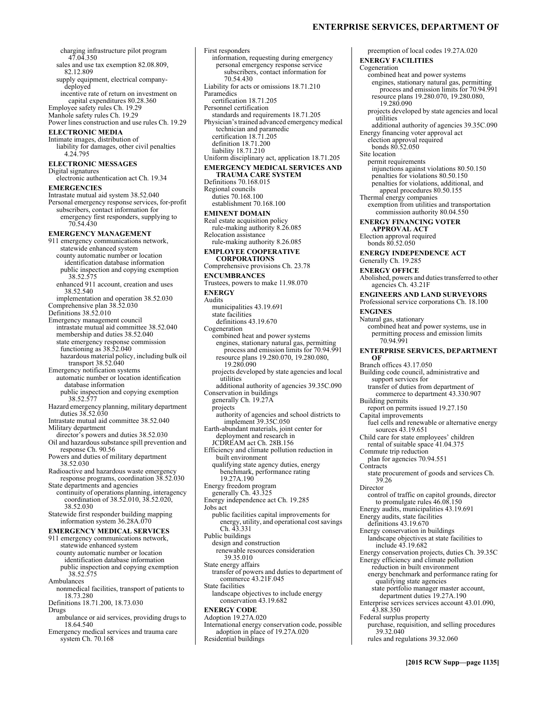#### **ENTERPRISE SERVICES, DEPARTMENT OF**

charging infrastructure pilot program 47.04.350 sales and use tax exemption 82.08.809, 82.12.809 supply equipment, electrical companydeployed incentive rate of return on investment on capital expenditures 80.28.360 Employee safety rules Ch. 19.29 Manhole safety rules Ch. 19.29 Power lines construction and use rules Ch. 19.29 **ELECTRONIC MEDIA**  Intimate images, distribution of liability for damages, other civil penalties 4.24.795 **ELECTRONIC MESSAGES**  Digital signatures electronic authentication act Ch. 19.34 **EMERGENCIES**  Intrastate mutual aid system 38.52.040 Personal emergency response services, for-profit subscribers, contact information for emergency first responders, supplying to 70.54.430 **EMERGENCY MANAGEMENT**  911 emergency communications network, statewide enhanced system county automatic number or location identification database information public inspection and copying exemption 38.52.575 enhanced 911 account, creation and uses 38.52.540 implementation and operation 38.52.030 Comprehensive plan 38.52.030 Definitions 38.52.010 Emergency management council intrastate mutual aid committee 38.52.040 membership and duties 38.52.040 state emergency response commission functioning as 38.52.040 hazardous material policy, including bulk oil transport 38.52.040 Emergency notification systems automatic number or location identification database information public inspection and copying exemption 38.52.577 Hazard emergency planning, military department duties 38.52.030 Intrastate mutual aid committee 38.52.040 Military department director's powers and duties 38.52.030 Oil and hazardous substance spill prevention and response Ch. 90.56 Powers and duties of military department 38.52.030 Radioactive and hazardous waste emergency response programs, coordination 38.52.030 State departments and agencies continuity of operations planning, interagency coordination of 38.52.010, 38.52.020, 38.52.030 Statewide first responder building mapping information system 36.28A.070 **EMERGENCY MEDICAL SERVICES**  911 emergency communications network, statewide enhanced system county automatic number or location identification database information public inspection and copying exemption 38.52.575 Ambulances nonmedical facilities, transport of patients to 18.73.280 Definitions 18.71.200, 18.73.030 Drugs ambulance or aid services, providing drugs to

18.64.540 Emergency medical services and trauma care system Ch. 70.168

First responders information, requesting during emergency personal emergency response service subscribers, contact information for 70.54.430 Liability for acts or omissions 18.71.210 Paramedics certification 18.71.205 Personnel certification standards and requirements 18.71.205 Physician's trained advanced emergency medical technician and paramedic certification 18.71.205 definition 18.71.200 liability 18.71.210 Uniform disciplinary act, application 18.71.205 **EMERGENCY MEDICAL SERVICES AND TRAUMA CARE SYSTEM**  Definitions 70.168.015 Regional councils duties 70.168.100 establishment 70.168.100 **EMINENT DOMAIN**  Real estate acquisition policy rule-making authority 8.26.085 Relocation assistance rule-making authority 8.26.085 **EMPLOYEE COOPERATIVE CORPORATIONS**  Comprehensive provisions Ch. 23.78 **ENCUMBRANCES**  Trustees, powers to make 11.98.070 **ENERGY**  Audits municipalities 43.19.691 state facilities definitions 43.19.670 Cogeneration combined heat and power systems engines, stationary natural gas, permitting process and emission limits for 70.94.991 resource plans 19.280.070, 19.280.080, 19.280.090 projects developed by state agencies and local utilities additional authority of agencies 39.35C.090 Conservation in buildings generally Ch. 19.27A projects authority of agencies and school districts to implement 39.35C.050 Earth-abundant materials, joint center for deployment and research in JCDREAM act Ch. 28B.156 Efficiency and climate pollution reduction in built environment qualifying state agency duties, energy benchmark, performance rating 19.27A.190 Energy freedom program generally Ch. 43.325 Energy independence act Ch. 19.285 Jobs act public facilities capital improvements for energy, utility, and operational cost savings Ch. 43.331 Public buildings design and construction renewable resources consideration 39.35.010 State energy affairs transfer of powers and duties to department of commerce 43.21F.045 State facilities landscape objectives to include energy conservation 43.19.682 **ENERGY CODE**  Adoption 19.27A.020 International energy conservation code, possible adoption in place of 19.27A.020 Residential buildings

preemption of local codes 19.27A.020 **ENERGY FACILITIES**  Cogeneration combined heat and power systems engines, stationary natural gas, permitting process and emission limits for 70.94.991 resource plans 19.280.070, 19.280.080, 19.280.090 projects developed by state agencies and local utilities additional authority of agencies 39.35C.090 Energy financing voter approval act election approval required bonds 80.52.050 Site location permit requirements injunctions against violations 80.50.150 penalties for violations 80.50.150 penalties for violations, additional, and appeal procedures 80.50.155 Thermal energy companies exemption from utilities and transportation commission authority 80.04.550 **ENERGY FINANCING VOTER APPROVAL ACT**  Election approval required bonds 80.52.050 **ENERGY INDEPENDENCE ACT**  Generally Ch. 19.285 **ENERGY OFFICE**  Abolished, powers and duties transferred to other agencies Ch. 43.21F **ENGINEERS AND LAND SURVEYORS**  Professional service corporations Ch. 18.100 **ENGINES**  Natural gas, stationary combined heat and power systems, use in permitting process and emission limits 70.94.991 **ENTERPRISE SERVICES, DEPARTMENT OF**  Branch offices 43.17.050 Building code council, administrative and support services for transfer of duties from department of commerce to department 43.330.907 Building permits report on permits issued 19.27.150 Capital improvements fuel cells and renewable or alternative energy sources 43.19.651 Child care for state employees' children rental of suitable space 41.04.375 Commute trip reduction plan for agencies 70.94.551 **Contracts** state procurement of goods and services Ch. 39.26 Director control of traffic on capitol grounds, director to promulgate rules 46.08.150 Energy audits, municipalities 43.19.691 Energy audits, state facilities definitions 43.19.670 Energy conservation in buildings landscape objectives at state facilities to include 43.19.682 Energy conservation projects, duties Ch. 39.35C Energy efficiency and climate pollution reduction in built environment energy benchmark and performance rating for qualifying state agencies state portfolio manager master account, department duties 19.27A.190 Enterprise services services account 43.01.090, 43.88.350 Federal surplus property purchase, requisition, and selling procedures 39.32.040 rules and regulations 39.32.060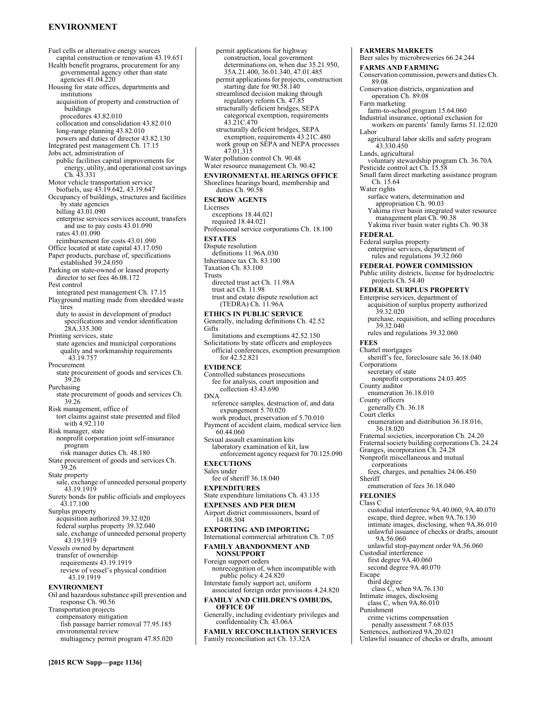## **ENVIRONMENT**

Fuel cells or alternative energy sources capital construction or renovation 43.19.651 Health benefit programs, procurement for any governmental agency other than state agencies 41.04.220 Housing for state offices, departments and institutions acquisition of property and construction of buildings procedures 43.82.010 collocation and consolidation 43.82.010 long-range planning 43.82.010 powers and duties of director 43.82.130 Integrated pest management Ch. 17.15 Jobs act, administration of public facilities capital improvements for energy, utility, and operational cost savings Ch. 43.331 Motor vehicle transportation service biofuels, use 43.19.642, 43.19.647 Occupancy of buildings, structures and facilities by state agencies billing 43.01.090 enterprise services services account, transfers and use to pay costs 43.01.090 rates 43.01.090 reimbursement for costs 43.01.090 Office located at state capital 43.17.050 Paper products, purchase of, specifications established 39.24.050 Parking on state-owned or leased property director to set fees 46.08.172 Pest control integrated pest management Ch. 17.15 Playground matting made from shredded waste tires duty to assist in development of product specifications and vendor identification 28A.335.300 Printing services, state state agencies and municipal corporations quality and workmanship requirements 43.19.757 Procurement state procurement of goods and services Ch. 39.26 Purchasing state procurement of goods and services Ch. 39.26 Risk management, office of tort claims against state presented and filed with 4.92.110 Risk manager, state nonprofit corporation joint self-insurance program risk manager duties Ch. 48.180 State procurement of goods and services Ch. 39.26 State property sale, exchange of unneeded personal property 43.19.1919 Surety bonds for public officials and employees 43.17.100 Surplus property acquisition authorized 39.32.020 federal surplus property 39.32.040 sale, exchange of unneeded personal property 43.19.1919 Vessels owned by department transfer of ownership requirements 43.19.1919 review of vessel's physical condition 43.19.1919 **ENVIRONMENT**  Oil and hazardous substance spill prevention and response Ch. 90.56 Transportation projects compensatory mitigation fish passage barrier removal 77.95.185

multiagency permit program 47.85.020

environmental review

permit applications for highway construction, local government determinations on, when due 35.21.950, 35A.21.400, 36.01.340, 47.01.485 permit applications for projects, construction starting date for 90.58.140 streamlined decision making through regulatory reform Ch. 47.85 structurally deficient bridges, SEPA categorical exemption, requirements 43.21C.470 structurally deficient bridges, SEPA exemption, requirements 43.21C.480 work group on SEPA and NEPA processes 47.01.315 Water pollution control Ch. 90.48 Water resource management Ch. 90.42 **ENVIRONMENTAL HEARINGS OFFICE**  Shorelines hearings board, membership and duties Ch. 90.58 **ESCROW AGENTS**  Licenses exceptions 18.44.021 required 18.44.021 Professional service corporations Ch. 18.100 **ESTATES**  Dispute resolution definitions 11.96A.030 Inheritance tax Ch. 83.100 Taxation Ch. 83.100 Trusts directed trust act Ch. 11.98A trust act Ch. 11.98 trust and estate dispute resolution act (TEDRA) Ch. 11.96A **ETHICS IN PUBLIC SERVICE**  Generally, including definitions Ch. 42.52 Gifts limitations and exemptions 42.52.150 Solicitations by state officers and employees official conferences, exemption presumption for 42.52.821 **EVIDENCE**  Controlled substances prosecutions fee for analysis, court imposition and collection 43.43.690 DNA reference samples, destruction of, and data expungement 5.70.020 work product, preservation of 5.70.010 Payment of accident claim, medical service lien 60.44.060 Sexual assault examination kits laboratory examination of kit, law enforcement agency request for 70.125.090 **EXECUTIONS**  Sales under fee of sheriff 36.18.040 **EXPENDITURES**  State expenditure limitations Ch. 43.135 **EXPENSES AND PER DIEM**  Airport district commissioners, board of 14.08.304 **EXPORTING AND IMPORTING**  International commercial arbitration Ch. 7.05 **FAMILY ABANDONMENT AND NONSUPPORT**  Foreign support orders nonrecognition of, when incompatible with public policy 4.24.820 Interstate family support act, uniform associated foreign order provisions 4.24.820 **FAMILY AND CHILDREN'S OMBUDS, OFFICE OF**  Generally, including evidentiary privileges and confidentiality Ch. 43.06A

**FAMILY RECONCILIATION SERVICES**  Family reconciliation act Ch. 13.32A

**FARMERS MARKETS**  Beer sales by microbreweries 66.24.244 **FARMS AND FARMING**  Conservation commission, powers and duties Ch. 89.08 Conservation districts, organization and operation Ch. 89.08 Farm marketing farm-to-school program 15.64.060 Industrial insurance, optional exclusion for workers on parents' family farms 51.12.020 Labor agricultural labor skills and safety program 43.330.450 Lands, agricultural voluntary stewardship program Ch. 36.70A Pesticide control act Ch. 15.58 Small farm direct marketing assistance program Ch. 15.64 Water rights surface waters, determination and appropriation Ch. 90.03 Yakima river basin integrated water resource management plan Ch. 90.38 Yakima river basin water rights Ch. 90.38 **FEDERAL**  Federal surplus property enterprise services, department of rules and regulations 39.32.060 **FEDERAL POWER COMMISSION**  Public utility districts, license for hydroelectric projects Ch. 54.40 **FEDERAL SURPLUS PROPERTY**  Enterprise services, department of acquisition of surplus property authorized 39.32.020 purchase, requisition, and selling procedures 39.32.040 rules and regulations 39.32.060 **FEES**  Chattel mortgages sheriff's fee, foreclosure sale 36.18.040 Corporations secretary of state nonprofit corporations 24.03.405 County auditor enumeration 36.18.010 County officers generally Ch. 36.18 Court clerks enumeration and distribution 36.18.016, 36.18.020 Fraternal societies, incorporation Ch. 24.20 Fraternal society building corporations Ch. 24.24 Granges, incorporation Ch. 24.28 Nonprofit miscellaneous and mutual corporations fees, charges, and penalties 24.06.450 Sheriff enumeration of fees 36.18.040 **FELONIES**  Class C custodial interference 9A.40.060, 9A.40.070 escape, third degree, when 9A.76.130 intimate images, disclosing, when 9A.86.010 unlawful issuance of checks or drafts, amount 9A.56.060 unlawful stop-payment order 9A.56.060 Custodial interference first degree 9A.40.060 second degree 9A.40.070 Escape third degree class C, when 9A.76.130 Intimate images, disclosing class C, when 9A.86.010 Punishment crime victims compensation penalty assessment 7.68.035 Sentences, authorized 9A.20.021 Unlawful issuance of checks or drafts, amount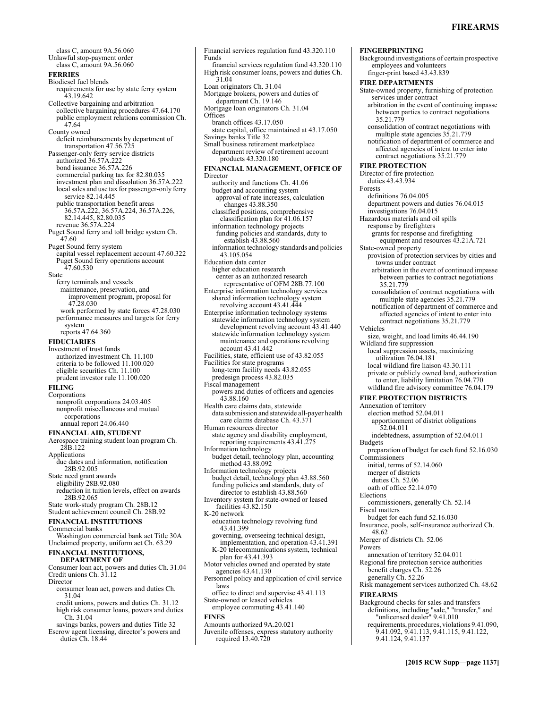class C, amount 9A.56.060 Unlawful stop-payment order class C, amount 9A.56.060 **FERRIES**  Biodiesel fuel blends requirements for use by state ferry system 43.19.642 Collective bargaining and arbitration collective bargaining procedures 47.64.170 public employment relations commission Ch. 47.64 County owned deficit reimbursements by department of transportation 47.56.725 Passenger-only ferry service districts authorized 36.57A.222 bond issuance 36.57A.226 commercial parking tax for 82.80.035 investment plan and dissolution 36.57A.222 local sales and use tax for passenger-only ferry service 82.14.445 public transportation benefit areas 36.57A.222, 36.57A.224, 36.57A.226, 82.14.445, 82.80.035 revenue 36.57A.224 Puget Sound ferry and toll bridge system Ch.  $47.60$ Puget Sound ferry system capital vessel replacement account 47.60.322 Puget Sound ferry operations account 47.60.530 State ferry terminals and vessels maintenance, preservation, and improvement program, proposal for 47.28.030 work performed by state forces 47.28.030 performance measures and targets for ferry system reports 47.64.360 **FIDUCIARIES**  Investment of trust funds authorized investment Ch. 11.100 criteria to be followed 11.100.020 eligible securities Ch. 11.100 prudent investor rule 11.100.020 **FILING**  Corporations nonprofit corporations 24.03.405 nonprofit miscellaneous and mutual corporations annual report 24.06.440 **FINANCIAL AID, STUDENT**  Aerospace training student loan program Ch. 28B.122 Applications due dates and information, notification 28B.92.005 State need grant awards eligibility 28B.92.080 reduction in tuition levels, effect on awards 28B.92.065 State work-study program Ch. 28B.12 Student achievement council Ch. 28B.92 **FINANCIAL INSTITUTIONS**  Commercial banks Washington commercial bank act Title 30A Unclaimed property, uniform act Ch. 63.29 **FINANCIAL INSTITUTIONS, DEPARTMENT OF**  Consumer loan act, powers and duties Ch. 31.04 Credit unions Ch. 31.12 Director consumer loan act, powers and duties Ch. 31.04

- credit unions, powers and duties Ch. 31.12 high risk consumer loans, powers and duties Ch. 31.04
- savings banks, powers and duties Title 32 Escrow agent licensing, director's powers and duties Ch. 18.44

Financial services regulation fund 43.320.110 Funds financial services regulation fund 43.320.110 High risk consumer loans, powers and duties Ch. 31.04 Loan originators Ch. 31.04 Mortgage brokers, powers and duties of department Ch. 19.146 Mortgage loan originators Ch. 31.04 **Offices** branch offices 43.17.050 state capital, office maintained at 43.17.050 Savings banks Title 32 Small business retirement marketplace department review of retirement account products 43.320.180 **FINANCIAL MANAGEMENT, OFFICE OF**  Director authority and functions Ch. 41.06 budget and accounting system approval of rate increases, calculation changes 43.88.350 classified positions, comprehensive classification plan for 41.06.157 information technology projects funding policies and standards, duty to establish 43.88.560 information technology standards and policies 43.105.054 Education data center higher education research center as an authorized research representative of OFM 28B.77.100 Enterprise information technology services shared information technology system revolving account 43.41.444 Enterprise information technology systems statewide information technology system development revolving account 43.41.440 statewide information technology system maintenance and operations revolving account 43.41.442 Facilities, state, efficient use of 43.82.055 Facilities for state programs long-term facility needs 43.82.055 predesign process 43.82.035 Fiscal management powers and duties of officers and agencies 43.88.160 Health care claims data, statewide data submission and statewide all-payer health care claims database Ch. 43.371 Human resources director state agency and disability employment, reporting requirements 43.41.275 Information technology budget detail, technology plan, accounting method 43.88.092 Information technology projects budget detail, technology plan 43.88.560 funding policies and standards, duty of director to establish 43.88.560 Inventory system for state-owned or leased facilities 43.82.150 K-20 network education technology revolving fund 43.41.399 governing, overseeing technical design, implementation, and operation 43.41.391 K-20 telecommunications system, technical plan for 43.41.393 Motor vehicles owned and operated by state agencies 43.41.130 Personnel policy and application of civil service laws office to direct and supervise 43.41.113 State-owned or leased vehicles employee commuting 43.41.140 **FINES**  Amounts authorized 9A.20.021 Juvenile offenses, express statutory authority required 13.40.720

**FINGERPRINTING**  Background investigations of certain prospective employees and volunteers finger-print based 43.43.839 **FIRE DEPARTMENTS**  State-owned property, furnishing of protection services under contract arbitration in the event of continuing impasse between parties to contract negotiations 35.21.779 consolidation of contract negotiations with multiple state agencies 35.21.779 notification of department of commerce and affected agencies of intent to enter into contract negotiations 35.21.779 **FIRE PROTECTION**  Director of fire protection duties 43.43.934 Forests definitions 76.04.005 department powers and duties 76.04.015 investigations 76.04.015 Hazardous materials and oil spills response by firefighters grants for response and firefighting equipment and resources 43.21A.721 State-owned property provision of protection services by cities and towns under contract arbitration in the event of continued impasse between parties to contract negotiations 35.21.779 consolidation of contract negotiations with multiple state agencies 35.21.779 notification of department of commerce and affected agencies of intent to enter into contract negotiations 35.21.779 Vehicles size, weight, and load limits 46.44.190 Wildland fire suppression local suppression assets, maximizing utilization 76.04.181 local wildland fire liaison 43.30.111 private or publicly owned land, authorization to enter, liability limitation 76.04.770 wildland fire advisory committee 76.04.179 **FIRE PROTECTION DISTRICTS**  Annexation of territory election method 52.04.011 apportionment of district obligations 52.04.011 indebtedness, assumption of 52.04.011 Budgets preparation of budget for each fund 52.16.030 Commissioners initial, terms of 52.14.060 merger of districts duties Ch. 52.06 oath of office 52.14.070 Elections commissioners, generally Ch. 52.14 Fiscal matters budget for each fund 52.16.030 Insurance, pools, self-insurance authorized Ch. 48.62 Merger of districts Ch. 52.06 Powers annexation of territory 52.04.011 Regional fire protection service authorities benefit charges Ch. 52.26 generally Ch. 52.26 Risk management services authorized Ch. 48.62 **FIREARMS**  Background checks for sales and transfers definitions, including "sale," "transfer," and "unlicensed dealer" 9.41.010 requirements, procedures, violations 9.41.090, 9.41.092, 9.41.113, 9.41.115, 9.41.122, 9.41.124, 9.41.137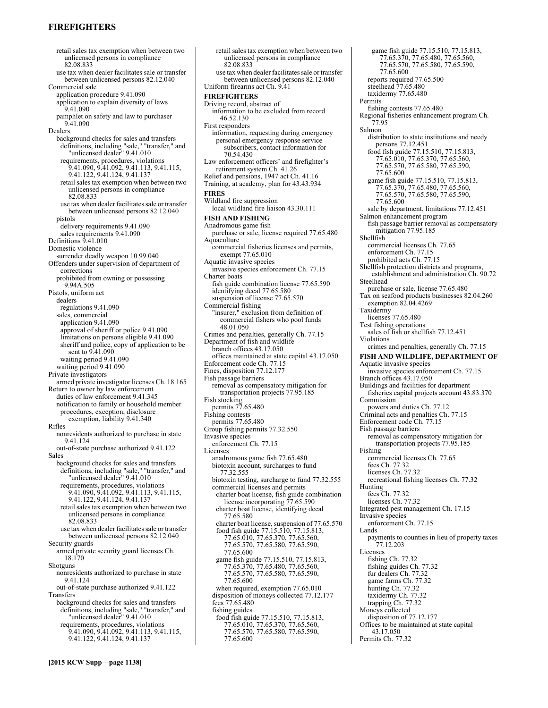## **FIREFIGHTERS**

retail sales tax exemption when between two unlicensed persons in compliance 82.08.833 use tax when dealer facilitates sale or transfer between unlicensed persons 82.12.040 Commercial sale application procedure 9.41.090 application to explain diversity of laws 9.41.090 pamphlet on safety and law to purchaser 9.41.090 Dealers background checks for sales and transfers definitions, including "sale," "transfer," and "unlicensed dealer" 9.41.010 requirements, procedures, violations 9.41.090, 9.41.092, 9.41.113, 9.41.115, 9.41.122, 9.41.124, 9.41.137 retail sales tax exemption when between two unlicensed persons in compliance 82.08.833 use tax when dealer facilitates sale or transfer between unlicensed persons 82.12.040 pistols delivery requirements 9.41.090 sales requirements 9.41.090 Definitions 9.41.010 Domestic violence surrender deadly weapon 10.99.040 Offenders under supervision of department of corrections prohibited from owning or possessing 9.94A.505 Pistols, uniform act dealers regulations 9.41.090 sales, commercial application 9.41.090 approval of sheriff or police 9.41.090 limitations on persons eligible 9.41.090 sheriff and police, copy of application to be sent to 9.41.090 waiting period 9.41.090 waiting period 9.41.090 Private investigators armed private investigator licenses Ch. 18.165 Return to owner by law enforcement duties of law enforcement 9.41.345 notification to family or household member procedures, exception, disclosure exemption, liability 9.41.340 Rifles nonresidents authorized to purchase in state 9.41.124 out-of-state purchase authorized 9.41.122 Sales background checks for sales and transfers definitions, including "sale," "transfer," and "unlicensed dealer" 9.41.010 requirements, procedures, violations 9.41.090, 9.41.092, 9.41.113, 9.41.115, 9.41.122, 9.41.124, 9.41.137 retail sales tax exemption when between two unlicensed persons in compliance 82.08.833 use tax when dealer facilitates sale or transfer between unlicensed persons 82.12.040 Security guards armed private security guard licenses Ch. 18.170 Shotguns nonresidents authorized to purchase in state 9.41.124 out-of-state purchase authorized 9.41.122 Transfers background checks for sales and transfers definitions, including "sale," "transfer," and "unlicensed dealer" 9.41.010 requirements, procedures, violations 9.41.090, 9.41.092, 9.41.113, 9.41.115, 9.41.122, 9.41.124, 9.41.137

retail sales tax exemption when between two unlicensed persons in compliance 82.08.833 use tax when dealer facilitates sale or transfer between unlicensed persons 82.12.040 Uniform firearms act Ch. 9.41 **FIREFIGHTERS**  Driving record, abstract of information to be excluded from record 46.52.130 First responders information, requesting during emergency personal emergency response service subscribers, contact information for 70.54.430 Law enforcement officers' and firefighter's retirement system Ch. 41.26 Relief and pensions, 1947 act Ch. 41.16 Training, at academy, plan for 43.43.934 **FIRES**  Wildland fire suppression local wildland fire liaison 43.30.111 **FISH AND FISHING**  Anadromous game fish purchase or sale, license required 77.65.480 Aquaculture commercial fisheries licenses and permits, exempt 77.65.010 Aquatic invasive species invasive species enforcement Ch. 77.15 Charter boats fish guide combination license 77.65.590 identifying decal 77.65.580 suspension of license 77.65.570 Commercial fishing "insurer," exclusion from definition of commercial fishers who pool funds 48.01.050 Crimes and penalties, generally Ch. 77.15 Department of fish and wildlife branch offices 43.17.050 offices maintained at state capital 43.17.050 Enforcement code Ch. 77.15 Fines, disposition 77.12.177 Fish passage barriers removal as compensatory mitigation for transportation projects 77.95.185 Fish stocking permits 77.65.480 Fishing contests permits 77.65.480 Group fishing permits 77.32.550 Invasive species enforcement Ch. 77.15 Licenses anadromous game fish 77.65.480 biotoxin account, surcharges to fund 77.32.555 biotoxin testing, surcharge to fund 77.32.555 commercial licenses and permits charter boat license, fish guide combination license incorporating 77.65.590 charter boat license, identifying decal 77.65.580 charter boat license, suspension of 77.65.570 food fish guide 77.15.510, 77.15.813, 77.65.010, 77.65.370, 77.65.560, 77.65.570, 77.65.580, 77.65.590, 77.65.600 game fish guide 77.15.510, 77.15.813, 77.65.370, 77.65.480, 77.65.560, 77.65.570, 77.65.580, 77.65.590, 77.65.600 when required, exemption 77.65.010 disposition of moneys collected 77.12.177 fees 77.65.480 fishing guides food fish guide 77.15.510, 77.15.813, 77.65.010, 77.65.370, 77.65.560, 77.65.570, 77.65.580, 77.65.590, 77.65.600

game fish guide 77.15.510, 77.15.813, 77.65.370, 77.65.480, 77.65.560, 77.65.570, 77.65.580, 77.65.590, 77.65.600 reports required 77.65.500 steelhead 77.65.480 taxidermy 77.65.480 Permits fishing contests 77.65.480 Regional fisheries enhancement program Ch. 77.95 Salmon distribution to state institutions and needy persons 77.12.451 food fish guide 77.15.510, 77.15.813, 77.65.010, 77.65.370, 77.65.560, 77.65.570, 77.65.580, 77.65.590, 77.65.600 game fish guide 77.15.510, 77.15.813, 77.65.370, 77.65.480, 77.65.560, 77.65.570, 77.65.580, 77.65.590, 77.65.600 sale by department, limitations 77.12.451 Salmon enhancement program fish passage barrier removal as compensatory mitigation 77.95.185 Shellfish commercial licenses Ch. 77.65 enforcement Ch. 77.15 prohibited acts Ch. 77.15 Shellfish protection districts and programs, establishment and administration Ch. 90.72 Steelhead purchase or sale, license 77.65.480 Tax on seafood products businesses 82.04.260 exemption 82.04.4269 Taxidermy licenses 77.65.480 Test fishing operations sales of fish or shellfish 77.12.451 Violations crimes and penalties, generally Ch. 77.15 **FISH AND WILDLIFE, DEPARTMENT OF**  Aquatic invasive species invasive species enforcement Ch. 77.15 Branch offices 43.17.050 Buildings and facilities for department fisheries capital projects account 43.83.370 Commission powers and duties Ch. 77.12 Criminal acts and penalties Ch. 77.15 Enforcement code Ch. 77.15 Fish passage barriers removal as compensatory mitigation for transportation projects 77.95.185 Fishing commercial licenses Ch. 77.65 fees Ch. 77.32 licenses Ch. 77.32 recreational fishing licenses Ch. 77.32 Hunting fees Ch. 77.32 licenses Ch. 77.32 Integrated pest management Ch. 17.15 Invasive species enforcement Ch. 77.15 Lands payments to counties in lieu of property taxes 77.12.203 Licenses fishing Ch. 77.32 fishing guides Ch. 77.32 fur dealers Ch. 77.32 game farms Ch. 77.32 hunting Ch. 77.32 taxidermy Ch. 77.32 trapping Ch. 77.32 Moneys collected disposition of 77.12.177 Offices to be maintained at state capital 43.17.050

Permits Ch. 77.32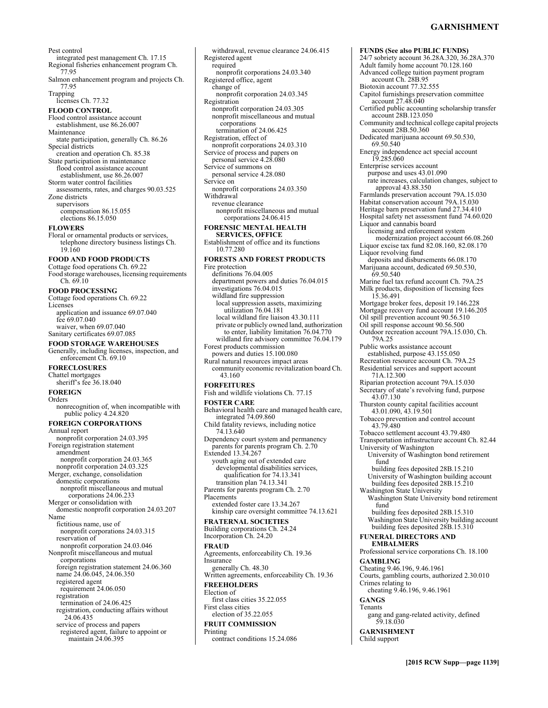#### **GARNISHMENT**

Pest control integrated pest management Ch. 17.15 Regional fisheries enhancement program Ch. 77.95 Salmon enhancement program and projects Ch. 77.95 Trapping licenses Ch. 77.32 **FLOOD CONTROL**  Flood control assistance account establishment, use 86.26.007 Maintenance state participation, generally Ch. 86.26 Special districts creation and operation Ch. 85.38 State participation in maintenance flood control assistance account establishment, use 86.26.007 Storm water control facilities assessments, rates, and charges 90.03.525 Zone districts supervisors compensation 86.15.055 elections 86.15.050 **FLOWERS**  Floral or ornamental products or services, telephone directory business listings Ch. 19.160 **FOOD AND FOOD PRODUCTS**  Cottage food operations Ch. 69.22 Food storage warehouses, licensing requirements Ch. 69.10 **FOOD PROCESSING**  Cottage food operations Ch. 69.22 Licenses application and issuance 69.07.040 fee 69.07.040 waiver, when 69.07.040 Sanitary certificates 69.07.085 **FOOD STORAGE WAREHOUSES**  Generally, including licenses, inspection, and enforcement Ch. 69.10 **FORECLOSURES**  Chattel mortgages sheriff's fee 36.18.040 **FOREIGN**  Orders nonrecognition of, when incompatible with public policy 4.24.820 **FOREIGN CORPORATIONS**  Annual report nonprofit corporation 24.03.395 Foreign registration statement amendment nonprofit corporation 24.03.365 nonprofit corporation 24.03.325 Merger, exchange, consolidation domestic corporations nonprofit miscellaneous and mutual corporations 24.06.233 Merger or consolidation with domestic nonprofit corporation 24.03.207 Name fictitious name, use of nonprofit corporations 24.03.315 reservation of nonprofit corporation 24.03.046 Nonprofit miscellaneous and mutual corporations foreign registration statement 24.06.360 name 24.06.045, 24.06.350 registered agent requirement 24.06.050 registration termination of 24.06.425 registration, conducting affairs without 24.06.435 service of process and papers registered agent, failure to appoint or maintain 24.06.395

withdrawal, revenue clearance 24.06.415 Registered agent required nonprofit corporations 24.03.340 Registered office, agent change of nonprofit corporation 24.03.345 Registration nonprofit corporation 24.03.305 nonprofit miscellaneous and mutual corporations termination of 24.06.425 Registration, effect of nonprofit corporations 24.03.310 Service of process and papers on personal service 4.28.080 Service of summons on personal service 4.28.080 Service on nonprofit corporations 24.03.350 Withdrawal revenue clearance nonprofit miscellaneous and mutual corporations 24.06.415 **FORENSIC MENTAL HEALTH SERVICES, OFFICE**  Establishment of office and its functions 10.77.280 **FORESTS AND FOREST PRODUCTS**  Fire protection definitions 76.04.005 department powers and duties 76.04.015 investigations 76.04.015 wildland fire suppression local suppression assets, maximizing utilization 76.04.181 local wildland fire liaison 43.30.111 private or publicly owned land, authorization to enter, liability limitation 76.04.770 wildland fire advisory committee 76.04.179 Forest products commission powers and duties 15.100.080 Rural natural resources impact areas community economic revitalization board Ch. 43.160 **FORFEITURES**  Fish and wildlife violations Ch. 77.15 **FOSTER CARE**  Behavioral health care and managed health care, integrated 74.09.860 Child fatality reviews, including notice 74.13.640 Dependency court system and permanency parents for parents program Ch. 2.70 Extended 13.34.267 youth aging out of extended care developmental disabilities services, qualification for 74.13.341 transition plan 74.13.341 Parents for parents program Ch. 2.70 Placements extended foster care 13.34.267 kinship care oversight committee 74.13.621 **FRATERNAL SOCIETIES**  Building corporations Ch. 24.24 Incorporation Ch. 24.20 **FRAUD**  Agreements, enforceability Ch. 19.36 **Insurance** generally Ch. 48.30 Written agreements, enforceability Ch. 19.36 **FREEHOLDERS**  Election of first class cities 35.22.055 First class cities election of 35.22.055 **FRUIT COMMISSION**  Printing contract conditions 15.24.086

**FUNDS (See also PUBLIC FUNDS)** 24/7 sobriety account 36.28A.320, 36.28A.370 Adult family home account 70.128.160 Advanced college tuition payment program account Ch. 28B.95 Biotoxin account 77.32.555 Capitol furnishings preservation committee account 27.48.040 Certified public accounting scholarship transfer account 28B.123.050 Community and technical college capital projects account 28B.50.360 Dedicated marijuana account 69.50.530, 69.50.540 Energy independence act special account 19.285.060 Enterprise services account purpose and uses 43.01.090 rate increases, calculation changes, subject to approval 43.88.350 Farmlands preservation account 79A.15.030 Habitat conservation account 79A.15.030 Heritage barn preservation fund 27.34.410 Hospital safety net assessment fund 74.60.020 Liquor and cannabis board licensing and enforcement system modernization project account 66.08.260 Liquor excise tax fund 82.08.160, 82.08.170 Liquor revolving fund deposits and disbursements 66.08.170 Marijuana account, dedicated 69.50.530, 69.50.540 Marine fuel tax refund account Ch. 79A.25 Milk products, disposition of licensing fees 15.36.491 Mortgage broker fees, deposit 19.146.228 Mortgage recovery fund account 19.146.205 Oil spill prevention account 90.56.510 Oil spill response account 90.56.500 Outdoor recreation account 79A.15.030, Ch. 79A.25 Public works assistance account established, purpose 43.155.050 Recreation resource account Ch. 79A.25 Residential services and support account 71A.12.300 Riparian protection account 79A.15.030 Secretary of state's revolving fund, purpose 43.07.130 Thurston county capital facilities account 43.01.090, 43.19.501 Tobacco prevention and control account 43.79.480 Tobacco settlement account 43.79.480 Transportation infrastructure account Ch. 82.44 University of Washington University of Washington bond retirement fund building fees deposited 28B.15.210 University of Washington building account building fees deposited 28B.15.210 Washington State University Washington State University bond retirement fund building fees deposited 28B.15.310 Washington State University building account building fees deposited 28B.15.310 **FUNERAL DIRECTORS AND EMBALMERS**  Professional service corporations Ch. 18.100 **GAMBLING**  Cheating 9.46.196, 9.46.1961 Courts, gambling courts, authorized 2.30.010 Crimes relating to cheating 9.46.196, 9.46.1961 **GANGS Tenants** gang and gang-related activity, defined 59.18.030 **GARNISHMENT**  Child support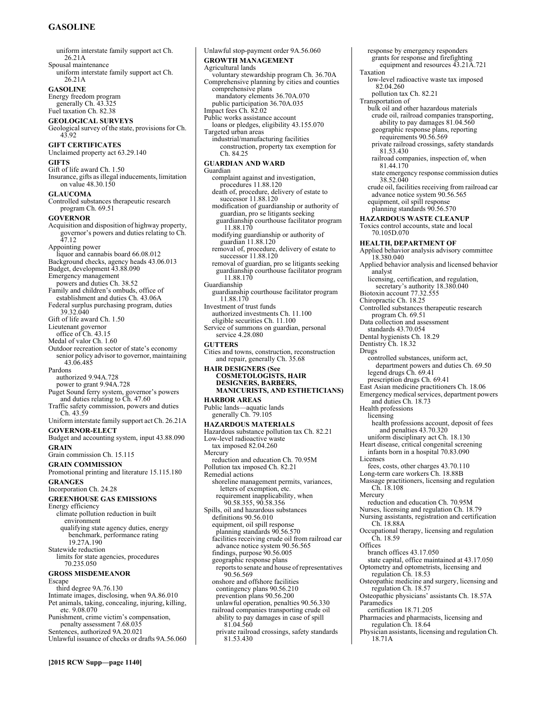## **GASOLINE**

**[2015 RCW Supp—page 1140]** uniform interstate family support act Ch. 26.21A Spousal maintenance uniform interstate family support act Ch. 26.21A **GASOLINE**  Energy freedom program generally Ch. 43.325 Fuel taxation Ch. 82.38 **GEOLOGICAL SURVEYS**  Geological survey of the state, provisions for Ch. 43.92 **GIFT CERTIFICATES**  Unclaimed property act 63.29.140 **GIFTS**  Gift of life award Ch. 1.50 Insurance, gifts as illegal inducements, limitation on value 48.30.150 **GLAUCOMA**  Controlled substances therapeutic research program Ch. 69.51 **GOVERNOR**  Acquisition and disposition of highway property, governor's powers and duties relating to Ch. 47.12 Appointing power liquor and cannabis board 66.08.012 Background checks, agency heads 43.06.013 Budget, development 43.88.090 Emergency management powers and duties Ch. 38.52 Family and children's ombuds, office of establishment and duties Ch. 43.06A Federal surplus purchasing program, duties 39.32.040 Gift of life award Ch. 1.50 Lieutenant governor office of Ch. 43.15 Medal of valor Ch. 1.60 Outdoor recreation sector of state's economy senior policy advisor to governor, maintaining 43.06.485 Pardons authorized 9.94A.728 power to grant 9.94A.728 Puget Sound ferry system, governor's powers and duties relating to Ch. 47.60 Traffic safety commission, powers and duties Ch. 43.59 Uniform interstate family support act Ch. 26.21A **GOVERNOR-ELECT**  Budget and accounting system, input 43.88.090 **GRAIN**  Grain commission Ch. 15.115 **GRAIN COMMISSION**  Promotional printing and literature 15.115.180 **GRANGES**  Incorporation Ch. 24.28 **GREENHOUSE GAS EMISSIONS**  Energy efficiency climate pollution reduction in built environment qualifying state agency duties, energy benchmark, performance rating 19.27A.190 Statewide reduction limits for state agencies, procedures 70.235.050 **GROSS MISDEMEANOR**  Escape third degree 9A.76.130 Intimate images, disclosing, when 9A.86.010 Pet animals, taking, concealing, injuring, killing, etc. 9.08.070 Punishment, crime victim's compensation, penalty assessment 7.68.035 Sentences, authorized 9A.20.021 Unlawful issuance of checks or drafts 9A.56.060

Unlawful stop-payment order 9A.56.060 **GROWTH MANAGEMENT**  Agricultural lands voluntary stewardship program Ch. 36.70A Comprehensive planning by cities and counties comprehensive plans mandatory elements 36.70A.070 public participation 36.70A.035 Impact fees Ch. 82.02 Public works assistance account loans or pledges, eligibility 43.155.070 Targeted urban areas industrial/manufacturing facilities construction, property tax exemption for Ch. 84.25 **GUARDIAN AND WARD**  Guardian complaint against and investigation, procedures 11.88.120 death of, procedure, delivery of estate to successor 11.88.120 modification of guardianship or authority of guardian, pro se litigants seeking guardianship courthouse facilitator program 11.88.170 modifying guardianship or authority of guardian 11.88.120 removal of, procedure, delivery of estate to successor 11.88.120 removal of guardian, pro se litigants seeking guardianship courthouse facilitator program 11.88.170 Guardianship guardianship courthouse facilitator program 11.88.170 Investment of trust funds authorized investments Ch. 11.100 eligible securities Ch. 11.100 Service of summons on guardian, personal service 4.28.080 **GUTTERS**  Cities and towns, construction, reconstruction and repair, generally Ch. 35.68 **HAIR DESIGNERS (See COSMETOLOGISTS, HAIR DESIGNERS, BARBERS, MANICURISTS, AND ESTHETICIANS) HARBOR AREAS**  Public lands—aquatic lands generally Ch. 79.105 **HAZARDOUS MATERIALS**  Hazardous substance pollution tax Ch. 82.21 Low-level radioactive waste tax imposed 82.04.260 Mercury reduction and education Ch. 70.95M Pollution tax imposed Ch. 82.21 Remedial actions shoreline management permits, variances, letters of exemption, etc. requirement inapplicability, when 90.58.355, 90.58.356 Spills, oil and hazardous substances definitions 90.56.010 equipment, oil spill response planning standards 90.56.570 facilities receiving crude oil from railroad car advance notice system 90.56.565 findings, purpose 90.56.005 geographic response plans reports to senate and house of representatives 90.56.569 onshore and offshore facilities contingency plans 90.56.210 prevention plans 90.56.200 unlawful operation, penalties 90.56.330 railroad companies transporting crude oil ability to pay damages in case of spill 81.04.560 private railroad crossings, safety standards 81.53.430

response by emergency responders grants for response and firefighting equipment and resources 43.21A.721 Taxation low-level radioactive waste tax imposed 82.04.260 pollution tax Ch. 82.21 Transportation of bulk oil and other hazardous materials crude oil, railroad companies transporting, ability to pay damages 81.04.560 geographic response plans, reporting requirements 90.56.569 private railroad crossings, safety standards 81.53.430 railroad companies, inspection of, when 81.44.170 state emergency response commission duties 38.52.040 crude oil, facilities receiving from railroad car advance notice system 90.56.565 equipment, oil spill response planning standards 90.56.570 **HAZARDOUS WASTE CLEANUP**  Toxics control accounts, state and local 70.105D.070 **HEALTH, DEPARTMENT OF**  Applied behavior analysis advisory committee 18.380.040 Applied behavior analysis and licensed behavior analyst licensing, certification, and regulation, secretary's authority 18.380.040 Biotoxin account 77.32.555 Chiropractic Ch. 18.25 Controlled substances therapeutic research program Ch. 69.51 Data collection and assessment standards 43.70.054 Dental hygienists Ch. 18.29 Dentistry Ch. 18.32 Drugs controlled substances, uniform act, department powers and duties Ch. 69.50 legend drugs Ch. 69.41 prescription drugs Ch. 69.41 East Asian medicine practitioners Ch. 18.06 Emergency medical services, department powers and duties Ch. 18.73 Health professions licensing health professions account, deposit of fees and penalties 43.70.320 uniform disciplinary act Ch. 18.130 Heart disease, critical congenital screening infants born in a hospital 70.83.090 Licenses fees, costs, other charges 43.70.110 Long-term care workers Ch. 18.88B Massage practitioners, licensing and regulation Ch. 18.108 **Mercury** reduction and education Ch. 70.95M Nurses, licensing and regulation Ch. 18.79 Nursing assistants, registration and certification Ch. 18.88A Occupational therapy, licensing and regulation Ch. 18.59 **Offices** branch offices 43.17.050 state capital, office maintained at 43.17.050 Optometry and optometrists, licensing and regulation Ch. 18.53 Osteopathic medicine and surgery, licensing and regulation Ch. 18.57 Osteopathic physicians' assistants Ch. 18.57A **Paramedics** certification 18.71.205 Pharmacies and pharmacists, licensing and regulation Ch. 18.64 Physician assistants, licensing and regulation Ch.

18.71A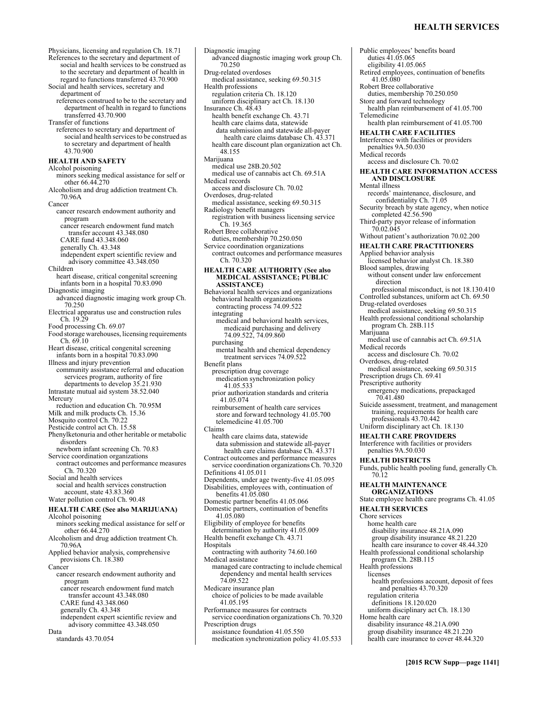#### **HEALTH SERVICES**

Physicians, licensing and regulation Ch. 18.71 References to the secretary and department of social and health services to be construed as to the secretary and department of health in regard to functions transferred 43.70.900 Social and health services, secretary and department of references construed to be to the secretary and department of health in regard to functions transferred 43.70.900 Transfer of functions references to secretary and department of social and health services to be construed as to secretary and department of health 43.70.900 **HEALTH AND SAFETY**  Alcohol poisoning minors seeking medical assistance for self or other 66.44.270 Alcoholism and drug addiction treatment Ch. 70.96A Cancer cancer research endowment authority and program cancer research endowment fund match transfer account 43.348.080 CARE fund 43.348.060 generally Ch. 43.348 independent expert scientific review and advisory committee 43.348.050 Children heart disease, critical congenital screening infants born in a hospital 70.83.090 Diagnostic imaging advanced diagnostic imaging work group Ch. 70.250 Electrical apparatus use and construction rules Ch. 19.29 Food processing Ch. 69.07 Food storage warehouses, licensing requirements Ch. 69.10 Heart disease, critical congenital screening infants born in a hospital 70.83.090 Illness and injury prevention community assistance referral and education services program, authority of fire departments to develop 35.21.930 Intrastate mutual aid system 38.52.040 Mercury reduction and education Ch. 70.95M Milk and milk products Ch. 15.36 Mosquito control Ch. 70.22 Pesticide control act Ch. 15.58 Phenylketonuria and other heritable or metabolic disorders newborn infant screening Ch. 70.83 Service coordination organizations contract outcomes and performance measures Ch. 70.320 Social and health services social and health services construction account, state 43.83.360 Water pollution control Ch. 90.48 **HEALTH CARE (See also MARIJUANA)** Alcohol poisoning minors seeking medical assistance for self or other 66.44.270 Alcoholism and drug addiction treatment Ch. 70.96A Applied behavior analysis, comprehensive provisions Ch. 18.380 **Cancer** cancer research endowment authority and program cancer research endowment fund match transfer account 43.348.080 CARE fund 43.348.060 generally Ch. 43.348 independent expert scientific review and advisory committee 43.348.050 Data

standards 43.70.054

Diagnostic imaging advanced diagnostic imaging work group Ch. 70.250 Drug-related overdoses medical assistance, seeking 69.50.315 Health professions regulation criteria Ch. 18.120 uniform disciplinary act Ch. 18.130 Insurance Ch. 48.43 health benefit exchange Ch. 43.71 health care claims data, statewide data submission and statewide all-payer health care claims database Ch. 43.371 health care discount plan organization act Ch. 48.155 Marijuana medical use 28B.20.502 medical use of cannabis act Ch. 69.51A Medical records access and disclosure Ch. 70.02 Overdoses, drug-related medical assistance, seeking 69.50.315 Radiology benefit managers registration with business licensing service Ch. 19.365 Robert Bree collaborative duties, membership 70.250.050 Service coordination organizations contract outcomes and performance measures Ch. 70.320 **HEALTH CARE AUTHORITY (See also MEDICAL ASSISTANCE; PUBLIC ASSISTANCE)** Behavioral health services and organizations behavioral health organizations contracting process 74.09.522 integrating medical and behavioral health services, medicaid purchasing and delivery 74.09.522, 74.09.860 purchasing mental health and chemical dependency treatment services 74.09.522 Benefit plans prescription drug coverage medication synchronization policy 41.05.533 prior authorization standards and criteria 41.05.074 reimbursement of health care services store and forward technology 41.05.700 telemedicine 41.05.700 Claims health care claims data, statewide data submission and statewide all-payer health care claims database Ch. 43.371 Contract outcomes and performance measures service coordination organizations Ch. 70.320 Definitions 41.05.011 Dependents, under age twenty-five 41.05.095 Disabilities, employees with, continuation of benefits 41.05.080 Domestic partner benefits 41.05.066 Domestic partners, continuation of benefits 41.05.080 Eligibility of employee for benefits determination by authority 41.05.009 Health benefit exchange Ch. 43.71 **Hospitals** contracting with authority 74.60.160 Medical assistance managed care contracting to include chemical dependency and mental health services 74.09.522 Medicare insurance plan choice of policies to be made available 41.05.195 Performance measures for contracts service coordination organizations Ch. 70.320 Prescription drugs assistance foundation 41.05.550 medication synchronization policy 41.05.533

Public employees' benefits board duties 41.05.065 eligibility 41.05.065 Retired employees, continuation of benefits 41.05.080 Robert Bree collaborative duties, membership 70.250.050 Store and forward technology health plan reimbursement of 41.05.700 Telemedicine health plan reimbursement of 41.05.700 **HEALTH CARE FACILITIES**  Interference with facilities or providers penalties 9A.50.030 Medical records access and disclosure Ch. 70.02 **HEALTH CARE INFORMATION ACCESS AND DISCLOSURE**  Mental illness records' maintenance, disclosure, and confidentiality Ch. 71.05 Security breach by state agency, when notice completed 42.56.590 Third-party payor release of information 70.02.045 Without patient's authorization 70.02.200 **HEALTH CARE PRACTITIONERS**  Applied behavior analysis licensed behavior analyst Ch. 18.380 Blood samples, drawing without consent under law enforcement direction professional misconduct, is not 18.130.410 Controlled substances, uniform act Ch. 69.50 Drug-related overdoses medical assistance, seeking 69.50.315 Health professional conditional scholarship program Ch. 28B.115 Marijuana medical use of cannabis act Ch. 69.51A Medical records access and disclosure Ch. 70.02 Overdoses, drug-related medical assistance, seeking 69.50.315 Prescription drugs Ch. 69.41 Prescriptive authority emergency medications, prepackaged 70.41.480 Suicide assessment, treatment, and management training, requirements for health care professionals 43.70.442 Uniform disciplinary act Ch. 18.130 **HEALTH CARE PROVIDERS**  Interference with facilities or providers penalties 9A.50.030 **HEALTH DISTRICTS**  Funds, public health pooling fund, generally Ch. 70.12 **HEALTH MAINTENANCE ORGANIZATIONS**  State employee health care programs Ch. 41.05 **HEALTH SERVICES**  Chore services home health care disability insurance 48.21A.090 group disability insurance 48.21.220 health care insurance to cover 48.44.320 Health professional conditional scholarship program Ch. 28B.115 Health professions licenses health professions account, deposit of fees and penalties 43.70.320 regulation criteria definitions 18.120.020 uniform disciplinary act Ch. 18.130 Home health care disability insurance 48.21A.090 group disability insurance 48.21.220 health care insurance to cover 48.44.320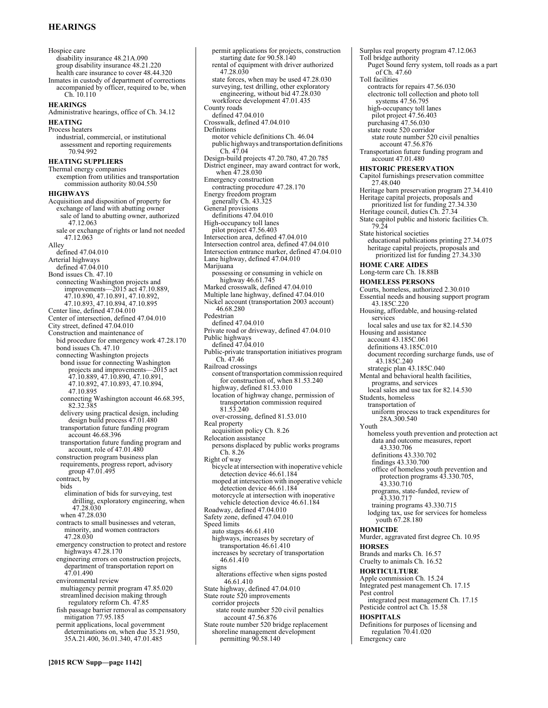#### **HEARINGS**

Hospice care disability insurance 48.21A.090 group disability insurance 48.21.220 health care insurance to cover 48.44.320 Inmates in custody of department of corrections accompanied by officer, required to be, when Ch. 10.110 **HEARINGS**  Administrative hearings, office of Ch. 34.12 **HEATING**  Process heaters industrial, commercial, or institutional assessment and reporting requirements 70.94.992 **HEATING SUPPLIERS**  Thermal energy companies exemption from utilities and transportation commission authority 80.04.550 **HIGHWAYS**  Acquisition and disposition of property for exchange of land with abutting owner sale of land to abutting owner, authorized 47.12.063 sale or exchange of rights or land not needed 47.12.063 Alley defined 47.04.010 Arterial highways defined 47.04.010 Bond issues Ch. 47.10 connecting Washington projects and improvements—2015 act 47.10.889, 47.10.890, 47.10.891, 47.10.892, 47.10.893, 47.10.894, 47.10.895 Center line, defined 47.04.010 Center of intersection, defined 47.04.010 City street, defined 47.04.010 Construction and maintenance of bid procedure for emergency work 47.28.170 bond issues Ch. 47.10 connecting Washington projects bond issue for connecting Washington projects and improvements—2015 act 47.10.889, 47.10.890, 47.10.891, 47.10.892, 47.10.893, 47.10.894, 47.10.895 connecting Washington account 46.68.395, 82.32.385 delivery using practical design, including design build process 47.01.480 transportation future funding program account 46.68.396 transportation future funding program and account, role of 47.01.480 construction program business plan requirements, progress report, advisory group 47.01.495 contract, by bids elimination of bids for surveying, test drilling, exploratory engineering, when 47.28.030 when 47.28.030 contracts to small businesses and veteran, minority, and women contractors 47.28.030 emergency construction to protect and restore highways 47.28.170 engineering errors on construction projects, department of transportation report on 47.01.490 environmental review multiagency permit program 47.85.020 streamlined decision making through regulatory reform Ch. 47.85 fish passage barrier removal as compensatory mitigation 77.95.185 permit applications, local government determinations on, when due 35.21.950, 35A.21.400, 36.01.340, 47.01.485

permit applications for projects, construction starting date for 90.58.140 rental of equipment with driver authorized 47.28.030 state forces, when may be used 47.28.030 surveying, test drilling, other exploratory engineering, without bid 47.28.030 workforce development 47.01.435 County roads defined 47.04.010 Crosswalk, defined 47.04.010 Definitions motor vehicle definitions Ch. 46.04 public highways and transportation definitions Ch. 47.04 Design-build projects 47.20.780, 47.20.785 District engineer, may award contract for work, when 47.28.030 Emergency construction contracting procedure 47.28.170 Energy freedom program generally Ch. 43.325 General provisions definitions 47.04.010 High-occupancy toll lanes pilot project 47.56.403 Intersection area, defined 47.04.010 Intersection control area, defined 47.04.010 Intersection entrance marker, defined 47.04.010 Lane highway, defined 47.04.010 Marijuana possessing or consuming in vehicle on highway 46.61.745 Marked crosswalk, defined 47.04.010 Multiple lane highway, defined 47.04.010 Nickel account (transportation 2003 account) 46.68.280 Pedestrian defined 47.04.010 Private road or driveway, defined 47.04.010 Public highways defined 47.04.010 Public-private transportation initiatives program Ch. 47.46 Railroad crossings consent of transportation commission required for construction of, when 81.53.240 highway, defined 81.53.010 location of highway change, permission of transportation commission required 81.53.240 over-crossing, defined 81.53.010 Real property acquisition policy Ch. 8.26 Relocation assistance persons displaced by public works programs Ch. 8.26 Right of way bicycle at intersection with inoperative vehicle detection device 46.61.184 moped at intersection with inoperative vehicle detection device 46.61.184 motorcycle at intersection with inoperative vehicle detection device 46.61.184 Roadway, defined 47.04.010 Safety zone, defined 47.04.010 Speed limits auto stages 46.61.410 highways, increases by secretary of transportation 46.61.410 increases by secretary of transportation 46.61.410 signs alterations effective when signs posted 46.61.410 State highway, defined 47.04.010 State route 520 improvements corridor projects state route number 520 civil penalties account 47.56.876 State route number 520 bridge replacement shoreline management development

permitting 90.58.140

Surplus real property program 47.12.063 Toll bridge authority Puget Sound ferry system, toll roads as a part of Ch. 47.60 Toll facilities contracts for repairs 47.56.030 electronic toll collection and photo toll systems 47.56.795 high-occupancy toll lanes pilot project 47.56.403 purchasing 47.56.030 state route 520 corridor state route number 520 civil penalties account 47.56.876 Transportation future funding program and account 47.01.480 **HISTORIC PRESERVATION**  Capitol furnishings preservation committee 27.48.040 Heritage barn preservation program 27.34.410 Heritage capital projects, proposals and prioritized list for funding 27.34.330 Heritage council, duties Ch. 27.34 State capitol public and historic facilities Ch. 79.24 State historical societies educational publications printing 27.34.075 heritage capital projects, proposals and prioritized list for funding 27.34.330 **HOME CARE AIDES**  Long-term care Ch. 18.88B **HOMELESS PERSONS**  Courts, homeless, authorized 2.30.010 Essential needs and housing support program 43.185C.220 Housing, affordable, and housing-related services local sales and use tax for 82.14.530 Housing and assistance account 43.185C.061 definitions 43.185C.010 document recording surcharge funds, use of 43.185C.240 strategic plan 43.185C.040 Mental and behavioral health facilities, programs, and services local sales and use tax for 82.14.530 Students, homeless transportation of uniform process to track expenditures for 28A.300.540 Youth homeless youth prevention and protection act data and outcome measures, report 43.330.706 definitions 43.330.702 findings 43.330.700 office of homeless youth prevention and protection programs 43.330.705, 43.330.710 programs, state-funded, review of 43.330.717 training programs 43.330.715 lodging tax, use for services for homeless youth 67.28.180 **HOMICIDE**  Murder, aggravated first degree Ch. 10.95 **HORSES**  Brands and marks Ch. 16.57 Cruelty to animals Ch. 16.52 **HORTICULTURE**  Apple commission Ch. 15.24 Integrated pest management Ch. 17.15 Pest control integrated pest management Ch. 17.15 Pesticide control act Ch. 15.58 **HOSPITALS**  Definitions for purposes of licensing and regulation 70.41.020 Emergency care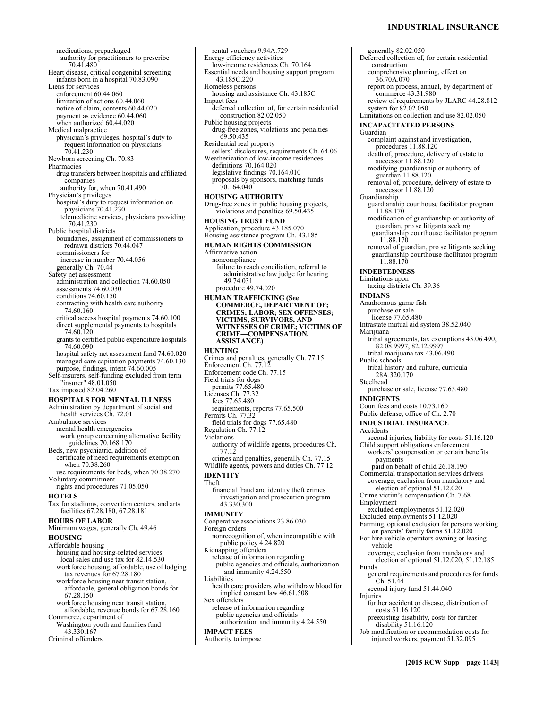#### **INDUSTRIAL INSURANCE**

Deferred collection of, for certain residential

generally 82.02.050

medications, prepackaged authority for practitioners to prescribe 70.41.480 Heart disease, critical congenital screening infants born in a hospital 70.83.090 Liens for services enforcement 60.44.060 limitation of actions 60.44.060 notice of claim, contents 60.44.020 payment as evidence 60.44.060 when authorized 60.44.020 Medical malpractice physician's privileges, hospital's duty to request information on physicians 70.41.230 Newborn screening Ch. 70.83 Pharmacies drug transfers between hospitals and affiliated companies authority for, when 70.41.490 Physician's privileges hospital's duty to request information on physicians 70.41.230 telemedicine services, physicians providing 70.41.230 Public hospital districts boundaries, assignment of commissioners to redrawn districts 70.44.047 commissioners for increase in number 70.44.056 generally Ch. 70.44 Safety net assessment administration and collection 74.60.050 assessments 74.60.030 conditions 74.60.150 contracting with health care authority 74.60.160 critical access hospital payments 74.60.100 direct supplemental payments to hospitals 74.60.120 grants to certified public expenditure hospitals 74.60.090 hospital safety net assessment fund 74.60.020 managed care capitation payments 74.60.130 purpose, findings, intent 74.60.005 Self-insurers, self-funding excluded from term "insurer" 48.01.050 Tax imposed 82.04.260 **HOSPITALS FOR MENTAL ILLNESS**  Administration by department of social and health services Ch. 72.01 Ambulance services mental health emergencies work group concerning alternative facility guidelines 70.168.170 Beds, new psychiatric, addition of certificate of need requirements exemption, when 70.38.260 use requirements for beds, when 70.38.270 Voluntary commitment rights and procedures 71.05.050 **HOTELS**  Tax for stadiums, convention centers, and arts facilities 67.28.180, 67.28.181 **HOURS OF LABOR**  Minimum wages, generally Ch. 49.46 **HOUSING**  Affordable housing housing and housing-related services local sales and use tax for 82.14.530

- workforce housing, affordable, use of lodging tax revenues for 67.28.180 workforce housing near transit station, affordable, general obligation bonds for 67.28.150
- workforce housing near transit station, affordable, revenue bonds for 67.28.160 Commerce, department of
- Washington youth and families fund 43.330.167

Criminal offenders

rental vouchers 9.94A.729 Energy efficiency activities low-income residences Ch. 70.164 Essential needs and housing support program 43.185C.220 Homeless persons housing and assistance Ch. 43.185C Impact fees deferred collection of, for certain residential construction 82.02.050 Public housing projects drug-free zones, violations and penalties 69.50.435 Residential real property sellers' disclosures, requirements Ch. 64.06 Weatherization of low-income residences definitions 70.164.020 legislative findings 70.164.010 proposals by sponsors, matching funds 70.164.040 **HOUSING AUTHORITY**  Drug-free zones in public housing projects, violations and penalties 69.50.435 **HOUSING TRUST FUND**  Application, procedure 43.185.070 Housing assistance program Ch. 43.185 **HUMAN RIGHTS COMMISSION**  Affirmative action noncompliance failure to reach conciliation, referral to administrative law judge for hearing 49.74.031 procedure 49.74.020 **HUMAN TRAFFICKING (See COMMERCE, DEPARTMENT OF; CRIMES; LABOR; SEX OFFENSES; VICTIMS, SURVIVORS, AND WITNESSES OF CRIME; VICTIMS OF CRIME—COMPENSATION, ASSISTANCE) HUNTING**  Crimes and penalties, generally Ch. 77.15 Enforcement Ch. 77.12 Enforcement code Ch. 77.15 Field trials for dogs permits 77.65.480 Licenses Ch. 77.32 fees 77.65.480 requirements, reports 77.65.500 Permits Ch. 77.32 field trials for dogs 77.65.480 Regulation Ch. 77.12 Violations authority of wildlife agents, procedures Ch. 77.12 crimes and penalties, generally Ch. 77.15 Wildlife agents, powers and duties Ch. 77.12 **IDENTITY**  Theft financial fraud and identity theft crimes investigation and prosecution program 43.330.300 **IMMUNITY**  Cooperative associations 23.86.030 Foreign orders nonrecognition of, when incompatible with public policy 4.24.820 Kidnapping offenders release of information regarding public agencies and officials, authorization and immunity 4.24.550 Liabilities health care providers who withdraw blood for implied consent law 46.61.508 Sex offenders release of information regarding public agencies and officials authorization and immunity 4.24.550 **IMPACT FEES**  Authority to impose

construction comprehensive planning, effect on 36.70A.070 report on process, annual, by department of commerce 43.31.980 review of requirements by JLARC 44.28.812 system for 82.02.050 Limitations on collection and use 82.02.050 **INCAPACITATED PERSONS**  Guardian complaint against and investigation, procedures 11.88.120 death of, procedure, delivery of estate to successor 11.88.120 modifying guardianship or authority of guardian 11.88.120 removal of, procedure, delivery of estate to successor 11.88.120 Guardianship guardianship courthouse facilitator program 11.88.170 modification of guardianship or authority of guardian, pro se litigants seeking guardianship courthouse facilitator program 11.88.170 removal of guardian, pro se litigants seeking guardianship courthouse facilitator program 11.88.170 **INDEBTEDNESS**  Limitations upon taxing districts Ch. 39.36 **INDIANS**  Anadromous game fish purchase or sale license 77.65.480 Intrastate mutual aid system 38.52.040 Marijuana tribal agreements, tax exemptions 43.06.490, 82.08.9997, 82.12.9997 tribal marijuana tax 43.06.490 Public schools tribal history and culture, curricula 28A.320.170 Steelhead purchase or sale, license 77.65.480 **INDIGENTS**  Court fees and costs 10.73.160 Public defense, office of Ch. 2.70 **INDUSTRIAL INSURANCE**  Accidents second injuries, liability for costs 51.16.120 Child support obligations enforcement workers' compensation or certain benefits payments paid on behalf of child 26.18.190 Commercial transportation services drivers coverage, exclusion from mandatory and election of optional 51.12.020 Crime victim's compensation Ch. 7.68 Employment excluded employments 51.12.020 Excluded employments 51.12.020 Farming, optional exclusion for persons working on parents' family farms 51.12.020 For hire vehicle operators owning or leasing vehicle coverage, exclusion from mandatory and election of optional 51.12.020, 51.12.185 Funds general requirements and procedures for funds Ch. 51.44 second injury fund 51.44.040 Injuries further accident or disease, distribution of costs 51.16.120 preexisting disability, costs for further disability 51.16.120

Job modification or accommodation costs for injured workers, payment 51.32.095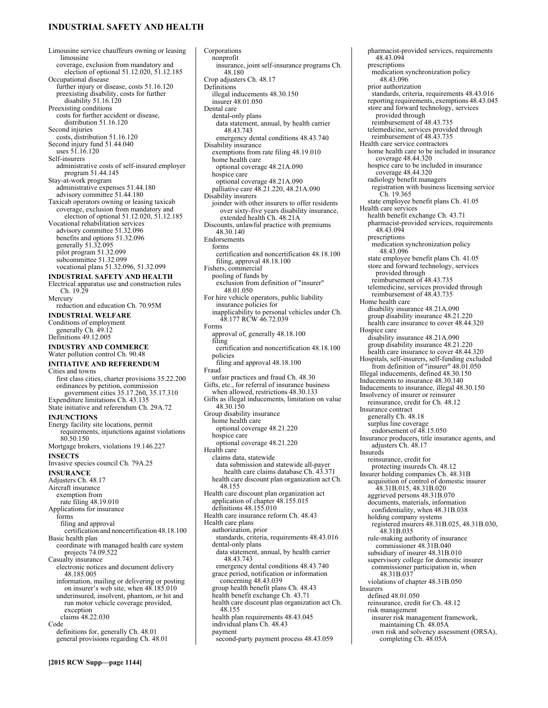#### **INDUSTRIAL SAFETY AND HEALTH**

Limousine service chauffeurs owning or leasing limousine coverage, exclusion from mandatory and election of optional 51.12.020, 51.12.185 Occupational disease further injury or disease, costs 51.16.120 preexisting disability, costs for further disability 51.16.120 Preexisting conditions costs for further accident or disease, distribution 51.16.120 Second injuries costs, distribution 51.16.120 Second injury fund 51.44.040 uses 51.16.120 Self-insurers administrative costs of self-insured employer program 51.44.145 Stay-at-work program administrative expenses 51.44.180 advisory committee 51.44.180 Taxicab operators owning or leasing taxicab coverage, exclusion from mandatory and election of optional 51.12.020, 51.12.185 Vocational rehabilitation services advisory committee 51.32.096 benefits and options 51.32.096 generally 51.32.095 pilot program 51.32.099 subcommittee 51.32.099 vocational plans 51.32.096, 51.32.099 **INDUSTRIAL SAFETY AND HEALTH**  Electrical apparatus use and construction rules Ch. 19.29 Mercury reduction and education Ch. 70.95M **INDUSTRIAL WELFARE**  Conditions of employment generally Ch. 49.12 Definitions 49.12.005 **INDUSTRY AND COMMERCE**  Water pollution control Ch. 90.48 **INITIATIVE AND REFERENDUM**  Cities and towns first class cities, charter provisions 35.22.200 ordinances by petition, commission government cities 35.17.260, 35.17.310 Expenditure limitations Ch. 43.135 State initiative and referendum Ch. 29A.72 **INJUNCTIONS**  Energy facility site locations, permit requirements, injunctions against violations 80.50.150 Mortgage brokers, violations 19.146.227 **INSECTS**  Invasive species council Ch. 79A.25 **INSURANCE**  Adjusters Ch. 48.17 Aircraft insurance exemption from rate filing 48.19.010 Applications for insurance forms filing and approval certification and noncertification 48.18.100 Basic health plan coordinate with managed health care system projects 74.09.522 Casualty insurance electronic notices and document delivery 48.185.005 information, mailing or delivering or posting on insurer's web site, when 48.185.010 underinsured, insolvent, phantom, or hit and run motor vehicle coverage provided, exception claims 48.22.030 Code definitions for, generally Ch. 48.01 general provisions regarding Ch. 48.01

Corporations nonprofit insurance, joint self-insurance programs Ch. 48.180 Crop adjusters Ch. 48.17 Definitions illegal inducements 48.30.150 insurer 48.01.050 Dental care dental-only plans data statement, annual, by health carrier 48.43.743 emergency dental conditions 48.43.740 Disability insurance exemptions from rate filing 48.19.010 home health care optional coverage 48.21A.090 hospice care optional coverage 48.21A.090 palliative care 48.21.220, 48.21A.090 Disability insurers joinder with other insurers to offer residents over sixty-five years disability insurance, extended health Ch. 48.21A Discounts, unlawful practice with premiums 48.30.140 Endorsements forms certification and noncertification 48.18.100 filing, approval 48.18.100 Fishers, commercial pooling of funds by exclusion from definition of "insurer" 48.01.050 For hire vehicle operators, public liability insurance policies for inapplicability to personal vehicles under Ch. 48.177 RCW 46.72.039 Forms approval of, generally 48.18.100 filing certification and noncertification 48.18.100 policies filing and approval 48.18.100 Fraud unfair practices and fraud Ch. 48.30 Gifts, etc., for referral of insurance business when allowed, restrictions 48.30.133 Gifts as illegal inducements, limitation on value 48.30.150 Group disability insurance home health care optional coverage 48.21.220 hospice care optional coverage 48.21.220 Health care claims data, statewide data submission and statewide all-payer health care claims database Ch. 43.371 health care discount plan organization act Ch. 48.155 Health care discount plan organization act application of chapter 48.155.015 definitions 48.155.010 Health care insurance reform Ch. 48.43 Health care plans authorization, prior standards, criteria, requirements 48.43.016 dental-only plans data statement, annual, by health carrier 48.43.743 emergency dental conditions 48.43.740 grace period, notification or information concerning 48.43.039 group health benefit plans Ch. 48.43 health benefit exchange Ch. 43.71 health care discount plan organization act Ch. 48.155 health plan requirements 48.43.045 individual plans Ch. 48.43 payment

second-party payment process 48.43.059

pharmacist-provided services, requirements 48.43.094 prescriptions medication synchronization policy 48.43.096 prior authorization standards, criteria, requirements 48.43.016 reporting requirements, exemptions 48.43.045 store and forward technology, services provided through reimbursement of 48.43.735 telemedicine, services provided through reimbursement of 48.43.735 Health care service contractors home health care to be included in insurance coverage 48.44.320 hospice care to be included in insurance coverage 48.44.320 radiology benefit managers registration with business licensing service Ch. 19.365 state employee benefit plans Ch. 41.05 Health care services health benefit exchange Ch. 43.71 pharmacist-provided services, requirements 48.43.094 prescriptions medication synchronization policy 48.43.096 state employee benefit plans Ch. 41.05 store and forward technology, services provided through reimbursement of 48.43.735 telemedicine, services provided through reimbursement of 48.43.735 Home health care disability insurance 48.21A.090 group disability insurance 48.21.220 health care insurance to cover 48.44.320 Hospice care disability insurance 48.21A.090 group disability insurance 48.21.220 health care insurance to cover 48.44.320 Hospitals, self-insurers, self-funding excluded from definition of "insurer" 48.01.050 Illegal inducements, defined 48.30.150 Inducements to insurance 48.30.140 Inducements to insurance, illegal 48.30.150 Insolvency of insurer or reinsurer reinsurance, credit for Ch. 48.12 Insurance contract generally Ch. 48.18 surplus line coverage endorsement of 48.15.050 Insurance producers, title insurance agents, and adjusters Ch. 48.17 **Insureds** reinsurance, credit for protecting insureds Ch. 48.12 Insurer holding companies Ch. 48.31B acquisition of control of domestic insurer 48.31B.015, 48.31B.020 aggrieved persons 48.31B.070 documents, materials, information confidentiality, when 48.31B.038 holding company systems registered insurers 48.31B.025, 48.31B.030, 48.31B.035 rule-making authority of insurance commissioner 48.31B.040 subsidiary of insurer 48.31B.010 supervisory college for domestic insurer commissioner participation in, when 48.31B.037 violations of chapter 48.31B.050 Insurers defined 48.01.050 reinsurance, credit for Ch. 48.12 risk management insurer risk management framework, maintaining Ch. 48.05A

own risk and solvency assessment (ORSA), completing Ch. 48.05A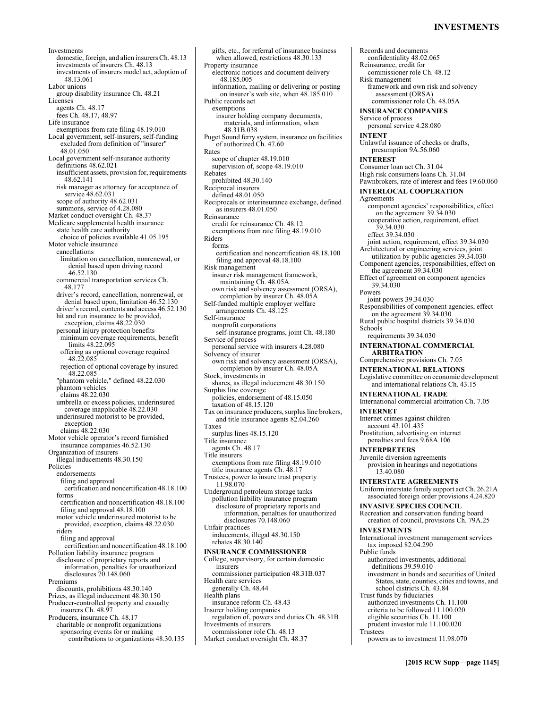Records and documents confidentiality 48.02.065

Investments domestic, foreign, and alien insurers Ch. 48.13 investments of insurers Ch. 48.13 investments of insurers model act, adoption of 48.13.061 Labor unions group disability insurance Ch. 48.21 Licenses agents Ch. 48.17 fees Ch. 48.17, 48.97 Life insurance exemptions from rate filing 48.19.010 Local government, self-insurers, self-funding excluded from definition of "insurer" 48.01.050 Local government self-insurance authority definitions 48.62.021 insufficient assets, provision for, requirements 48.62.141 risk manager as attorney for acceptance of service 48.62.031 scope of authority 48.62.031 summons, service of 4.28.080 Market conduct oversight Ch. 48.37 Medicare supplemental health insurance state health care authority choice of policies available 41.05.195 Motor vehicle insurance cancellations limitation on cancellation, nonrenewal, or denial based upon driving record 46.52.130 commercial transportation services Ch. 48.177 driver's record, cancellation, nonrenewal, or denial based upon, limitation 46.52.130 driver's record, contents and access 46.52.130 hit and run insurance to be provided, exception, claims 48.22.030 personal injury protection benefits minimum coverage requirements, benefit limits 48.22.095 offering as optional coverage required 48.22.085 rejection of optional coverage by insured 48.22.085 "phantom vehicle," defined 48.22.030 phantom vehicles claims 48.22.030 umbrella or excess policies, underinsured coverage inapplicable 48.22.030 underinsured motorist to be provided, exception claims 48.22.030 Motor vehicle operator's record furnished insurance companies 46.52.130 Organization of insurers illegal inducements 48.30.150 Policies endorsements filing and approval certification and noncertification 48.18.100 forms certification and noncertification 48.18.100 filing and approval 48.18.100 motor vehicle underinsured motorist to be provided, exception, claims 48.22.030 riders filing and approval certification and noncertification 48.18.100 Pollution liability insurance program disclosure of proprietary reports and information, penalties for unauthorized disclosures 70.148.060 Premiums discounts, prohibitions 48.30.140 Prizes, as illegal inducement 48.30.150 Producer-controlled property and casualty insurers Ch. 48.97 Producers, insurance Ch. 48.17 charitable or nonprofit organizations sponsoring events for or making contributions to organizations 48.30.135

gifts, etc., for referral of insurance business when allowed, restrictions 48.30.133 Property insurance electronic notices and document delivery 48.185.005 information, mailing or delivering or posting on insurer's web site, when 48.185.010 Public records act exemptions insurer holding company documents, materials, and information, when 48.31B.038 Puget Sound ferry system, insurance on facilities of authorized Ch. 47.60 Rates scope of chapter 48.19.010 supervision of, scope 48.19.010 Rebates prohibited 48.30.140 Reciprocal insurers defined 48.01.050 Reciprocals or interinsurance exchange, defined as insurers 48.01.050 Reinsurance credit for reinsurance Ch. 48.12 exemptions from rate filing 48.19.010 Riders forms certification and noncertification 48.18.100 filing and approval 48.18.100 Risk management insurer risk management framework, maintaining Ch. 48.05A own risk and solvency assessment (ORSA), completion by insurer Ch. 48.05A Self-funded multiple employer welfare arrangements Ch. 48.125 Self-insurance nonprofit corporations self-insurance programs, joint Ch. 48.180 Service of process personal service with insurers 4.28.080 Solvency of insurer own risk and solvency assessment (ORSA), completion by insurer Ch. 48.05A Stock, investments in shares, as illegal inducement 48.30.150 Surplus line coverage policies, endorsement of 48.15.050 taxation of 48.15.120 Tax on insurance producers, surplus line brokers, and title insurance agents 82.04.260 Taxes surplus lines 48.15.120 Title insurance agents Ch. 48.17 Title insurers exemptions from rate filing 48.19.010 title insurance agents Ch. 48.17 Trustees, power to insure trust property 11.98.070 Underground petroleum storage tanks pollution liability insurance program disclosure of proprietary reports and information, penalties for unauthorized disclosures 70.148.060 Unfair practices inducements, illegal 48.30.150 rebates 48.30.140 **INSURANCE COMMISSIONER**  College, supervisory, for certain domestic insurers commissioner participation 48.31B.037 Health care services generally Ch. 48.44 Health plans insurance reform Ch. 48.43 Insurer holding companies regulation of, powers and duties Ch. 48.31B Investments of insurers commissioner role Ch. 48.13 Market conduct oversight Ch. 48.37

Reinsurance, credit for commissioner role Ch. 48.12 Risk management framework and own risk and solvency assessment (ORSA) commissioner role Ch. 48.05A **INSURANCE COMPANIES**  Service of process personal service 4.28.080 **INTENT**  Unlawful issuance of checks or drafts, presumption 9A.56.060 **INTEREST**  Consumer loan act Ch. 31.04 High risk consumers loans Ch. 31.04 Pawnbrokers, rate of interest and fees 19.60.060 **INTERLOCAL COOPERATION**  Agreements component agencies' responsibilities, effect on the agreement 39.34.030 cooperative action, requirement, effect 39.34.030 effect 39.34.030 joint action, requirement, effect 39.34.030 Architectural or engineering services, joint utilization by public agencies 39.34.030 Component agencies, responsibilities, effect on the agreement 39.34.030 Effect of agreement on component agencies 39.34.030 Powers joint powers 39.34.030 Responsibilities of component agencies, effect on the agreement 39.34.030 Rural public hospital districts 39.34.030 Schools requirements 39.34.030 **INTERNATIONAL COMMERCIAL ARBITRATION**  Comprehensive provisions Ch. 7.05 **INTERNATIONAL RELATIONS**  Legislative committee on economic development and international relations Ch. 43.15 **INTERNATIONAL TRADE**  International commercial arbitration Ch. 7.05 **INTERNET**  Internet crimes against children account 43.101.435 Prostitution, advertising on internet penalties and fees 9.68A.106 **INTERPRETERS**  Juvenile diversion agreements provision in hearings and negotiations 13.40.080 **INTERSTATE AGREEMENTS**  Uniform interstate family support act Ch. 26.21A associated foreign order provisions 4.24.820 **INVASIVE SPECIES COUNCIL**  Recreation and conservation funding board creation of council, provisions Ch. 79A.25 **INVESTMENTS**  International investment management services tax imposed 82.04.290 Public funds authorized investments, additional definitions 39.59.010 investment in bonds and securities of United States, state, counties, cities and towns, and school districts Ch. 43.84 Trust funds by fiduciaries authorized investments Ch. 11.100 criteria to be followed 11.100.020 eligible securities Ch. 11.100 prudent investor rule 11.100.020 Trustees powers as to investment 11.98.070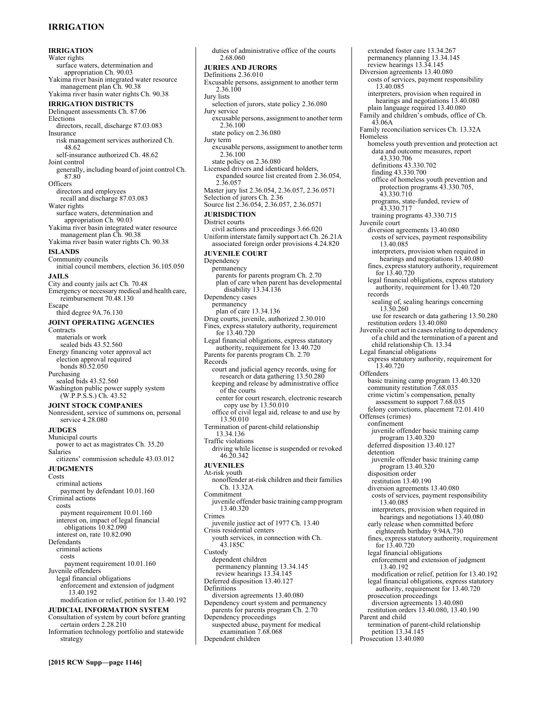## **IRRIGATION**

**IRRIGATION**  Water rights surface waters, determination and appropriation Ch. 90.03 Yakima river basin integrated water resource management plan Ch. 90.38 Yakima river basin water rights Ch. 90.38 **IRRIGATION DISTRICTS**  Delinquent assessments Ch. 87.06 Elections directors, recall, discharge 87.03.083 Insurance risk management services authorized Ch. 48.62 self-insurance authorized Ch. 48.62 Joint control generally, including board of joint control Ch. 87.80 **Officers** directors and employees recall and discharge 87.03.083 Water rights surface waters, determination and appropriation Ch. 90.03 Yakima river basin integrated water resource management plan Ch. 90.38 Yakima river basin water rights Ch. 90.38 **ISLANDS**  Community councils initial council members, election 36.105.050 **JAILS**  City and county jails act Ch. 70.48 Emergency or necessary medical and health care, reimbursement 70.48.130 Escape third degree 9A.76.130 **JOINT OPERATING AGENCIES Contracts** materials or work sealed bids 43.52.560 Energy financing voter approval act election approval required bonds 80.52.050 Purchasing sealed bids 43.52.560 Washington public power supply system (W.P.P.S.S.) Ch. 43.52 **JOINT STOCK COMPANIES**  Nonresident, service of summons on, personal service 4.28.080 **JUDGES**  Municipal courts power to act as magistrates Ch. 35.20 Salaries citizens' commission schedule 43.03.012 **JUDGMENTS**  Costs criminal actions payment by defendant 10.01.160 Criminal actions costs payment requirement 10.01.160 interest on, impact of legal financial obligations 10.82.090 interest on, rate 10.82.090 Defendants criminal actions costs payment requirement 10.01.160 Juvenile offenders legal financial obligations enforcement and extension of judgment 13.40.192 modification or relief, petition for 13.40.192 **JUDICIAL INFORMATION SYSTEM**  Consultation of system by court before granting certain orders 2.28.210 Information technology portfolio and statewide strategy

**JURIES AND JURORS**  Definitions 2.36.010 Excusable persons, assignment to another term 2.36.100 Jury lists selection of jurors, state policy 2.36.080 Jury service excusable persons, assignment to another term 2.36.100 state policy on 2.36.080 Jury term excusable persons, assignment to another term 2.36.100 state policy on 2.36.080 Licensed drivers and identicard holders, expanded source list created from 2.36.054, 2.36.057 Master jury list 2.36.054, 2.36.057, 2.36.0571 Selection of jurors Ch. 2.36 Source list 2.36.054, 2.36.057, 2.36.0571 **JURISDICTION**  District courts civil actions and proceedings 3.66.020 Uniform interstate family support act Ch. 26.21A associated foreign order provisions 4.24.820 **JUVENILE COURT**  Dependency permanency parents for parents program Ch. 2.70 plan of care when parent has developmental disability 13.34.136 Dependency cases permanency plan of care 13.34.136 Drug courts, juvenile, authorized 2.30.010 Fines, express statutory authority, requirement for 13.40.720 Legal financial obligations, express statutory authority, requirement for 13.40.720 Parents for parents program Ch. 2.70 Records court and judicial agency records, using for research or data gathering 13.50.280 keeping and release by administrative office of the courts center for court research, electronic research copy use by 13.50.010 office of civil legal aid, release to and use by 13.50.010 Termination of parent-child relationship 13.34.136 Traffic violations driving while license is suspended or revoked 46.20.342 **JUVENILES**  At-risk youth nonoffender at-risk children and their families Ch. 13.32A Commitment juvenile offender basic training camp program 13.40.320 Crimes juvenile justice act of 1977 Ch. 13.40 Crisis residential centers youth services, in connection with Ch. 43.185C Custody dependent children permanency planning 13.34.145 review hearings 13.34.145 Deferred disposition 13.40.127 **Definitions** diversion agreements 13.40.080 Dependency court system and permanency parents for parents program Ch. 2.70 Dependency proceedings

duties of administrative office of the courts

2.68.060

extended foster care 13.34.267 permanency planning 13.34.145 review hearings 13.34.145 Diversion agreements 13.40.080 costs of services, payment responsibility 13.40.085 interpreters, provision when required in hearings and negotiations 13.40.080 plain language required 13.40.080 Family and children's ombuds, office of Ch. 43.06A Family reconciliation services Ch. 13.32A Homeless homeless youth prevention and protection act data and outcome measures, report 43.330.706 definitions 43.330.702 finding 43.330.700 office of homeless youth prevention and protection programs 43.330.705, 43.330.710 programs, state-funded, review of 43.330.717 training programs 43.330.715 Juvenile court diversion agreements 13.40.080 costs of services, payment responsibility 13.40.085 interpreters, provision when required in hearings and negotiations 13.40.080 fines, express statutory authority, requirement for 13.40.720 legal financial obligations, express statutory authority, requirement for 13.40.720 records sealing of, sealing hearings concerning 13.50.260 use for research or data gathering 13.50.280 restitution orders 13.40.080 Juvenile court act in cases relating to dependency of a child and the termination of a parent and child relationship Ch. 13.34 Legal financial obligations express statutory authority, requirement for 13.40.720 **Offenders** basic training camp program 13.40.320 community restitution 7.68.035 crime victim's compensation, penalty assessment to support 7.68.035 felony convictions, placement 72.01.410 Offenses (crimes) confinement juvenile offender basic training camp program 13.40.320 deferred disposition 13.40.127 detention juvenile offender basic training camp program 13.40.320 disposition order restitution 13.40.190 diversion agreements 13.40.080 costs of services, payment responsibility 13.40.085 interpreters, provision when required in hearings and negotiations 13.40.080 early release when committed before eighteenth birthday 9.94A.730 fines, express statutory authority, requirement for 13.40.720 legal financial obligations enforcement and extension of judgment 13.40.192 modification or relief, petition for 13.40.192 legal financial obligations, express statutory authority, requirement for 13.40.720 prosecution proceedings diversion agreements 13.40.080 restitution orders 13.40.080, 13.40.190 Parent and child

termination of parent-child relationship petition 13.34.145 Prosecution 13.40.080

examination 7.68.068 Dependent children

suspected abuse, payment for medical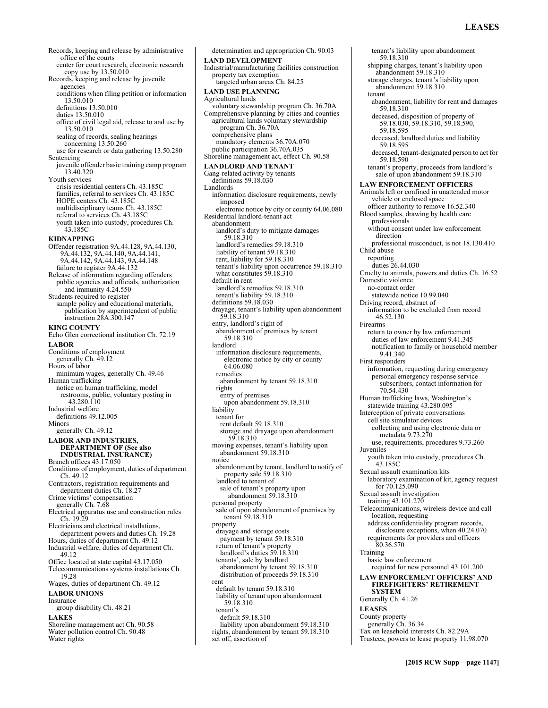tenant's liability upon abandonment

59.18.310

Records, keeping and release by administrative office of the courts center for court research, electronic research copy use by 13.50.010 Records, keeping and release by juvenile agencies conditions when filing petition or information 13.50.010 definitions 13.50.010 duties 13.50.010 office of civil legal aid, release to and use by 13.50.010 sealing of records, sealing hearings concerning 13.50.260 use for research or data gathering 13.50.280 Sentencing juvenile offender basic training camp program 13.40.320 Youth services crisis residential centers Ch. 43.185C families, referral to services Ch. 43.185C HOPE centers Ch. 43.185C multidisciplinary teams Ch. 43.185C referral to services Ch. 43.185C youth taken into custody, procedures Ch. 43.185C **KIDNAPPING**  Offender registration 9A.44.128, 9A.44.130, 9A.44.132, 9A.44.140, 9A.44.141, 9A.44.142, 9A.44.143, 9A.44.148 failure to register 9A.44.132 Release of information regarding offenders public agencies and officials, authorization and immunity 4.24.550 Students required to register sample policy and educational materials, publication by superintendent of public instruction 28A.300.147 **KING COUNTY**  Echo Glen correctional institution Ch. 72.19 **LABOR**  Conditions of employment generally Ch. 49.12 Hours of labor minimum wages, generally Ch. 49.46 Human trafficking notice on human trafficking, model restrooms, public, voluntary posting in 43.280.110 Industrial welfare definitions 49.12.005 Minors generally Ch. 49.12 **LABOR AND INDUSTRIES, DEPARTMENT OF (See also INDUSTRIAL INSURANCE)** Branch offices 43.17.050 Conditions of employment, duties of department Ch. 49.12 Contractors, registration requirements and department duties Ch. 18.27 Crime victims' compensation generally Ch. 7.68 Electrical apparatus use and construction rules Ch. 19.29 Electricians and electrical installations, department powers and duties Ch. 19.28 Hours, duties of department Ch. 49.12 Industrial welfare, duties of department Ch. 49.12 Office located at state capital 43.17.050 Telecommunications systems installations Ch. 19.28 Wages, duties of department Ch. 49.12 **LABOR UNIONS**  Insurance group disability Ch. 48.21 **LAKES**  Shoreline management act Ch. 90.58 Water pollution control Ch. 90.48 Water rights

determination and appropriation Ch. 90.03 **LAND DEVELOPMENT**  Industrial/manufacturing facilities construction property tax exemption targeted urban areas Ch. 84.25 **LAND USE PLANNING**  Agricultural lands voluntary stewardship program Ch. 36.70A Comprehensive planning by cities and counties agricultural lands voluntary stewardship program Ch. 36.70A comprehensive plans mandatory elements 36.70A.070 public participation 36.70A.035 Shoreline management act, effect Ch. 90.58 **LANDLORD AND TENANT**  Gang-related activity by tenants definitions 59.18.030 Landlords information disclosure requirements, newly imposed electronic notice by city or county 64.06.080 Residential landlord-tenant act abandonment landlord's duty to mitigate damages 59.18.310 landlord's remedies 59.18.310 liability of tenant 59.18.310 rent, liability for 59.18.310 tenant's liability upon occurrence 59.18.310 what constitutes 59.18.310 default in rent landlord's remedies 59.18.310 tenant's liability 59.18.310 definitions 59.18.030 drayage, tenant's liability upon abandonment 59.18.310 entry, landlord's right of abandonment of premises by tenant 59.18.310 landlord information disclosure requirements, electronic notice by city or county 64.06.080 remedies abandonment by tenant 59.18.310 rights entry of premises upon abandonment 59.18.310 liability tenant for rent default 59.18.310 storage and drayage upon abandonment 59.18.310 moving expenses, tenant's liability upon abandonment 59.18.310 notice abandonment by tenant, landlord to notify of property sale 59.18.310 landlord to tenant of sale of tenant's property upon abandonment 59.18.310 personal property sale of upon abandonment of premises by tenant 59.18.310 property drayage and storage costs payment by tenant 59.18.310 return of tenant's property landlord's duties 59.18.310 tenants', sale by landlord abandonment by tenant 59.18.310 distribution of proceeds 59.18.310 rent default by tenant 59.18.310 liability of tenant upon abandonment 59.18.310 tenant's default 59.18.310 liability upon abandonment 59.18.310 rights, abandonment by tenant 59.18.310 set off, assertion of

shipping charges, tenant's liability upon abandonment 59.18.310 storage charges, tenant's liability upon abandonment 59.18.310 tenant abandonment, liability for rent and damages 59.18.310 deceased, disposition of property of 59.18.030, 59.18.310, 59.18.590, 59.18.595 deceased, landlord duties and liability 59.18.595 deceased, tenant-designated person to act for 59.18.590 tenant's property, proceeds from landlord's sale of upon abandonment 59.18.310 **LAW ENFORCEMENT OFFICERS**  Animals left or confined in unattended motor vehicle or enclosed space officer authority to remove 16.52.340 Blood samples, drawing by health care professionals without consent under law enforcement direction professional misconduct, is not 18.130.410 Child abuse reporting duties 26.44.030 Cruelty to animals, powers and duties Ch. 16.52 Domestic violence no-contact order statewide notice 10.99.040 Driving record, abstract of information to be excluded from record 46.52.130 Firearms return to owner by law enforcement duties of law enforcement 9.41.345 notification to family or household member 9.41.340 First responders information, requesting during emergency personal emergency response service subscribers, contact information for 70.54.430 Human trafficking laws, Washington's statewide training 43.280.095 Interception of private conversations cell site simulator devices collecting and using electronic data or metadata 9.73.270 use, requirements, procedures 9.73.260 Juveniles youth taken into custody, procedures Ch. 43.185C Sexual assault examination kits laboratory examination of kit, agency request for 70.125.090 Sexual assault investigation training 43.101.270 Telecommunications, wireless device and call location, requesting address confidentiality program records, disclosure exceptions, when 40.24.070 requirements for providers and officers 80.36.570 Training basic law enforcement required for new personnel 43.101.200 **LAW ENFORCEMENT OFFICERS' AND FIREFIGHTERS' RETIREMENT SYSTEM**  Generally Ch. 41.26 **LEASES**  County property generally Ch. 36.34 Tax on leasehold interests Ch. 82.29A Trustees, powers to lease property 11.98.070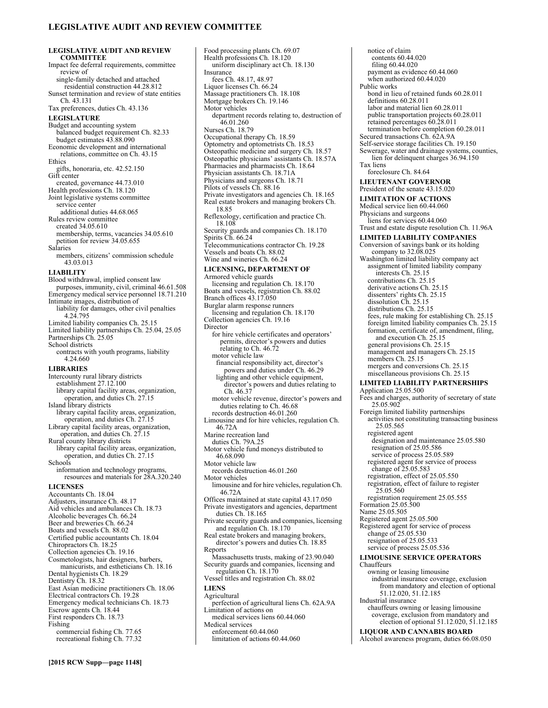#### **LEGISLATIVE AUDIT AND REVIEW COMMITTEE**

**LEGISLATIVE AUDIT AND REVIEW COMMITTEE**  Impact fee deferral requirements, committee review of single-family detached and attached residential construction 44.28.812 Sunset termination and review of state entities Ch. 43.131 Tax preferences, duties Ch. 43.136 **LEGISLATURE**  Budget and accounting system balanced budget requirement Ch. 82.33 budget estimates 43.88.090 Economic development and international relations, committee on Ch. 43.15 **Ethics** gifts, honoraria, etc. 42.52.150 Gift center created, governance 44.73.010 Health professions Ch. 18.120 Joint legislative systems committee service center additional duties 44.68.065 Rules review committee created 34.05.610 membership, terms, vacancies 34.05.610 petition for review 34.05.655 Salaries members, citizens' commission schedule 43.03.013 **LIABILITY**  Blood withdrawal, implied consent law purposes, immunity, civil, criminal 46.61.508 Emergency medical service personnel 18.71.210 Intimate images, distribution of liability for damages, other civil penalties 4.24.795 Limited liability companies Ch. 25.15 Limited liability partnerships Ch. 25.04, 25.05 Partnerships Ch. 25.05 School districts contracts with youth programs, liability 4.24.660 **LIBRARIES**  Intercounty rural library districts establishment 27.12.100 library capital facility areas, organization, operation, and duties Ch. 27.15 Island library districts library capital facility areas, organization, operation, and duties Ch. 27.15 Library capital facility areas, organization, operation, and duties Ch. 27.15 Rural county library districts library capital facility areas, organization, operation, and duties Ch. 27.15 Schools information and technology programs, resources and materials for 28A.320.240 **LICENSES**  Accountants Ch. 18.04 Adjusters, insurance Ch. 48.17 Aid vehicles and ambulances Ch. 18.73 Alcoholic beverages Ch. 66.24 Beer and breweries Ch. 66.24 Boats and vessels Ch. 88.02 Certified public accountants Ch. 18.04 Chiropractors Ch. 18.25 Collection agencies Ch. 19.16 Cosmetologists, hair designers, barbers, manicurists, and estheticians Ch. 18.16 Dental hygienists Ch. 18.29 Dentistry Ch. 18.32 East Asian medicine practitioners Ch. 18.06 Electrical contractors Ch. 19.28 Emergency medical technicians Ch. 18.73 Escrow agents Ch. 18.44 First responders Ch. 18.73 Fishing commercial fishing Ch. 77.65 recreational fishing Ch. 77.32

Food processing plants Ch. 69.07 Health professions Ch. 18.120 uniform disciplinary act Ch. 18.130 Insurance fees Ch. 48.17, 48.97 Liquor licenses Ch. 66.24 Massage practitioners Ch. 18.108 Mortgage brokers Ch. 19.146 Motor vehicles department records relating to, destruction of 46.01.260 Nurses Ch. 18.79 Occupational therapy Ch. 18.59 Optometry and optometrists Ch. 18.53 Osteopathic medicine and surgery Ch. 18.57 Osteopathic physicians' assistants Ch. 18.57A Pharmacies and pharmacists Ch. 18.64 Physician assistants Ch. 18.71A Physicians and surgeons Ch. 18.71 Pilots of vessels Ch. 88.16 Private investigators and agencies Ch. 18.165 Real estate brokers and managing brokers Ch. 18.85 Reflexology, certification and practice Ch. 18.108 Security guards and companies Ch. 18.170 Spirits Ch. 66.24 Telecommunications contractor Ch. 19.28 Vessels and boats Ch. 88.02 Wine and wineries Ch. 66.24 **LICENSING, DEPARTMENT OF**  Armored vehicle guards licensing and regulation Ch. 18.170 Boats and vessels, registration Ch. 88.02 Branch offices 43.17.050 Burglar alarm response runners licensing and regulation Ch. 18.170 Collection agencies Ch. 19.16 Director for hire vehicle certificates and operators' permits, director's powers and duties relating to Ch. 46.72 motor vehicle law financial responsibility act, director's powers and duties under Ch. 46.29 lighting and other vehicle equipment, director's powers and duties relating to Ch. 46.37 motor vehicle revenue, director's powers and duties relating to Ch. 46.68 records destruction 46.01.260 Limousine and for hire vehicles, regulation Ch. 46.72A Marine recreation land duties Ch. 79A.25 Motor vehicle fund moneys distributed to 46.68.090 Motor vehicle law records destruction 46.01.260 Motor vehicles limousine and for hire vehicles, regulation Ch. 46.72A Offices maintained at state capital 43.17.050 Private investigators and agencies, department duties Ch. 18.165 Private security guards and companies, licensing and regulation Ch. 18.170 Real estate brokers and managing brokers, director's powers and duties Ch. 18.85 Reports Massachusetts trusts, making of 23.90.040 Security guards and companies, licensing and regulation Ch. 18.170 Vessel titles and registration Ch. 88.02 **LIENS**  Agricultural perfection of agricultural liens Ch. 62A.9A Limitation of actions on medical services liens 60.44.060 Medical services enforcement 60.44.060

limitation of actions 60.44.060

notice of claim contents 60.44.020 filing 60.44.020 payment as evidence 60.44.060 when authorized 60.44.020 Public works bond in lieu of retained funds 60.28.011 definitions 60.28.011 labor and material lien 60.28.011 public transportation projects 60.28.011 retained percentages 60.28.011 termination before completion 60.28.011 Secured transactions Ch. 62A.9A Self-service storage facilities Ch. 19.150 Sewerage, water and drainage systems, counties, lien for delinquent charges 36.94.150 Tax liens foreclosure Ch. 84.64 **LIEUTENANT GOVERNOR**  President of the senate 43.15.020 **LIMITATION OF ACTIONS**  Medical service lien 60.44.060 Physicians and surgeons liens for services 60.44.060 Trust and estate dispute resolution Ch. 11.96A **LIMITED LIABILITY COMPANIES**  Conversion of savings bank or its holding company to 32.08.025 Washington limited liability company act assignment of limited liability company interests Ch. 25.15 contributions Ch. 25.15 derivative actions Ch. 25.15 dissenters' rights Ch. 25.15 dissolution Ch. 25.15 distributions Ch. 25.15 fees, rule making for establishing Ch. 25.15 foreign limited liability companies Ch. 25.15 formation, certificate of, amendment, filing, and execution Ch. 25.15 general provisions Ch. 25.15 management and managers Ch. 25.15 members Ch. 25.15 mergers and conversions Ch. 25.15 miscellaneous provisions Ch. 25.15 **LIMITED LIABILITY PARTNERSHIPS**  Application 25.05.500 Fees and charges, authority of secretary of state 25.05.902 Foreign limited liability partnerships activities not constituting transacting business 25.05.565 registered agent designation and maintenance 25.05.580 resignation of 25.05.586 service of process 25.05.589 registered agent for service of process change of 25.05.583 registration, effect of 25.05.550 registration, effect of failure to register 25.05.560 registration requirement 25.05.555 Formation 25.05.500 Name 25.05.505 Registered agent 25.05.500 Registered agent for service of process change of 25.05.530 resignation of 25.05.533 service of process 25.05.536 **LIMOUSINE SERVICE OPERATORS**  Chauffeurs owning or leasing limousine industrial insurance coverage, exclusion from mandatory and election of optional 51.12.020, 51.12.185 Industrial insurance chauffeurs owning or leasing limousine coverage, exclusion from mandatory and election of optional 51.12.020, 51.12.185 **LIQUOR AND CANNABIS BOARD** 

Alcohol awareness program, duties 66.08.050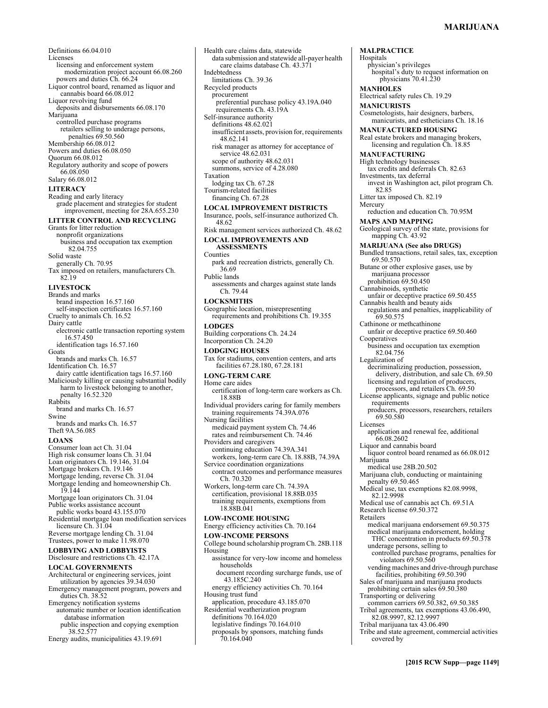**MALPRACTICE** 

Definitions 66.04.010 Licenses licensing and enforcement system modernization project account 66.08.260 powers and duties Ch. 66.24 Liquor control board, renamed as liquor and cannabis board 66.08.012 Liquor revolving fund deposits and disbursements 66.08.170 Marijuana controlled purchase programs retailers selling to underage persons, penalties 69.50.560 Membership 66.08.012 Powers and duties 66.08.050 Quorum 66.08.012 Regulatory authority and scope of powers 66.08.050 Salary 66.08.012 **LITERACY**  Reading and early literacy grade placement and strategies for student improvement, meeting for 28A.655.230 **LITTER CONTROL AND RECYCLING**  Grants for litter reduction nonprofit organizations business and occupation tax exemption 82.04.755 Solid waste generally Ch. 70.95 Tax imposed on retailers, manufacturers Ch. 82.19 **LIVESTOCK**  Brands and marks brand inspection 16.57.160 self-inspection certificates 16.57.160 Cruelty to animals Ch. 16.52 Dairy cattle electronic cattle transaction reporting system 16.57.450 identification tags 16.57.160 **Goats** brands and marks Ch. 16.57 Identification Ch. 16.57 dairy cattle identification tags 16.57.160 Maliciously killing or causing substantial bodily harm to livestock belonging to another, penalty 16.52.320 **Rabbits** brand and marks Ch. 16.57 Swine brands and marks Ch. 16.57 Theft 9A.56.085 **LOANS**  Consumer loan act Ch. 31.04 High risk consumer loans Ch. 31.04 Loan originators Ch. 19.146, 31.04 Mortgage brokers Ch. 19.146 Mortgage lending, reverse Ch. 31.04 Mortgage lending and homeownership Ch. 19.144 Mortgage loan originators Ch. 31.04 Public works assistance account public works board 43.155.070 Residential mortgage loan modification services licensure Ch. 31.04 Reverse mortgage lending Ch. 31.04 Trustees, power to make 11.98.070 **LOBBYING AND LOBBYISTS**  Disclosure and restrictions Ch. 42.17A **LOCAL GOVERNMENTS**  Architectural or engineering services, joint utilization by agencies 39.34.030 Emergency management program, powers and duties Ch. 38.52 Emergency notification systems automatic number or location identification database information public inspection and copying exemption 38.52.577 Energy audits, municipalities 43.19.691

data submission and statewide all-payer health care claims database Ch. 43.371 Indebtedness limitations Ch. 39.36 Recycled products procurement preferential purchase policy 43.19A.040 requirements Ch. 43.19A Self-insurance authority definitions 48.62.021 insufficient assets, provision for, requirements 48.62.141 risk manager as attorney for acceptance of service 48.62.031 scope of authority 48.62.031 summons, service of 4.28.080 Taxation lodging tax Ch. 67.28 Tourism-related facilities financing Ch. 67.28 **LOCAL IMPROVEMENT DISTRICTS**  Insurance, pools, self-insurance authorized Ch. 48.62 Risk management services authorized Ch. 48.62 **LOCAL IMPROVEMENTS AND ASSESSMENTS**  Counties park and recreation districts, generally Ch. 36.69 Public lands assessments and charges against state lands Ch. 79.44 **LOCKSMITHS**  Geographic location, misrepresenting requirements and prohibitions Ch. 19.355 **LODGES**  Building corporations Ch. 24.24 Incorporation Ch. 24.20 **LODGING HOUSES**  Tax for stadiums, convention centers, and arts facilities 67.28.180, 67.28.181 **LONG-TERM CARE**  Home care aides certification of long-term care workers as Ch. 18.88B Individual providers caring for family members training requirements 74.39A.076 Nursing facilities medicaid payment system Ch. 74.46 rates and reimbursement Ch. 74.46 Providers and caregivers continuing education 74.39A.341 workers, long-term care Ch. 18.88B, 74.39A Service coordination organizations contract outcomes and performance measures Ch. 70.320 Workers, long-term care Ch. 74.39A certification, provisional 18.88B.035 training requirements, exemptions from 18.88B.041 **LOW-INCOME HOUSING**  Energy efficiency activities Ch. 70.164 **LOW-INCOME PERSONS**  College bound scholarship program Ch. 28B.118 Housing assistance for very-low income and homeless households document recording surcharge funds, use of 43.185C.240 energy efficiency activities Ch. 70.164 Housing trust fund application, procedure 43.185.070 Residential weatherization program definitions 70.164.020 legislative findings 70.164.010 proposals by sponsors, matching funds 70.164.040

Health care claims data, statewide

Hospitals physician's privileges hospital's duty to request information on physicians 70.41.230 **MANHOLES**  Electrical safety rules Ch. 19.29 **MANICURISTS**  Cosmetologists, hair designers, barbers, manicurists, and estheticians Ch. 18.16 **MANUFACTURED HOUSING**  Real estate brokers and managing brokers, licensing and regulation Ch. 18.85 **MANUFACTURING**  High technology businesses tax credits and deferrals Ch. 82.63 Investments, tax deferral invest in Washington act, pilot program Ch. 82.85 Litter tax imposed Ch. 82.19 Mercury reduction and education Ch. 70.95M **MAPS AND MAPPING**  Geological survey of the state, provisions for mapping Ch. 43.92 **MARIJUANA (See also DRUGS)** Bundled transactions, retail sales, tax, exception 69.50.570 Butane or other explosive gases, use by marijuana processor prohibition 69.50.450 Cannabinoids, synthetic unfair or deceptive practice 69.50.455 Cannabis health and beauty aids regulations and penalties, inapplicability of 69.50.575 Cathinone or methcathinone unfair or deceptive practice 69.50.460 Cooperatives business and occupation tax exemption 82.04.756 Legalization of decriminalizing production, possession, delivery, distribution, and sale Ch. 69.50 licensing and regulation of producers, processors, and retailers Ch. 69.50 License applicants, signage and public notice requirements producers, processors, researchers, retailers 69.50.580 Licenses application and renewal fee, additional 66.08.2602 Liquor and cannabis board liquor control board renamed as 66.08.012 Marijuana medical use 28B.20.502 Marijuana club, conducting or maintaining penalty 69.50.465 Medical use, tax exemptions 82.08.9998, 82.12.9998 Medical use of cannabis act Ch. 69.51A Research license 69.50.372 Retailers medical marijuana endorsement 69.50.375 medical marijuana endorsement, holding THC concentration in products 69.50.378 underage persons, selling to controlled purchase programs, penalties for violators 69.50.560 vending machines and drive-through purchase facilities, prohibiting 69.50.390 Sales of marijuana and marijuana products prohibiting certain sales 69.50.380 Transporting or delivering common carriers 69.50.382, 69.50.385 Tribal agreements, tax exemptions 43.06.490, 82.08.9997, 82.12.9997 Tribal marijuana tax 43.06.490 Tribe and state agreement, commercial activities covered by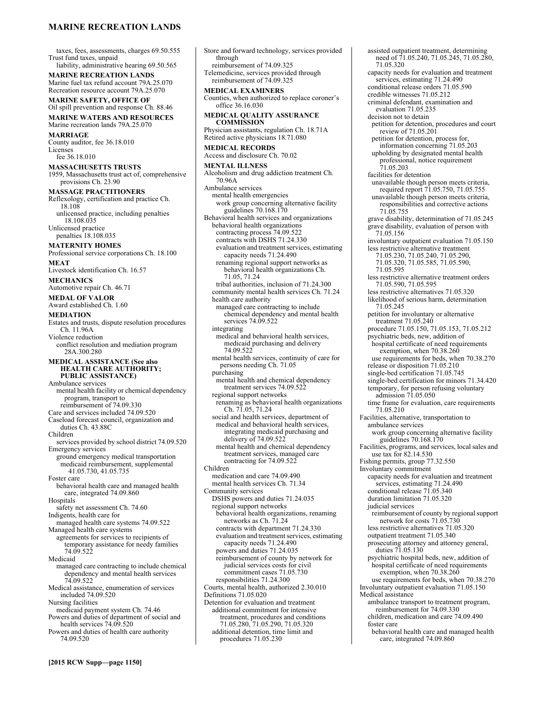#### **MARINE RECREATION LANDS**

taxes, fees, assessments, charges 69.50.555 Trust fund taxes, unpaid liability, administrative hearing 69.50.565 **MARINE RECREATION LANDS**  Marine fuel tax refund account 79A.25.070 Recreation resource account 79A.25.070 **MARINE SAFETY, OFFICE OF**  Oil spill prevention and response Ch. 88.46 **MARINE WATERS AND RESOURCES**  Marine recreation lands 79A.25.070 **MARRIAGE**  County auditor, fee 36.18.010 Licenses fee 36.18.010 **MASSACHUSETTS TRUSTS**  1959, Massachusetts trust act of, comprehensive provisions Ch. 23.90 **MASSAGE PRACTITIONERS**  Reflexology, certification and practice Ch. 18.108 unlicensed practice, including penalties 18.108.035 Unlicensed practice penalties 18.108.035 **MATERNITY HOMES**  Professional service corporations Ch. 18.100 **MEAT**  Livestock identification Ch. 16.57 **MECHANICS**  Automotive repair Ch. 46.71 **MEDAL OF VALOR**  Award established Ch. 1.60 **MEDIATION**  Estates and trusts, dispute resolution procedures Ch. 11.96A Violence reduction conflict resolution and mediation program 28A.300.280 **MEDICAL ASSISTANCE (See also HEALTH CARE AUTHORITY; PUBLIC ASSISTANCE)** Ambulance services mental health facility or chemical dependency program, transport to reimbursement of 74.09.330 Care and services included 74.09.520 Caseload forecast council, organization and duties Ch. 43.88C Children services provided by school district 74.09.520 Emergency services ground emergency medical transportation medicaid reimbursement, supplemental 41.05.730, 41.05.735 Foster care behavioral health care and managed health care, integrated 74.09.860 Hospitals safety net assessment Ch. 74.60 Indigents, health care for managed health care systems 74.09.522 Managed health care systems agreements for services to recipients of temporary assistance for needy families 74.09.522 Medicaid managed care contracting to include chemical dependency and mental health services 74.09.522 Medical assistance, enumeration of services included 74.09.520 Nursing facilities medicaid payment system Ch. 74.46 Powers and duties of department of social and health services 74.09.520 Powers and duties of health care authority 74.09.520

Store and forward technology, services provided through reimbursement of 74.09.325 Telemedicine, services provided through reimbursement of 74.09.325 **MEDICAL EXAMINERS**  Counties, when authorized to replace coroner's office 36.16.030 **MEDICAL QUALITY ASSURANCE COMMISSION**  Physician assistants, regulation Ch. 18.71A Retired active physicians 18.71.080 **MEDICAL RECORDS**  Access and disclosure Ch. 70.02 **MENTAL ILLNESS**  Alcoholism and drug addiction treatment Ch. 70.96A Ambulance services mental health emergencies work group concerning alternative facility guidelines 70.168.170 Behavioral health services and organizations behavioral health organizations contracting process 74.09.522 contracts with DSHS 71.24.330 evaluation and treatment services, estimating capacity needs 71.24.490 renaming regional support networks as behavioral health organizations Ch. 71.05, 71.24 tribal authorities, inclusion of 71.24.300 community mental health services Ch. 71.24 health care authority managed care contracting to include chemical dependency and mental health services 74.09.522 integrating medical and behavioral health services, medicaid purchasing and delivery 74.09.522 mental health services, continuity of care for persons needing Ch. 71.05 purchasing mental health and chemical dependency treatment services 74.09.522 regional support networks renaming as behavioral health organizations Ch. 71.05, 71.24 social and health services, department of medical and behavioral health services, integrating medicaid purchasing and delivery of  $74.09.522$ mental health and chemical dependency treatment services, managed care contracting for 74.09.522 Children medication and care 74.09.490 mental health services Ch. 71.34 Community services DSHS powers and duties 71.24.035 regional support networks behavioral health organizations, renaming networks as Ch. 71.24 contracts with department 71.24.330 evaluation and treatment services, estimating capacity needs 71.24.490 powers and duties 71.24.035 reimbursement of county by network for judicial services costs for civil commitment cases 71.05.730 responsibilities 71.24.300 Courts, mental health, authorized 2.30.010 Definitions 71.05.020 Detention for evaluation and treatment additional commitment for intensive treatment, procedures and conditions 71.05.280, 71.05.290, 71.05.320 additional detention, time limit and procedures 71.05.230

assisted outpatient treatment, determining need of 71.05.240, 71.05.245, 71.05.280, 71.05.320 capacity needs for evaluation and treatment services, estimating 71.24.490 conditional release orders 71.05.590 credible witnesses 71.05.212 criminal defendant, examination and evaluation 71.05.235 decision not to detain petition for detention, procedures and court review of 71.05.201 petition for detention, process for, information concerning 71.05.203 upholding by designated mental health professional, notice requirement 71.05.203 facilities for detention unavailable though person meets criteria, required report 71.05.750, 71.05.755 unavailable though person meets criteria, responsibilities and corrective actions 71.05.755 grave disability, determination of 71.05.245 grave disability, evaluation of person with 71.05.156 involuntary outpatient evaluation 71.05.150 less restrictive alternative treatment 71.05.230, 71.05.240, 71.05.290, 71.05.320, 71.05.585, 71.05.590, 71.05.595 less restrictive alternative treatment orders 71.05.590, 71.05.595 less restrictive alternatives 71.05.320 likelihood of serious harm, determination 71.05.245 petition for involuntary or alternative treatment 71.05.240 procedure 71.05.150, 71.05.153, 71.05.212 psychiatric beds, new, addition of hospital certificate of need requirements exemption, when 70.38.260 use requirements for beds, when 70.38.270 release or disposition 71.05.210 single-bed certification 71.05.745 single-bed certification for minors 71.34.420 temporary, for person refusing voluntary admission 71.05.050 time frame for evaluation, care requirements 71.05.210 Facilities, alternative, transportation to ambulance services work group concerning alternative facility guidelines 70.168.170 Facilities, programs, and services, local sales and use tax for 82.14.530 Fishing permits, group 77.32.550 Involuntary commitment capacity needs for evaluation and treatment services, estimating 71.24.490 conditional release 71.05.340 duration limitation 71.05.320 judicial services reimbursement of county by regional support network for costs 71.05.730 less restrictive alternatives 71.05.320 outpatient treatment 71.05.340 prosecuting attorney and attorney general, duties 71.05.130 psychiatric hospital beds, new, addition of hospital certificate of need requirements exemption, when 70.38.260 use requirements for beds, when 70.38.270 Involuntary outpatient evaluation 71.05.150 Medical assistance ambulance transport to treatment program, reimbursement for 74.09.330 children, medication and care 74.09.490 foster care behavioral health care and managed health care, integrated 74.09.860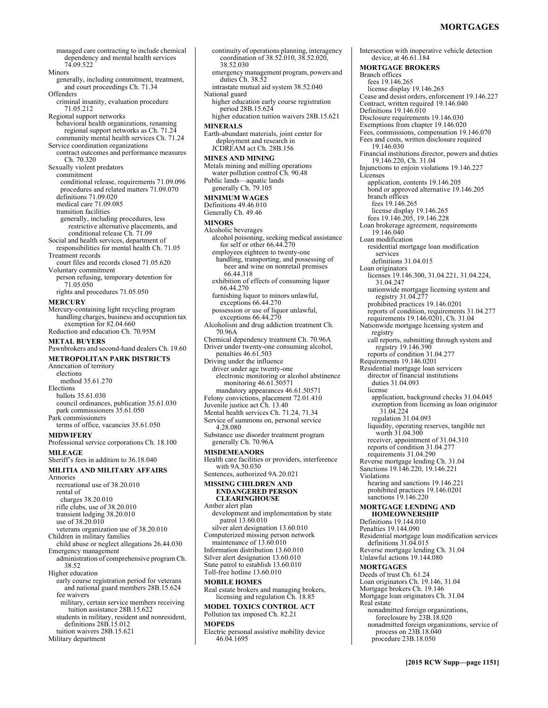managed care contracting to include chemical dependency and mental health services 74.09.522 Minors generally, including commitment, treatment, and court proceedings Ch. 71.34 **Offenders** criminal insanity, evaluation procedure 71.05.212 Regional support networks behavioral health organizations, renaming regional support networks as Ch. 71.24 community mental health services Ch. 71.24 Service coordination organizations contract outcomes and performance measures Ch. 70.320 Sexually violent predators commitment conditional release, requirements 71.09.096 procedures and related matters 71.09.070 definitions 71.09.020 medical care 71.09.085 transition facilities generally, including procedures, less restrictive alternative placements, and conditional release Ch. 71.09 Social and health services, department of responsibilities for mental health Ch. 71.05 Treatment records court files and records closed 71.05.620 Voluntary commitment person refusing, temporary detention for 71.05.050 rights and procedures 71.05.050 **MERCURY**  Mercury-containing light recycling program handling charges, business and occupation tax exemption for 82.04.660 Reduction and education Ch. 70.95M **METAL BUYERS**  Pawnbrokers and second-hand dealers Ch. 19.60 **METROPOLITAN PARK DISTRICTS**  Annexation of territory elections method 35.61.270 Elections ballots 35.61.030 council ordinances, publication 35.61.030 park commissioners 35.61.050 Park commissioners terms of office, vacancies 35.61.050 **MIDWIFERY**  Professional service corporations Ch. 18.100 **MILEAGE**  Sheriff's fees in addition to 36.18.040 **MILITIA AND MILITARY AFFAIRS**  Armories recreational use of 38.20.010 rental of charges 38.20.010 rifle clubs, use of 38.20.010 transient lodging 38.20.010 use of 38.20.010 veterans organization use of 38.20.010 Children in military families child abuse or neglect allegations 26.44.030 Emergency management administration of comprehensive program Ch. 38.52 Higher education early course registration period for veterans and national guard members 28B.15.624 fee waivers military, certain service members receiving

tuition assistance 28B.15.622 students in military, resident and nonresident, definitions 28B.15.012

tuition waivers 28B.15.621

Military department

continuity of operations planning, interagency coordination of 38.52.010, 38.52.020, 38.52.030 emergency management program, powers and duties Ch. 38.52 intrastate mutual aid system 38.52.040 National guard higher education early course registration period 28B.15.624 higher education tuition waivers 28B.15.621 **MINERALS**  Earth-abundant materials, joint center for deployment and research in JCDREAM act Ch. 28B.156 **MINES AND MINING**  Metals mining and milling operations water pollution control Ch. 90.48 Public lands—aquatic lands generally Ch. 79.105 **MINIMUM WAGES**  Definitions 49.46.010 Generally Ch. 49.46 **MINORS**  Alcoholic beverages alcohol poisoning, seeking medical assistance for self or other 66.44.270 employees eighteen to twenty-one handling, transporting, and possessing of beer and wine on nonretail premises 66.44.318 exhibition of effects of consuming liquor 66.44.270 furnishing liquor to minors unlawful, exceptions 66.44.270 possession or use of liquor unlawful, exceptions 66.44.270 Alcoholism and drug addiction treatment Ch. 70.96A Chemical dependency treatment Ch. 70.96A Driver under twenty-one consuming alcohol, penalties 46.61.503 Driving under the influence driver under age twenty-one electronic monitoring or alcohol abstinence monitoring 46.61.50571 mandatory appearances 46.61.50571 Felony convictions, placement 72.01.410 Juvenile justice act Ch. 13.40 Mental health services Ch. 71.24, 71.34 Service of summons on, personal service 4.28.080 Substance use disorder treatment program generally Ch. 70.96A **MISDEMEANORS**  Health care facilities or providers, interference with 9A.50.030 Sentences, authorized 9A.20.021 **MISSING CHILDREN AND ENDANGERED PERSON CLEARINGHOUSE**  Amber alert plan development and implementation by state patrol 13.60.010 silver alert designation 13.60.010 Computerized missing person network maintenance of 13.60.010 Information distribution 13.60.010 Silver alert designation 13.60.010 State patrol to establish 13.60.010 Toll-free hotline 13.60.010 **MOBILE HOMES**  Real estate brokers and managing brokers, licensing and regulation Ch. 18.85 **MODEL TOXICS CONTROL ACT**  Pollution tax imposed Ch. 82.21 **MOPEDS** 

Electric personal assistive mobility device 46.04.1695

Intersection with inoperative vehicle detection device, at 46.61.184 **MORTGAGE BROKERS**  Branch offices fees 19.146.265 license display 19.146.265 Cease and desist orders, enforcement 19.146.227 Contract, written required 19.146.040 Definitions 19.146.010 Disclosure requirements 19.146.030 Exemptions from chapter 19.146.020 Fees, commissions, compensation 19.146.070 Fees and costs, written disclosure required 19.146.030 Financial institutions director, powers and duties 19.146.220, Ch. 31.04 Injunctions to enjoin violations 19.146.227 Licenses application, contents 19.146.205 bond or approved alternative 19.146.205 branch offices fees 19.146.265 license display 19.146.265 fees 19.146.205, 19.146.228 Loan brokerage agreement, requirements 19.146.040 Loan modification residential mortgage loan modification services definitions 31.04.015 Loan originators licenses 19.146.300, 31.04.221, 31.04.224, 31.04.247 nationwide mortgage licensing system and registry 31.04.277 prohibited practices 19.146.0201 reports of condition, requirements 31.04.277 requirements 19.146.0201, Ch. 31.04 Nationwide mortgage licensing system and registry call reports, submitting through system and registry 19.146.390 reports of condition 31.04.277 Requirements 19.146.0201 Residential mortgage loan servicers director of financial institutions duties 31.04.093 license application, background checks 31.04.045 exemption from licensing as loan originator 31.04.224 regulation 31.04.093 liquidity, operating reserves, tangible net worth 31.04.300 receiver, appointment of 31.04.310 reports of condition 31.04.277 requirements 31.04.290 Reverse mortgage lending Ch. 31.04 Sanctions 19.146.220, 19.146.221 Violations hearing and sanctions 19.146.221 prohibited practices 19.146.0201 sanctions 19.146.220 **MORTGAGE LENDING AND HOMEOWNERSHIP**  Definitions 19.144.010 Penalties 19.144.090 Residential mortgage loan modification services definitions 31.04.015 Reverse mortgage lending Ch. 31.04 Unlawful actions 19.144.080 **MORTGAGES**  Deeds of trust Ch. 61.24 Loan originators Ch. 19.146, 31.04 Mortgage brokers Ch. 19.146 Mortgage loan originators Ch. 31.04 Real estate nonadmitted foreign organizations, foreclosure by 23B.18.020 nonadmitted foreign organizations, service of process on 23B.18.040 procedure 23B.18.050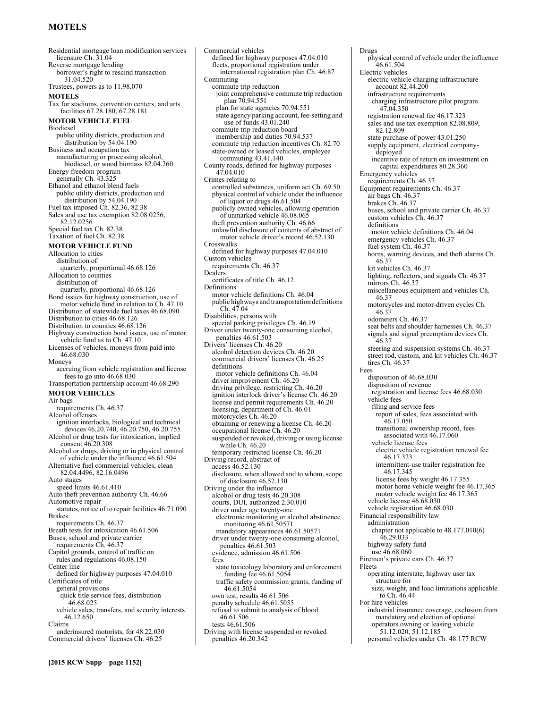## **MOTELS**

Residential mortgage loan modification services licensure Ch. 31.04 Reverse mortgage lending borrower's right to rescind transaction 31.04.520 Trustees, powers as to 11.98.070 **MOTELS**  Tax for stadiums, convention centers, and arts facilities 67.28.180, 67.28.181 **MOTOR VEHICLE FUEL**  Biodiesel public utility districts, production and distribution by 54.04.190 Business and occupation tax manufacturing or processing alcohol, biodiesel, or wood biomass 82.04.260 Energy freedom program generally Ch. 43.325 Ethanol and ethanol blend fuels public utility districts, production and distribution by 54.04.190 Fuel tax imposed Ch. 82.36, 82.38 Sales and use tax exemption 82.08.0256, 82.12.0256 Special fuel tax Ch. 82.38 Taxation of fuel Ch. 82.38 **MOTOR VEHICLE FUND**  Allocation to cities distribution of quarterly, proportional 46.68.126 Allocation to counties distribution of quarterly, proportional 46.68.126 Bond issues for highway construction, use of motor vehicle fund in relation to Ch. 47.10 Distribution of statewide fuel taxes 46.68.090 Distribution to cities 46.68.126 Distribution to counties 46.68.126 Highway construction bond issues, use of motor vehicle fund as to Ch. 47.10 Licenses of vehicles, moneys from paid into 46.68.030 Moneys accruing from vehicle registration and license fees to go into  $46.68.030$ Transportation partnership account 46.68.290 **MOTOR VEHICLES**  Air bags requirements Ch. 46.37 Alcohol offenses ignition interlocks, biological and technical devices 46.20.740, 46.20.750, 46.20.755 Alcohol or drug tests for intoxication, implied consent 46.20.308 Alcohol or drugs, driving or in physical control of vehicle under the influence 46.61.504 Alternative fuel commercial vehicles, clean 82.04.4496, 82.16.0496 Auto stages speed limits 46.61.410 Auto theft prevention authority Ch. 46.66 Automotive repair statutes, notice of to repair facilities 46.71.090 Brakes requirements Ch. 46.37 Breath tests for intoxication 46.61.506 Buses, school and private carrier requirements Ch. 46.37 Capitol grounds, control of traffic on rules and regulations 46.08.150 Center line defined for highway purposes 47.04.010 Certificates of title general provisions quick title service fees, distribution 46.68.025 vehicle sales, transfers, and security interests 46.12.650 Claims underinsured motorists, for 48.22.030 Commercial drivers' licenses Ch. 46.25

Commercial vehicles defined for highway purposes 47.04.010 fleets, proportional registration under international registration plan Ch. 46.87 Commuting commute trip reduction joint comprehensive commute trip reduction plan 70.94.551 plan for state agencies 70.94.551 state agency parking account, fee-setting and use of funds 43.01.240 commute trip reduction board membership and duties 70.94.537 commute trip reduction incentives Ch. 82.70 state-owned or leased vehicles, employee commuting 43.41.140 County roads, defined for highway purposes 47.04.010 Crimes relating to controlled substances, uniform act Ch. 69.50 physical control of vehicle under the influence of liquor or drugs 46.61.504 publicly owned vehicles, allowing operation of unmarked vehicle 46.08.065 theft prevention authority Ch. 46.66 unlawful disclosure of contents of abstract of motor vehicle driver's record 46.52.130 Crosswalks defined for highway purposes 47.04.010 Custom vehicles requirements Ch. 46.37 Dealers certificates of title Ch. 46.12 Definitions motor vehicle definitions Ch. 46.04 public highways and transportation definitions Ch. 47.04 Disabilities, persons with special parking privileges Ch. 46.19 Driver under twenty-one consuming alcohol, penalties 46.61.503 Drivers' licenses Ch. 46.20 alcohol detection devices Ch. 46.20 commercial drivers' licenses Ch. 46.25 definitions motor vehicle definitions Ch. 46.04 driver improvement Ch. 46.20 driving privilege, restricting Ch. 46.20 ignition interlock driver's license Ch. 46.20 license and permit requirements Ch. 46.20 licensing, department of Ch. 46.01 motorcycles Ch. 46.20 obtaining or renewing a license Ch. 46.20 occupational license Ch. 46.20 suspended or revoked, driving or using license while Ch. 46.20 temporary restricted license Ch. 46.20 Driving record, abstract of access 46.52.130 disclosure, when allowed and to whom, scope of disclosure 46.52.130 Driving under the influence alcohol or drug tests 46.20.308 courts, DUI, authorized 2.30.010 driver under age twenty-one electronic monitoring or alcohol abstinence monitoring 46.61.50571 mandatory appearances 46.61.50571 driver under twenty-one consuming alcohol, penalties 46.61.503 evidence, admission 46.61.506 fees state toxicology laboratory and enforcement funding fee 46.61.5054 traffic safety commission grants, funding of 46.61.5054 own test, results 46.61.506 penalty schedule 46.61.5055 refusal to submit to analysis of blood 46.61.506 tests 46.61.506 Driving with license suspended or revoked penalties 46.20.342

Drugs physical control of vehicle under the influence 46.61.504 Electric vehicles electric vehicle charging infrastructure account 82.44.200 infrastructure requirements charging infrastructure pilot program 47.04.350 registration renewal fee 46.17.323 sales and use tax exemption 82.08.809, 82.12.809 state purchase of power 43.01.250 supply equipment, electrical companydeployed incentive rate of return on investment on capital expenditures 80.28.360 Emergency vehicles requirements Ch. 46.37 Equipment requirements Ch. 46.37 air bags Ch. 46.37 brakes Ch. 46.37 buses, school and private carrier Ch. 46.37 custom vehicles Ch. 46.37 definitions motor vehicle definitions Ch. 46.04 emergency vehicles Ch. 46.37 fuel system Ch. 46.37 horns, warning devices, and theft alarms Ch. 46.37 kit vehicles Ch. 46.37 lighting, reflectors, and signals Ch. 46.37 mirrors Ch. 46.37 miscellaneous equipment and vehicles Ch. 46.37 motorcycles and motor-driven cycles Ch. 46.37 odometers Ch. 46.37 seat belts and shoulder harnesses Ch. 46.37 signals and signal preemption devices Ch. 46.37 steering and suspension systems Ch. 46.37 street rod, custom, and kit vehicles Ch. 46.37 tires Ch. 46.37 Fees disposition of 46.68.030 disposition of revenue registration and license fees 46.68.030 vehicle fees filing and service fees report of sales, fees associated with 46.17.050 transitional ownership record, fees associated with 46.17.060 vehicle license fees electric vehicle registration renewal fee 46.17.323 intermittent-use trailer registration fee 46.17.345 license fees by weight 46.17.355 motor home vehicle weight fee 46.17.365 motor vehicle weight fee 46.17.365 vehicle license 46.68.030 vehicle registration 46.68.030 Financial responsibility law administration chapter not applicable to 48.177.010(6) 46.29.033 highway safety fund use 46.68.060 Firemen's private cars Ch. 46.37 Fleets operating interstate, highway user tax structure for size, weight, and load limitations applicable to Ch. 46.44 For hire vehicles industrial insurance coverage, exclusion from mandatory and election of optional operators owning or leasing vehicle 51.12.020, 51.12.185 personal vehicles under Ch. 48.177 RCW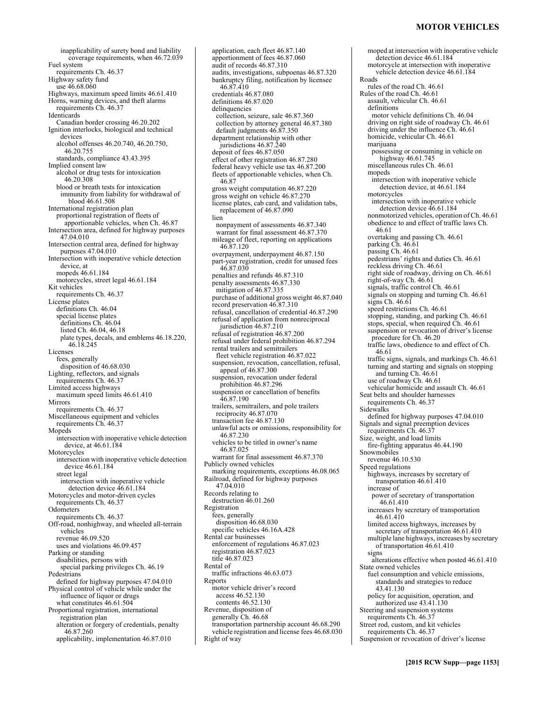#### **MOTOR VEHICLES**

inapplicability of surety bond and liability coverage requirements, when 46.72.039 Fuel system requirements Ch. 46.37 Highway safety fund use 46.68.060 Highways, maximum speed limits 46.61.410 Horns, warning devices, and theft alarms requirements Ch. 46.37 **Identicards** Canadian border crossing 46.20.202 Ignition interlocks, biological and technical devices alcohol offenses 46.20.740, 46.20.750, 46.20.755 standards, compliance 43.43.395 Implied consent law alcohol or drug tests for intoxication 46.20.308 blood or breath tests for intoxication immunity from liability for withdrawal of blood 46.61.508 International registration plan proportional registration of fleets of apportionable vehicles, when Ch. 46.87 Intersection area, defined for highway purposes 47.04.010 Intersection central area, defined for highway purposes 47.04.010 Intersection with inoperative vehicle detection device, at mopeds 46.61.184 motorcycles, street legal 46.61.184 Kit vehicles requirements Ch. 46.37 License plates definitions Ch. 46.04 special license plates definitions Ch. 46.04 listed Ch. 46.04, 46.18 plate types, decals, and emblems 46.18.220, 46.18.245 Licenses fees, generally disposition of 46.68.030 Lighting, reflectors, and signals requirements Ch. 46.37 Limited access highways maximum speed limits 46.61.410 Mirrors requirements Ch. 46.37 Miscellaneous equipment and vehicles requirements Ch. 46.37 Mopeds intersection with inoperative vehicle detection device, at 46.61.184 Motorcycles intersection with inoperative vehicle detection device 46.61.184 street legal intersection with inoperative vehicle detection device 46.61.184 Motorcycles and motor-driven cycles requirements Ch. 46.37 **Odometers** requirements Ch. 46.37 Off-road, nonhighway, and wheeled all-terrain vehicles revenue 46.09.520 uses and violations 46.09.457 Parking or standing disabilities, persons with special parking privileges Ch. 46.19 **Pedestrians** defined for highway purposes 47.04.010 Physical control of vehicle while under the influence of liquor or drugs what constitutes 46.61.504 Proportional registration, international registration plan alteration or forgery of credentials, penalty 46.87.260 applicability, implementation 46.87.010

application, each fleet 46.87.140 apportionment of fees 46.87.060 audit of records 46.87.310 audits, investigations, subpoenas 46.87.320 bankruptcy filing, notification by licensee 46.87.410 credentials 46.87.080 definitions 46.87.020 delinquencies collection, seizure, sale 46.87.360 collection by attorney general 46.87.380 default judgments 46.87.350 department relationship with other jurisdictions 46.87.240 deposit of fees 46.87.050 effect of other registration 46.87.280 federal heavy vehicle use tax 46.87.200 fleets of apportionable vehicles, when Ch. 46.87 gross weight computation 46.87.220 gross weight on vehicle 46.87.270 license plates, cab card, and validation tabs, replacement of 46.87.090 lien nonpayment of assessments 46.87.340 warrant for final assessment 46.87.370 mileage of fleet, reporting on applications 46.87.120 overpayment, underpayment 46.87.150 part-year registration, credit for unused fees 46.87.030 penalties and refunds 46.87.310 penalty assessments 46.87.330 mitigation of 46.87.335 purchase of additional gross weight 46.87.040 record preservation 46.87.310 refusal, cancellation of credential 46.87.290 refusal of application from nonreciprocal jurisdiction 46.87.210 refusal of registration 46.87.200 refusal under federal prohibition 46.87.294 rental trailers and semitrailers fleet vehicle registration 46.87.022 suspension, revocation, cancellation, refusal, appeal of 46.87.300 suspension, revocation under federal prohibition 46.87.296 suspension or cancellation of benefits 46.87.190 trailers, semitrailers, and pole trailers reciprocity 46.87.070 transaction fee 46.87.130 unlawful acts or omissions, responsibility for 46.87.230 vehicles to be titled in owner's name 46.87.025 warrant for final assessment 46.87.370 Publicly owned vehicles marking requirements, exceptions 46.08.065 Railroad, defined for highway purposes 47.04.010 Records relating to destruction 46.01.260 Registration fees, generally disposition 46.68.030 specific vehicles 46.16A.428 Rental car businesses enforcement of regulations 46.87.023 registration 46.87.023 title 46.87.023 Rental of traffic infractions 46.63.073 Reports motor vehicle driver's record access 46.52.130 contents 46.52.130 Revenue, disposition of generally Ch. 46.68 transportation partnership account 46.68.290 vehicle registration and license fees 46.68.030 Right of way

moped at intersection with inoperative vehicle detection device 46.61.184 motorcycle at intersection with inoperative vehicle detection device 46.61.184 Roads rules of the road Ch. 46.61 Rules of the road Ch. 46.61 assault, vehicular Ch. 46.61 definitions motor vehicle definitions Ch. 46.04 driving on right side of roadway Ch. 46.61 driving under the influence Ch. 46.61 homicide, vehicular Ch. 46.61 marijuana possessing or consuming in vehicle on highway 46.61.745 miscellaneous rules Ch. 46.61 mopeds intersection with inoperative vehicle detection device, at 46.61.184 motorcycles intersection with inoperative vehicle detection device 46.61.184 nonmotorized vehicles, operation of Ch. 46.61 obedience to and effect of traffic laws Ch. 46.61 overtaking and passing Ch. 46.61 parking Ch. 46.61 passing Ch. 46.61 pedestrians' rights and duties Ch. 46.61 reckless driving Ch. 46.61 right side of roadway, driving on Ch. 46.61 right-of-way Ch. 46.61 signals, traffic control Ch. 46.61 signals on stopping and turning Ch. 46.61 signs Ch. 46.61 speed restrictions Ch. 46.61 stopping, standing, and parking Ch. 46.61 stops, special, when required Ch. 46.61 suspension or revocation of driver's license procedure for Ch. 46.20 traffic laws, obedience to and effect of Ch. 46.61 traffic signs, signals, and markings Ch. 46.61 turning and starting and signals on stopping and turning Ch. 46.61 use of roadway Ch. 46.61 vehicular homicide and assault Ch. 46.61 Seat belts and shoulder harnesses requirements Ch. 46.37 Sidewalks defined for highway purposes 47.04.010 Signals and signal preemption devices requirements Ch. 46.37 Size, weight, and load limits fire-fighting apparatus 46.44.190 Snowmobiles revenue 46.10.530 Speed regulations highways, increases by secretary of transportation 46.61.410 increase of power of secretary of transportation 46.61.410 increases by secretary of transportation 46.61.410 limited access highways, increases by secretary of transportation 46.61.410 multiple lane highways, increases by secretary of transportation 46.61.410 signs alterations effective when posted 46.61.410 State owned vehicles fuel consumption and vehicle emissions, standards and strategies to reduce 43.41.130 policy for acquisition, operation, and authorized use 43.41.130 Steering and suspension systems requirements Ch. 46.37 Street rod, custom, and kit vehicles requirements Ch. 46.37 Suspension or revocation of driver's license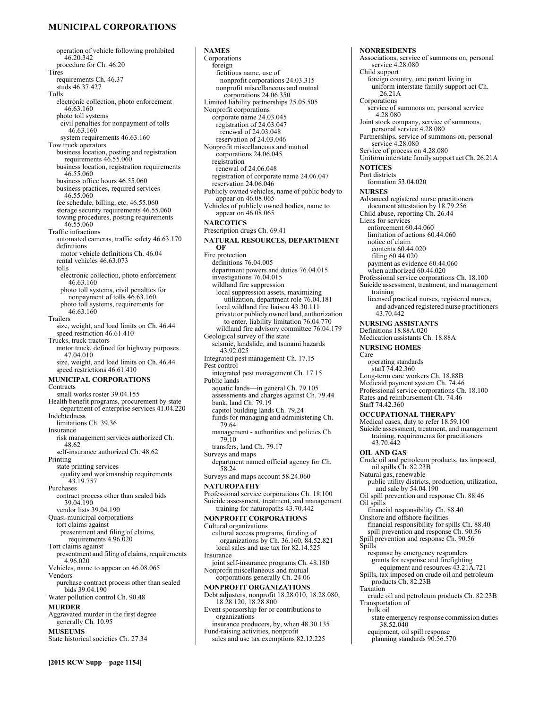#### **MUNICIPAL CORPORATIONS**

operation of vehicle following prohibited 46.20.342 procedure for Ch. 46.20 Tires requirements Ch. 46.37 studs 46.37.427 Tolls electronic collection, photo enforcement 46.63.160 photo toll systems civil penalties for nonpayment of tolls 46.63.160 system requirements 46.63.160 Tow truck operators business location, posting and registration requirements 46.55.060 business location, registration requirements 46.55.060 business office hours 46.55.060 business practices, required services 46.55.060 fee schedule, billing, etc. 46.55.060 storage security requirements 46.55.060 towing procedures, posting requirements 46.55.060 Traffic infractions automated cameras, traffic safety 46.63.170 definitions motor vehicle definitions Ch. 46.04 rental vehicles 46.63.073 tolls electronic collection, photo enforcement 46.63.160 photo toll systems, civil penalties for nonpayment of tolls 46.63.160 photo toll systems, requirements for 46.63.160 Trailers size, weight, and load limits on Ch. 46.44 speed restriction 46.61.410 Trucks, truck tractors motor truck, defined for highway purposes 47.04.010 size, weight, and load limits on Ch. 46.44 speed restrictions 46.61.410 **MUNICIPAL CORPORATIONS Contracts** small works roster 39.04.155 Health benefit programs, procurement by state department of enterprise services 41.04.220 Indebtedness limitations Ch. 39.36 Insurance risk management services authorized Ch. 48.62 self-insurance authorized Ch. 48.62 Printing state printing services quality and workmanship requirements 43.19.757 Purchases contract process other than sealed bids 39.04.190 vendor lists 39.04.190 Quasi-municipal corporations tort claims against presentment and filing of claims, requirements 4.96.020 Tort claims against presentment and filing of claims, requirements 4.96.020 Vehicles, name to appear on 46.08.065 Vendors purchase contract process other than sealed bids 39.04.190 Water pollution control Ch. 90.48 **MURDER**  Aggravated murder in the first degree generally Ch. 10.95 **MUSEUMS**  State historical societies Ch. 27.34

**NAMES**  Corporations foreign fictitious name, use of nonprofit corporations 24.03.315 nonprofit miscellaneous and mutual corporations 24.06.350 Limited liability partnerships 25.05.505 Nonprofit corporations corporate name 24.03.045 registration of 24.03.047 renewal of 24.03.048 reservation of 24.03.046 Nonprofit miscellaneous and mutual corporations 24.06.045 registration renewal of 24.06.048 registration of corporate name 24.06.047 reservation 24.06.046 Publicly owned vehicles, name of public body to appear on 46.08.065 Vehicles of publicly owned bodies, name to appear on 46.08.065 **NARCOTICS**  Prescription drugs Ch. 69.41 **NATURAL RESOURCES, DEPARTMENT OF**  Fire protection definitions 76.04.005 department powers and duties 76.04.015 investigations 76.04.015 wildland fire suppression local suppression assets, maximizing utilization, department role 76.04.181 local wildland fire liaison 43.30.111 private or publicly owned land, authorization to enter, liability limitation 76.04.770 wildland fire advisory committee 76.04.179 Geological survey of the state seismic, landslide, and tsunami hazards 43.92.025 Integrated pest management Ch. 17.15 Pest control integrated pest management Ch. 17.15 Public lands aquatic lands—in general Ch. 79.105 assessments and charges against Ch. 79.44 bank, land Ch. 79.19 capitol building lands Ch. 79.24 funds for managing and administering Ch. 79.64 management - authorities and policies Ch. 79.10 transfers, land Ch. 79.17 Surveys and maps department named official agency for Ch. 58.24 Surveys and maps account 58.24.060 **NATUROPATHY**  Professional service corporations Ch. 18.100 Suicide assessment, treatment, and management training for naturopaths 43.70.442 **NONPROFIT CORPORATIONS**  Cultural organizations cultural access programs, funding of organizations by Ch. 36.160, 84.52.821 local sales and use tax for 82.14.525 Insurance joint self-insurance programs Ch. 48.180 Nonprofit miscellaneous and mutual corporations generally Ch. 24.06 **NONPROFIT ORGANIZATIONS**  Debt adjusters, nonprofit 18.28.010, 18.28.080, 18.28.120, 18.28.800 Event sponsorship for or contributions to organizations insurance producers, by, when 48.30.135 Fund-raising activities, nonprofit

sales and use tax exemptions 82.12.225

**NONRESIDENTS**  Associations, service of summons on, personal service 4.28.080 Child support foreign country, one parent living in uniform interstate family support act Ch. 26.21A Corporations service of summons on, personal service 4.28.080 Joint stock company, service of summons, personal service 4.28.080 Partnerships, service of summons on, personal service 4.28.080 Service of process on 4.28.080 Uniform interstate family support act Ch. 26.21A **NOTICES**  Port districts formation 53.04.020 **NURSES**  Advanced registered nurse practitioners document attestation by 18.79.256 Child abuse, reporting Ch. 26.44 Liens for services enforcement 60.44.060 limitation of actions 60.44.060 notice of claim contents 60.44.020 filing 60.44.020 payment as evidence 60.44.060 when authorized 60.44.020 Professional service corporations Ch. 18.100 Suicide assessment, treatment, and management training licensed practical nurses, registered nurses, and advanced registered nurse practitioners 43.70.442 **NURSING ASSISTANTS**  Definitions 18.88A.020 Medication assistants Ch. 18.88A **NURSING HOMES**  Care operating standards staff 74.42.360 Long-term care workers Ch. 18.88B Medicaid payment system Ch. 74.46 Professional service corporations Ch. 18.100 Rates and reimbursement Ch. 74.46 Staff 74.42.360 **OCCUPATIONAL THERAPY**  Medical cases, duty to refer 18.59.100 Suicide assessment, treatment, and management training, requirements for practitioners 43.70.442 **OIL AND GAS**  Crude oil and petroleum products, tax imposed, oil spills Ch. 82.23B Natural gas, renewable public utility districts, production, utilization, and sale by 54.04.190 Oil spill prevention and response Ch. 88.46 Oil spills financial responsibility Ch. 88.40 Onshore and offshore facilities financial responsibility for spills Ch. 88.40 spill prevention and response Ch. 90.56 Spill prevention and response Ch. 90.56 Spills response by emergency responders grants for response and firefighting equipment and resources 43.21A.721 Spills, tax imposed on crude oil and petroleum products Ch. 82.23B Taxation crude oil and petroleum products Ch. 82.23B Transportation of bulk oil state emergency response commission duties 38.52.040 equipment, oil spill response planning standards 90.56.570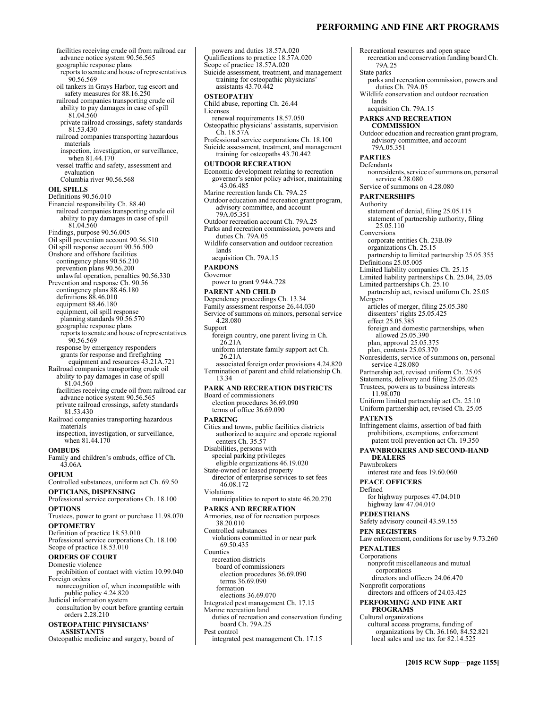facilities receiving crude oil from railroad car advance notice system 90.56.565 geographic response plans reports to senate and house of representatives 90.56.569 oil tankers in Grays Harbor, tug escort and safety measures for 88.16.250 railroad companies transporting crude oil ability to pay damages in case of spill 81.04.560 private railroad crossings, safety standards 81.53.430 railroad companies transporting hazardous materials inspection, investigation, or surveillance, when 81.44.170 vessel traffic and safety, assessment and evaluation Columbia river 90.56.568 **OIL SPILLS**  Definitions 90.56.010 Financial responsibility Ch. 88.40 railroad companies transporting crude oil ability to pay damages in case of spill 81.04.560 Findings, purpose 90.56.005 Oil spill prevention account 90.56.510 Oil spill response account 90.56.500 Onshore and offshore facilities contingency plans 90.56.210 prevention plans 90.56.200 unlawful operation, penalties 90.56.330 Prevention and response Ch. 90.56 contingency plans 88.46.180 definitions 88.46.010 equipment 88.46.180 equipment, oil spill response planning standards 90.56.570 geographic response plans reports to senate and house of representatives 90.56.569 response by emergency responders grants for response and firefighting equipment and resources 43.21A.721 Railroad companies transporting crude oil ability to pay damages in case of spill 81.04.560 facilities receiving crude oil from railroad car advance notice system 90.56.565 private railroad crossings, safety standards 81.53.430 Railroad companies transporting hazardous materials inspection, investigation, or surveillance, when 81.44.170 **OMBUDS**  Family and children's ombuds, office of Ch. 43.06A **OPIUM**  Controlled substances, uniform act Ch. 69.50 **OPTICIANS, DISPENSING**  Professional service corporations Ch. 18.100 **OPTIONS**  Trustees, power to grant or purchase 11.98.070 **OPTOMETRY**  Definition of practice 18.53.010 Professional service corporations Ch. 18.100 Scope of practice 18.53.010 **ORDERS OF COURT**  Domestic violence prohibition of contact with victim 10.99.040 Foreign orders nonrecognition of, when incompatible with public policy 4.24.820 Judicial information system consultation by court before granting certain orders 2.28.210 **OSTEOPATHIC PHYSICIANS' ASSISTANTS**  Osteopathic medicine and surgery, board of powers and duties 18.57A.020 Qualifications to practice 18.57A.020 Scope of practice 18.57A.020 training for osteopathic physicians' assistants 43.70.442 **OSTEOPATHY**  Child abuse, reporting Ch. 26.44 Licenses renewal requirements 18.57.050 Ch. 18.57A training for osteopaths 43.70.442 **OUTDOOR RECREATION**  43.06.485 Marine recreation lands Ch. 79A.25 advisory committee, and account 79A.05.351 Outdoor recreation account Ch. 79A.25 Parks and recreation commission, powers and duties Ch. 79A.05 Wildlife conservation and outdoor recreation lands acquisition Ch. 79A.15 **PARDONS**  Governor power to grant 9.94A.728 **PARENT AND CHILD**  Dependency proceedings Ch. 13.34 Family assessment response 26.44.030 Service of summons on minors, personal service 4.28.080 Support foreign country, one parent living in Ch. 26.21A uniform interstate family support act Ch. 26.21A associated foreign order provisions 4.24.820 Termination of parent and child relationship Ch. 13.34 **PARK AND RECREATION DISTRICTS**  Board of commissioners election procedures 36.69.090 terms of office 36.69.090 **PARKING**  Cities and towns, public facilities districts authorized to acquire and operate regional centers Ch. 35.57 Disabilities, persons with special parking privileges eligible organizations 46.19.020 State-owned or leased property director of enterprise services to set fees 46.08.172 Violations municipalities to report to state 46.20.270 **PARKS AND RECREATION**  Armories, use of for recreation purposes 38.20.010 Controlled substances violations committed in or near park 69.50.435 Counties recreation districts board of commissioners election procedures 36.69.090 terms 36.69.090 formation elections 36.69.070 Integrated pest management Ch. 17.15 Marine recreation land duties of recreation and conservation funding board Ch. 79A.25 Pest control integrated pest management Ch. 17.15

#### Suicide assessment, treatment, and management Osteopathic physicians' assistants, supervision Professional service corporations Ch. 18.100 Suicide assessment, treatment, and management Economic development relating to recreation governor's senior policy advisor, maintaining Outdoor education and recreation grant program, Recreational resources and open space recreation and conservation funding board Ch. 79A.25 State parks parks and recreation commission, powers and duties Ch. 79A.05 Wildlife conservation and outdoor recreation lands acquisition Ch. 79A.15 **PARKS AND RECREATION COMMISSION**  Outdoor education and recreation grant program, advisory committee, and account 79A.05.351 **PARTIES**  Defendants nonresidents, service of summons on, personal service 4.28.080 **PARTNERSHIPS**

Service of summons on 4.28.080 Authority statement of denial, filing 25.05.115 statement of partnership authority, filing 25.05.110 Conversions corporate entities Ch. 23B.09 organizations Ch. 25.15 partnership to limited partnership 25.05.355 Definitions 25.05.005 Limited liability companies Ch. 25.15 Limited liability partnerships Ch. 25.04, 25.05 Limited partnerships Ch. 25.10 partnership act, revised uniform Ch. 25.05 Mergers articles of merger, filing 25.05.380 dissenters' rights 25.05.425 effect 25.05.385 foreign and domestic partnerships, when allowed 25.05.390 plan, approval 25.05.375 plan, contents 25.05.370 Nonresidents, service of summons on, personal service 4.28.080 Partnership act, revised uniform Ch. 25.05 Statements, delivery and filing 25.05.025 Trustees, powers as to business interests 11.98.070 Uniform limited partnership act Ch. 25.10 Uniform partnership act, revised Ch. 25.05 **PATENTS**  Infringement claims, assertion of bad faith prohibitions, exemptions, enforcement patent troll prevention act Ch. 19.350 **PAWNBROKERS AND SECOND-HAND DEALERS**  Pawnbrokers interest rate and fees 19.60.060 **PEACE OFFICERS**  Defined for highway purposes 47.04.010 highway law 47.04.010 **PEDESTRIANS**  Safety advisory council 43.59.155 **PEN REGISTERS**  Law enforcement, conditions for use by 9.73.260 **PENALTIES**  Corporations nonprofit miscellaneous and mutual corporations directors and officers 24.06.470 Nonprofit corporations directors and officers of 24.03.425 **PERFORMING AND FINE ART PROGRAMS**  Cultural organizations cultural access programs, funding of

## **PERFORMING AND FINE ART PROGRAMS**

organizations by Ch. 36.160, 84.52.821 local sales and use tax for 82.14.525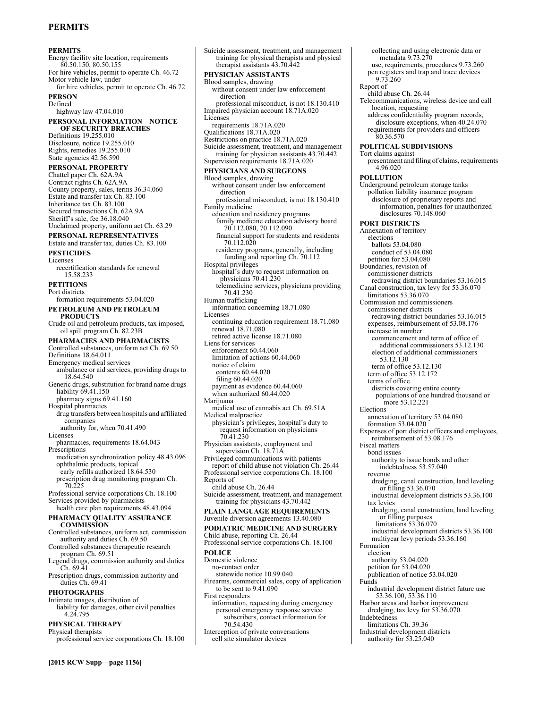## **PERMITS**

**PERMITS**  Energy facility site location, requirements 80.50.150, 80.50.155 For hire vehicles, permit to operate Ch. 46.72 Motor vehicle law, under for hire vehicles, permit to operate Ch. 46.72 **PERSON**  Defined highway law 47.04.010 **PERSONAL INFORMATION—NOTICE OF SECURITY BREACHES**  Definitions 19.255.010 Disclosure, notice 19.255.010 Rights, remedies 19.255.010 State agencies 42.56.590 **PERSONAL PROPERTY**  Chattel paper Ch. 62A.9A Contract rights Ch. 62A.9A County property, sales, terms 36.34.060 Estate and transfer tax Ch. 83.100 Inheritance tax Ch. 83.100 Secured transactions Ch. 62A.9A Sheriff's sale, fee 36.18.040 Unclaimed property, uniform act Ch. 63.29 **PERSONAL REPRESENTATIVES**  Estate and transfer tax, duties Ch. 83.100 **PESTICIDES**  Licenses recertification standards for renewal 15.58.233 **PETITIONS**  Port districts formation requirements 53.04.020 **PETROLEUM AND PETROLEUM PRODUCTS**  Crude oil and petroleum products, tax imposed, oil spill program Ch. 82.23B **PHARMACIES AND PHARMACISTS**  Controlled substances, uniform act Ch. 69.50 Definitions 18.64.011 Emergency medical services ambulance or aid services, providing drugs to 18.64.540 Generic drugs, substitution for brand name drugs liability 69.41.150 pharmacy signs 69.41.160 Hospital pharmacies drug transfers between hospitals and affiliated companies authority for, when 70.41.490 Licenses pharmacies, requirements 18.64.043 Prescriptions medication synchronization policy 48.43.096 ophthalmic products, topical early refills authorized 18.64.530 prescription drug monitoring program Ch. 70.225 Professional service corporations Ch. 18.100 Services provided by pharmacists health care plan requirements 48.43.094 **PHARMACY QUALITY ASSURANCE COMMISSION**  Controlled substances, uniform act, commission authority and duties Ch. 69.50 Controlled substances therapeutic research program Ch. 69.51 Legend drugs, commission authority and duties Ch. 69.41 Prescription drugs, commission authority and

duties Ch. 69.41

**PHOTOGRAPHS**  Intimate images, distribution of liability for damages, other civil penalties

4.24.795 **PHYSICAL THERAPY** 

## Physical therapists

professional service corporations Ch. 18.100

**[2015 RCW Supp—page 1156]**

Suicide assessment, treatment, and management training for physical therapists and physical therapist assistants 43.70.442 **PHYSICIAN ASSISTANTS**  Blood samples, drawing without consent under law enforcement direction professional misconduct, is not 18.130.410 Impaired physician account 18.71A.020 **Licenses** requirements 18.71A.020 Qualifications 18.71A.020 Restrictions on practice 18.71A.020 Suicide assessment, treatment, and management training for physician assistants 43.70.442 Supervision requirements 18.71A.020 **PHYSICIANS AND SURGEONS**  Blood samples, drawing without consent under law enforcement direction professional misconduct, is not 18.130.410 Family medicine education and residency programs family medicine education advisory board 70.112.080, 70.112.090 financial support for students and residents 70.112.020 residency programs, generally, including funding and reporting Ch. 70.112 Hospital privileges hospital's duty to request information on physicians 70.41.230 telemedicine services, physicians providing 70.41.230 Human trafficking information concerning 18.71.080 Licenses continuing education requirement 18.71.080 renewal 18.71.080 retired active license 18.71.080 Liens for services enforcement 60.44.060 limitation of actions 60.44.060 notice of claim contents 60.44.020 filing 60.44.020 payment as evidence 60.44.060 when authorized 60.44.020 Marijuana medical use of cannabis act Ch. 69.51A Medical malpractice physician's privileges, hospital's duty to request information on physicians 70.41.230 Physician assistants, employment and supervision Ch. 18.71A Privileged communications with patients report of child abuse not violation Ch. 26.44 Professional service corporations Ch. 18.100 Reports of child abuse Ch. 26.44 Suicide assessment, treatment, and management training for physicians 43.70.442 **PLAIN LANGUAGE REQUIREMENTS**  Juvenile diversion agreements 13.40.080 **PODIATRIC MEDICINE AND SURGERY**  Child abuse, reporting Ch. 26.44 Professional service corporations Ch. 18.100 **POLICE**  Domestic violence no-contact order statewide notice 10.99.040 Firearms, commercial sales, copy of application to be sent to 9.41.090 First responders information, requesting during emergency personal emergency response service subscribers, contact information for 70.54.430 Interception of private conversations cell site simulator devices

collecting and using electronic data or metadata 9.73.270 use, requirements, procedures 9.73.260 pen registers and trap and trace devices 9.73.260 Report of child abuse Ch. 26.44 Telecommunications, wireless device and call location, requesting address confidentiality program records, disclosure exceptions, when 40.24.070 requirements for providers and officers 80.36.570 **POLITICAL SUBDIVISIONS**  Tort claims against presentment and filing of claims, requirements 4.96.020 **POLLUTION**  Underground petroleum storage tanks pollution liability insurance program disclosure of proprietary reports and information, penalties for unauthorized disclosures 70.148.060 **PORT DISTRICTS**  Annexation of territory elections ballots 53.04.080 conduct of 53.04.080 petition for 53.04.080 Boundaries, revision of commissioner districts redrawing district boundaries 53.16.015 Canal construction, tax levy for 53.36.070 limitations 53.36.070 Commission and commissioners commissioner districts redrawing district boundaries 53.16.015 expenses, reimbursement of 53.08.176 increase in number commencement and term of office of additional commissioners 53.12.130 election of additional commissioners 53.12.130 term of office 53.12.130 term of office 53.12.172 terms of office districts covering entire county populations of one hundred thousand or more 53.12.221 Elections annexation of territory 53.04.080 formation 53.04.020 Expenses of port district officers and employees, reimbursement of 53.08.176 Fiscal matters bond issues authority to issue bonds and other indebtedness 53.57.040 revenue dredging, canal construction, land leveling or filling 53.36.070 industrial development districts 53.36.100 tax levies dredging, canal construction, land leveling or filling purposes limitations 53.36.070 industrial development districts 53.36.100 multiyear levy periods 53.36.160 Formation election authority 53.04.020 petition for 53.04.020 publication of notice 53.04.020 Funds industrial development district future use 53.36.100, 53.36.110 Harbor areas and harbor improvement dredging, tax levy for 53.36.070 Indebtedness limitations Ch. 39.36 Industrial development districts

authority for 53.25.040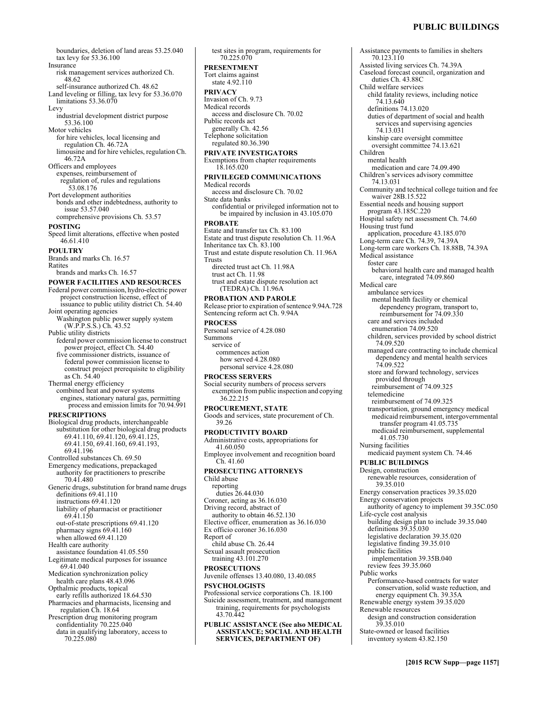boundaries, deletion of land areas 53.25.040 tax levy for 53.36.100 **Insurance** risk management services authorized Ch. 48.62 self-insurance authorized Ch. 48.62 Land leveling or filling, tax levy for 53.36.070 limitations 53.36.070 Levy industrial development district purpose 53.36.100 Motor vehicles for hire vehicles, local licensing and regulation Ch. 46.72A limousine and for hire vehicles, regulation Ch. 46.72A Officers and employees expenses, reimbursement of regulation of, rules and regulations 53.08.176 Port development authorities bonds and other indebtedness, authority to issue 53.57.040 comprehensive provisions Ch. 53.57 **POSTING**  Speed limit alterations, effective when posted 46.61.410 **POULTRY**  Brands and marks Ch. 16.57 Ratites brands and marks Ch. 16.57 **POWER FACILITIES AND RESOURCES**  Federal power commission, hydro-electric power project construction license, effect of issuance to public utility district Ch. 54.40 Joint operating agencies Washington public power supply system (W.P.P.S.S.) Ch. 43.52 Public utility districts federal power commission license to construct power project, effect Ch. 54.40 five commissioner districts, issuance of federal power commission license to construct project prerequisite to eligibility as Ch. 54.40 Thermal energy efficiency combined heat and power systems engines, stationary natural gas, permitting process and emission limits for 70.94.991 **PRESCRIPTIONS**  Biological drug products, interchangeable substitution for other biological drug products 69.41.110, 69.41.120, 69.41.125, 69.41.150, 69.41.160, 69.41.193, 69.41.196 Controlled substances Ch. 69.50 Emergency medications, prepackaged authority for practitioners to prescribe 70.41.480 Generic drugs, substitution for brand name drugs definitions 69.41.110 instructions 69.41.120 liability of pharmacist or practitioner 69.41.150 out-of-state prescriptions 69.41.120 pharmacy signs 69.41.160 when allowed 69.41.120 Health care authority assistance foundation 41.05.550 Legitimate medical purposes for issuance 69.41.040 Medication synchronization policy health care plans 48.43.096 Opthalmic products, topical early refills authorized 18.64.530 Pharmacies and pharmacists, licensing and regulation Ch. 18.64 Prescription drug monitoring program confidentiality 70.225.040 data in qualifying laboratory, access to 70.225.080

test sites in program, requirements for 70.225.070 **PRESENTMENT**  Tort claims against state 4.92.110 **PRIVACY**  Invasion of Ch. 9.73 Medical records access and disclosure Ch. 70.02 Public records act generally Ch. 42.56 Telephone solicitation regulated 80.36.390 **PRIVATE INVESTIGATORS**  Exemptions from chapter requirements 18.165.020 **PRIVILEGED COMMUNICATIONS**  Medical records access and disclosure Ch. 70.02 State data banks confidential or privileged information not to be impaired by inclusion in 43.105.070 **PROBATE**  Estate and transfer tax Ch. 83.100 Estate and trust dispute resolution Ch. 11.96A Inheritance tax Ch. 83.100 Trust and estate dispute resolution Ch. 11.96A Trusts directed trust act Ch. 11.98A trust act Ch. 11.98 trust and estate dispute resolution act (TEDRA) Ch. 11.96A **PROBATION AND PAROLE**  Release prior to expiration of sentence 9.94A.728 Sentencing reform act Ch. 9.94A **PROCESS**  Personal service of 4.28.080 Summons service of commences action how served 4.28.080 personal service 4.28.080 **PROCESS SERVERS**  Social security numbers of process servers exemption from public inspection and copying 36.22.215 **PROCUREMENT, STATE**  Goods and services, state procurement of Ch. 39.26 **PRODUCTIVITY BOARD**  Administrative costs, appropriations for 41.60.050 Employee involvement and recognition board Ch. 41.60 **PROSECUTING ATTORNEYS**  Child abuse reporting duties 26.44.030 Coroner, acting as 36.16.030 Driving record, abstract of authority to obtain 46.52.130 Elective officer, enumeration as 36.16.030 Ex officio coroner 36.16.030 Report of child abuse Ch. 26.44 Sexual assault prosecution training 43.101.270 **PROSECUTIONS**  Juvenile offenses 13.40.080, 13.40.085 **PSYCHOLOGISTS**  Professional service corporations Ch. 18.100 Suicide assessment, treatment, and management training, requirements for psychologists 43.70.442 **PUBLIC ASSISTANCE (See also MEDICAL ASSISTANCE; SOCIAL AND HEALTH SERVICES, DEPARTMENT OF)**

Assistance payments to families in shelters 70.123.110 Assisted living services Ch. 74.39A Caseload forecast council, organization and duties Ch. 43.88C Child welfare services child fatality reviews, including notice 74.13.640 definitions 74.13.020 duties of department of social and health services and supervising agencies 74.13.031 kinship care oversight committee oversight committee 74.13.621 Children mental health medication and care 74.09.490 Children's services advisory committee 74.13.031 Community and technical college tuition and fee waiver 28B.15.522 Essential needs and housing support program 43.185C.220 Hospital safety net assessment Ch. 74.60 Housing trust fund application, procedure 43.185.070 Long-term care Ch. 74.39, 74.39A Long-term care workers Ch. 18.88B, 74.39A Medical assistance foster care behavioral health care and managed health care, integrated 74.09.860 Medical care ambulance services mental health facility or chemical dependency program, transport to, reimbursement for 74.09.330 care and services included enumeration 74.09.520 children, services provided by school district 74.09.520 managed care contracting to include chemical dependency and mental health services 74.09.522 store and forward technology, services provided through reimbursement of 74.09.325 telemedicine reimbursement of 74.09.325 transportation, ground emergency medical medicaid reimbursement, intergovernmental transfer program 41.05.735 medicaid reimbursement, supplemental 41.05.730 Nursing facilities medicaid payment system Ch. 74.46 **PUBLIC BUILDINGS**  Design, construction renewable resources, consideration of 39.35.010 Energy conservation practices 39.35.020 Energy conservation projects authority of agency to implement 39.35C.050 Life-cycle cost analysis building design plan to include 39.35.040 definitions 39.35.030 legislative declaration 39.35.020 legislative finding 39.35.010 public facilities implementation 39.35B.040 review fees 39.35.060 Public works Performance-based contracts for water conservation, solid waste reduction, and energy equipment Ch. 39.35A Renewable energy system 39.35.020 Renewable resources design and construction consideration 39.35.010 State-owned or leased facilities inventory system 43.82.150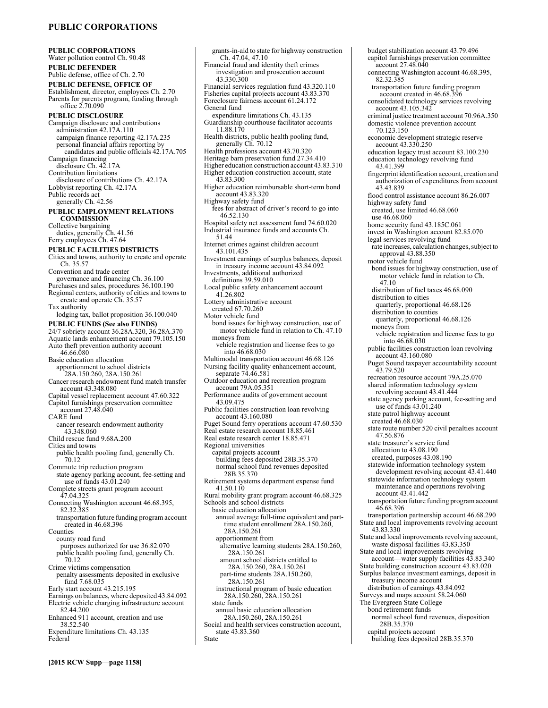#### **PUBLIC CORPORATIONS**

**PUBLIC CORPORATIONS**  Water pollution control Ch. 90.48 **PUBLIC DEFENDER**  Public defense, office of Ch. 2.70 **PUBLIC DEFENSE, OFFICE OF**  Establishment, director, employees Ch. 2.70 Parents for parents program, funding through office 2.70.090 **PUBLIC DISCLOSURE**  Campaign disclosure and contributions administration 42.17A.110 campaign finance reporting 42.17A.235 personal financial affairs reporting by candidates and public officials 42.17A.705 Campaign financing disclosure Ch. 42.17A Contribution limitations disclosure of contributions Ch. 42.17A Lobbyist reporting Ch. 42.17A Public records act generally Ch. 42.56 **PUBLIC EMPLOYMENT RELATIONS COMMISSION**  Collective bargaining duties, generally Ch. 41.56 Ferry employees Ch. 47.64 **PUBLIC FACILITIES DISTRICTS**  Cities and towns, authority to create and operate Ch. 35.57 Convention and trade center governance and financing Ch. 36.100 Purchases and sales, procedures 36.100.190 Regional centers, authority of cities and towns to create and operate Ch. 35.57 Tax authority lodging tax, ballot proposition 36.100.040 **PUBLIC FUNDS (See also FUNDS)** 24/7 sobriety account 36.28A.320, 36.28A.370 Aquatic lands enhancement account 79.105.150 Auto theft prevention authority account 46.66.080 Basic education allocation apportionment to school districts 28A.150.260, 28A.150.261 Cancer research endowment fund match transfer account 43.348.080 Capital vessel replacement account 47.60.322 Capitol furnishings preservation committee account 27.48.040 CARE fund cancer research endowment authority 43.348.060 Child rescue fund 9.68A.200 Cities and towns public health pooling fund, generally Ch. 70.12 Commute trip reduction program state agency parking account, fee-setting and use of funds 43.01.240 Complete streets grant program account 47.04.325 Connecting Washington account 46.68.395, 82.32.385 transportation future funding program account created in 46.68.396 **Counties** county road fund purposes authorized for use 36.82.070 public health pooling fund, generally Ch. 70.12 Crime victims compensation penalty assessments deposited in exclusive fund 7.68.035 Early start account 43.215.195 Earnings on balances, where deposited 43.84.092 Electric vehicle charging infrastructure account 82.44.200 Enhanced 911 account, creation and use 38.52.540 Expenditure limitations Ch. 43.135 Federal

43.330.300 Financial services regulation fund 43.320.110 Fisheries capital projects account 43.83.370 Foreclosure fairness account 61.24.172 General fund expenditure limitations Ch. 43.135 Guardianship courthouse facilitator accounts 11.88.170 Health districts, public health pooling fund, generally Ch. 70.12 Health professions account 43.70.320 Heritage barn preservation fund 27.34.410 Higher education construction account 43.83.310 Higher education construction account, state 43.83.300 Higher education reimbursable short-term bond account 43.83.320 Highway safety fund fees for abstract of driver's record to go into 46.52.130 Hospital safety net assessment fund 74.60.020 Industrial insurance funds and accounts Ch. 51.44 Internet crimes against children account 43.101.435 Investment earnings of surplus balances, deposit in treasury income account 43.84.092 Investments, additional authorized definitions 39.59.010 Local public safety enhancement account 41.26.802 Lottery administrative account created 67.70.260 Motor vehicle fund bond issues for highway construction, use of motor vehicle fund in relation to Ch. 47.10 moneys from vehicle registration and license fees to go into 46.68.030 Multimodal transportation account 46.68.126 Nursing facility quality enhancement account, separate 74.46.581 Outdoor education and recreation program account 79A.05.351 Performance audits of government account 43.09.475 Public facilities construction loan revolving account 43.160.080 Puget Sound ferry operations account 47.60.530 Real estate research account 18.85.461 Real estate research center 18.85.471 Regional universities capital projects account building fees deposited 28B.35.370 normal school fund revenues deposited 28B.35.370 Retirement systems department expense fund 41.50.110 Rural mobility grant program account 46.68.325 Schools and school districts basic education allocation annual average full-time equivalent and parttime student enrollment 28A.150.260, 28A.150.261 apportionment from alternative learning students 28A.150.260, 28A.150.261 amount school districts entitled to 28A.150.260, 28A.150.261 part-time students 28A.150.260, 28A.150.261 instructional program of basic education 28A.150.260, 28A.150.261 state funds annual basic education allocation 28A.150.260, 28A.150.261 Social and health services construction account, state 43.83.360

grants-in-aid to state for highway construction

Ch. 47.04, 47.10

Financial fraud and identity theft crimes investigation and prosecution account

```
State
```
budget stabilization account 43.79.496 capitol furnishings preservation committee account 27.48.040 connecting Washington account 46.68.395, 82.32.385 transportation future funding program account created in 46.68.396 consolidated technology services revolving account 43.105.342 criminal justice treatment account 70.96A.350 domestic violence prevention account 70.123.150 economic development strategic reserve account 43.330.250 education legacy trust account 83.100.230 education technology revolving fund 43.41.399 fingerprint identification account, creation and authorization of expenditures from account 43.43.839 flood control assistance account 86.26.007 highway safety fund created, use limited 46.68.060 use 46.68.060 home security fund 43.185C.061 invest in Washington account 82.85.070 legal services revolving fund rate increases, calculation changes, subject to approval 43.88.350 motor vehicle fund bond issues for highway construction, use of motor vehicle fund in relation to Ch. 47.10 distribution of fuel taxes 46.68.090 distribution to cities quarterly, proportional 46.68.126 distribution to counties quarterly, proportional 46.68.126 moneys from vehicle registration and license fees to go into 46.68.030 public facilities construction loan revolving account 43.160.080 Puget Sound taxpayer accountability account 43.79.520 recreation resource account 79A.25.070 shared information technology system revolving account 43.41.444 state agency parking account, fee-setting and use of funds 43.01.240 state patrol highway account created 46.68.030 state route number 520 civil penalties account 47.56.876 state treasurer's service fund allocation to 43.08.190 created, purposes 43.08.190 statewide information technology system development revolving account 43.41.440 statewide information technology system maintenance and operations revolving account 43.41.442 transportation future funding program account 46.68.396 transportation partnership account 46.68.290 State and local improvements revolving account 43.83.330 State and local improvements revolving account, waste disposal facilities 43.83.350 State and local improvements revolving account—water supply facilities 43.83.340 State building construction account 43.83.020 Surplus balance investment earnings, deposit in treasury income account distribution of earnings 43.84.092 Surveys and maps account 58.24.060 The Evergreen State College bond retirement funds normal school fund revenues, disposition 28B.35.370 capital projects account

building fees deposited 28B.35.370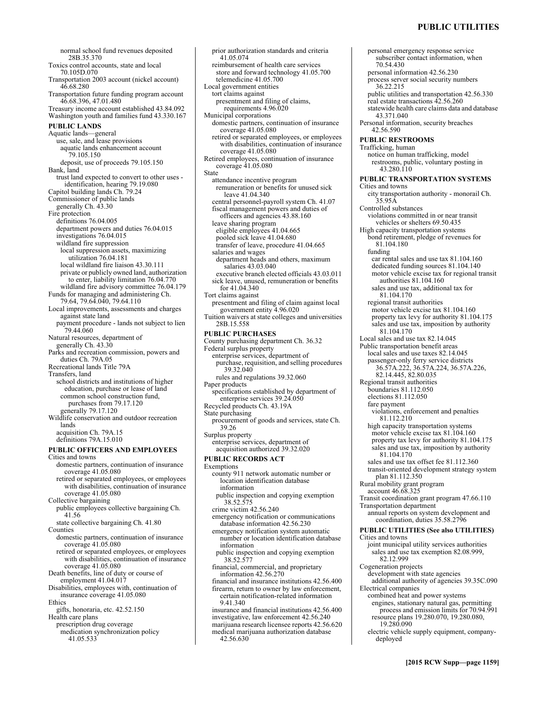personal emergency response service subscriber contact information, when 70.54.430

personal information 42.56.230 process server social security numbers

36.22.215

normal school fund revenues deposited 28B.35.370 Toxics control accounts, state and local 70.105D.070 Transportation 2003 account (nickel account) 46.68.280 Transportation future funding program account 46.68.396, 47.01.480 Treasury income account established 43.84.092 Washington youth and families fund 43.330.167 **PUBLIC LANDS**  Aquatic lands—general use, sale, and lease provisions aquatic lands enhancement account 79.105.150 deposit, use of proceeds 79.105.150 Bank, land trust land expected to convert to other uses identification, hearing 79.19.080 Capitol building lands Ch. 79.24 Commissioner of public lands generally Ch. 43.30 Fire protection definitions 76.04.005 department powers and duties 76.04.015 investigations 76.04.015 wildland fire suppression local suppression assets, maximizing utilization 76.04.181 local wildland fire liaison 43.30.111 private or publicly owned land, authorization to enter, liability limitation 76.04.770 wildland fire advisory committee 76.04.179 Funds for managing and administering Ch. 79.64, 79.64.040, 79.64.110 Local improvements, assessments and charges against state land payment procedure - lands not subject to lien 79.44.060 Natural resources, department of generally Ch. 43.30 Parks and recreation commission, powers and duties Ch. 79A.05 Recreational lands Title 79A Transfers, land school districts and institutions of higher education, purchase or lease of land common school construction fund, purchases from 79.17.120 generally 79.17.120 Wildlife conservation and outdoor recreation lands acquisition Ch. 79A.15 definitions 79A.15.010 **PUBLIC OFFICERS AND EMPLOYEES**  Cities and towns domestic partners, continuation of insurance coverage 41.05.080 retired or separated employees, or employees with disabilities, continuation of insurance coverage 41.05.080 Collective bargaining public employees collective bargaining Ch. 41.56 state collective bargaining Ch. 41.80 Counties domestic partners, continuation of insurance coverage 41.05.080 retired or separated employees, or employees with disabilities, continuation of insurance coverage 41.05.080 Death benefits, line of duty or course of employment 41.04.017 Disabilities, employees with, continuation of insurance coverage 41.05.080 Ethics gifts, honoraria, etc. 42.52.150 Health care plans prescription drug coverage medication synchronization policy 41.05.533

prior authorization standards and criteria 41.05.074 reimbursement of health care services store and forward technology 41.05.700 telemedicine 41.05.700 Local government entities tort claims against presentment and filing of claims, requirements 4.96.020 Municipal corporations domestic partners, continuation of insurance coverage 41.05.080 retired or separated employees, or employees with disabilities, continuation of insurance coverage 41.05.080 Retired employees, continuation of insurance coverage 41.05.080 State attendance incentive program remuneration or benefits for unused sick leave 41.04.340 central personnel-payroll system Ch. 41.07 fiscal management powers and duties of officers and agencies 43.88.160 leave sharing program eligible employees 41.04.665 pooled sick leave 41.04.680 transfer of leave, procedure 41.04.665 salaries and wages department heads and others, maximum salaries 43.03.040 executive branch elected officials 43.03.011 sick leave, unused, remuneration or benefits for 41.04.340 Tort claims against presentment and filing of claim against local government entity 4.96.020 Tuition waivers at state colleges and universities 28B.15.558 **PUBLIC PURCHASES**  County purchasing department Ch. 36.32 Federal surplus property enterprise services, department of purchase, requisition, and selling procedures 39.32.040 rules and regulations 39.32.060 Paper products specifications established by department of enterprise services 39.24.050 Recycled products Ch. 43.19A State purchasing procurement of goods and services, state Ch. 39.26 Surplus property enterprise services, department of acquisition authorized 39.32.020 **PUBLIC RECORDS ACT**  Exemptions county 911 network automatic number or location identification database information public inspection and copying exemption 38.52.575 crime victim 42.56.240 emergency notification or communications database information 42.56.230 emergency notification system automatic number or location identification database information public inspection and copying exemption 38.52.577 financial, commercial, and proprietary information 42.56.270 financial and insurance institutions 42.56.400 firearm, return to owner by law enforcement, certain notification-related information 9.41.340 insurance and financial institutions 42.56.400 investigative, law enforcement 42.56.240 marijuana research licensee reports 42.56.620 medical marijuana authorization database

42.56.630

public utilities and transportation 42.56.330 real estate transactions  $42.56.260$ statewide health care claims data and database 43.371.040 Personal information, security breaches 42.56.590 **PUBLIC RESTROOMS**  Trafficking, human notice on human trafficking, model restrooms, public, voluntary posting in 43.280.110 **PUBLIC TRANSPORTATION SYSTEMS**  Cities and towns city transportation authority - monorail Ch. 35.95A Controlled substances violations committed in or near transit vehicles or shelters 69.50.435 High capacity transportation systems bond retirement, pledge of revenues for 81.104.180 funding car rental sales and use tax 81.104.160 dedicated funding sources 81.104.140 motor vehicle excise tax for regional transit authorities 81.104.160 sales and use tax, additional tax for 81.104.170 regional transit authorities motor vehicle excise tax 81.104.160 property tax levy for authority 81.104.175 sales and use tax, imposition by authority 81.104.170 Local sales and use tax 82.14.045 Public transportation benefit areas local sales and use taxes 82.14.045 passenger-only ferry service districts 36.57A.222, 36.57A.224, 36.57A.226, 82.14.445, 82.80.035 Regional transit authorities boundaries 81.112.050 elections 81.112.050 fare payment violations, enforcement and penalties 81.112.210 high capacity transportation systems motor vehicle excise tax 81.104.160 property tax levy for authority 81.104.175 sales and use tax, imposition by authority 81.104.170 sales and use tax offset fee 81.112.360 transit-oriented development strategy system plan 81.112.350 Rural mobility grant program account 46.68.325 Transit coordination grant program 47.66.110 Transportation department annual reports on system development and coordination, duties 35.58.2796 **PUBLIC UTILITIES (See also UTILITIES)** Cities and towns joint municipal utility services authorities sales and use tax exemption 82.08.999, 82.12.999 Cogeneration projects development with state agencies additional authority of agencies 39.35C.090 Electrical companies combined heat and power systems engines, stationary natural gas, permitting process and emission limits for 70.94.991 resource plans 19.280.070, 19.280.080, 19.280.090 electric vehicle supply equipment, companydeployed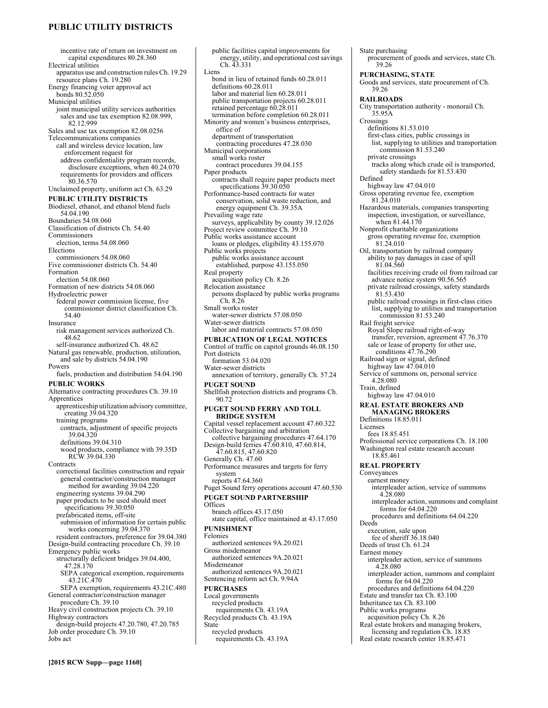## **PUBLIC UTILITY DISTRICTS**

incentive rate of return on investment on capital expenditures 80.28.360 Electrical utilities apparatus use and construction rules Ch. 19.29 resource plans Ch. 19.280 Energy financing voter approval act bonds 80.52.050 Municipal utilities joint municipal utility services authorities sales and use tax exemption 82.08.999, 82.12.999 Sales and use tax exemption 82.08.0256 Telecommunications companies call and wireless device location, law enforcement request for address confidentiality program records, disclosure exceptions, when 40.24.070 requirements for providers and officers 80.36.570 Unclaimed property, uniform act Ch. 63.29 **PUBLIC UTILITY DISTRICTS**  Biodiesel, ethanol, and ethanol blend fuels 54.04.190 Boundaries 54.08.060 Classification of districts Ch. 54.40 Commissioners election, terms 54.08.060 Elections commissioners 54.08.060 Five commissioner districts Ch. 54.40 Formation election 54.08.060 Formation of new districts 54.08.060 Hydroelectric power federal power commission license, five commissioner district classification Ch. 54.40 Insurance risk management services authorized Ch. 48.62 self-insurance authorized Ch. 48.62 Natural gas renewable, production, utilization, and sale by districts 54.04.190 Powers fuels, production and distribution 54.04.190 **PUBLIC WORKS**  Alternative contracting procedures Ch. 39.10 Apprentices apprenticeship utilization advisory committee, creating 39.04.320 training programs contracts, adjustment of specific projects 39.04.320 definitions 39.04.310 wood products, compliance with 39.35D RCW 39.04.330 **Contracts** correctional facilities construction and repair general contractor/construction manager method for awarding 39.04.220 engineering systems 39.04.290 paper products to be used should meet specifications 39.30.050 prefabricated items, off-site submission of information for certain public works concerning 39.04.370 resident contractors, preference for 39.04.380 Design-build contracting procedure Ch. 39.10 Emergency public works structurally deficient bridges 39.04.400, 47.28.170 SEPA categorical exemption, requirements 43.21C.470 SEPA exemption, requirements 43.21C.480 General contractor/construction manager procedure Ch. 39.10 Heavy civil construction projects Ch. 39.10 Highway contractors design-build projects 47.20.780, 47.20.785 Job order procedure Ch. 39.10 Jobs act

public facilities capital improvements for energy, utility, and operational cost savings Ch. 43.331 Liens bond in lieu of retained funds 60.28.011 definitions 60.28.011 labor and material lien 60.28.011 public transportation projects 60.28.011 retained percentage 60.28.011 termination before completion 60.28.011 Minority and women's business enterprises, office of department of transportation contracting procedures 47.28.030 Municipal corporations small works roster contract procedures 39.04.155 Paper products contracts shall require paper products meet specifications 39.30.050 Performance-based contracts for water conservation, solid waste reduction, and energy equipment Ch. 39.35A Prevailing wage rate surveys, applicability by county 39.12.026 Project review committee Ch. 39.10 Public works assistance account loans or pledges, eligibility 43.155.070 Public works projects public works assistance account established, purpose 43.155.050 Real property acquisition policy Ch. 8.26 Relocation assistance persons displaced by public works programs Ch. 8.26 Small works roster water-sewer districts 57.08.050 Water-sewer districts labor and material contracts 57.08.050 **PUBLICATION OF LEGAL NOTICES**  Control of traffic on capitol grounds 46.08.150 Port districts formation 53.04.020 Water-sewer districts annexation of territory, generally Ch. 57.24 **PUGET SOUND**  Shellfish protection districts and programs Ch. 90.72 **PUGET SOUND FERRY AND TOLL BRIDGE SYSTEM**  Capital vessel replacement account 47.60.322 Collective bargaining and arbitration collective bargaining procedures 47.64.170 Design-build ferries 47.60.810, 47.60.814, 47.60.815, 47.60.820 Generally Ch. 47.60 Performance measures and targets for ferry system reports 47.64.360 Puget Sound ferry operations account 47.60.530 **PUGET SOUND PARTNERSHIP Offices** branch offices 43.17.050 state capital, office maintained at 43.17.050 **PUNISHMENT**  Felonies authorized sentences 9A.20.021 Gross misdemeanor authorized sentences 9A.20.021 Misdemeanor authorized sentences 9A.20.021 Sentencing reform act Ch. 9.94A **PURCHASES**  Local governments recycled products requirements Ch. 43.19A Recycled products Ch. 43.19A State recycled products requirements Ch. 43.19A

State purchasing procurement of goods and services, state Ch. 39.26 **PURCHASING, STATE**  Goods and services, state procurement of Ch. 39.26 **RAILROADS**  City transportation authority - monorail Ch. 35.95A Crossings definitions 81.53.010 first-class cities, public crossings in list, supplying to utilities and transportation commission 81.53.240 private crossings tracks along which crude oil is transported, safety standards for 81.53.430 Defined highway law 47.04.010 Gross operating revenue fee, exemption 81.24.010 Hazardous materials, companies transporting inspection, investigation, or surveillance, when 81.44.170 Nonprofit charitable organizations gross operating revenue fee, exemption 81.24.010 Oil, transportation by railroad company ability to pay damages in case of spill 81.04.560 facilities receiving crude oil from railroad car advance notice system 90.56.565 private railroad crossings, safety standards 81.53.430 public railroad crossings in first-class cities list, supplying to utilities and transportation commission 81.53.240 Rail freight service Royal Slope railroad right-of-way transfer, reversion, agreement 47.76.370 sale or lease of property for other use, conditions 47.76.290 Railroad sign or signal, defined highway law 47.04.010 Service of summons on, personal service 4.28.080 Train, defined highway law 47.04.010 **REAL ESTATE BROKERS AND MANAGING BROKERS**  Definitions 18.85.011 Licenses fees 18.85.451 Professional service corporations Ch. 18.100 Washington real estate research account 18.85.461 **REAL PROPERTY**  Conveyances earnest money interpleader action, service of summons 4.28.080 interpleader action, summons and complaint forms for 64.04.220 procedures and definitions 64.04.220 Deeds execution, sale upon fee of sheriff 36.18.040 Deeds of trust Ch. 61.24 Earnest money interpleader action, service of summons 4.28.080 interpleader action, summons and complaint forms for 64.04.220 procedures and definitions 64.04.220 Estate and transfer tax Ch. 83.100 Inheritance tax Ch. 83.100 Public works programs acquisition policy Ch. 8.26 Real estate brokers and managing brokers, licensing and regulation Ch. 18.85 Real estate research center 18.85.471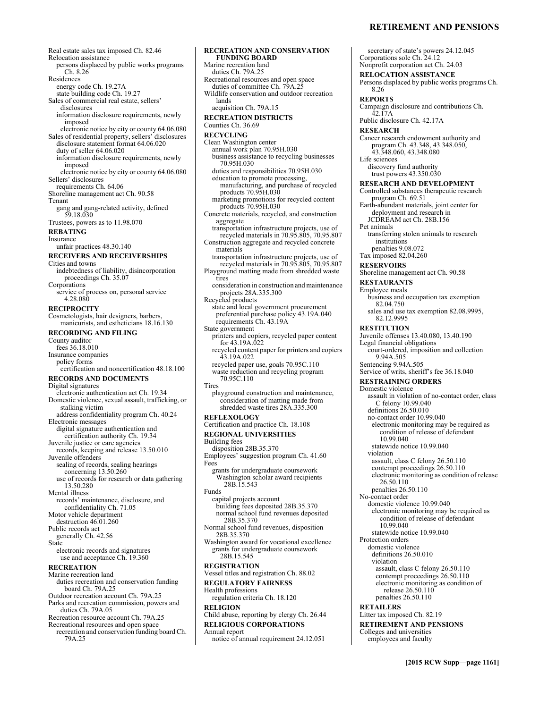#### **RETIREMENT AND PENSIONS**

Real estate sales tax imposed Ch. 82.46 Relocation assistance persons displaced by public works programs Ch. 8.26 Residences energy code Ch. 19.27A state building code Ch. 19.27 Sales of commercial real estate, sellers' disclosures information disclosure requirements, newly imposed electronic notice by city or county 64.06.080 Sales of residential property, sellers' disclosures disclosure statement format 64.06.020 duty of seller 64.06.020 information disclosure requirements, newly imposed electronic notice by city or county 64.06.080 Sellers' disclosures requirements Ch. 64.06 Shoreline management act Ch. 90.58 Tenant gang and gang-related activity, defined 59.18.030 Trustees, powers as to 11.98.070 **REBATING**  Insurance unfair practices 48.30.140 **RECEIVERS AND RECEIVERSHIPS**  Cities and towns indebtedness of liability, disincorporation proceedings Ch. 35.07 **Corporations** service of process on, personal service 4.28.080 **RECIPROCITY**  Cosmetologists, hair designers, barbers, manicurists, and estheticians 18.16.130 **RECORDING AND FILING**  County auditor fees 36.18.010 Insurance companies policy forms certification and noncertification 48.18.100 **RECORDS AND DOCUMENTS**  Digital signatures electronic authentication act Ch. 19.34 Domestic violence, sexual assault, trafficking, or stalking victim address confidentiality program Ch. 40.24 Electronic messages digital signature authentication and certification authority Ch. 19.34 Juvenile justice or care agencies records, keeping and release 13.50.010 Juvenile offenders sealing of records, sealing hearings concerning 13.50.260 use of records for research or data gathering 13.50.280 Mental illness records' maintenance, disclosure, and confidentiality Ch. 71.05 Motor vehicle department destruction 46.01.260 Public records act generally Ch. 42.56 State electronic records and signatures use and acceptance Ch. 19.360 **RECREATION**  Marine recreation land duties recreation and conservation funding board Ch. 79A.25 Outdoor recreation account Ch. 79A.25 Parks and recreation commission, powers and duties Ch. 79A.05 Recreation resource account Ch. 79A.25 Recreational resources and open space recreation and conservation funding board Ch. 79A.25 **RECREATION AND CONSERVATION Tires** Fees Funds

**FUNDING BOARD**  Marine recreation land duties Ch. 79A.25 Recreational resources and open space duties of committee Ch. 79A.25 Wildlife conservation and outdoor recreation lands acquisition Ch. 79A.15 **RECREATION DISTRICTS**  Counties Ch. 36.69 **RECYCLING**  Clean Washington center annual work plan 70.95H.030 business assistance to recycling businesses 70.95H.030 duties and responsibilities 70.95H.030 education to promote processing, manufacturing, and purchase of recycled products 70.95H.030 marketing promotions for recycled content products 70.95H.030 Concrete materials, recycled, and construction aggregate transportation infrastructure projects, use of recycled materials in 70.95.805, 70.95.807 Construction aggregate and recycled concrete materials transportation infrastructure projects, use of recycled materials in 70.95.805, 70.95.807 Playground matting made from shredded waste tires consideration in construction and maintenance projects 28A.335.300 Recycled products state and local government procurement preferential purchase policy 43.19A.040 requirements Ch. 43.19A State government printers and copiers, recycled paper content for 43.19A.022 recycled content paper for printers and copiers 43.19A.022 recycled paper use, goals 70.95C.110 waste reduction and recycling program 70.95C.110 playground construction and maintenance, consideration of matting made from shredded waste tires 28A.335.300 **REFLEXOLOGY**  Certification and practice Ch. 18.108 **REGIONAL UNIVERSITIES**  Building fees disposition 28B.35.370 Employees' suggestion program Ch. 41.60 grants for undergraduate coursework Washington scholar award recipients 28B.15.543 capital projects account building fees deposited 28B.35.370 normal school fund revenues deposited 28B.35.370 Normal school fund revenues, disposition 28B.35.370 Washington award for vocational excellence grants for undergraduate coursework 28B.15.545 **REGISTRATION**  Vessel titles and registration Ch. 88.02 **REGULATORY FAIRNESS**  Health professions regulation criteria Ch. 18.120 **RELIGION**  Child abuse, reporting by clergy Ch. 26.44 **RELIGIOUS CORPORATIONS**  Annual report notice of annual requirement 24.12.051

secretary of state's powers 24.12.045 Corporations sole Ch. 24.12 Nonprofit corporation act Ch. 24.03 **RELOCATION ASSISTANCE**  Persons displaced by public works programs Ch. 8.26 **REPORTS**  Campaign disclosure and contributions Ch. 42.17A Public disclosure Ch. 42.17A **RESEARCH**  Cancer research endowment authority and program Ch. 43.348, 43.348.050, 43.348.060, 43.348.080 Life sciences discovery fund authority trust powers 43.350.030 **RESEARCH AND DEVELOPMENT**  Controlled substances therapeutic research program Ch. 69.51 Earth-abundant materials, joint center for deployment and research in JCDREAM act Ch. 28B.156 Pet animals transferring stolen animals to research institutions penalties 9.08.072 Tax imposed 82.04.260 **RESERVOIRS**  Shoreline management act Ch. 90.58 **RESTAURANTS**  Employee meals business and occupation tax exemption 82.04.750 sales and use tax exemption 82.08.9995, 82.12.9995 **RESTITUTION**  Juvenile offenses 13.40.080, 13.40.190 Legal financial obligations court-ordered, imposition and collection 9.94A.505 Sentencing 9.94A.505 Service of writs, sheriff's fee 36.18.040 **RESTRAINING ORDERS**  Domestic violence assault in violation of no-contact order, class C felony 10.99.040 definitions 26.50.010 no-contact order 10.99.040 electronic monitoring may be required as condition of release of defendant 10.99.040 statewide notice 10.99.040 violation assault, class C felony 26.50.110 contempt proceedings 26.50.110 electronic monitoring as condition of release 26.50.110 penalties 26.50.110 No-contact order domestic violence 10.99.040 electronic monitoring may be required as condition of release of defendant 10.99.040 statewide notice 10.99.040 Protection orders domestic violence definitions 26.50.010 violation assault, class C felony 26.50.110 contempt proceedings 26.50.110 electronic monitoring as condition of release 26.50.110 penalties 26.50.110 **RETAILERS**  Litter tax imposed Ch. 82.19 **RETIREMENT AND PENSIONS**  Colleges and universities employees and faculty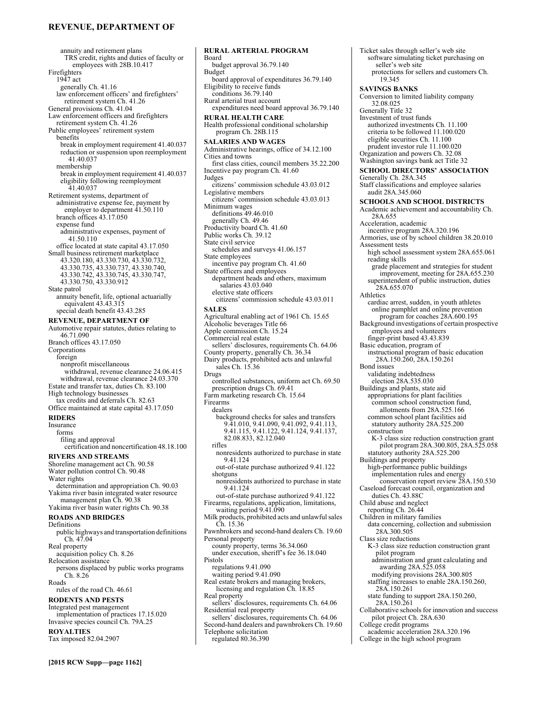#### **REVENUE, DEPARTMENT OF**

annuity and retirement plans TRS credit, rights and duties of faculty or employees with 28B.10.417 Firefighters 1947 act generally Ch. 41.16 law enforcement officers' and firefighters' retirement system Ch. 41.26 General provisions Ch. 41.04 Law enforcement officers and firefighters retirement system Ch. 41.26 Public employees' retirement system benefits break in employment requirement 41.40.037 reduction or suspension upon reemployment 41.40.037 membership break in employment requirement 41.40.037 eligibility following reemployment 41.40.037 Retirement systems, department of administrative expense fee, payment by employer to department 41.50.110 branch offices 43.17.050 expense fund administrative expenses, payment of 41.50.110 office located at state capital 43.17.050 Small business retirement marketplace 43.320.180, 43.330.730, 43.330.732, 43.330.735, 43.330.737, 43.330.740, 43.330.742, 43.330.745, 43.330.747, 43.330.750, 43.330.912 State patrol annuity benefit, life, optional actuarially equivalent 43.43.315 special death benefit 43.43.285 **REVENUE, DEPARTMENT OF**  Automotive repair statutes, duties relating to 46.71.090 Branch offices 43.17.050 **Corporations** foreign nonprofit miscellaneous withdrawal, revenue clearance 24.06.415 withdrawal, revenue clearance 24.03.370 Estate and transfer tax, duties Ch. 83.100 High technology businesses tax credits and deferrals Ch. 82.63 Office maintained at state capital 43.17.050 **RIDERS**  Insurance forms filing and approval certification and noncertification 48.18.100 **RIVERS AND STREAMS**  Shoreline management act Ch. 90.58 Water pollution control Ch. 90.48 Water rights determination and appropriation Ch. 90.03 Yakima river basin integrated water resource management plan Ch. 90.38 Yakima river basin water rights Ch. 90.38 **ROADS AND BRIDGES**  Definitions public highways and transportation definitions Ch. 47.04 Real property acquisition policy Ch. 8.26 Relocation assistance persons displaced by public works programs Ch. 8.26 Roads rules of the road Ch. 46.61 **RODENTS AND PESTS**  Integrated pest management implementation of practices 17.15.020 Invasive species council Ch. 79A.25 **ROYALTIES**  Tax imposed 82.04.2907

```
RURAL ARTERIAL PROGRAM 
Board 
  budget approval 36.79.140 
Budget 
   board approval of expenditures 36.79.140 
Eligibility to receive funds 
   conditions 36.79.140 
Rural arterial trust account 
   expenditures need board approval 36.79.140 
RURAL HEALTH CARE 
Health professional conditional scholarship 
    program Ch. 28B.115 
SALARIES AND WAGES 
Administrative hearings, office of 34.12.100 
Cities and towns 
   first class cities, council members 35.22.200 
Incentive pay program Ch. 41.60 
Judges 
   citizens' commission schedule 43.03.012 
Legislative members 
   citizens' commission schedule 43.03.013 
Minimum wages 
definitions 49.46.010 
   generally Ch. 49.46 
Productivity board Ch. 41.60 
Public works Ch. 39.12 
State civil service 
   schedules and surveys 41.06.157 
State employees 
   incentive pay program Ch. 41.60 
State officers and employees 
   department heads and others, maximum 
     salaries 43.03.040 
   elective state officers 
    citizens' commission schedule 43.03.011 
SALES 
Agricultural enabling act of 1961 Ch. 15.65 
Alcoholic beverages Title 66 
Apple commission Ch. 15.24 
Commercial real estate 
   sellers' disclosures, requirements Ch. 64.06 
County property, generally Ch. 36.34 
Dairy products, prohibited acts and unlawful 
    sales Ch. 15.36 
Drugs 
   controlled substances, uniform act Ch. 69.50 
   prescription drugs Ch. 69.41 
Farm marketing research Ch. 15.64 
Firearms 
   dealers 
    background checks for sales and transfers 
        9.41.010, 9.41.090, 9.41.092, 9.41.113, 
9.41.115, 9.41.122, 9.41.124, 9.41.137, 
       82.08.833, 82.12.040 
   rifles 
    nonresidents authorized to purchase in state 
       9.41.124 
    out-of-state purchase authorized 9.41.122 
   shotguns 
    nonresidents authorized to purchase in state 
       9.41.124 
    out-of-state purchase authorized 9.41.122 
Firearms, regulations, application, limitations, 
waiting period 9.41.090 
Milk products, prohibited acts and unlawful sales 
    Ch. 15.36 
Pawnbrokers and second-hand dealers Ch. 19.60 
Personal property 
   county property, terms 36.34.060 
   under execution, sheriff's fee 36.18.040 
Pistols 
   regulations 9.41.090 
   waiting period 9.41.090 
Real estate brokers and managing brokers, 
    licensing and regulation Ch. 18.85 
Real property 
   sellers' disclosures, requirements Ch. 64.06 
Residential real property 
   sellers' disclosures, requirements Ch. 64.06 
Second-hand dealers and pawnbrokers Ch. 19.60 
Telephone solicitation
```
regulated 80.36.390

Buildings and plants, state aid appropriations for plant facilities common school construction fund, allotments from 28A.525.166 common school plant facilities aid statutory authority 28A.525.200 construction K-3 class size reduction construction grant pilot program 28A.300.805, 28A.525.058 statutory authority 28A.525.200 Buildings and property high-performance public buildings implementation rules and energy conservation report review 28A.150.530 Caseload forecast council, organization and duties Ch. 43.88C Child abuse and neglect reporting Ch. 26.44 Children in military families data concerning, collection and submission 28A.300.505 Class size reductions K-3 class size reduction construction grant pilot program administration and grant calculating and awarding 28A.525.058 modifying provisions 28A.300.805 staffing increases to enable 28A.150.260, 28A.150.261 state funding to support 28A.150.260, 28A.150.261 Collaborative schools for innovation and success pilot project Ch. 28A.630 College credit programs academic acceleration 28A.320.196

College in the high school program

Ticket sales through seller's web site software simulating ticket purchasing on

Conversion to limited liability company

authorized investments Ch. 11.100 criteria to be followed 11.100.020 eligible securities Ch. 11.100 prudent investor rule 11.100.020 Organization and powers Ch. 32.08 Washington savings bank act Title 32 **SCHOOL DIRECTORS' ASSOCIATION** 

Staff classifications and employee salaries

**SCHOOLS AND SCHOOL DISTRICTS**  Academic achievement and accountability Ch.

high school assessment system 28A.655.061

grade placement and strategies for student improvement, meeting for 28A.655.230 superintendent of public instruction, duties

cardiac arrest, sudden, in youth athletes online pamphlet and online prevention program for coaches 28A.600.195 Background investigations of certain prospective

instructional program of basic education 28A.150.260, 28A.150.261

employees and volunteers finger-print based 43.43.839 Basic education, program of

validating indebtedness election 28A.535.030

incentive program 28A.320.196 Armories, use of by school children 38.20.010

protections for sellers and customers Ch.

seller's web site

19.345 **SAVINGS BANKS** 

32.08.025 Generally Title 32 Investment of trust funds

Generally Ch. 28A.345

audit 28A.345.060

28A.655 Acceleration, academic

Assessment tests

Athletics

Bond issues

reading skills

28A.655.070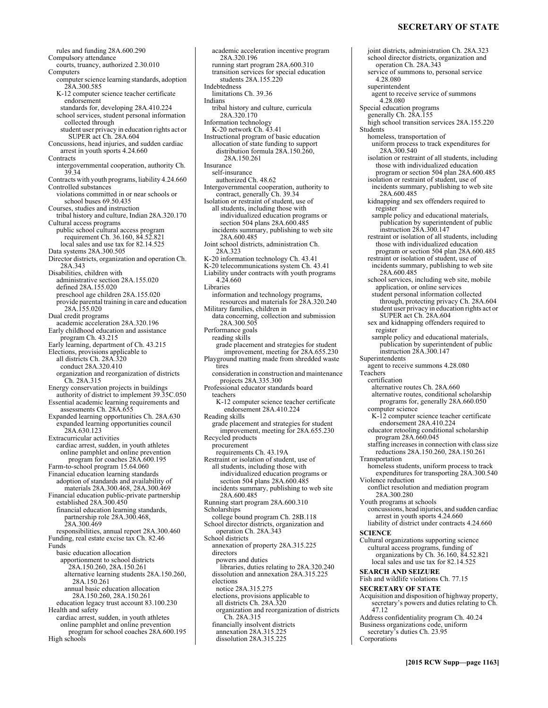#### **SECRETARY OF STATE**

rules and funding 28A.600.290 Compulsory attendance courts, truancy, authorized 2.30.010 Computers computer science learning standards, adoption 28A.300.585 K-12 computer science teacher certificate endorsement standards for, developing 28A.410.224 school services, student personal information collected through student user privacy in education rights act or SUPER act Ch. 28A.604 Concussions, head injuries, and sudden cardiac arrest in youth sports 4.24.660 **Contracts** intergovernmental cooperation, authority Ch. 39.34 Contracts with youth programs, liability 4.24.660 Controlled substances violations committed in or near schools or school buses 69.50.435 Courses, studies and instruction tribal history and culture, Indian 28A.320.170 Cultural access programs public school cultural access program requirement Ch. 36.160, 84.52.821 local sales and use tax for 82.14.525 Data systems 28A.300.505 Director districts, organization and operation Ch. 28A.343 Disabilities, children with administrative section 28A.155.020 defined 28A.155.020 preschool age children 28A.155.020 provide parental training in care and education 28A.155.020 Dual credit programs academic acceleration 28A.320.196 Early childhood education and assistance program Ch. 43.215 Early learning, department of Ch. 43.215 Elections, provisions applicable to all districts Ch. 28A.320 conduct 28A.320.410 organization and reorganization of districts Ch. 28A.315 Energy conservation projects in buildings authority of district to implement 39.35C.050 Essential academic learning requirements and assessments Ch. 28A.655 Expanded learning opportunities Ch. 28A.630 expanded learning opportunities council 28A.630.123 Extracurricular activities cardiac arrest, sudden, in youth athletes online pamphlet and online prevention program for coaches 28A.600.195 Farm-to-school program 15.64.060 Financial education learning standards adoption of standards and availability of materials 28A.300.468, 28A.300.469 Financial education public-private partnership established 28A.300.450 financial education learning standards, partnership role 28A.300.468, 28A.300.469 responsibilities, annual report 28A.300.460 Funding, real estate excise tax Ch. 82.46 Funds basic education allocation apportionment to school districts 28A.150.260, 28A.150.261 alternative learning students 28A.150.260, 28A.150.261 annual basic education allocation 28A.150.260, 28A.150.261 education legacy trust account 83.100.230 Health and safety cardiac arrest, sudden, in youth athletes online pamphlet and online prevention program for school coaches 28A.600.195 High schools

28A.320.196 running start program 28A.600.310 transition services for special education students 28A.155.220 Indebtedness limitations Ch. 39.36 Indians tribal history and culture, curricula 28A.320.170 Information technology K-20 network Ch. 43.41 Instructional program of basic education allocation of state funding to support distribution formula 28A.150.260, 28A.150.261 Insurance self-insurance authorized Ch. 48.62 Intergovernmental cooperation, authority to contract, generally Ch. 39.34 Isolation or restraint of student, use of all students, including those with individualized education programs or section 504 plans 28A.600.485 incidents summary, publishing to web site 28A.600.485 Joint school districts, administration Ch. 28A.323 K-20 information technology Ch. 43.41 K-20 telecommunications system Ch. 43.41 Liability under contracts with youth programs 4.24.660 Libraries information and technology programs, resources and materials for 28A.320.240 Military families, children in data concerning, collection and submission 28A.300.505 Performance goals reading skills grade placement and strategies for student improvement, meeting for 28A.655.230 Playground matting made from shredded waste tires consideration in construction and maintenance projects 28A.335.300 Professional educator standards board teachers K-12 computer science teacher certificate endorsement 28A.410.224 Reading skills grade placement and strategies for student improvement, meeting for 28A.655.230 Recycled products procurement requirements Ch. 43.19A Restraint or isolation of student, use of all students, including those with individualized education programs or section 504 plans 28A.600.485 incidents summary, publishing to web site 28A.600.485 Running start program 28A.600.310 Scholarships college bound program Ch. 28B.118 School director districts, organization and operation Ch. 28A.343 School districts annexation of property 28A.315.225 directors powers and duties libraries, duties relating to 28A.320.240 dissolution and annexation 28A.315.225 elections notice 28A.315.275 elections, provisions applicable to all districts Ch. 28A.320 organization and reorganization of districts Ch. 28A.315 financially insolvent districts annexation 28A.315.225 dissolution 28A.315.225

academic acceleration incentive program

joint districts, administration Ch. 28A.323 school director districts, organization and operation Ch. 28A.343 service of summons to, personal service 4.28.080 superintendent agent to receive service of summons 4.28.080 Special education programs generally Ch. 28A.155 high school transition services 28A.155.220 Students homeless, transportation of uniform process to track expenditures for 28A.300.540 isolation or restraint of all students, including those with individualized education program or section 504 plan 28A.600.485 isolation or restraint of student, use of incidents summary, publishing to web site 28A.600.485 kidnapping and sex offenders required to register sample policy and educational materials, publication by superintendent of public instruction 28A.300.147 restraint or isolation of all students, including those with individualized education program or section 504 plan 28A.600.485 restraint or isolation of student, use of incidents summary, publishing to web site 28A.600.485 school services, including web site, mobile application, or online services student personal information collected through, protecting privacy Ch. 28A.604 student user privacy in education rights act or SUPER act Ch. 28A.604 sex and kidnapping offenders required to register sample policy and educational materials, publication by superintendent of public instruction 28A.300.147 Superintendents agent to receive summons 4.28.080 Teachers certification alternative routes Ch. 28A.660 alternative routes, conditional scholarship programs for, generally 28A.660.050 computer science K-12 computer science teacher certificate endorsement 28A.410.224 educator retooling conditional scholarship program 28A.660.045 staffing increases in connection with class size reductions 28A.150.260, 28A.150.261 Transportation homeless students, uniform process to track expenditures for transporting 28A.300.540 Violence reduction conflict resolution and mediation program 28A.300.280 Youth programs at schools concussions, head injuries, and sudden cardiac arrest in youth sports 4.24.660 liability of district under contracts 4.24.660 **SCIENCE**  Cultural organizations supporting science cultural access programs, funding of organizations by Ch. 36.160, 84.52.821 local sales and use tax for 82.14.525 **SEARCH AND SEIZURE**  Fish and wildlife violations Ch. 77.15 **SECRETARY OF STATE**  Acquisition and disposition of highway property, secretary's powers and duties relating to Ch. 47.12 Address confidentiality program Ch. 40.24 Business organizations code, uniform secretary's duties Ch. 23.95 Corporations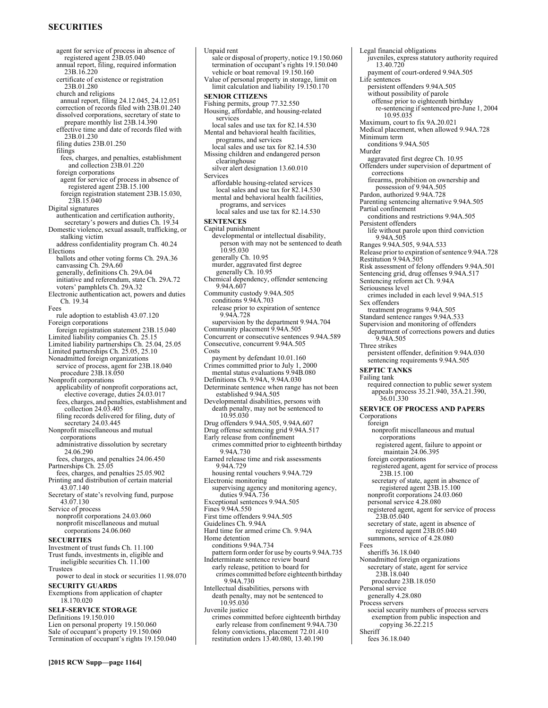#### **SECURITIES**

agent for service of process in absence of registered agent 23B.05.040 annual report, filing, required information 23B.16.220 certificate of existence or registration 23B.01.280 church and religions annual report, filing 24.12.045, 24.12.051 correction of records filed with 23B.01.240 dissolved corporations, secretary of state to prepare monthly list 23B.14.390 effective time and date of records filed with 23B.01.230 filing duties 23B.01.250 filings fees, charges, and penalties, establishment and collection 23B.01.220 foreign corporations agent for service of process in absence of registered agent 23B.15.100 foreign registration statement 23B.15.030, 23B.15.040 Digital signatures authentication and certification authority, secretary's powers and duties Ch. 19.34 Domestic violence, sexual assault, trafficking, or stalking victim address confidentiality program Ch. 40.24 Elections ballots and other voting forms Ch. 29A.36 canvassing Ch. 29A.60 generally, definitions Ch. 29A.04 initiative and referendum, state Ch. 29A.72 voters' pamphlets Ch. 29A.32 Electronic authentication act, powers and duties Ch. 19.34 Fees rule adoption to establish 43.07.120 Foreign corporations foreign registration statement 23B.15.040 Limited liability companies Ch. 25.15 Limited liability partnerships Ch. 25.04, 25.05 Limited partnerships Ch. 25.05, 25.10 Nonadmitted foreign organizations service of process, agent for 23B.18.040 procedure 23B.18.050 Nonprofit corporations applicability of nonprofit corporations act, elective coverage, duties 24.03.017 fees, charges, and penalties, establishment and collection 24.03.405 filing records delivered for filing, duty of secretary 24.03.445 Nonprofit miscellaneous and mutual corporations administrative dissolution by secretary 24.06.290 fees, charges, and penalties 24.06.450 Partnerships Ch. 25.05 fees, charges, and penalties 25.05.902 Printing and distribution of certain material 43.07.140 Secretary of state's revolving fund, purpose 43.07.130 Service of process nonprofit corporations 24.03.060 nonprofit miscellaneous and mutual corporations 24.06.060 **SECURITIES**  Investment of trust funds Ch. 11.100 Trust funds, investments in, eligible and ineligible securities Ch. 11.100 Trustees power to deal in stock or securities 11.98.070 **SECURITY GUARDS**  Exemptions from application of chapter 18.170.020 **SELF-SERVICE STORAGE**  Definitions 19.150.010 Lien on personal property 19.150.060 Sale of occupant's property 19.150.060 Termination of occupant's rights 19.150.040

Unpaid rent sale or disposal of property, notice 19.150.060 termination of occupant's rights 19.150.040 vehicle or boat removal 19.150.160 Value of personal property in storage, limit on limit calculation and liability 19.150.170 **SENIOR CITIZENS**  Fishing permits, group 77.32.550 Housing, affordable, and housing-related services local sales and use tax for 82.14.530 Mental and behavioral health facilities, programs, and services local sales and use tax for 82.14.530 Missing children and endangered person clearinghouse silver alert designation 13.60.010 Services affordable housing-related services local sales and use tax for 82.14.530 mental and behavioral health facilities, programs, and services local sales and use tax for 82.14.530 **SENTENCES**  Capital punishment developmental or intellectual disability, person with may not be sentenced to death 10.95.030 generally Ch. 10.95 murder, aggravated first degree generally Ch. 10.95 Chemical dependency, offender sentencing 9.94A.607 Community custody 9.94A.505 conditions 9.94A.703 release prior to expiration of sentence 9.94A.728 supervision by the department 9.94A.704 Community placement 9.94A.505 Concurrent or consecutive sentences 9.94A.589 Consecutive, concurrent 9.94A.505 Costs payment by defendant 10.01.160 Crimes committed prior to July 1, 2000 mental status evaluations 9.94B.080 Definitions Ch. 9.94A, 9.94A.030 Determinate sentence when range has not been established 9.94A.505 Developmental disabilities, persons with death penalty, may not be sentenced to 10.95.030 Drug offenders 9.94A.505, 9.94A.607 Drug offense sentencing grid 9.94A.517 Early release from confinement crimes committed prior to eighteenth birthday 9.94A.730 Earned release time and risk assessments 9.94A.729 housing rental vouchers 9.94A.729 Electronic monitoring supervising agency and monitoring agency, duties 9.94A.736 Exceptional sentences 9.94A.505 Fines 9.94A.550 First time offenders 9.94A.505 Guidelines Ch. 9.94A Hard time for armed crime Ch. 9.94A Home detention conditions 9.94A.734 pattern form order for use by courts 9.94A.735 Indeterminate sentence review board early release, petition to board for crimes committed before eighteenth birthday 9.94A.730 Intellectual disabilities, persons with death penalty, may not be sentenced to 10.95.030 Juvenile justice crimes committed before eighteenth birthday early release from confinement 9.94A.730 felony convictions, placement 72.01.410 restitution orders 13.40.080, 13.40.190

Legal financial obligations juveniles, express statutory authority required 13.40.720 payment of court-ordered 9.94A.505 Life sentences persistent offenders 9.94A.505 without possibility of parole offense prior to eighteenth birthday re-sentencing if sentenced pre-June 1, 2004 10.95.035 Maximum, court to fix 9A.20.021 Medical placement, when allowed 9.94A.728 Minimum term conditions 9.94A.505 Murder aggravated first degree Ch. 10.95 Offenders under supervision of department of corrections firearms, prohibition on ownership and possession of 9.94A.505 Pardon, authorized 9.94A.728 Parenting sentencing alternative 9.94A.505 Partial confinement conditions and restrictions 9.94A.505 Persistent offenders life without parole upon third conviction 9.94A.505 Ranges 9.94A.505, 9.94A.533 Release prior to expiration of sentence 9.94A.728 Restitution 9.94A.505 Risk assessment of felony offenders 9.94A.501 Sentencing grid, drug offenses 9.94A.517 Sentencing reform act Ch. 9.94A Seriousness level crimes included in each level 9.94A.515 Sex offenders treatment programs 9.94A.505 Standard sentence ranges 9.94A.533 Supervision and monitoring of offenders department of corrections powers and duties 9.94A.505 Three strikes persistent offender, definition 9.94A.030 sentencing requirements 9.94A.505 **SEPTIC TANKS**  Failing tank required connection to public sewer system appeals process 35.21.940, 35A.21.390, 36.01.330 **SERVICE OF PROCESS AND PAPERS**  Corporations foreign nonprofit miscellaneous and mutual corporations registered agent, failure to appoint or maintain 24.06.395 foreign corporations registered agent, agent for service of process 23B.15.100 secretary of state, agent in absence of registered agent 23B.15.100 nonprofit corporations 24.03.060 personal service 4.28.080 registered agent, agent for service of process 23B.05.040 secretary of state, agent in absence of registered agent 23B.05.040 summons, service of 4.28.080 Fees sheriffs 36.18.040 Nonadmitted foreign organizations secretary of state, agent for service 23B.18.040 procedure 23B.18.050 Personal service generally 4.28.080 Process servers social security numbers of process servers exemption from public inspection and copying 36.22.215 Sheriff fees 36.18.040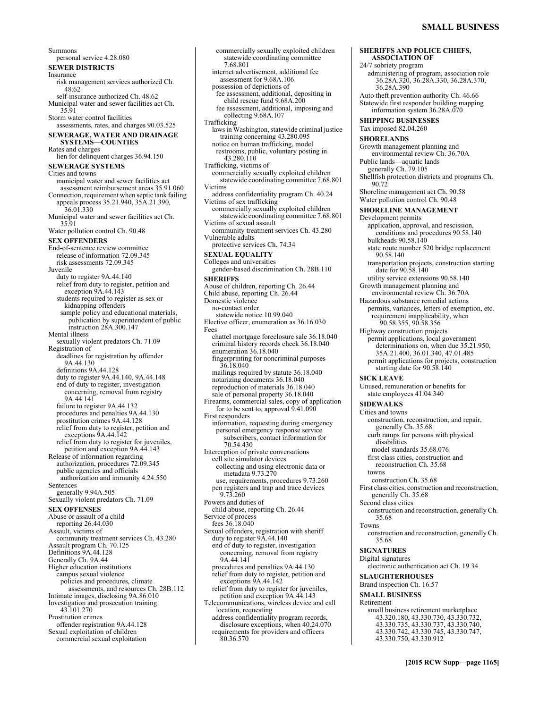**SHERIFFS AND POLICE CHIEFS,** 

Summons personal service 4.28.080 **SEWER DISTRICTS**  Insurance risk management services authorized Ch. 48.62 self-insurance authorized Ch. 48.62 Municipal water and sewer facilities act Ch. 35.91 Storm water control facilities assessments, rates, and charges 90.03.525 **SEWERAGE, WATER AND DRAINAGE SYSTEMS—COUNTIES**  Rates and charges lien for delinquent charges 36.94.150 **SEWERAGE SYSTEMS**  Cities and towns municipal water and sewer facilities act assessment reimbursement areas 35.91.060 Connection, requirement when septic tank failing appeals process 35.21.940, 35A.21.390, 36.01.330 Municipal water and sewer facilities act Ch. 35.91 Water pollution control Ch. 90.48 **SEX OFFENDERS**  End-of-sentence review committee release of information 72.09.345 risk assessments 72.09.345 Juvenile duty to register 9A.44.140 relief from duty to register, petition and exception 9A.44.143 students required to register as sex or kidnapping offenders sample policy and educational materials, publication by superintendent of public instruction 28A.300.147 Mental illness sexually violent predators Ch. 71.09 Registration of deadlines for registration by offender 9A.44.130 definitions 9A.44.128 duty to register 9A.44.140, 9A.44.148 end of duty to register, investigation concerning, removal from registry 9A.44.141 failure to register 9A.44.132 procedures and penalties 9A.44.130 prostitution crimes 9A.44.128 relief from duty to register, petition and exceptions 9A.44.142 relief from duty to register for juveniles, petition and exception 9A.44.143 Release of information regarding authorization, procedures 72.09.345 public agencies and officials authorization and immunity 4.24.550 Sentences generally 9.94A.505 Sexually violent predators Ch. 71.09 **SEX OFFENSES**  Abuse or assault of a child reporting 26.44.030 Assault, victims of community treatment services Ch. 43.280 Assault program Ch. 70.125 Definitions 9A.44.128 Generally Ch. 9A.44 Higher education institutions campus sexual violence policies and procedures, climate assessments, and resources Ch. 28B.112 Intimate images, disclosing 9A.86.010 Investigation and prosecution training 43.101.270 Prostitution crimes offender registration 9A.44.128 Sexual exploitation of children commercial sexual exploitation

commercially sexually exploited children statewide coordinating committee 7.68.801 internet advertisement, additional fee assessment for 9.68A.106 possession of depictions of fee assessment, additional, depositing in child rescue fund 9.68A.200 fee assessment, additional, imposing and collecting 9.68A.107 Trafficking laws in Washington, statewide criminal justice training concerning 43.280.095 notice on human trafficking, model restrooms, public, voluntary posting in 43.280.110 Trafficking, victims of commercially sexually exploited children statewide coordinating committee 7.68.801 Victims address confidentiality program Ch. 40.24 Victims of sex trafficking commercially sexually exploited children statewide coordinating committee 7.68.801 Victims of sexual assault community treatment services Ch. 43.280 Vulnerable adults protective services Ch. 74.34 **SEXUAL EQUALITY**  Colleges and universities gender-based discrimination Ch. 28B.110 **SHERIFFS**  Abuse of children, reporting Ch. 26.44 Child abuse, reporting Ch. 26.44 Domestic violence no-contact order statewide notice 10.99.040 Elective officer, enumeration as 36.16.030 Fees chattel mortgage foreclosure sale 36.18.040 criminal history records check 36.18.040 enumeration 36.18.040 fingerprinting for noncriminal purposes 36.18.040 mailings required by statute 36.18.040 notarizing documents 36.18.040 reproduction of materials 36.18.040 sale of personal property 36.18.040 Firearms, commercial sales, copy of application for to be sent to, approval 9.41.090 First responders information, requesting during emergency personal emergency response service subscribers, contact information for 70.54.430 Interception of private conversations cell site simulator devices collecting and using electronic data or metadata 9.73.270 use, requirements, procedures 9.73.260 pen registers and trap and trace devices 9.73.260 Powers and duties of child abuse, reporting Ch. 26.44 Service of process fees 36.18.040 Sexual offenders, registration with sheriff duty to register 9A.44.140 end of duty to register, investigation concerning, removal from registry 9A.44.141 procedures and penalties 9A.44.130 relief from duty to register, petition and exceptions 9A.44.142 relief from duty to register for juveniles, petition and exception 9A.44.143 Telecommunications, wireless device and call location, requesting address confidentiality program records, disclosure exceptions, when 40.24.070 requirements for providers and officers 80.36.570

**ASSOCIATION OF**  24/7 sobriety program administering of program, association role 36.28A.320, 36.28A.330, 36.28A.370, 36.28A.390 Auto theft prevention authority Ch. 46.66 Statewide first responder building mapping information system 36.28A.070 **SHIPPING BUSINESSES**  Tax imposed 82.04.260 **SHORELANDS**  Growth management planning and environmental review Ch. 36.70A Public lands—aquatic lands generally Ch. 79.105 Shellfish protection districts and programs Ch. 90.72 Shoreline management act Ch. 90.58 Water pollution control Ch. 90.48 **SHORELINE MANAGEMENT**  Development permits application, approval, and rescission, conditions and procedures 90.58.140 bulkheads 90.58.140 state route number 520 bridge replacement 90.58.140 transportation projects, construction starting date for 90.58.140 utility service extensions 90.58.140 Growth management planning and environmental review Ch. 36.70A Hazardous substance remedial actions permits, variances, letters of exemption, etc. requirement inapplicability, when 90.58.355, 90.58.356 Highway construction projects permit applications, local government determinations on, when due 35.21.950, 35A.21.400, 36.01.340, 47.01.485 permit applications for projects, construction starting date for 90.58.140 **SICK LEAVE**  Unused, remuneration or benefits for state employees 41.04.340 **SIDEWALKS**  Cities and towns construction, reconstruction, and repair, generally Ch. 35.68 curb ramps for persons with physical disabilities model standards 35.68.076 first class cities, construction and reconstruction Ch. 35.68 towns construction Ch. 35.68 First class cities, construction and reconstruction, generally Ch. 35.68 Second class cities construction and reconstruction, generally Ch. 35.68 Towns construction and reconstruction, generally Ch. 35.68 **SIGNATURES**  Digital signatures electronic authentication act Ch. 19.34 **SLAUGHTERHOUSES**  Brand inspection Ch. 16.57 **SMALL BUSINESS**  Retirement small business retirement marketplace 43.320.180, 43.330.730, 43.330.732, 43.330.735, 43.330.737, 43.330.740, 43.330.742, 43.330.745, 43.330.747,

43.330.750, 43.330.912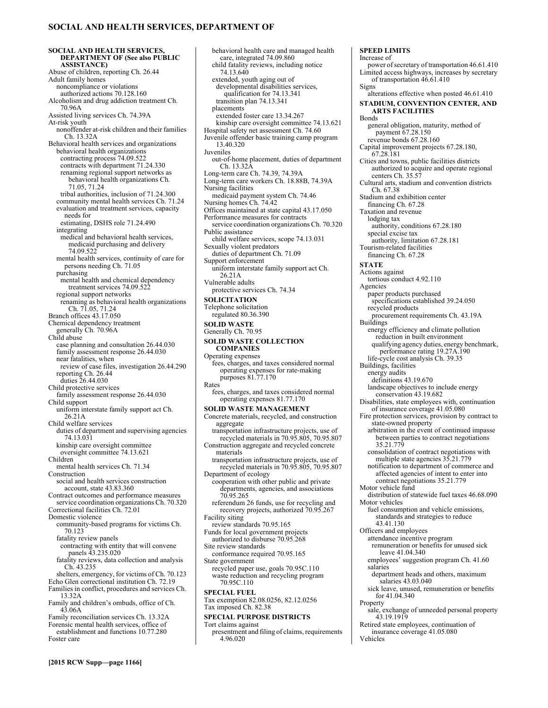#### **SOCIAL AND HEALTH SERVICES, DEPARTMENT OF**

**SOCIAL AND HEALTH SERVICES, DEPARTMENT OF (See also PUBLIC ASSISTANCE)** Abuse of children, reporting Ch. 26.44 Adult family homes noncompliance or violations authorized actions 70.128.160 Alcoholism and drug addiction treatment Ch. 70.96A Assisted living services Ch. 74.39A At-risk youth nonoffender at-risk children and their families Ch. 13.32A Behavioral health services and organizations behavioral health organizations contracting process 74.09.522 contracts with department 71.24.330 renaming regional support networks as behavioral health organizations Ch. 71.05, 71.24 tribal authorities, inclusion of 71.24.300 community mental health services Ch. 71.24 evaluation and treatment services, capacity needs for estimating, DSHS role 71.24.490 integrating medical and behavioral health services, medicaid purchasing and delivery 74.09.522 mental health services, continuity of care for persons needing Ch. 71.05 purchasing mental health and chemical dependency treatment services 74.09.522 regional support networks renaming as behavioral health organizations Ch. 71.05, 71.24 Branch offices 43.17.050 Chemical dependency treatment generally Ch. 70.96A Child abuse case planning and consultation 26.44.030 family assessment response 26.44.030 near fatalities, when review of case files, investigation 26.44.290 reporting Ch. 26.44 duties 26.44.030 Child protective services family assessment response 26.44.030 Child support uniform interstate family support act Ch. 26.21A Child welfare services duties of department and supervising agencies 74.13.031 kinship care oversight committee oversight committee 74.13.621 Children mental health services Ch. 71.34 Construction social and health services construction account, state 43.83.360 Contract outcomes and performance measures service coordination organizations Ch. 70.320 Correctional facilities Ch. 72.01 Domestic violence community-based programs for victims Ch. 70.123 fatality review panels contracting with entity that will convene panels 43.235.020 fatality reviews, data collection and analysis Ch. 43.235 shelters, emergency, for victims of Ch. 70.123 Echo Glen correctional institution Ch. 72.19 Families in conflict, procedures and services Ch. 13.32A Family and children's ombuds, office of Ch. 43.06A Family reconciliation services Ch. 13.32A Forensic mental health services, office of establishment and functions 10.77.280 Foster care

behavioral health care and managed health care, integrated 74.09.860 child fatality reviews, including notice 74.13.640 extended, youth aging out of developmental disabilities services, qualification for 74.13.341 transition plan 74.13.341 placements extended foster care 13.34.267 kinship care oversight committee 74.13.621 Hospital safety net assessment Ch. 74.60 Juvenile offender basic training camp program 13.40.320 Juveniles out-of-home placement, duties of department Ch. 13.32A Long-term care Ch. 74.39, 74.39A Long-term care workers Ch. 18.88B, 74.39A Nursing facilities medicaid payment system Ch. 74.46 Nursing homes Ch. 74.42 Offices maintained at state capital 43.17.050 Performance measures for contracts service coordination organizations Ch. 70.320 Public assistance child welfare services, scope 74.13.031 Sexually violent predators duties of department Ch. 71.09 Support enforcement uniform interstate family support act Ch. 26.21A Vulnerable adults protective services Ch. 74.34 **SOLICITATION**  Telephone solicitation regulated 80.36.390 **SOLID WASTE**  Generally Ch. 70.95 **SOLID WASTE COLLECTION COMPANIES**  Operating expenses fees, charges, and taxes considered normal operating expenses for rate-making purposes 81.77.170 Rates fees, charges, and taxes considered normal operating expenses 81.77.170 **SOLID WASTE MANAGEMENT**  Concrete materials, recycled, and construction aggregate transportation infrastructure projects, use of recycled materials in 70.95.805, 70.95.807 Construction aggregate and recycled concrete materials transportation infrastructure projects, use of recycled materials in 70.95.805, 70.95.807 Department of ecology cooperation with other public and private departments, agencies, and associations 70.95.265 referendum 26 funds, use for recycling and recovery projects, authorized 70.95.267 Facility siting review standards 70.95.165 Funds for local government projects authorized to disburse 70.95.268 Site review standards conformance required 70.95.165 State government recycled paper use, goals 70.95C.110 waste reduction and recycling program 70.95C.110 **SPECIAL FUEL**  Tax exemption 82.08.0256, 82.12.0256 Tax imposed Ch. 82.38

## **SPECIAL PURPOSE DISTRICTS**

Tort claims against presentment and filing of claims, requirements 4.96.020

**SPEED LIMITS**  Increase of power of secretary of transportation 46.61.410 Limited access highways, increases by secretary of transportation 46.61.410 Signs alterations effective when posted 46.61.410 **STADIUM, CONVENTION CENTER, AND ARTS FACILITIES**  Bonds general obligation, maturity, method of payment 67.28.150 revenue bonds 67.28.160 Capital improvement projects 67.28.180, 67.28.181 Cities and towns, public facilities districts authorized to acquire and operate regional centers Ch. 35.5 Cultural arts, stadium and convention districts Ch. 67.38 Stadium and exhibition center financing Ch. 67.28 Taxation and revenue lodging tax authority, conditions 67.28.180 special excise tax authority, limitation 67.28.181 Tourism-related facilities financing Ch. 67.28 **STATE**  Actions against tortious conduct 4.92.110 Agencies paper products purchased specifications established 39.24.050 recycled products procurement requirements Ch. 43.19A Buildings energy efficiency and climate pollution reduction in built environment qualifying agency duties, energy benchmark, performance rating 19.27A.190 life-cycle cost analysis Ch. 39.35 Buildings, facilities energy audits definitions 43.19.670 landscape objectives to include energy conservation 43.19.682 Disabilities, state employees with, continuation of insurance coverage 41.05.080 Fire protection services, provision by contract to state-owned property arbitration in the event of continued impasse between parties to contract negotiations 35.21.779 consolidation of contract negotiations with multiple state agencies 35.21.779 notification to department of commerce and affected agencies of intent to enter into contract negotiations 35.21.779 Motor vehicle fund distribution of statewide fuel taxes 46.68.090 Motor vehicles fuel consumption and vehicle emissions, standards and strategies to reduce 43.41.130 Officers and employees attendance incentive program remuneration or benefits for unused sick leave 41.04.340 employees' suggestion program Ch. 41.60 salaries department heads and others, maximum salaries 43.03.040 sick leave, unused, remuneration or benefits for 41.04.340 Property sale, exchange of unneeded personal property 43.19.1919

- Retired state employees, continuation of insurance coverage 41.05.080
- Vehicles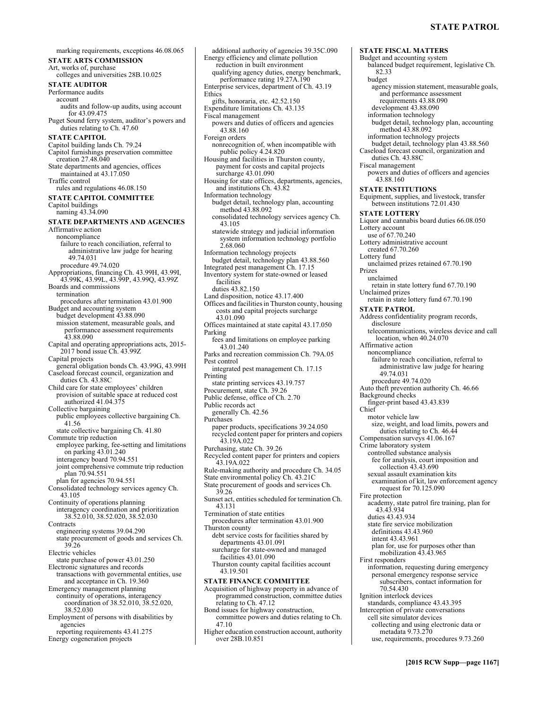**STATE FISCAL MATTERS**  Budget and accounting system

82.33 budget

balanced budget requirement, legislative Ch.

agency mission statement, measurable goals, and performance assessment requirements 43.88.090 development 43.88.090

marking requirements, exceptions 46.08.065 **STATE ARTS COMMISSION**  Art, works of, purchase colleges and universities 28B.10.025 **STATE AUDITOR**  Performance audits account audits and follow-up audits, using account for 43.09.475 Puget Sound ferry system, auditor's powers and duties relating to Ch. 47.60 **STATE CAPITOL**  Capitol building lands Ch. 79.24 Capitol furnishings preservation committee creation 27.48.040 State departments and agencies, offices maintained at 43.17.050 Traffic control rules and regulations 46.08.150 **STATE CAPITOL COMMITTEE**  Capitol buildings naming 43.34.090 **STATE DEPARTMENTS AND AGENCIES**  Affirmative action noncompliance failure to reach conciliation, referral to administrative law judge for hearing 49.74.031 procedure 49.74.020 Appropriations, financing Ch. 43.99H, 43.99I, 43.99K, 43.99L, 43.99P, 43.99Q, 43.99Z Boards and commissions termination procedures after termination 43.01.900 Budget and accounting system budget development 43.88.090 mission statement, measurable goals, and performance assessment requirements 43.88.090 Capital and operating appropriations acts, 2015- 2017 bond issue Ch. 43.99Z Capital projects general obligation bonds Ch. 43.99G, 43.99H Caseload forecast council, organization and duties Ch. 43.88C Child care for state employees' children provision of suitable space at reduced cost authorized 41.04.375 Collective bargaining public employees collective bargaining Ch. 41.56 state collective bargaining Ch. 41.80 Commute trip reduction employee parking, fee-setting and limitations on parking 43.01.240 interagency board 70.94.551 joint comprehensive commute trip reduction plan 70.94.551 plan for agencies 70.94.551 Consolidated technology services agency Ch. 43.105 Continuity of operations planning interagency coordination and prioritization 38.52.010, 38.52.020, 38.52.030 **Contracts** engineering systems 39.04.290 state procurement of goods and services Ch. 39.26 Electric vehicles state purchase of power 43.01.250 Electronic signatures and records transactions with governmental entities, use and acceptance in Ch. 19.360 Emergency management planning continuity of operations, interagency coordination of 38.52.010, 38.52.020, 38.52.030 Employment of persons with disabilities by agencies reporting requirements 43.41.275 Energy cogeneration projects

additional authority of agencies 39.35C.090 Energy efficiency and climate pollution reduction in built environment qualifying agency duties, energy benchmark, performance rating 19.27A.190 Enterprise services, department of Ch. 43.19 Ethics gifts, honoraria, etc. 42.52.150 Expenditure limitations Ch. 43.135 Fiscal management powers and duties of officers and agencies 43.88.160 Foreign orders nonrecognition of, when incompatible with public policy 4.24.820 Housing and facilities in Thurston county, payment for costs and capital projects surcharge 43.01.090 Housing for state offices, departments, agencies, and institutions Ch. 43.82 Information technology budget detail, technology plan, accounting method 43.88.092 consolidated technology services agency Ch. 43.105 statewide strategy and judicial information system information technology portfolio 2.68.060 Information technology projects budget detail, technology plan 43.88.560 Integrated pest management Ch. 17.15 Inventory system for state-owned or leased facilities duties 43.82.150 Land disposition, notice 43.17.400 Offices and facilities in Thurston county, housing costs and capital projects surcharge 43.01.090 Offices maintained at state capital 43.17.050 Parking fees and limitations on employee parking 43.01.240 Parks and recreation commission Ch. 79A.05 Pest control integrated pest management Ch. 17.15 Printing state printing services 43.19.757 Procurement, state Ch. 39.26 Public defense, office of Ch. 2.70 Public records act generally Ch. 42.56 Purchases paper products, specifications 39.24.050 recycled content paper for printers and copiers 43.19A.022 Purchasing, state Ch. 39.26 Recycled content paper for printers and copiers 43.19A.022 Rule-making authority and procedure Ch. 34.05 State environmental policy Ch. 43.21C State procurement of goods and services Ch. 39.26 Sunset act, entities scheduled for termination Ch. 43.131 Termination of state entities procedures after termination 43.01.900 Thurston county debt service costs for facilities shared by departments 43.01.091 surcharge for state-owned and managed facilities 43.01.090 Thurston county capital facilities account 43.19.501 **STATE FINANCE COMMITTEE**  Acquisition of highway property in advance of programmed construction, committee duties relating to Ch. 47.12 Bond issues for highway construction, committee powers and duties relating to Ch. 47.10 Higher education construction account, authority

information technology budget detail, technology plan, accounting method 43.88.092 information technology projects budget detail, technology plan 43.88.560 Caseload forecast council, organization and duties Ch. 43.88C Fiscal management powers and duties of officers and agencies 43.88.160 **STATE INSTITUTIONS**  Equipment, supplies, and livestock, transfer between institutions 72.01.430 **STATE LOTTERY**  Liquor and cannabis board duties 66.08.050 Lottery account use of 67.70.240 Lottery administrative account created 67.70.260 Lottery fund unclaimed prizes retained 67.70.190 Prizes unclaimed retain in state lottery fund 67.70.190 Unclaimed prizes retain in state lottery fund 67.70.190 **STATE PATROL**  Address confidentiality program records, disclosure telecommunications, wireless device and call location, when 40.24.070 Affirmative action noncompliance failure to reach conciliation, referral to administrative law judge for hearing 49.74.031 procedure 49.74.020 Auto theft prevention authority Ch. 46.66 Background checks finger-print based 43.43.839 Chief motor vehicle law size, weight, and load limits, powers and duties relating to Ch. 46.44 Compensation surveys 41.06.167 Crime laboratory system controlled substance analysis fee for analysis, court imposition and collection  $43.43.690$ sexual assault examination kits examination of kit, law enforcement agency request for 70.125.090 Fire protection academy, state patrol fire training, plan for 43.43.934 duties 43.43.934 state fire service mobilization definitions 43.43.960 intent 43.43.961 plan for, use for purposes other than mobilization 43.43.965 First responders information, requesting during emergency personal emergency response service subscribers, contact information for 70.54.430 Ignition interlock devices standards, compliance 43.43.395 Interception of private conversations cell site simulator devices collecting and using electronic data or

over 28B.10.851

use, requirements, procedures 9.73.260

metadata 9.73.270

**[2015 RCW Supp—page 1167]**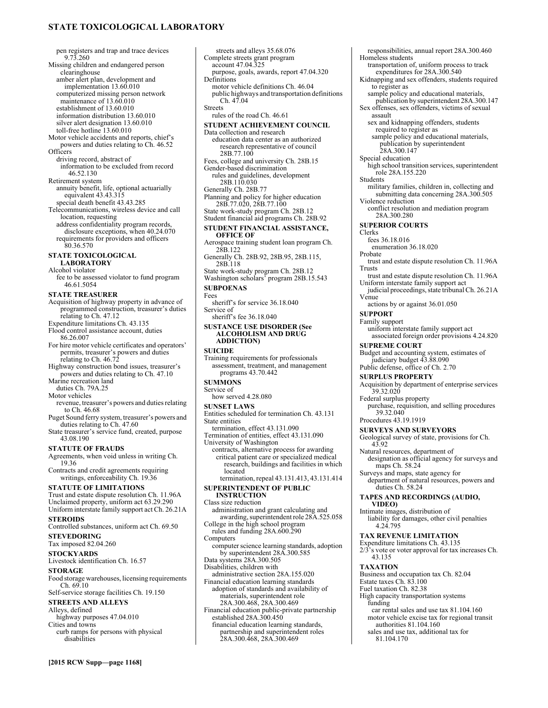## **STATE TOXICOLOGICAL LABORATORY**

pen registers and trap and trace devices 9.73.260 Missing children and endangered person clearinghouse amber alert plan, development and implementation 13.60.010 computerized missing person network maintenance of 13.60.010 establishment of 13.60.010 information distribution 13.60.010 silver alert designation 13.60.010 toll-free hotline 13.60.010 Motor vehicle accidents and reports, chief's powers and duties relating to Ch. 46.52 Officers driving record, abstract of information to be excluded from record 46.52.130 Retirement system annuity benefit, life, optional actuarially equivalent 43.43.315 special death benefit 43.43.285 Telecommunications, wireless device and call location, requesting address confidentiality program records, disclosure exceptions, when 40.24.070 requirements for providers and officers 80.36.570 **STATE TOXICOLOGICAL LABORATORY**  Alcohol violator fee to be assessed violator to fund program 46.61.5054 **STATE TREASURER**  Acquisition of highway property in advance of programmed construction, treasurer's duties relating to Ch. 47.12 Expenditure limitations Ch. 43.135

- Flood control assistance account, duties
- 86.26.007 For hire motor vehicle certificates and operators' permits, treasurer's powers and duties relating to Ch. 46.72
- Highway construction bond issues, treasurer's powers and duties relating to Ch. 47.10

Marine recreation land duties Ch. 79A.25

Motor vehicles

- revenue, treasurer's powers and duties relating to Ch. 46.68
- Puget Sound ferry system, treasurer's powers and duties relating to Ch. 47.60
- State treasurer's service fund, created, purpose 43.08.190

**STATUTE OF FRAUDS** 

Agreements, when void unless in writing Ch. 19.36

Contracts and credit agreements requiring writings, enforceability Ch. 19.36

#### **STATUTE OF LIMITATIONS**

Trust and estate dispute resolution Ch. 11.96A Unclaimed property, uniform act 63.29.290 Uniform interstate family support act Ch. 26.21A

#### **STEROIDS**

Controlled substances, uniform act Ch. 69.50

#### **STEVEDORING**  Tax imposed 82.04.260

**STOCKYARDS** 

Livestock identification Ch. 16.57

**STORAGE** 

- Food storage warehouses, licensing requirements Ch. 69.10
- Self-service storage facilities Ch. 19.150
- **STREETS AND ALLEYS**

Alleys, defined

highway purposes 47.04.010

Cities and towns curb ramps for persons with physical disabilities

streets and alleys 35.68.076 Complete streets grant program account 47.04.325 purpose, goals, awards, report 47.04.320 Definitions motor vehicle definitions Ch. 46.04 public highways and transportation definitions  $Ch. 47.04$ Streets rules of the road Ch. 46.61 **STUDENT ACHIEVEMENT COUNCIL**  Data collection and research education data center as an authorized research representative of council 28B.77.100 Fees, college and university Ch. 28B.15 Gender-based discrimination rules and guidelines, development 28B.110.030 Generally Ch. 28B.77 Planning and policy for higher education 28B.77.020, 28B.77.100 State work-study program Ch. 28B.12 Student financial aid programs Ch. 28B.92 **STUDENT FINANCIAL ASSISTANCE, OFFICE OF**  Aerospace training student loan program Ch. 28B.122 Generally Ch. 28B.92, 28B.95, 28B.115, 28B.118 State work-study program Ch. 28B.12 Washington scholars' program 28B.15.543 **SUBPOENAS**  Fees sheriff's for service 36.18.040 Service of sheriff's fee 36.18.040 **SUSTANCE USE DISORDER (See ALCOHOLISM AND DRUG ADDICTION) SUICIDE**  Training requirements for professionals assessment, treatment, and management programs 43.70.442 **SUMMONS**  Service of how served 4.28.080 **SUNSET LAWS**  Entities scheduled for termination Ch. 43.131 State entities termination, effect 43.131.090 Termination of entities, effect 43.131.090 University of Washington contracts, alternative process for awarding critical patient care or specialized medical research, buildings and facilities in which located termination, repeal 43.131.413, 43.131.414 **SUPERINTENDENT OF PUBLIC INSTRUCTION**  Class size reduction administration and grant calculating and

awarding, superintendent role 28A.525.058 College in the high school program

rules and funding 28A.600.290 **Computers** 

computer science learning standards, adoption by superintendent 28A.300.585 Data systems 28A.300.505

- Disabilities, children with
- administrative section 28A.155.020

Financial education learning standards adoption of standards and availability of materials, superintendent role 28A.300.468, 28A.300.469

Financial education public-private partnership established 28A.300.450

financial education learning standards, partnership and superintendent roles 28A.300.468, 28A.300.469

responsibilities, annual report 28A.300.460 Homeless students transportation of, uniform process to track expenditures for 28A.300.540 Kidnapping and sex offenders, students required to register as sample policy and educational materials, publication by superintendent 28A.300.147 Sex offenses, sex offenders, victims of sexual assault sex and kidnapping offenders, students required to register as sample policy and educational materials, publication by superintendent 28A.300.147 Special education high school transition services, superintendent role 28A.155.220 Students military families, children in, collecting and submitting data concerning 28A.300.505 Violence reduction conflict resolution and mediation program 28A.300.280 **SUPERIOR COURTS**  Clerks fees 36.18.016 enumeration 36.18.020 Probate trust and estate dispute resolution Ch. 11.96A Trusts trust and estate dispute resolution Ch. 11.96A Uniform interstate family support act judicial proceedings, state tribunal Ch. 26.21A Venue actions by or against 36.01.050 **SUPPORT**  Family support uniform interstate family support act associated foreign order provisions 4.24.820 **SUPREME COURT**  Budget and accounting system, estimates of judiciary budget 43.88.090 Public defense, office of Ch. 2.70 **SURPLUS PROPERTY**  Acquisition by department of enterprise services 39.32.020 Federal surplus property purchase, requisition, and selling procedures 39.32.040 Procedures 43.19.1919 **SURVEYS AND SURVEYORS**  Geological survey of state, provisions for Ch. 43.92 Natural resources, department of designation as official agency for surveys and maps Ch. 58.24 Surveys and maps, state agency for department of natural resources, powers and duties Ch. 58.24 **TAPES AND RECORDINGS (AUDIO, VIDEO)**  Intimate images, distribution of liability for damages, other civil penalties 4.24.795 **TAX REVENUE LIMITATION**  Expenditure limitations Ch. 43.135 2/3's vote or voter approval for tax increases Ch. 43.135 **TAXATION**  Business and occupation tax Ch. 82.04 Estate taxes Ch. 83.100 Fuel taxation Ch. 82.38 High capacity transportation systems funding car rental sales and use tax 81.104.160

motor vehicle excise tax for regional transit authorities 81.104.160

sales and use tax, additional tax for 81.104.170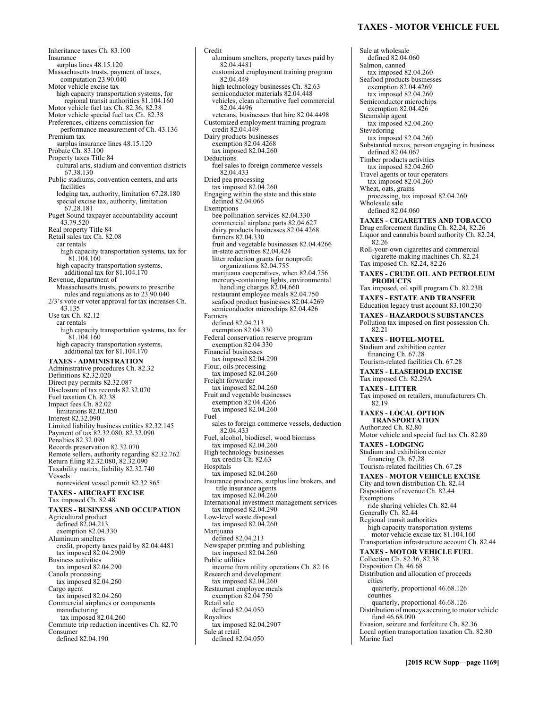## **TAXES - MOTOR VEHICLE FUEL**

Inheritance taxes Ch. 83.100 Insurance surplus lines 48.15.120 Massachusetts trusts, payment of taxes, computation 23.90.040 Motor vehicle excise tax high capacity transportation systems, for regional transit authorities 81.104.160 Motor vehicle fuel tax Ch. 82.36, 82.38 Motor vehicle special fuel tax Ch. 82.38 Preferences, citizens commission for performance measurement of Ch. 43.136 Premium tax surplus insurance lines 48.15.120 Probate Ch. 83.100 Property taxes Title 84 cultural arts, stadium and convention districts 67.38.130 Public stadiums, convention centers, and arts facilities lodging tax, authority, limitation 67.28.180 special excise tax, authority, limitation 67.28.181 Puget Sound taxpayer accountability account 43.79.520 Real property Title 84 Retail sales tax Ch. 82.08 car rentals high capacity transportation systems, tax for 81.104.160 high capacity transportation systems, additional tax for 81.104.170 Revenue, department of Massachusetts trusts, powers to prescribe rules and regulations as to 23.90.040 2/3's vote or voter approval for tax increases Ch. 43.135 Use tax Ch. 82.12 car rentals high capacity transportation systems, tax for 81.104.160 high capacity transportation systems, additional tax for 81.104.170 **TAXES - ADMINISTRATION**  Administrative procedures Ch. 82.32 Definitions 82.32.020 Direct pay permits 82.32.087 Disclosure of tax records 82.32.070 Fuel taxation Ch. 82.38 Impact fees Ch. 82.02 limitations 82.02.050 Interest 82.32.090 Limited liability business entities 82.32.145 Payment of tax 82.32.080, 82.32.090 Penalties 82.32.090 Records preservation 82.32.070 Remote sellers, authority regarding 82.32.762 Return filing 82.32.080, 82.32.090 Taxability matrix, liability 82.32.740 Vessels nonresident vessel permit 82.32.865 **TAXES - AIRCRAFT EXCISE**  Tax imposed Ch. 82.48 **TAXES - BUSINESS AND OCCUPATION**  Agricultural product defined 82.04.213 exemption 82.04.330 Aluminum smelters credit, property taxes paid by 82.04.4481 tax imposed 82.04.2909 Business activities tax imposed 82.04.290 Canola processing tax imposed 82.04.260 Cargo agent tax imposed 82.04.260 Commercial airplanes or components manufacturing tax imposed 82.04.260 Commute trip reduction incentives Ch. 82.70 Consumer defined 82.04.190

Credit aluminum smelters, property taxes paid by 82.04.4481 customized employment training program 82.04.449 high technology businesses Ch. 82.63 semiconductor materials 82.04.448 vehicles, clean alternative fuel commercial 82.04.4496 veterans, businesses that hire 82.04.4498 Customized employment training program credit 82.04.449 Dairy products businesses exemption 82.04.4268 tax imposed 82.04.260 **Deductions** fuel sales to foreign commerce vessels 82.04.433 Dried pea processing tax imposed 82.04.260 Engaging within the state and this state defined 82.04.066 Exemptions bee pollination services 82.04.330 commercial airplane parts 82.04.627 dairy products businesses 82.04.4268 farmers 82.04.330 fruit and vegetable businesses 82.04.4266 in-state activities 82.04.424 litter reduction grants for nonprofit organizations 82.04.755 marijuana cooperatives, when 82.04.756 mercury-containing lights, environmental handling charges 82.04.660 restaurant employee meals 82.04.750 seafood product businesses 82.04.4269 semiconductor microchips 82.04.426 Farmers defined 82.04.213 exemption 82.04.330 Federal conservation reserve program exemption 82.04.330 Financial businesses tax imposed 82.04.290 Flour, oils processing tax imposed 82.04.260 Freight forwarder tax imposed 82.04.260 Fruit and vegetable businesses exemption 82.04.4266 tax imposed 82.04.260 Fuel sales to foreign commerce vessels, deduction 82.04.433 Fuel, alcohol, biodiesel, wood biomass tax imposed 82.04.260 High technology businesses tax credits Ch. 82.63 Hospitals tax imposed 82.04.260 Insurance producers, surplus line brokers, and title insurance agents tax imposed 82.04.260 International investment management services tax imposed 82.04.290 Low-level waste disposal tax imposed  $82.04.260$ Marijuana defined 82.04.213 Newspaper printing and publishing tax imposed 82.04.260 Public utilities income from utility operations Ch. 82.16 Research and development tax imposed 82.04.260 Restaurant employee meals exemption 82.04.750 Retail sale defined 82.04.050 Royalties tax imposed 82.04.2907 Sale at retail defined 82.04.050

Sale at wholesale defined 82.04.060 Salmon, canned tax imposed 82.04.260 Seafood products businesses exemption 82.04.4269 tax imposed 82.04.260 Semiconductor microchips exemption 82.04.426 Steamship agent tax imposed 82.04.260 Stevedoring tax imposed 82.04.260 Substantial nexus, person engaging in business defined 82.04.067 Timber products activities tax imposed 82.04.260 Travel agents or tour operators tax imposed 82.04.260 Wheat, oats, grains processing, tax imposed 82.04.260 Wholesale sale defined 82.04.060 **TAXES - CIGARETTES AND TOBACCO**  Drug enforcement funding Ch. 82.24, 82.26 Liquor and cannabis board authority Ch. 82.24, 82.26 Roll-your-own cigarettes and commercial cigarette-making machines Ch. 82.24 Tax imposed Ch. 82.24, 82.26 **TAXES - CRUDE OIL AND PETROLEUM PRODUCTS**  Tax imposed, oil spill program Ch. 82.23B **TAXES - ESTATE AND TRANSFER**  Education legacy trust account 83.100.230 **TAXES - HAZARDOUS SUBSTANCES**  Pollution tax imposed on first possession Ch. 82.21 **TAXES - HOTEL-MOTEL**  Stadium and exhibition center financing Ch. 67.28 Tourism-related facilities Ch. 67.28 **TAXES - LEASEHOLD EXCISE**  Tax imposed Ch. 82.29A **TAXES - LITTER**  Tax imposed on retailers, manufacturers Ch. 82.19 **TAXES - LOCAL OPTION TRANSPORTATION**  Authorized Ch. 82.80 Motor vehicle and special fuel tax Ch. 82.80 **TAXES - LODGING**  Stadium and exhibition center financing Ch. 67.28 Tourism-related facilities Ch. 67.28 **TAXES - MOTOR VEHICLE EXCISE**  City and town distribution Ch. 82.44 Disposition of revenue Ch. 82.44 Exemptions ride sharing vehicles Ch. 82.44 Generally Ch. 82.44 Regional transit authorities high capacity transportation systems motor vehicle excise tax 81.104.160 Transportation infrastructure account Ch. 82.44 **TAXES - MOTOR VEHICLE FUEL**  Collection Ch. 82.36, 82.38 Disposition Ch. 46.68 Distribution and allocation of proceeds cities quarterly, proportional 46.68.126 counties quarterly, proportional 46.68.126 Distribution of moneys accruing to motor vehicle fund 46.68.090 Evasion, seizure and forfeiture Ch. 82.36 Local option transportation taxation Ch. 82.80 Marine fuel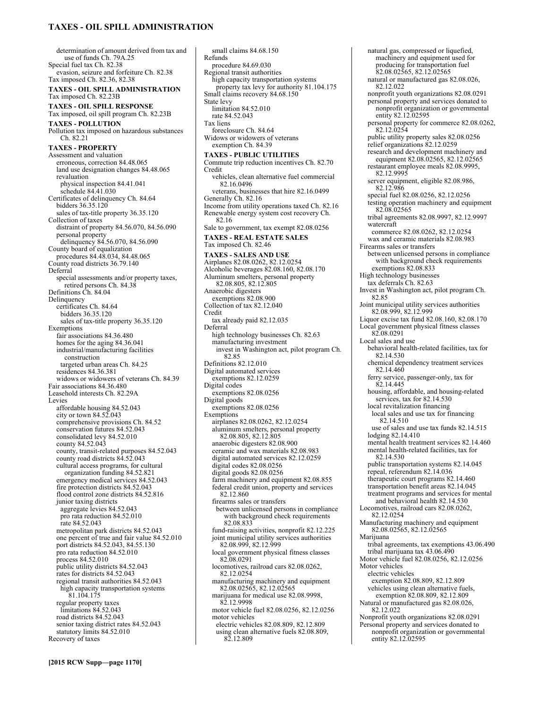## **TAXES - OIL SPILL ADMINISTRATION**

determination of amount derived from tax and use of funds Ch. 79A.25 Special fuel tax Ch. 82.38 evasion, seizure and forfeiture Ch. 82.38 Tax imposed Ch. 82.36, 82.38 **TAXES - OIL SPILL ADMINISTRATION**  Tax imposed Ch. 82.23B **TAXES - OIL SPILL RESPONSE**  Tax imposed, oil spill program Ch. 82.23B **TAXES - POLLUTION**  Pollution tax imposed on hazardous substances Ch. 82.21 **TAXES - PROPERTY**  Assessment and valuation erroneous, correction 84.48.065 land use designation changes 84.48.065 revaluation physical inspection 84.41.041 schedule 84.41.030 Certificates of delinquency Ch. 84.64 bidders 36.35.120 sales of tax-title property 36.35.120 Collection of taxes distraint of property 84.56.070, 84.56.090 personal property delinquency 84.56.070, 84.56.090 County board of equalization procedures 84.48.034, 84.48.065 County road districts 36.79.140 Deferral special assessments and/or property taxes, retired persons Ch. 84.38 Definitions Ch. 84.04 Delinquency certificates Ch. 84.64 bidders 36.35.120 sales of tax-title property 36.35.120 Exemptions fair associations 84.36.480 homes for the aging 84.36.041 industrial/manufacturing facilities construction targeted urban areas Ch. 84.25 residences 84.36.381 widows or widowers of veterans Ch. 84.39 Fair associations 84.36.480 Leasehold interests Ch. 82.29A Levies affordable housing 84.52.043 city or town 84.52.043 comprehensive provisions Ch. 84.52 conservation futures 84.52.043 consolidated levy 84.52.010 county 84.52.043 county, transit-related purposes 84.52.043 county road districts 84.52.043 cultural access programs, for cultural organization funding 84.52.821 emergency medical services 84.52.043 fire protection districts 84.52.043 flood control zone districts 84.52.816 junior taxing districts aggregate levies 84.52.043 pro rata reduction 84.52.010 rate 84.52.043 metropolitan park districts 84.52.043 one percent of true and fair value 84.52.010 port districts 84.52.043, 84.55.130 pro rata reduction 84.52.010 process 84.52.010 public utility districts 84.52.043 rates for districts 84.52.043 regional transit authorities 84.52.043 high capacity transportation systems 81.104.175 regular property taxes limitations 84.52.043 road districts 84.52.043 senior taxing district rates 84.52.043 statutory limits 84.52.010 Recovery of taxes

small claims 84.68.150 Refunds procedure 84.69.030 Regional transit authorities high capacity transportation systems property tax levy for authority 81.104.175 Small claims recovery 84.68.150 State levy limitation 84.52.010 rate 84.52.043 Tax liens foreclosure Ch. 84.64 Widows or widowers of veterans exemption Ch. 84.39 **TAXES - PUBLIC UTILITIES**  Commute trip reduction incentives Ch. 82.70 Credit vehicles, clean alternative fuel commercial 82.16.0496 veterans, businesses that hire 82.16.0499 Generally Ch. 82.16 Income from utility operations taxed Ch. 82.16 Renewable energy system cost recovery Ch. 82.16 Sale to government, tax exempt 82.08.0256 **TAXES - REAL ESTATE SALES**  Tax imposed Ch. 82.46 **TAXES - SALES AND USE**  Airplanes 82.08.0262, 82.12.0254 Alcoholic beverages 82.08.160, 82.08.170 Aluminum smelters, personal property 82.08.805, 82.12.805 Anaerobic digesters exemptions 82.08.900 Collection of tax 82.12.040 Credit tax already paid 82.12.035 Deferral high technology businesses Ch. 82.63 manufacturing investment invest in Washington act, pilot program Ch. 82.85 Definitions 82.12.010 Digital automated services exemptions 82.12.0259 Digital codes exemptions 82.08.0256 Digital goods exemptions 82.08.0256 Exemptions airplanes 82.08.0262, 82.12.0254 aluminum smelters, personal property 82.08.805, 82.12.805 anaerobic digesters 82.08.900 ceramic and wax materials 82.08.983 digital automated services 82.12.0259 digital codes 82.08.0256 digital goods 82.08.0256 farm machinery and equipment 82.08.855 federal credit union, property and services 82.12.860 firearms sales or transfers between unlicensed persons in compliance with background check requirements 82.08.833 fund-raising activities, nonprofit 82.12.225 joint municipal utility services authorities 82.08.999, 82.12.999 local government physical fitness classes 82.08.0291 locomotives, railroad cars 82.08.0262, 82.12.0254 manufacturing machinery and equipment 82.08.02565, 82.12.02565 marijuana for medical use 82.08.9998, 82.12.9998 motor vehicle fuel 82.08.0256, 82.12.0256 motor vehicles electric vehicles 82.08.809, 82.12.809 using clean alternative fuels 82.08.809,

82.12.809

natural gas, compressed or liquefied, machinery and equipment used for producing for transportation fuel 82.08.02565, 82.12.02565 natural or manufactured gas 82.08.026, 82.12.022 nonprofit youth organizations 82.08.0291 personal property and services donated to nonprofit organization or governmental entity 82.12.02595 personal property for commerce 82.08.0262, 82.12.0254 public utility property sales 82.08.0256 relief organizations 82.12.0259 research and development machinery and equipment 82.08.02565, 82.12.02565 restaurant employee meals 82.08.9995, 82.12.9995 server equipment, eligible 82.08.986, 82.12.986 special fuel 82.08.0256, 82.12.0256 testing operation machinery and equipment 82.08.02565 tribal agreements 82.08.9997, 82.12.9997 watercraft commerce 82.08.0262, 82.12.0254 wax and ceramic materials 82.08.983 Firearms sales or transfers between unlicensed persons in compliance with background check requirements exemptions 82.08.833 High technology businesses tax deferrals Ch. 82.63 Invest in Washington act, pilot program Ch. 82.85 Joint municipal utility services authorities 82.08.999, 82.12.999 Liquor excise tax fund 82.08.160, 82.08.170 Local government physical fitness classes 82.08.0291 Local sales and use behavioral health-related facilities, tax for 82.14.530 chemical dependency treatment services 82.14.460 ferry service, passenger-only, tax for 82.14.445 housing, affordable, and housing-related services, tax for 82.14.530 local revitalization financing local sales and use tax for financing 82.14.510 use of sales and use tax funds 82.14.515 lodging 82.14.410 mental health treatment services 82.14.460 mental health-related facilities, tax for 82.14.530 public transportation systems 82.14.045 repeal, referendum 82.14.036 therapeutic court programs 82.14.460 transportation benefit areas 82.14.045 treatment programs and services for mental and behavioral health 82.14.530 Locomotives, railroad cars 82.08.0262, 82.12.0254 Manufacturing machinery and equipment 82.08.02565, 82.12.02565 Marijuana tribal agreements, tax exemptions 43.06.490 tribal marijuana tax 43.06.490 Motor vehicle fuel 82.08.0256, 82.12.0256 Motor vehicles electric vehicles exemption 82.08.809, 82.12.809 vehicles using clean alternative fuels, exemption 82.08.809, 82.12.809 Natural or manufactured gas 82.08.026, 82.12.022 Nonprofit youth organizations 82.08.0291 Personal property and services donated to nonprofit organization or governmental entity 82.12.02595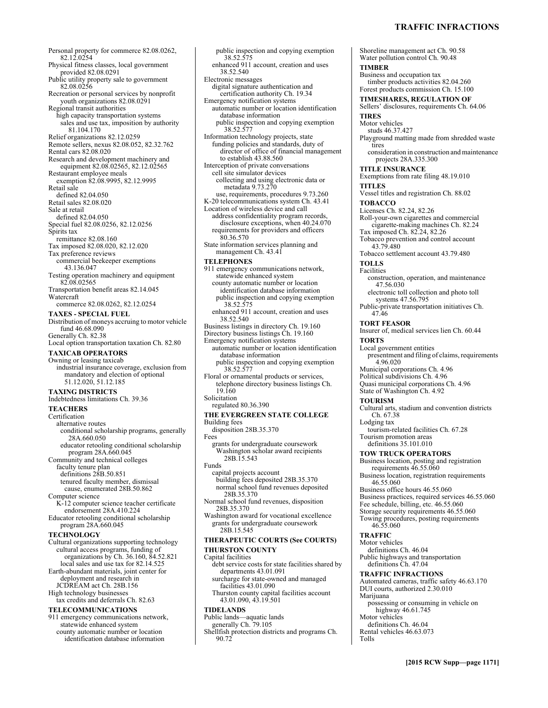Personal property for commerce 82.08.0262, 82.12.0254 Physical fitness classes, local government provided 82.08.0291 Public utility property sale to government 82.08.0256 Recreation or personal services by nonprofit youth organizations 82.08.0291 Regional transit authorities high capacity transportation systems sales and use tax, imposition by authority 81.104.170 Relief organizations 82.12.0259 Remote sellers, nexus 82.08.052, 82.32.762 Rental cars 82.08.020 Research and development machinery and equipment 82.08.02565, 82.12.02565 Restaurant employee meals exemption 82.08.9995, 82.12.9995 Retail sale defined 82.04.050 Retail sales 82.08.020 Sale at retail defined 82.04.050 Special fuel 82.08.0256, 82.12.0256 Spirits tax remittance 82.08.160 Tax imposed 82.08.020, 82.12.020 Tax preference reviews commercial beekeeper exemptions 43.136.047 Testing operation machinery and equipment 82.08.02565 Transportation benefit areas 82.14.045 Watercraft commerce 82.08.0262, 82.12.0254 **TAXES - SPECIAL FUEL**  Distribution of moneys accruing to motor vehicle fund 46.68.090 Generally Ch. 82.38 Local option transportation taxation Ch. 82.80 **TAXICAB OPERATORS**  Owning or leasing taxicab industrial insurance coverage, exclusion from mandatory and election of optional 51.12.020, 51.12.185 **TAXING DISTRICTS**  Indebtedness limitations Ch. 39.36 **TEACHERS**  Certification alternative routes conditional scholarship programs, generally 28A.660.050 educator retooling conditional scholarship program 28A.660.045 Community and technical colleges

faculty tenure plan definitions  $2\overline{8}B.50.851$ tenured faculty member, dismissal cause, enumerated 28B.50.862 Computer science

K-12 computer science teacher certificate endorsement 28A.410.224

Educator retooling conditional scholarship program 28A.660.045

#### **TECHNOLOGY**

Cultural organizations supporting technology cultural access programs, funding of organizations by Ch. 36.160, 84.52.821 local sales and use tax for 82.14.525 Earth-abundant materials, joint center for deployment and research in JCDREAM act Ch. 28B.156 High technology businesses tax credits and deferrals Ch. 82.63

#### **TELECOMMUNICATIONS**

911 emergency communications network, statewide enhanced system county automatic number or location identification database information

public inspection and copying exemption 38.52.575 enhanced 911 account, creation and uses 38.52.540 Electronic messages digital signature authentication and certification authority Ch. 19.34 Emergency notification systems automatic number or location identification database information public inspection and copying exemption 38.52.577 Information technology projects, state funding policies and standards, duty of director of office of financial management to establish 43.88.560 Interception of private conversations cell site simulator devices collecting and using electronic data or metadata 9.73.270 use, requirements, procedures 9.73.260 K-20 telecommunications system Ch. 43.41 Location of wireless device and call address confidentiality program records, disclosure exceptions, when 40.24.070 requirements for providers and officers 80.36.570 State information services planning and management Ch. 43.41 **TELEPHONES**  911 emergency communications network, statewide enhanced system county automatic number or location identification database information public inspection and copying exemption 38.52.575 enhanced 911 account, creation and uses 38.52.540 Business listings in directory Ch. 19.160 Directory business listings Ch. 19.160 Emergency notification systems automatic number or location identification database information public inspection and copying exemption 38.52.577 Floral or ornamental products or services, telephone directory business listings Ch. 19.160 Solicitation regulated 80.36.390 **THE EVERGREEN STATE COLLEGE**  Building fees disposition 28B.35.370 Fees grants for undergraduate coursework Washington scholar award recipients 28B.15.543 Funds capital projects account building fees deposited 28B.35.370 normal school fund revenues deposited 28B.35.370 Normal school fund revenues, disposition 28B.35.370 Washington award for vocational excellence grants for undergraduate coursework 28B.15.545 **THERAPEUTIC COURTS (See COURTS) THURSTON COUNTY**  Capital facilities debt service costs for state facilities shared by departments 43.01.091

surcharge for state-owned and managed facilities 43.01.090 Thurston county capital facilities account 43.01.090, 43.19.501

**TIDELANDS**  Public lands—aquatic lands generally Ch. 79.105 Shellfish protection districts and programs Ch. 90.72

Shoreline management act Ch. 90.58 Water pollution control Ch. 90.48 **TIMBER**  Business and occupation tax timber products activities 82.04.260 Forest products commission Ch. 15.100 **TIMESHARES, REGULATION OF**  Sellers' disclosures, requirements Ch. 64.06 **TIRES**  Motor vehicles studs 46.37.427 Playground matting made from shredded waste tires consideration in construction and maintenance projects 28A.335.300 **TITLE INSURANCE**  Exemptions from rate filing 48.19.010 **TITLES**  Vessel titles and registration Ch. 88.02 **TOBACCO**  Licenses Ch. 82.24, 82.26 Roll-your-own cigarettes and commercial cigarette-making machines Ch. 82.24 Tax imposed Ch. 82.24, 82.26 Tobacco prevention and control account 43.79.480 Tobacco settlement account 43.79.480 **TOLLS**  Facilities construction, operation, and maintenance 47.56.030 electronic toll collection and photo toll systems 47.56.795 Public-private transportation initiatives Ch. 47.46 **TORT FEASOR**  Insurer of, medical services lien Ch. 60.44 **TORTS**  Local government entities presentment and filing of claims, requirements 4.96.020 Municipal corporations Ch. 4.96 Political subdivisions Ch. 4.96 Quasi municipal corporations Ch. 4.96 State of Washington Ch. 4.92 **TOURISM**  Cultural arts, stadium and convention districts Ch. 67.38 Lodging tax tourism-related facilities Ch. 67.28 Tourism promotion areas definitions 35.101.010 **TOW TRUCK OPERATORS**  Business location, posting and registration requirements 46.55.060 Business location, registration requirements 46.55.060 Business office hours 46.55.060 Business practices, required services 46.55.060 Fee schedule, billing, etc. 46.55.060 Storage security requirements 46.55.060 Towing procedures, posting requirements 46.55.060 **TRAFFIC**  Motor vehicles definitions Ch. 46.04 Public highways and transportation definitions Ch. 47.04 **TRAFFIC INFRACTIONS**  Automated cameras, traffic safety 46.63.170 DUI courts, authorized 2.30.010 Marijuana possessing or consuming in vehicle on highway 46.61.745 Motor vehicles definitions Ch. 46.04 Rental vehicles 46.63.073 Tolls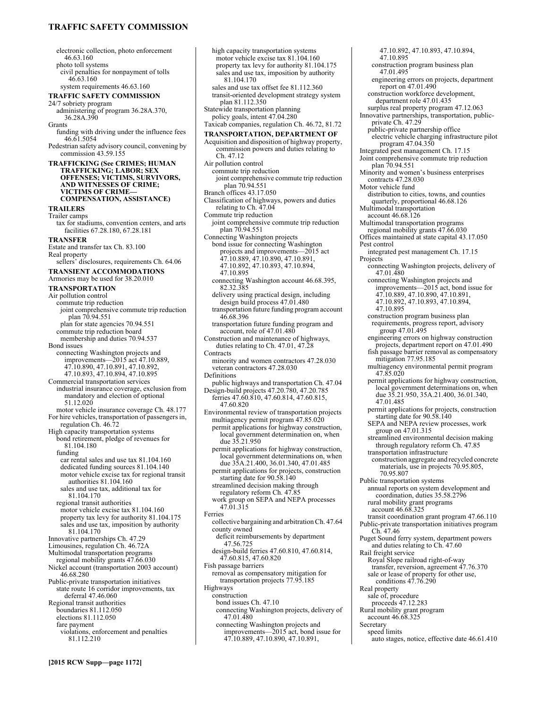#### **TRAFFIC SAFETY COMMISSION**

electronic collection, photo enforcement 46.63.160 photo toll systems civil penalties for nonpayment of tolls 46.63.160 system requirements 46.63.160 **TRAFFIC SAFETY COMMISSION**  24/7 sobriety program administering of program 36.28A.370, 36.28A.390 Grants funding with driving under the influence fees 46.61.5054 Pedestrian safety advisory council, convening by commission 43.59.155 **TRAFFICKING (See CRIMES; HUMAN TRAFFICKING; LABOR; SEX OFFENSES; VICTIMS, SURVIVORS, AND WITNESSES OF CRIME; VICTIMS OF CRIME— COMPENSATION, ASSISTANCE) TRAILERS**  Trailer camps tax for stadiums, convention centers, and arts facilities 67.28.180, 67.28.181 **TRANSFER**  Estate and transfer tax Ch. 83.100 Real property sellers' disclosures, requirements Ch. 64.06 **TRANSIENT ACCOMMODATIONS**  Armories may be used for 38.20.010 **TRANSPORTATION**  Air pollution control commute trip reduction joint comprehensive commute trip reduction plan 70.94.551 plan for state agencies 70.94.551 commute trip reduction board membership and duties 70.94.537 Bond issues connecting Washington projects and improvements—2015 act 47.10.889, 47.10.890, 47.10.891, 47.10.892, 47.10.893, 47.10.894, 47.10.895 Commercial transportation services industrial insurance coverage, exclusion from mandatory and election of optional 51.12.020 motor vehicle insurance coverage Ch. 48.177 For hire vehicles, transportation of passengers in, regulation Ch. 46.72 High capacity transportation systems bond retirement, pledge of revenues for 81.104.180 funding car rental sales and use tax 81.104.160 dedicated funding sources 81.104.140 motor vehicle excise tax for regional transit authorities 81.104.160 sales and use tax, additional tax for 81.104.170 regional transit authorities motor vehicle excise tax 81.104.160 property tax levy for authority 81.104.175 sales and use tax, imposition by authority 81.104.170 Innovative partnerships Ch. 47.29 Limousines, regulation Ch. 46.72A Multimodal transportation programs regional mobility grants 47.66.030 Nickel account (transportation 2003 account) 46.68.280 Public-private transportation initiatives state route 16 corridor improvements, tax deferral 47.46.060 Regional transit authorities boundaries 81.112.050 elections 81.112.050 fare payment violations, enforcement and penalties 81.112.210

high capacity transportation systems motor vehicle excise tax 81.104.160 property tax levy for authority 81.104.175 sales and use tax, imposition by authority 81.104.170 sales and use tax offset fee 81.112.360 transit-oriented development strategy system plan 81.112.350 Statewide transportation planning policy goals, intent 47.04.280 Taxicab companies, regulation Ch. 46.72, 81.72 **TRANSPORTATION, DEPARTMENT OF**  Acquisition and disposition of highway property, commission powers and duties relating to Ch. 47.12 Air pollution control commute trip reduction joint comprehensive commute trip reduction plan 70.94.551 Branch offices 43.17.050 Classification of highways, powers and duties relating to Ch. 47.04 Commute trip reduction joint comprehensive commute trip reduction plan 70.94.551 Connecting Washington projects bond issue for connecting Washington projects and improvements—2015 act 47.10.889, 47.10.890, 47.10.891, 47.10.892, 47.10.893, 47.10.894, 47.10.895 connecting Washington account 46.68.395, 82.32.385 delivery using practical design, including design build process 47.01.480 transportation future funding program account 46.68.396 transportation future funding program and account, role of 47.01.480 Construction and maintenance of highways, duties relating to Ch. 47.01, 47.28 **Contracts** minority and women contractors 47.28.030 veteran contractors 47.28.030 Definitions public highways and transportation Ch. 47.04 Design-build projects 47.20.780, 47.20.785 ferries 47.60.810, 47.60.814, 47.60.815, 47.60.820 Environmental review of transportation projects multiagency permit program 47.85.020 permit applications for highway construction, local government determination on, when due 35.21.950 permit applications for highway construction, local government determinations on, when due 35A.21.400, 36.01.340, 47.01.485 permit applications for projects, construction starting date for 90.58.140 streamlined decision making through regulatory reform Ch. 47.85 work group on SEPA and NEPA processes 47.01.315 Ferries collective bargaining and arbitration Ch. 47.64 county owned deficit reimbursements by department 47.56.725 design-build ferries 47.60.810, 47.60.814, 47.60.815, 47.60.820 Fish passage barriers removal as compensatory mitigation for transportation projects 77.95.185 Highways construction bond issues Ch. 47.10 connecting Washington projects, delivery of 47.01.480 connecting Washington projects and improvements—2015 act, bond issue for

47.10.889, 47.10.890, 47.10.891,

construction program business plan 47.01.495 engineering errors on projects, department report on 47.01.490 construction workforce development, department role 47.01.435 surplus real property program 47.12.063 Innovative partnerships, transportation, publicprivate Ch. 47.29 public-private partnership office electric vehicle charging infrastructure pilot program 47.04.350 Integrated pest management Ch. 17.15 Joint comprehensive commute trip reduction plan 70.94.551 Minority and women's business enterprises contracts 47.28.030 Motor vehicle fund distribution to cities, towns, and counties quarterly, proportional 46.68.126 Multimodal transportation account 46.68.126 Multimodal transportation programs regional mobility grants 47.66.030 Offices maintained at state capital 43.17.050 Pest control integrated pest management Ch. 17.15 **Projects** connecting Washington projects, delivery of 47.01.480 connecting Washington projects and improvements—2015 act, bond issue for 47.10.889, 47.10.890, 47.10.891, 47.10.892, 47.10.893, 47.10.894, 47.10.895 construction program business plan requirements, progress report, advisory group 47.01.495 engineering errors on highway construction projects, department report on 47.01.490 fish passage barrier removal as compensatory mitigation 77.95.185 multiagency environmental permit program 47.85.020 permit applications for highway construction, local government determinations on, when due 35.21.950, 35A.21.400, 36.01.340, 47.01.485 permit applications for projects, construction starting date for 90.58.140 SEPA and NEPA review processes, work group on 47.01.315 streamlined environmental decision making through regulatory reform Ch. 47.85 transportation infrastructure construction aggregate and recycled concrete materials, use in projects 70.95.805, 70.95.807 Public transportation systems annual reports on system development and coordination, duties 35.58.2796 rural mobility grant programs account 46.68.325 transit coordination grant program 47.66.110 Public-private transportation initiatives program Ch. 47.46 Puget Sound ferry system, department powers and duties relating to Ch. 47.60 Rail freight service Royal Slope railroad right-of-way transfer, reversion, agreement 47.76.370 sale or lease of property for other use, conditions 47.76.290 Real property sale of, procedure proceeds 47.12.283 Rural mobility grant program account 46.68.325 Secretary speed limits

auto stages, notice, effective date 46.61.410

47.10.892, 47.10.893, 47.10.894,

47.10.895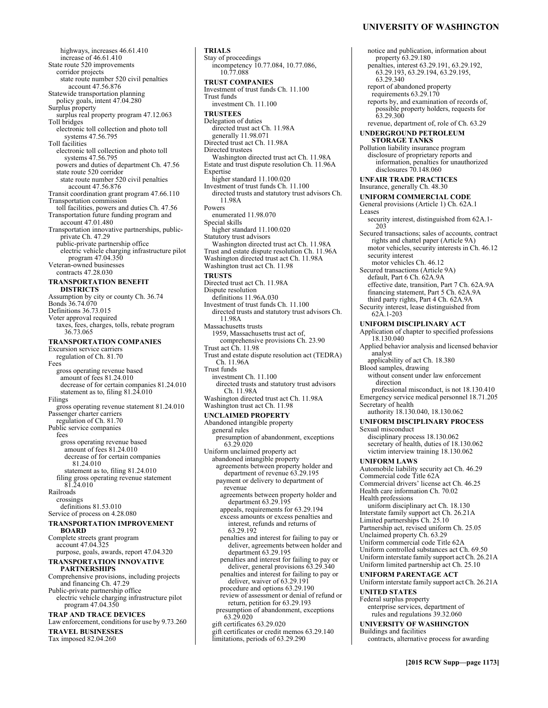#### **UNIVERSITY OF WASHINGTON**

highways, increases 46.61.410 increase of 46.61.410 State route 520 improvements corridor projects state route number 520 civil penalties account 47.56.876 Statewide transportation planning policy goals, intent 47.04.280 Surplus property surplus real property program 47.12.063 Toll bridges electronic toll collection and photo toll systems 47.56.795 Toll facilities electronic toll collection and photo toll systems 47.56.795 powers and duties of department Ch. 47.56 state route 520 corridor state route number 520 civil penalties account 47.56.876 Transit coordination grant program 47.66.110 Transportation commission toll facilities, powers and duties Ch. 47.56 Transportation future funding program and account 47.01.480 Transportation innovative partnerships, publicprivate Ch. 47.29 public-private partnership office electric vehicle charging infrastructure pilot program 47.04.350 Veteran-owned businesses contracts 47.28.030 **TRANSPORTATION BENEFIT DISTRICTS**  Assumption by city or county Ch. 36.74 Bonds 36.74.070 Definitions 36.73.015 Voter approval required taxes, fees, charges, tolls, rebate program 36.73.065 **TRANSPORTATION COMPANIES**  Excursion service carriers regulation of Ch. 81.70 Fees gross operating revenue based amount of fees 81.24.010 decrease of for certain companies 81.24.010 statement as to, filing 81.24.010 Filings gross operating revenue statement 81.24.010 Passenger charter carriers regulation of Ch. 81.70 Public service companies fees gross operating revenue based amount of fees 81.24.010 decrease of for certain companies 81.24.010 statement as to, filing 81.24.010 filing gross operating revenue statement 81.24.010 Railroads crossings definitions 81.53.010 Service of process on 4.28.080 **TRANSPORTATION IMPROVEMENT BOARD**  Complete streets grant program account 47.04.325 purpose, goals, awards, report 47.04.320 **TRANSPORTATION INNOVATIVE PARTNERSHIPS**  Comprehensive provisions, including projects and financing Ch. 47.29 Public-private partnership office electric vehicle charging infrastructure pilot program 47.04.350 **TRAP AND TRACE DEVICES**  Law enforcement, conditions for use by 9.73.260 **TRAVEL BUSINESSES** 

Tax imposed 82.04.260

**TRIALS**  Stay of proceedings incompetency 10.77.084, 10.77.086, 10.77.088 **TRUST COMPANIES**  Investment of trust funds Ch. 11.100 Trust funds investment Ch. 11.100 **TRUSTEES**  Delegation of duties directed trust act Ch. 11.98A generally 11.98.071 Directed trust act Ch. 11.98A Directed trustees Washington directed trust act Ch. 11.98A Estate and trust dispute resolution Ch. 11.96A Expertise higher standard 11.100.020 Investment of trust funds Ch. 11.100 directed trusts and statutory trust advisors Ch. 11.98A Powers enumerated 11.98.070 Special skills higher standard 11.100.020 Statutory trust advisors Washington directed trust act Ch. 11.98A Trust and estate dispute resolution Ch. 11.96A Washington directed trust act Ch. 11.98A Washington trust act Ch. 11.98 **TRUSTS**  Directed trust act Ch. 11.98A Dispute resolution definitions 11.96A.030 Investment of trust funds Ch. 11.100 directed trusts and statutory trust advisors Ch. 11.98A Massachusetts trusts 1959, Massachusetts trust act of, comprehensive provisions Ch. 23.90 Trust act Ch. 11.98 Trust and estate dispute resolution act (TEDRA) Ch. 11.96A Trust funds investment Ch. 11.100 directed trusts and statutory trust advisors Ch. 11.98A Washington directed trust act Ch. 11.98A Washington trust act Ch. 11.98 **UNCLAIMED PROPERTY**  Abandoned intangible property general rules presumption of abandonment, exceptions 63.29.020 Uniform unclaimed property act abandoned intangible property agreements between property holder and department of revenue 63.29.195 payment or delivery to department of revenue agreements between property holder and department 63.29.195 appeals, requirements for 63.29.194 excess amounts or excess penalties and interest, refunds and returns of 63.29.192 penalties and interest for failing to pay or deliver, agreements between holder and department 63.29.195 penalties and interest for failing to pay or deliver, general provisions 63.29.340 penalties and interest for failing to pay or deliver, waiver of 63.29.191 procedure and options 63.29.190 review of assessment or denial of refund or return, petition for 63.29.193 presumption of abandonment, exceptions 63.29.020

gift certificates 63.29.020 gift certificates or credit memos 63.29.140

limitations, periods of 63.29.290

notice and publication, information about property 63.29.180 penalties, interest 63.29.191, 63.29.192, 63.29.193, 63.29.194, 63.29.195, 63.29.340 report of abandoned property requirements 63.29.170 reports by, and examination of records of, possible property holders, requests for 63.29.300 revenue, department of, role of Ch. 63.29 **UNDERGROUND PETROLEUM STORAGE TANKS**  Pollution liability insurance program disclosure of proprietary reports and information, penalties for unauthorized disclosures 70.148.060 **UNFAIR TRADE PRACTICES**  Insurance, generally Ch. 48.30 **UNIFORM COMMERCIAL CODE**  General provisions (Article 1) Ch. 62A.1 Leases security interest, distinguished from 62A.1- 203 Secured transactions; sales of accounts, contract rights and chattel paper (Article 9A) motor vehicles, security interests in Ch. 46.12 security interest motor vehicles Ch. 46.12 Secured transactions (Article 9A) default, Part 6 Ch. 62A.9A effective date, transition, Part 7 Ch. 62A.9A financing statement, Part 5 Ch. 62A.9A third party rights, Part 4 Ch. 62A.9A Security interest, lease distinguished from 62A.1-203 **UNIFORM DISCIPLINARY ACT**  Application of chapter to specified professions 18.130.040 Applied behavior analysis and licensed behavior analyst applicability of act Ch. 18.380 Blood samples, drawing without consent under law enforcement direction professional misconduct, is not 18.130.410 Emergency service medical personnel 18.71.205 Secretary of health authority 18.130.040, 18.130.062 **UNIFORM DISCIPLINARY PROCESS**  Sexual misconduct disciplinary process 18.130.062 secretary of health, duties of 18.130.062 victim interview training 18.130.062 **UNIFORM LAWS**  Automobile liability security act Ch. 46.29 Commercial code Title 62A Commercial drivers' license act Ch. 46.25 Health care information Ch. 70.02 Health professions uniform disciplinary act Ch. 18.130 Interstate family support act Ch. 26.21A Limited partnerships Ch. 25.10 Partnership act, revised uniform Ch. 25.05 Unclaimed property Ch. 63.29 Uniform commercial code Title 62A Uniform controlled substances act Ch. 69.50 Uniform interstate family support act Ch. 26.21A Uniform limited partnership act Ch. 25.10 **UNIFORM PARENTAGE ACT**  Uniform interstate family support act Ch. 26.21A **UNITED STATES**  Federal surplus property enterprise services, department of rules and regulations 39.32.060

**UNIVERSITY OF WASHINGTON**  Buildings and facilities

contracts, alternative process for awarding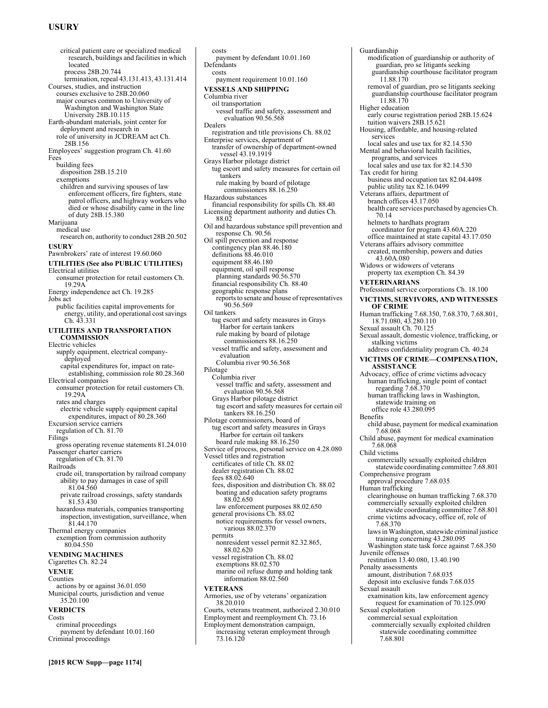## **USURY**

critical patient care or specialized medical research, buildings and facilities in which located process 28B.20.744 termination, repeal 43.131.413, 43.131.414 Courses, studies, and instruction courses exclusive to 28B.20.060 major courses common to University of Washington and Washington State University 28B.10.115 Earth-abundant materials, joint center for deployment and research in role of university in JCDREAM act Ch. 28B.156 Employees' suggestion program Ch. 41.60 Fees building fees disposition 28B.15.210 exemptions children and surviving spouses of law enforcement officers, fire fighters, state patrol officers, and highway workers who died or whose disability came in the line of duty 28B.15.380 Marijuana medical use research on, authority to conduct 28B.20.502 **USURY**  Pawnbrokers' rate of interest 19.60.060 **UTILITIES (See also PUBLIC UTILITIES)** Electrical utilities consumer protection for retail customers Ch. 19.29A Energy independence act Ch. 19.285 Jobs act public facilities capital improvements for energy, utility, and operational cost savings Ch. 43.331 **UTILITIES AND TRANSPORTATION COMMISSION**  Electric vehicles supply equipment, electrical companydeployed capital expenditures for, impact on rateestablishing, commission role 80.28.360 Electrical companies consumer protection for retail customers Ch. 19.29A rates and charges electric vehicle supply equipment capital expenditures, impact of 80.28.360 Excursion service carriers regulation of Ch. 81.70 Filings gross operating revenue statements 81.24.010 Passenger charter carriers regulation of Ch. 81.70 Railroads crude oil, transportation by railroad company ability to pay damages in case of spill 81.04.560 private railroad crossings, safety standards 81.53.430 hazardous materials, companies transporting inspection, investigation, surveillance, when 81.44.170 Thermal energy companies exemption from commission authority 80.04.550 **VENDING MACHINES**  Cigarettes Ch. 82.24 **VENUE**  Counties actions by or against 36.01.050 Municipal courts, jurisdiction and venue 35.20.100 **VERDICTS**  Costs criminal proceedings payment by defendant 10.01.160 Criminal proceedings

costs payment by defendant 10.01.160 Defendants costs payment requirement 10.01.160 **VESSELS AND SHIPPING**  Columbia river oil transportation vessel traffic and safety, assessment and evaluation 90.56.568 Dealers registration and title provisions Ch. 88.02 Enterprise services, department of transfer of ownership of department-owned vessel 43.19.1919 Grays Harbor pilotage district tug escort and safety measures for certain oil tankers rule making by board of pilotage commissioners 88.16.250 Hazardous substances financial responsibility for spills Ch. 88.40 Licensing department authority and duties Ch. 88.02 Oil and hazardous substance spill prevention and response Ch. 90.56 Oil spill prevention and response contingency plan 88.46.180 definitions 88.46.010 equipment 88.46.180 equipment, oil spill response planning standards 90.56.570 financial responsibility Ch. 88.40 geographic response plans reports to senate and house of representatives 90.56.569 Oil tankers tug escort and safety measures in Grays Harbor for certain tankers rule making by board of pilotage commissioners 88.16.250 vessel traffic and safety, assessment and evaluation Columbia river 90.56.568 Pilotage Columbia river vessel traffic and safety, assessment and evaluation 90.56.568 Grays Harbor pilotage district tug escort and safety measures for certain oil tankers 88.16.250 Pilotage commissioners, board of tug escort and safety measures in Grays Harbor for certain oil tankers board rule making 88.16.250 Service of process, personal service on 4.28.080 Vessel titles and registration certificates of title Ch. 88.02 dealer registration Ch. 88.02 fees 88.02.640 fees, disposition and distribution Ch. 88.02 boating and education safety programs 88.02.650 law enforcement purposes 88.02.650 general provisions Ch. 88.02 notice requirements for vessel owners, various 88.02.370 permits nonresident vessel permit 82.32.865, 88.02.620 vessel registration Ch. 88.02 exemptions 88.02.570 marine oil refuse dump and holding tank information 88.02.560 **VETERANS**  Armories, use of by veterans' organization 38.20.010 Courts, veterans treatment, authorized 2.30.010 Employment and reemployment Ch. 73.16 Employment demonstration campaign, increasing veteran employment through

73.16.120

Guardianship modification of guardianship or authority of guardian, pro se litigants seeking guardianship courthouse facilitator program 11.88.170 removal of guardian, pro se litigants seeking guardianship courthouse facilitator program 11.88.170 Higher education early course registration period 28B.15.624 tuition waivers 28B.15.621 Housing, affordable, and housing-related services local sales and use tax for 82.14.530 Mental and behavioral health facilities, programs, and services local sales and use tax for 82.14.530 Tax credit for hiring business and occupation tax 82.04.4498 public utility tax 82.16.0499 Veterans affairs, department of branch offices 43.17.050 health care services purchased by agencies Ch. 70.14 helmets to hardhats program coordinator for program 43.60A.220 office maintained at state capital 43.17.050 Veterans affairs advisory committee created, membership, powers and duties 43.60A.080 Widows or widowers of veterans property tax exemption Ch. 84.39 **VETERINARIANS**  Professional service corporations Ch. 18.100 **VICTIMS, SURVIVORS, AND WITNESSES OF CRIME**  Human trafficking 7.68.350, 7.68.370, 7.68.801, 18.71.080, 43.280.110 Sexual assault Ch. 70.125 Sexual assault, domestic violence, trafficking, or stalking victims address confidentiality program Ch. 40.24 **VICTIMS OF CRIME—COMPENSATION, ASSISTANCE**  Advocacy, office of crime victims advocacy human trafficking, single point of contact regarding 7.68.370 human trafficking laws in Washington, statewide training on office role 43.280.095 Benefits child abuse, payment for medical examination 7.68.068 Child abuse, payment for medical examination 7.68.068 Child victims commercially sexually exploited children statewide coordinating committee 7.68.801 Comprehensive program approval procedure 7.68.035 Human trafficking clearinghouse on human trafficking 7.68.370 commercially sexually exploited children statewide coordinating committee 7.68.801 crime victims advocacy, office of, role of 7.68.370 laws in Washington, statewide criminal justice training concerning 43.280.095 Washington state task force against 7.68.350 Juvenile offenses restitution 13.40.080, 13.40.190 Penalty assessments amount, distribution 7.68.035 deposit into exclusive funds 7.68.035 Sexual assault examination kits, law enforcement agency request for examination of 70.125.090 Sexual exploitation commercial sexual exploitation commercially sexually exploited children statewide coordinating committee

7.68.801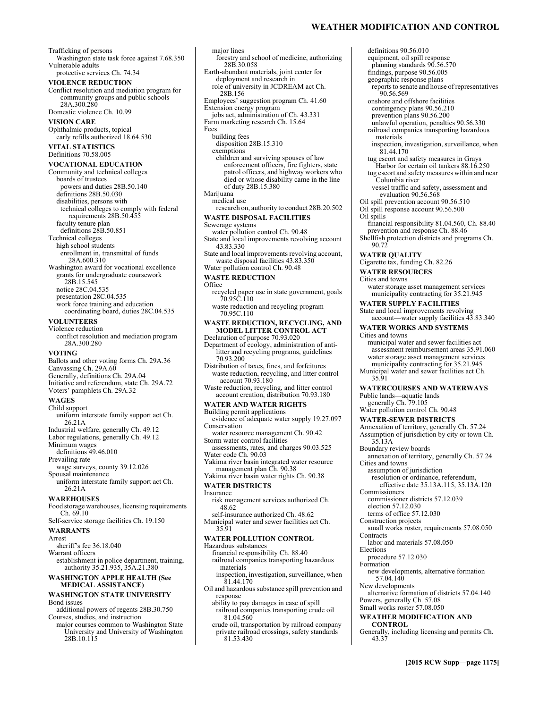#### **WEATHER MODIFICATION AND CONTROL**

Trafficking of persons Washington state task force against 7.68.350 Vulnerable adults protective services Ch. 74.34 **VIOLENCE REDUCTION**  Conflict resolution and mediation program for community groups and public schools 28A.300.280 Domestic violence Ch. 10.99 **VISION CARE**  Ophthalmic products, topical early refills authorized 18.64.530 **VITAL STATISTICS**  Definitions 70.58.005 **VOCATIONAL EDUCATION**  Community and technical colleges boards of trustees powers and duties 28B.50.140 definitions 28B.50.030 disabilities, persons with technical colleges to comply with federal requirements 28B.50.455 faculty tenure plan definitions 28B.50.851 Technical colleges high school students enrollment in, transmittal of funds 28A.600.310 Washington award for vocational excellence grants for undergraduate coursework 28B.15.545 notice 28C.04.535 presentation 28C.04.535 work force training and education coordinating board, duties 28C.04.535 **VOLUNTEERS**  Violence reduction conflict resolution and mediation program 28A.300.280 **VOTING** 

Ballots and other voting forms Ch. 29A.36 Canvassing Ch. 29A.60 Generally, definitions Ch. 29A.04 Initiative and referendum, state Ch. 29A.72 Voters' pamphlets Ch. 29A.32

## **WAGES**

Child support uniform interstate family support act Ch. 26.21A Industrial welfare, generally Ch. 49.12 Labor regulations, generally Ch. 49.12 Minimum wages definitions 49.46.010

Prevailing rate

- wage surveys, county 39.12.026
- Spousal maintenance uniform interstate family support act Ch. 26.21A

## **WAREHOUSES**

Food storage warehouses, licensing requirements Ch. 69.10

Self-service storage facilities Ch. 19.150

#### **WARRANTS**

Arrest

- sheriff's fee 36.18.040 Warrant officers
- establishment in police department, training, authority 35.21.935, 35A.21.380

#### **WASHINGTON APPLE HEALTH (See MEDICAL ASSISTANCE)**

#### **WASHINGTON STATE UNIVERSITY**  Bond issues

- additional powers of regents 28B.30.750 Courses, studies, and instruction
- major courses common to Washington State University and University of Washington 28B.10.115

major lines forestry and school of medicine, authorizing 28B.30.058 Earth-abundant materials, joint center for deployment and research in role of university in JCDREAM act Ch. 28B.156 Employees' suggestion program Ch. 41.60 Extension energy program jobs act, administration of Ch. 43.331 Farm marketing research Ch. 15.64 Fees building fees disposition 28B.15.310 exemptions children and surviving spouses of law enforcement officers, fire fighters, state patrol officers, and highway workers who died or whose disability came in the line of duty 28B.15.380 Marijuana medical use research on, authority to conduct 28B.20.502 **WASTE DISPOSAL FACILITIES**  Sewerage systems water pollution control Ch. 90.48 State and local improvements revolving account 43.83.330 State and local improvements revolving account, waste disposal facilities 43.83.350 Water pollution control Ch. 90.48 **WASTE REDUCTION Office** recycled paper use in state government, goals 70.95C.110 waste reduction and recycling program 70.95C.110 **WASTE REDUCTION, RECYCLING, AND MODEL LITTER CONTROL ACT**  Declaration of purpose 70.93.020 Department of ecology, administration of antilitter and recycling programs, guidelines 70.93.200 Distribution of taxes, fines, and forfeitures waste reduction, recycling, and litter control account 70.93.180 Waste reduction, recycling, and litter control account creation, distribution 70.93.180 **WATER AND WATER RIGHTS**  Building permit applications evidence of adequate water supply 19.27.097 **Conservation** 

- water resource management Ch. 90.42 Storm water control facilities assessments, rates, and charges 90.03.525
- Water code Ch. 90.03
- Yakima river basin integrated water resource management plan Ch. 90.38
- Yakima river basin water rights Ch. 90.38

#### **WATER DISTRICTS**  Insurance

- risk management services authorized Ch. 48.62
- self-insurance authorized Ch. 48.62
- Municipal water and sewer facilities act Ch. 35.91

#### **WATER POLLUTION CONTROL**

Hazardous substances

- financial responsibility Ch. 88.40 railroad companies transporting hazardous materials
- inspection, investigation, surveillance, when 81.44.170
- Oil and hazardous substance spill prevention and response
	- ability to pay damages in case of spill railroad companies transporting crude oil 81.04.560
	- crude oil, transportation by railroad company private railroad crossings, safety standards 81.53.430

definitions 90.56.010 equipment, oil spill response planning standards 90.56.570 findings, purpose 90.56.005 geographic response plans reports to senate and house of representatives 90.56.569 onshore and offshore facilities contingency plans 90.56.210 prevention plans 90.56.200 unlawful operation, penalties 90.56.330 railroad companies transporting hazardous materials inspection, investigation, surveillance, when 81.44.170 tug escort and safety measures in Grays Harbor for certain oil tankers 88.16.250 tug escort and safety measures within and near Columbia river vessel traffic and safety, assessment and evaluation 90.56.568 Oil spill prevention account 90.56.510 Oil spill response account 90.56.500 Oil spills financial responsibility 81.04.560, Ch. 88.40 prevention and response Ch. 88.46 Shellfish protection districts and programs Ch. 90.72 **WATER QUALITY**  Cigarette tax, funding Ch. 82.26 **WATER RESOURCES**  Cities and towns water storage asset management services municipality contracting for 35.21.945 **WATER SUPPLY FACILITIES**  State and local improvements revolving account—water supply facilities 43.83.340 **WATER WORKS AND SYSTEMS**  Cities and towns municipal water and sewer facilities act assessment reimbursement areas 35.91.060 water storage asset management services municipality contracting for 35.21.945 Municipal water and sewer facilities act Ch. 35.91 **WATERCOURSES AND WATERWAYS**  Public lands—aquatic lands generally Ch. 79.105 Water pollution control Ch. 90.48

#### **WATER-SEWER DISTRICTS**

Annexation of territory, generally Ch. 57.24 Assumption of jurisdiction by city or town Ch. 35.13A

- Boundary review boards
- annexation of territory, generally Ch. 57.24 Cities and towns
- assumption of jurisdiction
- resolution or ordinance, referendum, effective date 35.13A.115, 35.13A.120
- Commissioners
- commissioner districts 57.12.039
- election 57.12.030
- terms of office 57.12.030
- Construction projects
- small works roster, requirements 57.08.050 **Contracts**
- labor and materials 57.08.050
- Elections
- procedure 57.12.030
- Formation
- new developments, alternative formation 57.04.140
- New developments
- alternative formation of districts 57.04.140
- Powers, generally Ch. 57.08 Small works roster 57.08.050
- **WEATHER MODIFICATION AND**

#### **CONTROL**

Generally, including licensing and permits Ch. 43.37